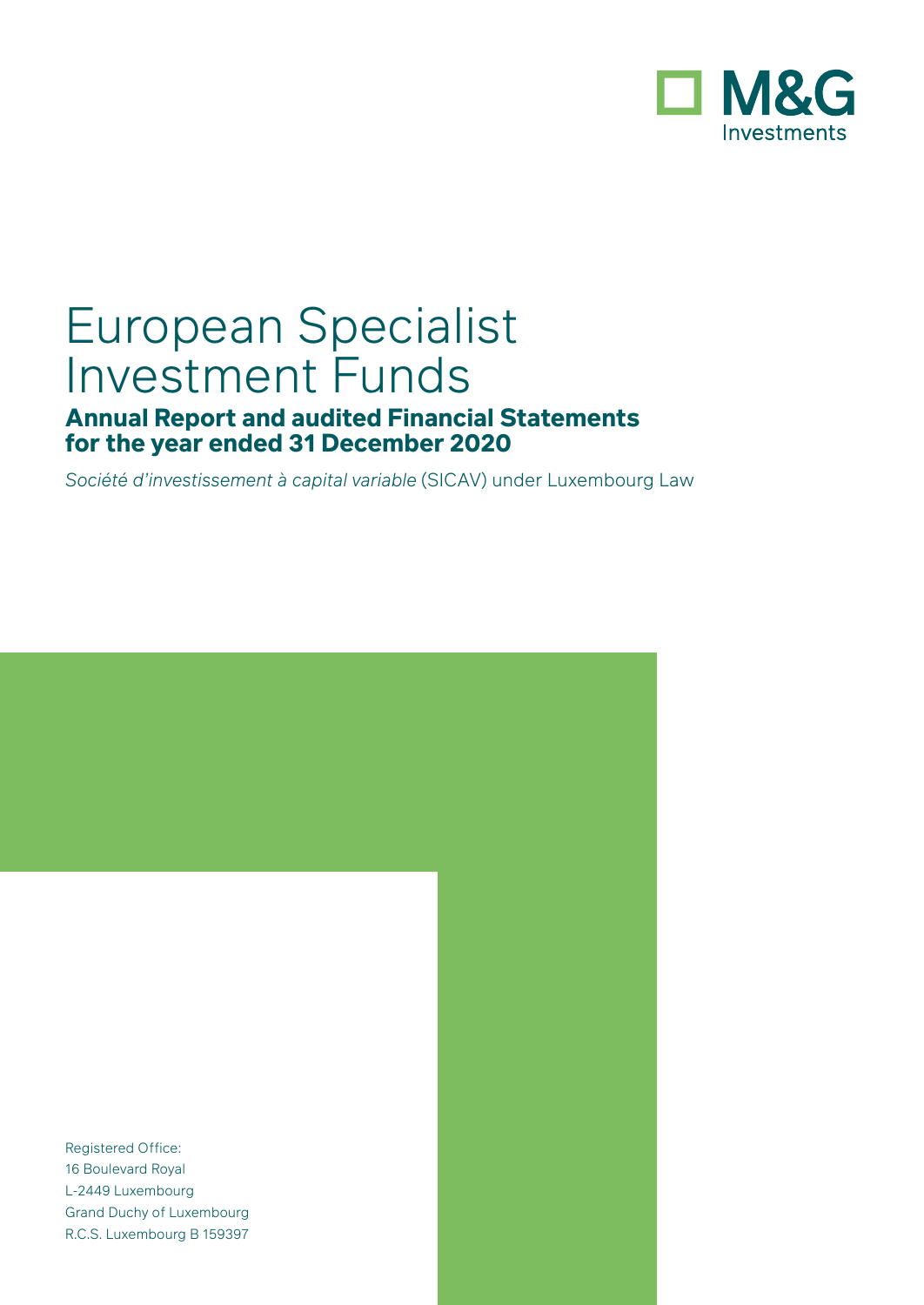

# European Specialist Investment Funds

# **Annual Report and audited Financial Statements for the year ended 31 December 2020**

*Société d'investissement à capital variable* (SICAV) under Luxembourg Law

Registered Office: 16 Boulevard Royal L-2449 Luxembourg Grand Duchy of Luxembourg R.C.S. Luxembourg B 159397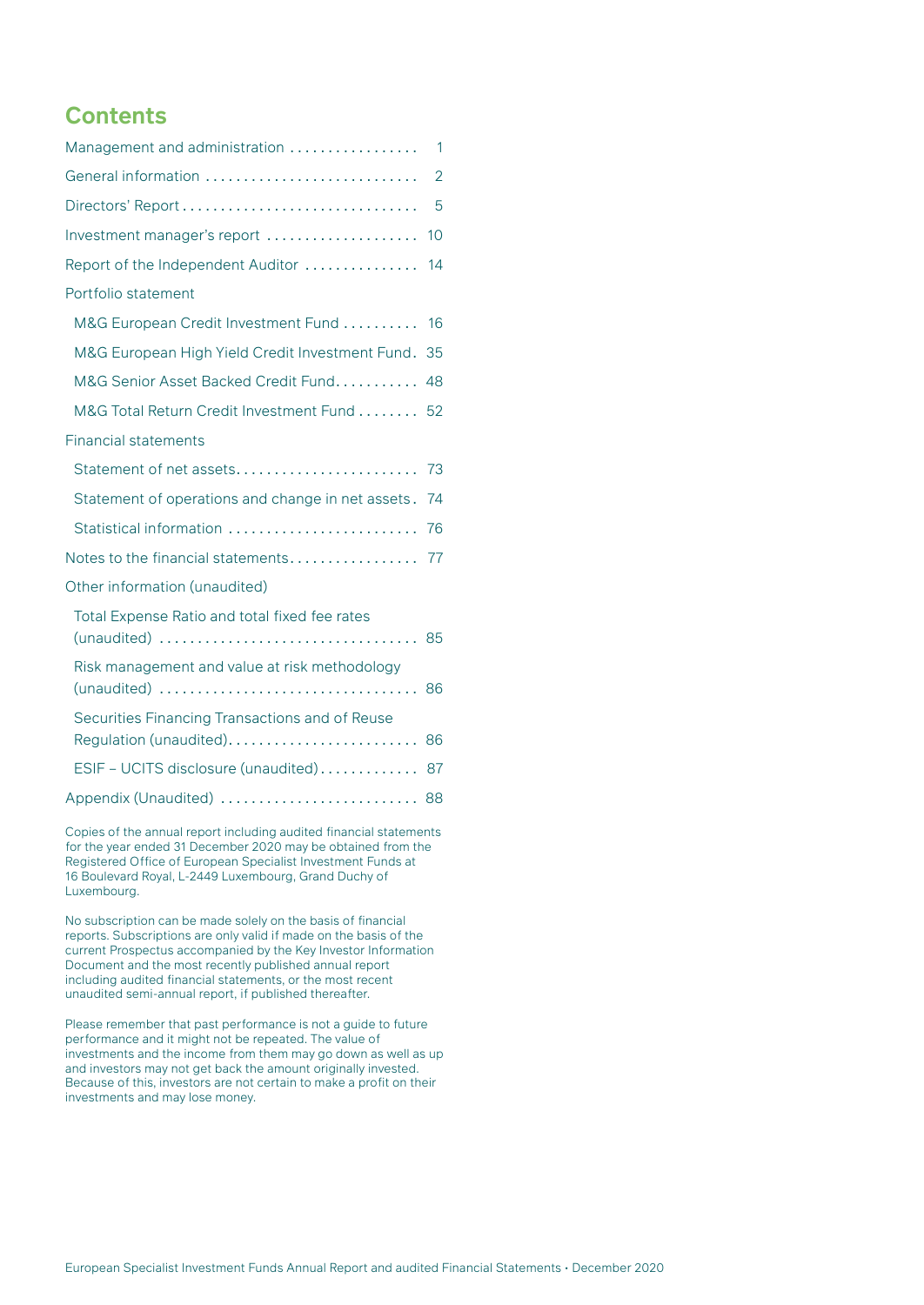### **Contents**

| Management and administration                                               | $\mathbf{1}$   |
|-----------------------------------------------------------------------------|----------------|
| General information                                                         | $\overline{2}$ |
|                                                                             | 5              |
| Investment manager's report                                                 | 10             |
| Report of the Independent Auditor                                           | 14             |
| Portfolio statement                                                         |                |
| M&G European Credit Investment Fund                                         | 16             |
| M&G European High Yield Credit Investment Fund.                             | 35             |
| M&G Senior Asset Backed Credit Fund                                         | 48             |
| M&G Total Return Credit Investment Fund 52                                  |                |
| <b>Financial statements</b>                                                 |                |
|                                                                             |                |
| Statement of operations and change in net assets. 74                        |                |
|                                                                             |                |
| Notes to the financial statements 77                                        |                |
| Other information (unaudited)                                               |                |
| Total Expense Ratio and total fixed fee rates<br>(unaudited)                | 85             |
| Risk management and value at risk methodology<br>(unaudited)                | 86             |
| Securities Financing Transactions and of Reuse<br>Regulation (unaudited) 86 |                |
| ESIF - UCITS disclosure (unaudited)                                         | 87             |
| Appendix (Unaudited)  88                                                    |                |
|                                                                             |                |

Copies of the annual report including audited financial statements for the year ended 31 December 2020 may be obtained from the Registered Office of European Specialist Investment Funds at 16 Boulevard Royal, L-2449 Luxembourg, Grand Duchy of Luxembourg.

No subscription can be made solely on the basis of financial reports. Subscriptions are only valid if made on the basis of the current Prospectus accompanied by the Key Investor Information Document and the most recently published annual report including audited financial statements, or the most recent unaudited semi-annual report, if published thereafter.

Please remember that past performance is not a guide to future performance and it might not be repeated. The value of investments and the income from them may go down as well as up and investors may not get back the amount originally invested. Because of this, investors are not certain to make a profit on their investments and may lose money.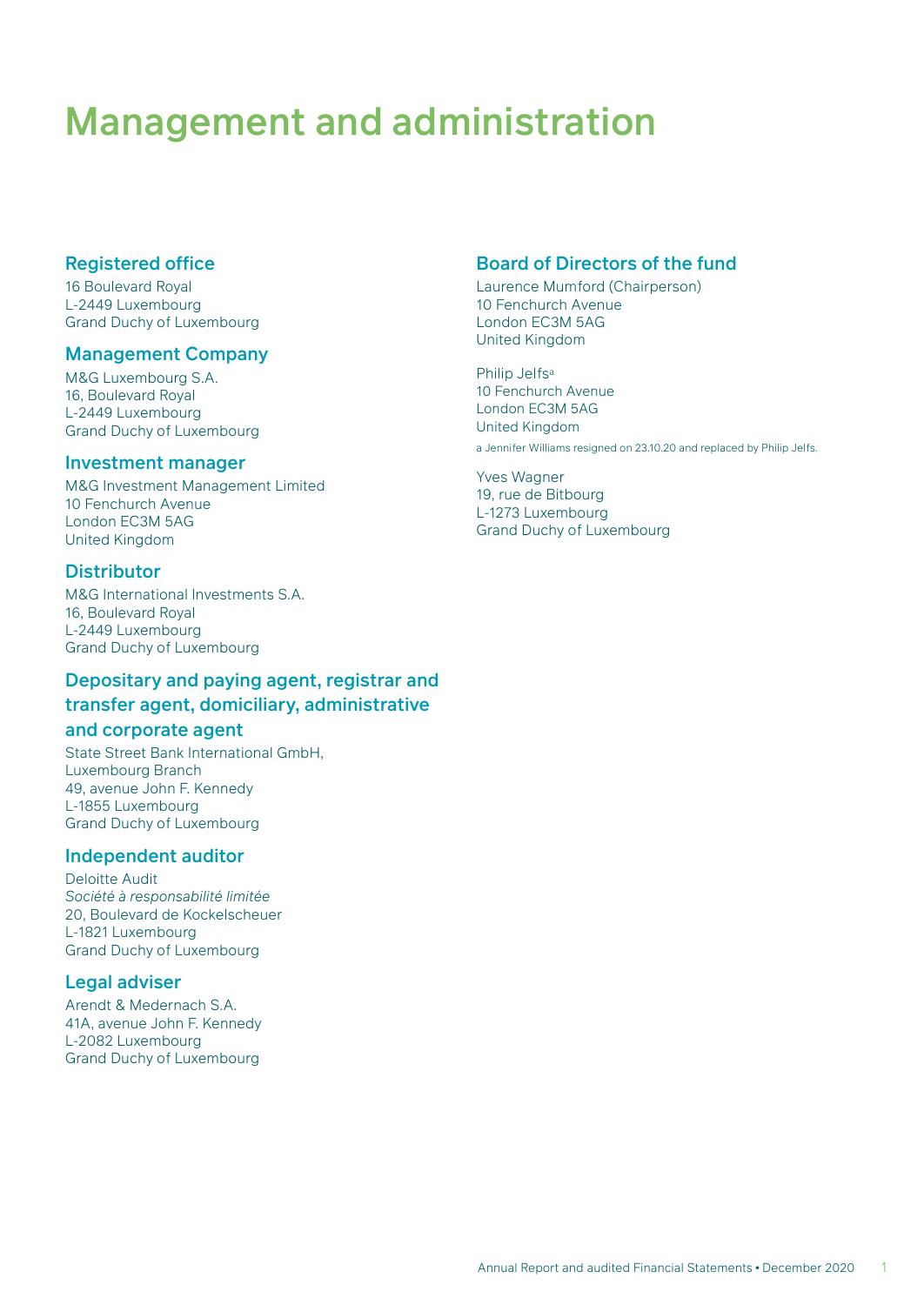# <span id="page-2-0"></span>Management and administration

#### Registered office

16 Boulevard Royal L-2449 Luxembourg Grand Duchy of Luxembourg

#### Management Company

M&G Luxembourg S.A. 16, Boulevard Royal L-2449 Luxembourg Grand Duchy of Luxembourg

#### Investment manager

M&G Investment Management Limited 10 Fenchurch Avenue London EC3M 5AG United Kingdom

#### **Distributor**

M&G International Investments S.A. 16, Boulevard Royal L-2449 Luxembourg Grand Duchy of Luxembourg

### Depositary and paying agent, registrar and transfer agent, domiciliary, administrative

#### and corporate agent

State Street Bank International GmbH, Luxembourg Branch 49, avenue John F. Kennedy L-1855 Luxembourg Grand Duchy of Luxembourg

#### Independent auditor

Deloitte Audit *Société à responsabilité limitée* 20, Boulevard de Kockelscheuer L-1821 Luxembourg Grand Duchy of Luxembourg

#### Legal adviser

Arendt & Medernach S.A. 41A, avenue John F. Kennedy L-2082 Luxembourg Grand Duchy of Luxembourg

#### Board of Directors of the fund

Laurence Mumford (Chairperson) 10 Fenchurch Avenue London EC3M 5AG United Kingdom

Philip Jelfsa 10 Fenchurch Avenue London EC3M 5AG United Kingdom a Jennifer Williams resigned on 23.10.20 and replaced by Philip Jelfs.

Yves Wagner 19, rue de Bitbourg L-1273 Luxembourg Grand Duchy of Luxembourg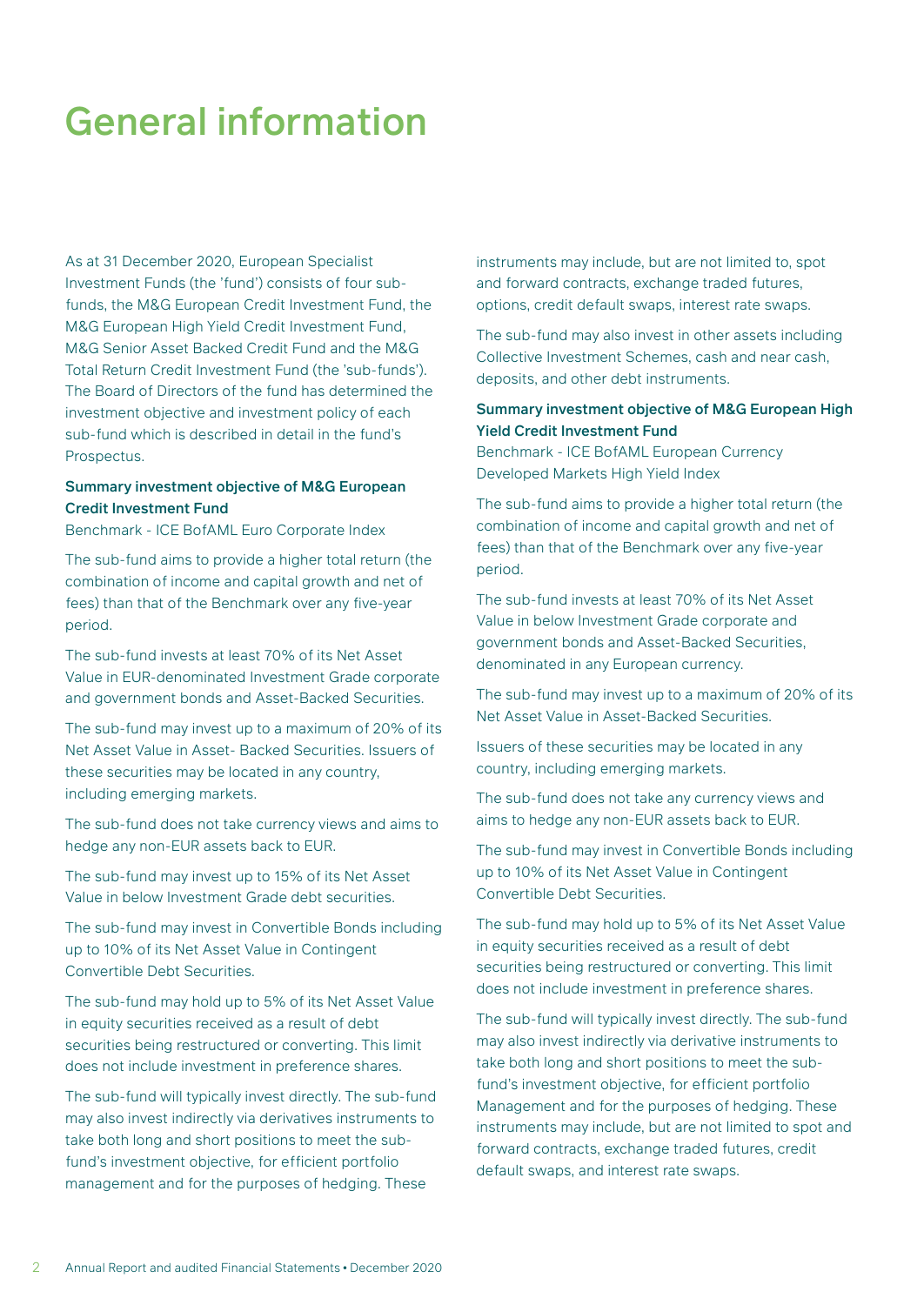# <span id="page-3-0"></span>General information

As at 31 December 2020, European Specialist Investment Funds (the 'fund') consists of four subfunds, the M&G European Credit Investment Fund, the M&G European High Yield Credit Investment Fund, M&G Senior Asset Backed Credit Fund and the M&G Total Return Credit Investment Fund (the 'sub-funds'). The Board of Directors of the fund has determined the investment objective and investment policy of each sub-fund which is described in detail in the fund's Prospectus.

#### Summary investment objective of M&G European Credit Investment Fund

Benchmark - ICE BofAML Euro Corporate Index

The sub-fund aims to provide a higher total return (the combination of income and capital growth and net of fees) than that of the Benchmark over any five-year period.

The sub-fund invests at least 70% of its Net Asset Value in EUR-denominated Investment Grade corporate and government bonds and Asset-Backed Securities.

The sub-fund may invest up to a maximum of 20% of its Net Asset Value in Asset- Backed Securities. Issuers of these securities may be located in any country, including emerging markets.

The sub-fund does not take currency views and aims to hedge any non-EUR assets back to EUR.

The sub-fund may invest up to 15% of its Net Asset Value in below Investment Grade debt securities.

The sub-fund may invest in Convertible Bonds including up to 10% of its Net Asset Value in Contingent Convertible Debt Securities.

The sub-fund may hold up to 5% of its Net Asset Value in equity securities received as a result of debt securities being restructured or converting. This limit does not include investment in preference shares.

The sub-fund will typically invest directly. The sub-fund may also invest indirectly via derivatives instruments to take both long and short positions to meet the subfund's investment objective, for efficient portfolio management and for the purposes of hedging. These

instruments may include, but are not limited to, spot and forward contracts, exchange traded futures, options, credit default swaps, interest rate swaps.

The sub-fund may also invest in other assets including Collective Investment Schemes, cash and near cash, deposits, and other debt instruments.

#### Summary investment objective of M&G European High Yield Credit Investment Fund

Benchmark - ICE BofAML European Currency Developed Markets High Yield Index

The sub-fund aims to provide a higher total return (the combination of income and capital growth and net of fees) than that of the Benchmark over any five-year period.

The sub-fund invests at least 70% of its Net Asset Value in below Investment Grade corporate and government bonds and Asset-Backed Securities, denominated in any European currency.

The sub-fund may invest up to a maximum of 20% of its Net Asset Value in Asset-Backed Securities.

Issuers of these securities may be located in any country, including emerging markets.

The sub-fund does not take any currency views and aims to hedge any non-EUR assets back to EUR.

The sub-fund may invest in Convertible Bonds including up to 10% of its Net Asset Value in Contingent Convertible Debt Securities.

The sub-fund may hold up to 5% of its Net Asset Value in equity securities received as a result of debt securities being restructured or converting. This limit does not include investment in preference shares.

The sub-fund will typically invest directly. The sub-fund may also invest indirectly via derivative instruments to take both long and short positions to meet the subfund's investment objective, for efficient portfolio Management and for the purposes of hedging. These instruments may include, but are not limited to spot and forward contracts, exchange traded futures, credit default swaps, and interest rate swaps.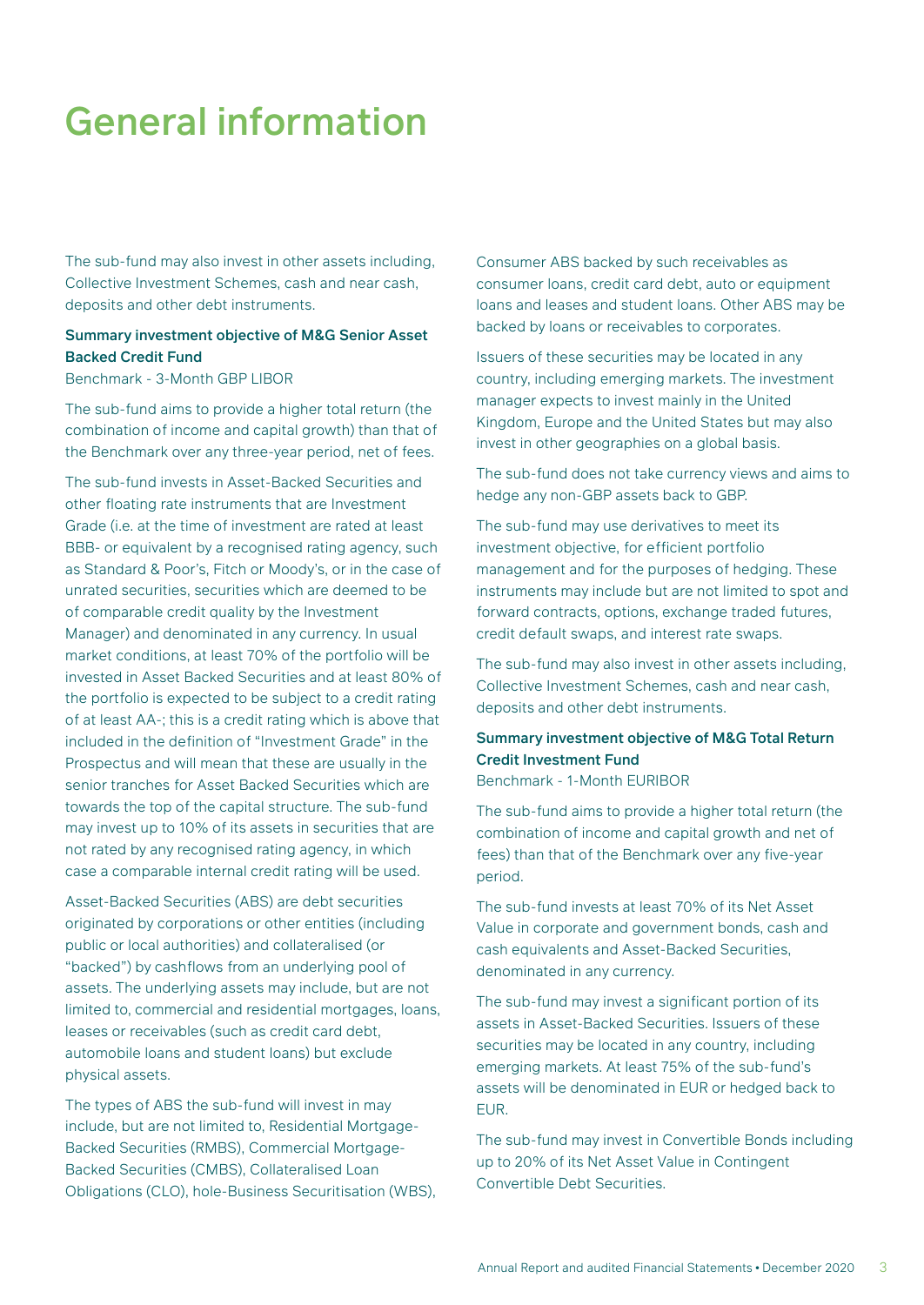# General information

The sub-fund may also invest in other assets including, Collective Investment Schemes, cash and near cash, deposits and other debt instruments.

#### Summary investment objective of M&G Senior Asset Backed Credit Fund

Benchmark - 3-Month GBP LIBOR

The sub-fund aims to provide a higher total return (the combination of income and capital growth) than that of the Benchmark over any three-year period, net of fees.

The sub-fund invests in Asset-Backed Securities and other floating rate instruments that are Investment Grade (i.e. at the time of investment are rated at least BBB- or equivalent by a recognised rating agency, such as Standard & Poor's, Fitch or Moody's, or in the case of unrated securities, securities which are deemed to be of comparable credit quality by the Investment Manager) and denominated in any currency. In usual market conditions, at least 70% of the portfolio will be invested in Asset Backed Securities and at least 80% of the portfolio is expected to be subject to a credit rating of at least AA-; this is a credit rating which is above that included in the definition of "Investment Grade" in the Prospectus and will mean that these are usually in the senior tranches for Asset Backed Securities which are towards the top of the capital structure. The sub-fund may invest up to 10% of its assets in securities that are not rated by any recognised rating agency, in which case a comparable internal credit rating will be used.

Asset-Backed Securities (ABS) are debt securities originated by corporations or other entities (including public or local authorities) and collateralised (or "backed") by cashflows from an underlying pool of assets. The underlying assets may include, but are not limited to, commercial and residential mortgages, loans, leases or receivables (such as credit card debt, automobile loans and student loans) but exclude physical assets.

The types of ABS the sub-fund will invest in may include, but are not limited to, Residential Mortgage-Backed Securities (RMBS), Commercial Mortgage-Backed Securities (CMBS), Collateralised Loan Obligations (CLO), hole-Business Securitisation (WBS), Consumer ABS backed by such receivables as consumer loans, credit card debt, auto or equipment loans and leases and student loans. Other ABS may be backed by loans or receivables to corporates.

Issuers of these securities may be located in any country, including emerging markets. The investment manager expects to invest mainly in the United Kingdom, Europe and the United States but may also invest in other geographies on a global basis.

The sub-fund does not take currency views and aims to hedge any non-GBP assets back to GBP.

The sub-fund may use derivatives to meet its investment objective, for efficient portfolio management and for the purposes of hedging. These instruments may include but are not limited to spot and forward contracts, options, exchange traded futures, credit default swaps, and interest rate swaps.

The sub-fund may also invest in other assets including, Collective Investment Schemes, cash and near cash, deposits and other debt instruments.

#### Summary investment objective of M&G Total Return Credit Investment Fund

Benchmark - 1-Month EURIBOR

The sub-fund aims to provide a higher total return (the combination of income and capital growth and net of fees) than that of the Benchmark over any five-year period.

The sub-fund invests at least 70% of its Net Asset Value in corporate and government bonds, cash and cash equivalents and Asset-Backed Securities, denominated in any currency.

The sub-fund may invest a significant portion of its assets in Asset-Backed Securities. Issuers of these securities may be located in any country, including emerging markets. At least 75% of the sub-fund's assets will be denominated in EUR or hedged back to EUR.

The sub-fund may invest in Convertible Bonds including up to 20% of its Net Asset Value in Contingent Convertible Debt Securities.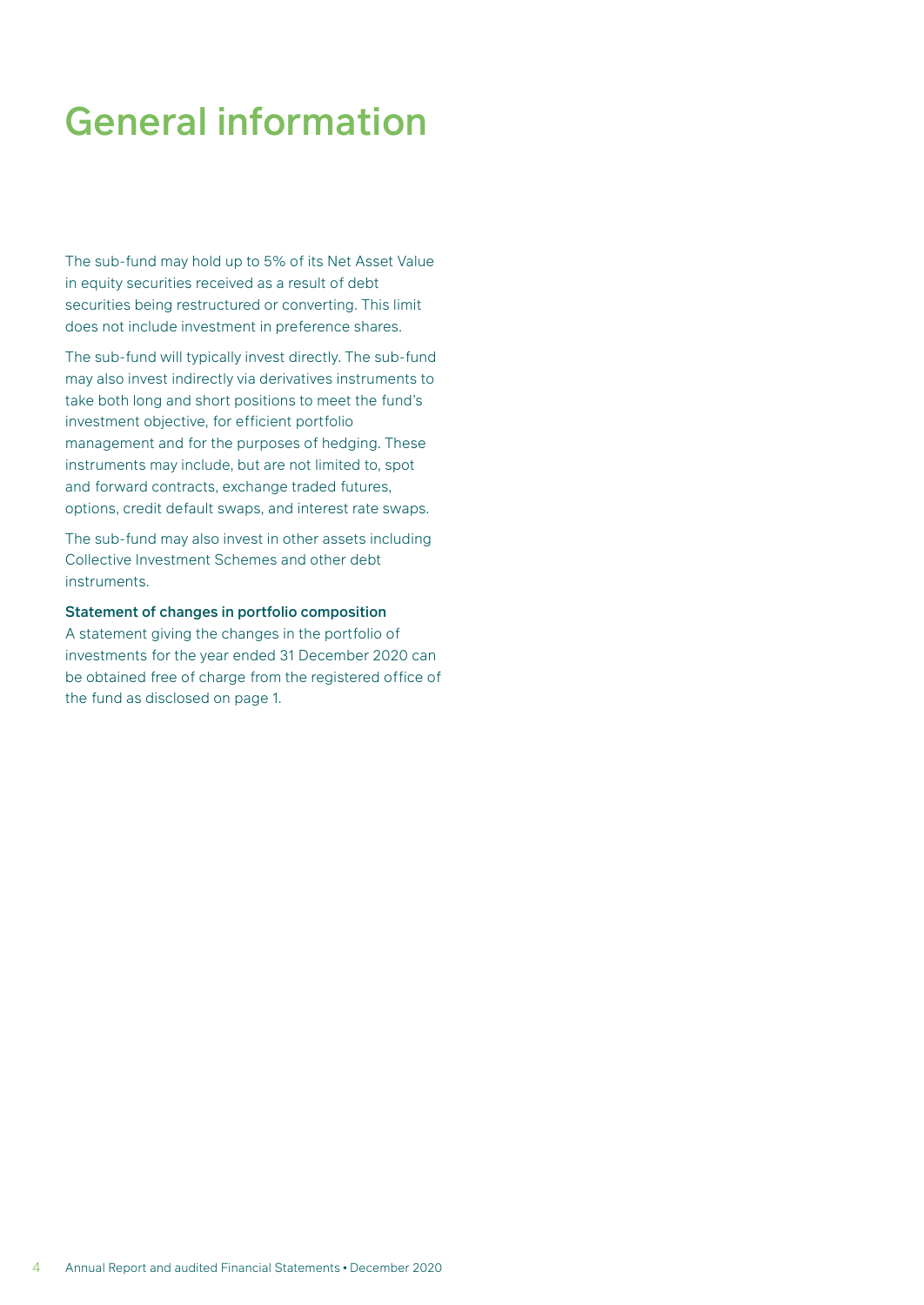# General information

The sub-fund may hold up to 5% of its Net Asset Value in equity securities received as a result of debt securities being restructured or converting. This limit does not include investment in preference shares.

The sub-fund will typically invest directly. The sub-fund may also invest indirectly via derivatives instruments to take both long and short positions to meet the fund's investment objective, for efficient portfolio management and for the purposes of hedging. These instruments may include, but are not limited to, spot and forward contracts, exchange traded futures, options, credit default swaps, and interest rate swaps.

The sub-fund may also invest in other assets including Collective Investment Schemes and other debt instruments.

#### Statement of changes in portfolio composition

A statement giving the changes in the portfolio of investments for the year ended 31 December 2020 can be obtained free of charge from the registered office of the fund as disclosed on page 1.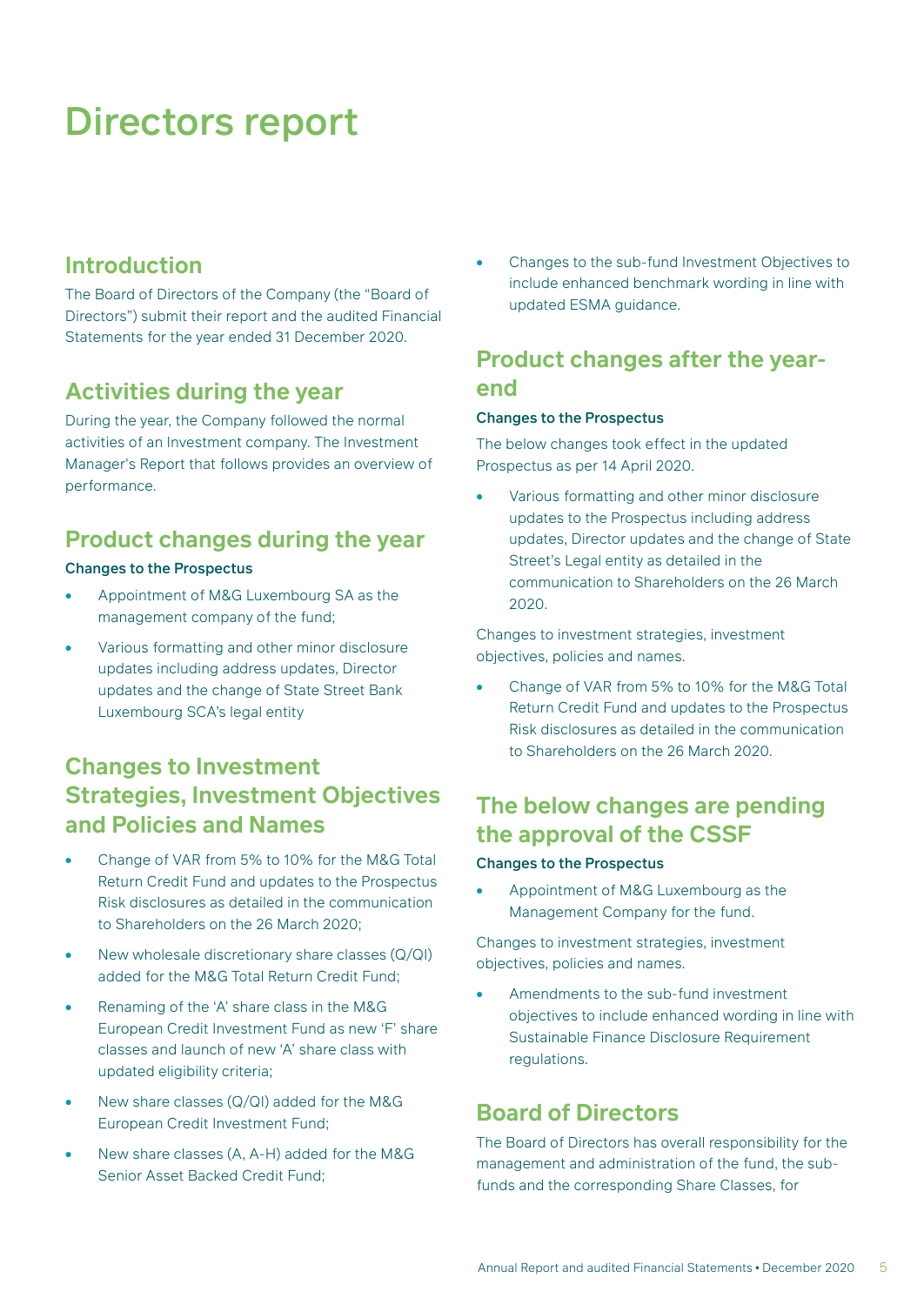### <span id="page-6-0"></span>**Introduction**

The Board of Directors of the Company (the "Board of Directors") submit their report and the audited Financial Statements for the year ended 31 December 2020.

### **Activities during the year**

During the year, the Company followed the normal activities of an Investment company. The Investment Manager's Report that follows provides an overview of performance.

### **Product changes during the year**

#### Changes to the Prospectus

- Appointment of M&G Luxembourg SA as the management company of the fund;
- Various formatting and other minor disclosure updates including address updates, Director updates and the change of State Street Bank Luxembourg SCA's legal entity

### **Changes to Investment Strategies, Investment Objectives and Policies and Names**

- Change of VAR from 5% to 10% for the M&G Total Return Credit Fund and updates to the Prospectus Risk disclosures as detailed in the communication to Shareholders on the 26 March 2020;
- New wholesale discretionary share classes (Q/QI) added for the M&G Total Return Credit Fund;
- Renaming of the 'A' share class in the M&G European Credit Investment Fund as new 'F' share classes and launch of new 'A' share class with updated eligibility criteria;
- New share classes (Q/QI) added for the M&G European Credit Investment Fund;
- New share classes (A, A-H) added for the M&G Senior Asset Backed Credit Fund;

• Changes to the sub-fund Investment Objectives to include enhanced benchmark wording in line with updated ESMA guidance.

### **Product changes after the yearend**

#### Changes to the Prospectus

The below changes took effect in the updated Prospectus as per 14 April 2020.

• Various formatting and other minor disclosure updates to the Prospectus including address updates, Director updates and the change of State Street's Legal entity as detailed in the communication to Shareholders on the 26 March 2020.

Changes to investment strategies, investment objectives, policies and names.

• Change of VAR from 5% to 10% for the M&G Total Return Credit Fund and updates to the Prospectus Risk disclosures as detailed in the communication to Shareholders on the 26 March 2020.

### **The below changes are pending the approval of the CSSF**

#### Changes to the Prospectus

• Appointment of M&G Luxembourg as the Management Company for the fund.

Changes to investment strategies, investment objectives, policies and names.

• Amendments to the sub-fund investment objectives to include enhanced wording in line with Sustainable Finance Disclosure Requirement regulations.

### **Board of Directors**

The Board of Directors has overall responsibility for the management and administration of the fund, the subfunds and the corresponding Share Classes, for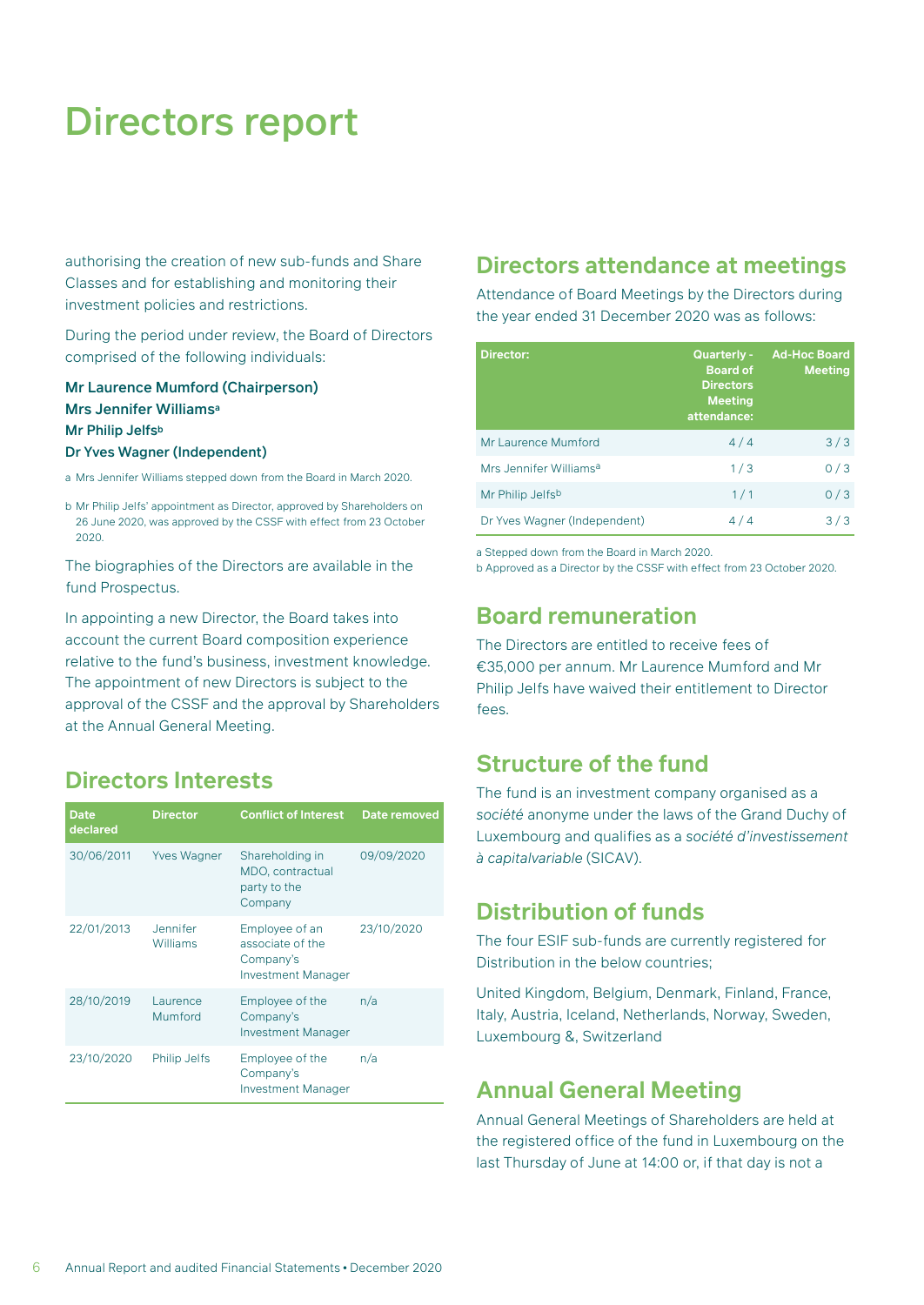authorising the creation of new sub-funds and Share Classes and for establishing and monitoring their investment policies and restrictions.

During the period under review, the Board of Directors comprised of the following individuals:

#### Mr Laurence Mumford (Chairperson) Mrs Jennifer Williamsa Mr Philip Jelfsb

#### Dr Yves Wagner (Independent)

a Mrs Jennifer Williams stepped down from the Board in March 2020.

b Mr Philip Jelfs' appointment as Director, approved by Shareholders on 26 June 2020, was approved by the CSSF with effect from 23 October 2020.

The biographies of the Directors are available in the fund Prospectus.

In appointing a new Director, the Board takes into account the current Board composition experience relative to the fund's business, investment knowledge. The appointment of new Directors is subject to the approval of the CSSF and the approval by Shareholders at the Annual General Meeting.

### **Directors Interests**

| <b>Date</b><br>declared | <b>Director</b>      | <b>Conflict of Interest</b>                                                  | <b>Date removed</b> |
|-------------------------|----------------------|------------------------------------------------------------------------------|---------------------|
| 30/06/2011              | <b>Yves Wagner</b>   | Shareholding in<br>MDO, contractual<br>party to the<br>Company               | 09/09/2020          |
| 22/01/2013              | Jennifer<br>Williams | Employee of an<br>associate of the<br>Company's<br><b>Investment Manager</b> | 23/10/2020          |
| 28/10/2019              | Laurence<br>Mumford  | Employee of the<br>Company's<br><b>Investment Manager</b>                    | n/a                 |
| 23/10/2020              | <b>Philip Jelfs</b>  | Employee of the<br>Company's<br><b>Investment Manager</b>                    | n/a                 |

#### **Directors attendance at meetings**

Attendance of Board Meetings by the Directors during the year ended 31 December 2020 was as follows:

| <b>Director:</b>                   | <b>Quarterly -</b><br><b>Board of</b><br><b>Directors</b><br><b>Meeting</b><br>attendance: | <b>Ad-Hoc Board</b><br><b>Meeting</b> |
|------------------------------------|--------------------------------------------------------------------------------------------|---------------------------------------|
| Mr Laurence Mumford                | 4/4                                                                                        | 3/3                                   |
| Mrs Jennifer Williams <sup>a</sup> | 1/3                                                                                        | 0/3                                   |
| Mr Philip Jelfsb                   | 1/1                                                                                        | 0/3                                   |
| Dr Yves Wagner (Independent)       | 4/4                                                                                        | 3/3                                   |

a Stepped down from the Board in March 2020.

b Approved as a Director by the CSSF with effect from 23 October 2020.

#### **Board remuneration**

The Directors are entitled to receive fees of €35,000 per annum. Mr Laurence Mumford and Mr Philip Jelfs have waived their entitlement to Director fees.

### **Structure of the fund**

The fund is an investment company organised as a *société* anonyme under the laws of the Grand Duchy of Luxembourg and qualifies as a *société d'investissement à capitalvariable* (SICAV).

#### **Distribution of funds**

The four ESIF sub-funds are currently registered for Distribution in the below countries;

United Kingdom, Belgium, Denmark, Finland, France, Italy, Austria, Iceland, Netherlands, Norway, Sweden, Luxembourg &, Switzerland

### **Annual General Meeting**

Annual General Meetings of Shareholders are held at the registered office of the fund in Luxembourg on the last Thursday of June at 14:00 or, if that day is not a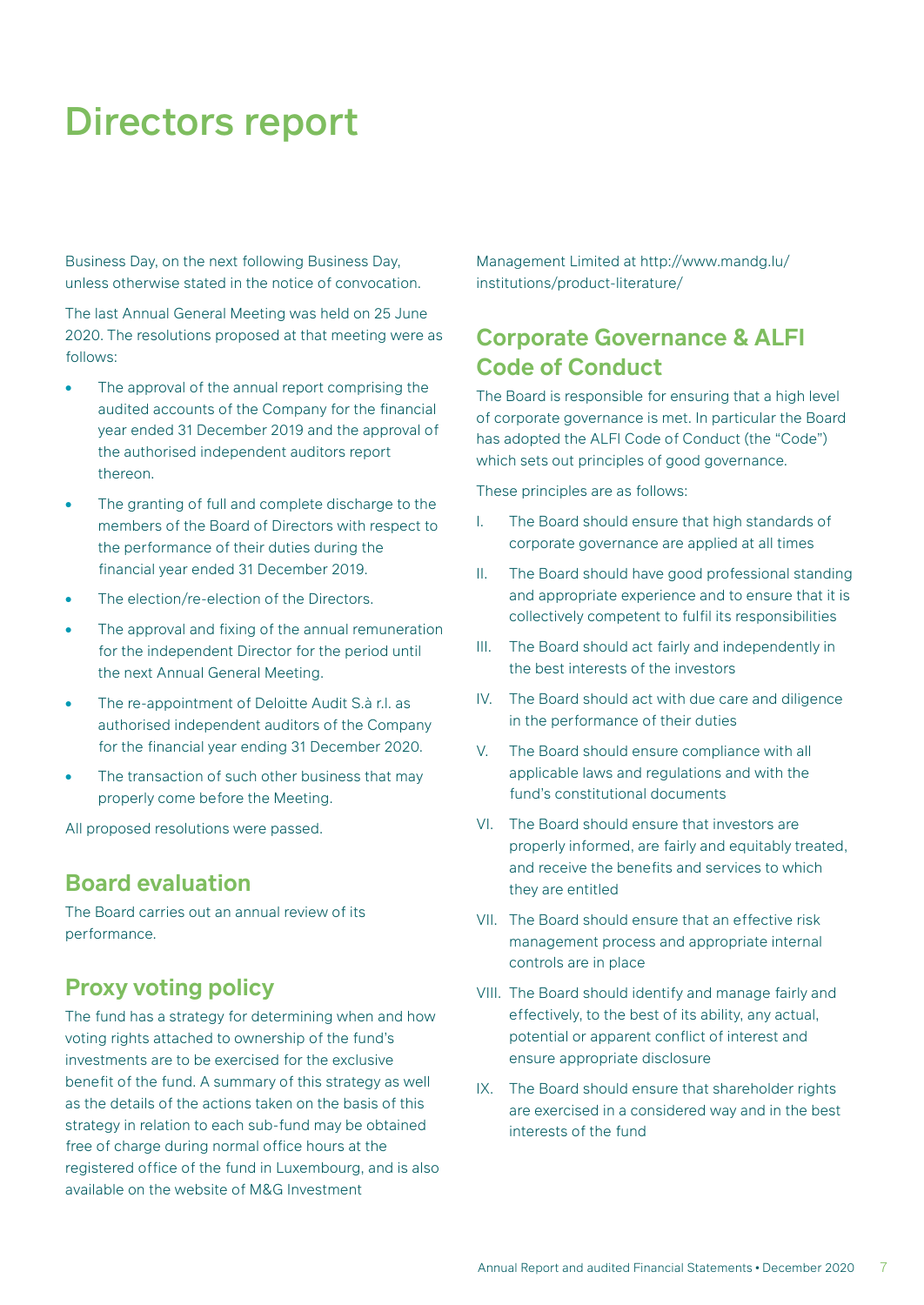Business Day, on the next following Business Day, unless otherwise stated in the notice of convocation.

The last Annual General Meeting was held on 25 June 2020. The resolutions proposed at that meeting were as follows:

- The approval of the annual report comprising the audited accounts of the Company for the financial year ended 31 December 2019 and the approval of the authorised independent auditors report thereon.
- The granting of full and complete discharge to the members of the Board of Directors with respect to the performance of their duties during the financial year ended 31 December 2019.
- The election/re-election of the Directors.
- The approval and fixing of the annual remuneration for the independent Director for the period until the next Annual General Meeting.
- The re-appointment of Deloitte Audit S.à r.l. as authorised independent auditors of the Company for the financial year ending 31 December 2020.
- The transaction of such other business that may properly come before the Meeting.

All proposed resolutions were passed.

### **Board evaluation**

The Board carries out an annual review of its performance.

### **Proxy voting policy**

The fund has a strategy for determining when and how voting rights attached to ownership of the fund's investments are to be exercised for the exclusive benefit of the fund. A summary of this strategy as well as the details of the actions taken on the basis of this strategy in relation to each sub-fund may be obtained free of charge during normal office hours at the registered office of the fund in Luxembourg, and is also available on the website of M&G Investment

Management Limited at http://www.mandg.lu/ institutions/product-literature/

### **Corporate Governance & ALFI Code of Conduct**

The Board is responsible for ensuring that a high level of corporate governance is met. In particular the Board has adopted the ALFI Code of Conduct (the "Code") which sets out principles of good governance.

These principles are as follows:

- I. The Board should ensure that high standards of corporate governance are applied at all times
- II. The Board should have good professional standing and appropriate experience and to ensure that it is collectively competent to fulfil its responsibilities
- III. The Board should act fairly and independently in the best interests of the investors
- IV. The Board should act with due care and diligence in the performance of their duties
- V. The Board should ensure compliance with all applicable laws and regulations and with the fund's constitutional documents
- VI. The Board should ensure that investors are properly informed, are fairly and equitably treated, and receive the benefits and services to which they are entitled
- VII. The Board should ensure that an effective risk management process and appropriate internal controls are in place
- VIII. The Board should identify and manage fairly and effectively, to the best of its ability, any actual, potential or apparent conflict of interest and ensure appropriate disclosure
- IX. The Board should ensure that shareholder rights are exercised in a considered way and in the best interests of the fund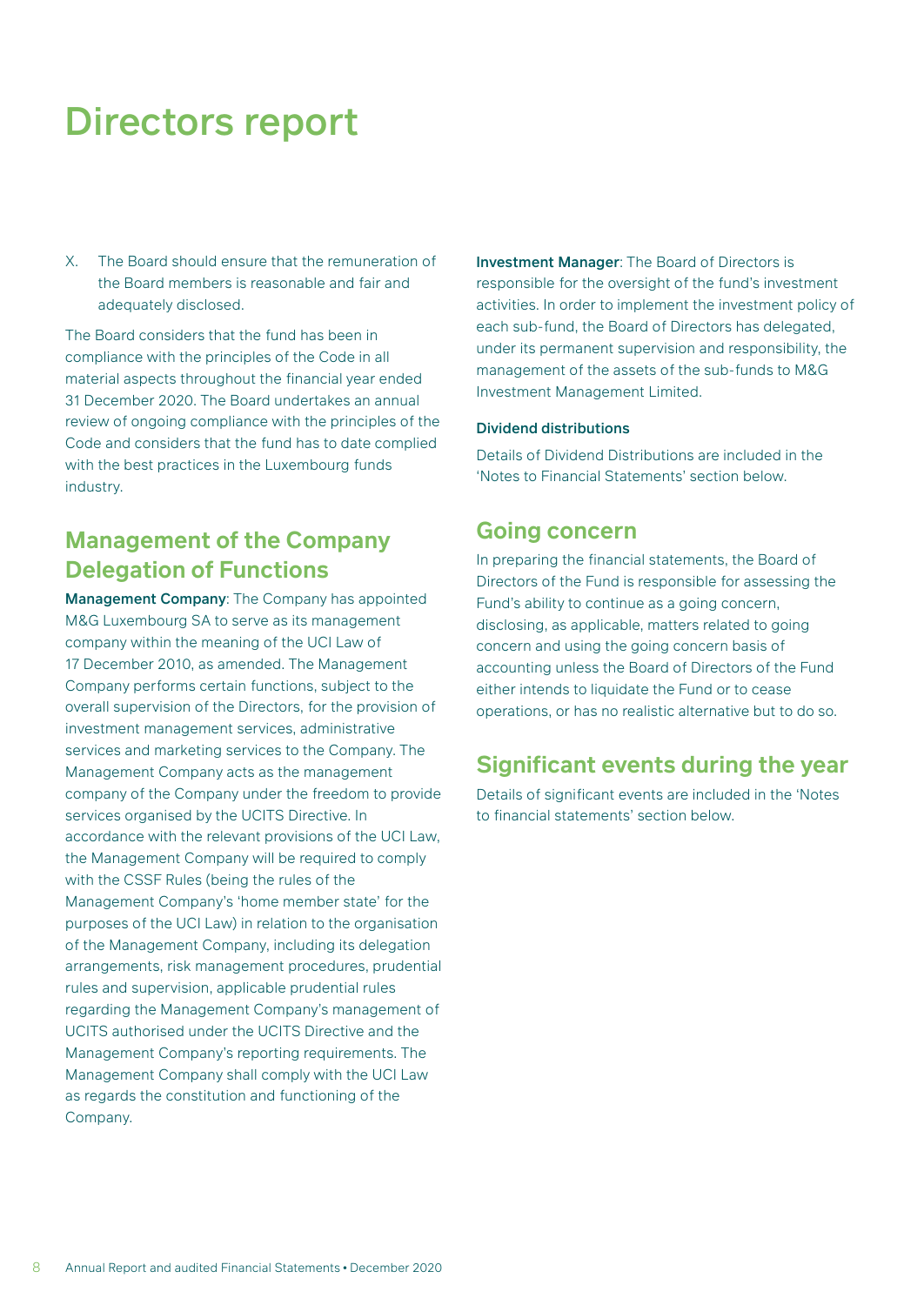X. The Board should ensure that the remuneration of the Board members is reasonable and fair and adequately disclosed.

The Board considers that the fund has been in compliance with the principles of the Code in all material aspects throughout the financial year ended 31 December 2020. The Board undertakes an annual review of ongoing compliance with the principles of the Code and considers that the fund has to date complied with the best practices in the Luxembourg funds industry.

### **Management of the Company Delegation of Functions**

Management Company: The Company has appointed M&G Luxembourg SA to serve as its management company within the meaning of the UCI Law of 17 December 2010, as amended. The Management Company performs certain functions, subject to the overall supervision of the Directors, for the provision of investment management services, administrative services and marketing services to the Company. The Management Company acts as the management company of the Company under the freedom to provide services organised by the UCITS Directive. In accordance with the relevant provisions of the UCI Law, the Management Company will be required to comply with the CSSF Rules (being the rules of the Management Company's 'home member state' for the purposes of the UCI Law) in relation to the organisation of the Management Company, including its delegation arrangements, risk management procedures, prudential rules and supervision, applicable prudential rules regarding the Management Company's management of UCITS authorised under the UCITS Directive and the Management Company's reporting requirements. The Management Company shall comply with the UCI Law as regards the constitution and functioning of the Company.

Investment Manager: The Board of Directors is responsible for the oversight of the fund's investment activities. In order to implement the investment policy of each sub-fund, the Board of Directors has delegated, under its permanent supervision and responsibility, the management of the assets of the sub-funds to M&G Investment Management Limited.

#### Dividend distributions

Details of Dividend Distributions are included in the 'Notes to Financial Statements' section below.

#### **Going concern**

In preparing the financial statements, the Board of Directors of the Fund is responsible for assessing the Fund's ability to continue as a going concern, disclosing, as applicable, matters related to going concern and using the going concern basis of accounting unless the Board of Directors of the Fund either intends to liquidate the Fund or to cease operations, or has no realistic alternative but to do so.

### **Significant events during the year**

Details of significant events are included in the 'Notes to financial statements' section below.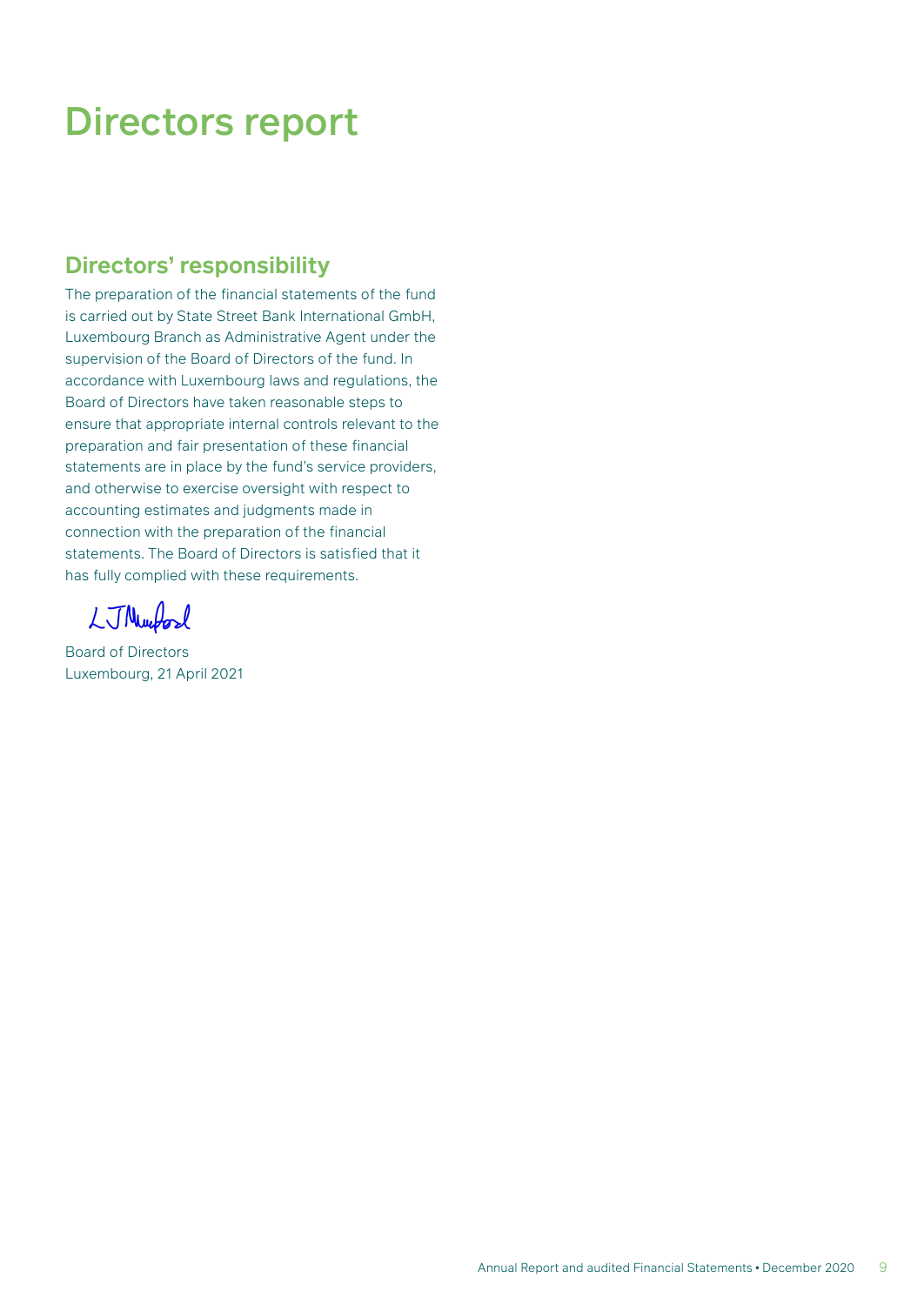### **Directors' responsibility**

The preparation of the financial statements of the fund is carried out by State Street Bank International GmbH, Luxembourg Branch as Administrative Agent under the supervision of the Board of Directors of the fund. In accordance with Luxembourg laws and regulations, the Board of Directors have taken reasonable steps to ensure that appropriate internal controls relevant to the preparation and fair presentation of these financial statements are in place by the fund's service providers, and otherwise to exercise oversight with respect to accounting estimates and judgments made in connection with the preparation of the financial statements. The Board of Directors is satisfied that it has fully complied with these requirements.

LJNwford

Board of Directors Luxembourg, 21 April 2021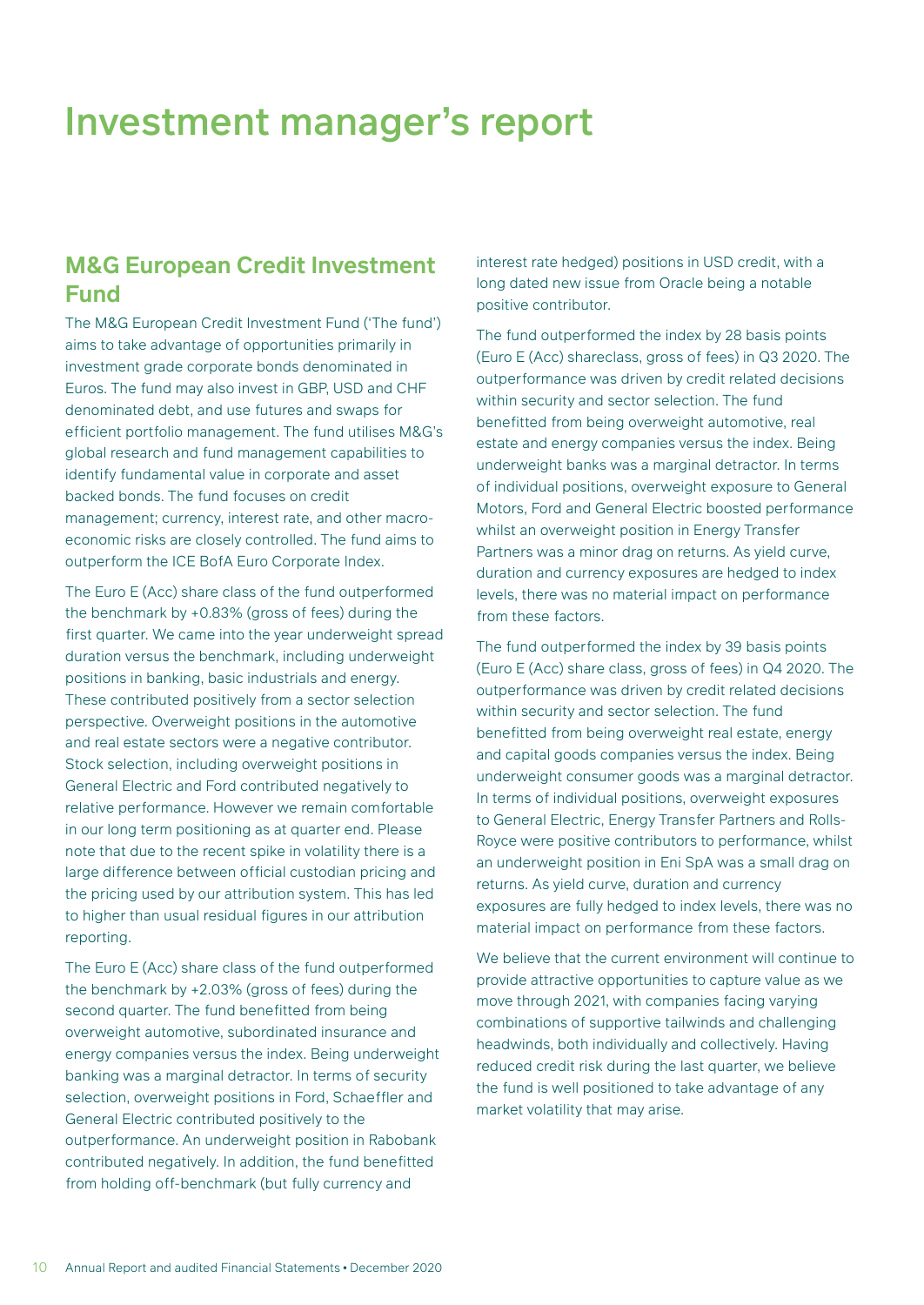### <span id="page-11-0"></span>**M&G European Credit Investment Fund**

The M&G European Credit Investment Fund ('The fund') aims to take advantage of opportunities primarily in investment grade corporate bonds denominated in Euros. The fund may also invest in GBP, USD and CHF denominated debt, and use futures and swaps for efficient portfolio management. The fund utilises M&G's global research and fund management capabilities to identify fundamental value in corporate and asset backed bonds. The fund focuses on credit management; currency, interest rate, and other macroeconomic risks are closely controlled. The fund aims to outperform the ICE BofA Euro Corporate Index.

The Euro E (Acc) share class of the fund outperformed the benchmark by +0.83% (gross of fees) during the first quarter. We came into the year underweight spread duration versus the benchmark, including underweight positions in banking, basic industrials and energy. These contributed positively from a sector selection perspective. Overweight positions in the automotive and real estate sectors were a negative contributor. Stock selection, including overweight positions in General Electric and Ford contributed negatively to relative performance. However we remain comfortable in our long term positioning as at quarter end. Please note that due to the recent spike in volatility there is a large difference between official custodian pricing and the pricing used by our attribution system. This has led to higher than usual residual figures in our attribution reporting.

The Euro E (Acc) share class of the fund outperformed the benchmark by +2.03% (gross of fees) during the second quarter. The fund benefitted from being overweight automotive, subordinated insurance and energy companies versus the index. Being underweight banking was a marginal detractor. In terms of security selection, overweight positions in Ford, Schaeffler and General Electric contributed positively to the outperformance. An underweight position in Rabobank contributed negatively. In addition, the fund benefitted from holding off-benchmark (but fully currency and

interest rate hedged) positions in USD credit, with a long dated new issue from Oracle being a notable positive contributor.

The fund outperformed the index by 28 basis points (Euro E (Acc) shareclass, gross of fees) in Q3 2020. The outperformance was driven by credit related decisions within security and sector selection. The fund benefitted from being overweight automotive, real estate and energy companies versus the index. Being underweight banks was a marginal detractor. In terms of individual positions, overweight exposure to General Motors, Ford and General Electric boosted performance whilst an overweight position in Energy Transfer Partners was a minor drag on returns. As yield curve, duration and currency exposures are hedged to index levels, there was no material impact on performance from these factors.

The fund outperformed the index by 39 basis points (Euro E (Acc) share class, gross of fees) in Q4 2020. The outperformance was driven by credit related decisions within security and sector selection. The fund benefitted from being overweight real estate, energy and capital goods companies versus the index. Being underweight consumer goods was a marginal detractor. In terms of individual positions, overweight exposures to General Electric, Energy Transfer Partners and Rolls-Royce were positive contributors to performance, whilst an underweight position in Eni SpA was a small drag on returns. As yield curve, duration and currency exposures are fully hedged to index levels, there was no material impact on performance from these factors.

We believe that the current environment will continue to provide attractive opportunities to capture value as we move through 2021, with companies facing varying combinations of supportive tailwinds and challenging headwinds, both individually and collectively. Having reduced credit risk during the last quarter, we believe the fund is well positioned to take advantage of any market volatility that may arise.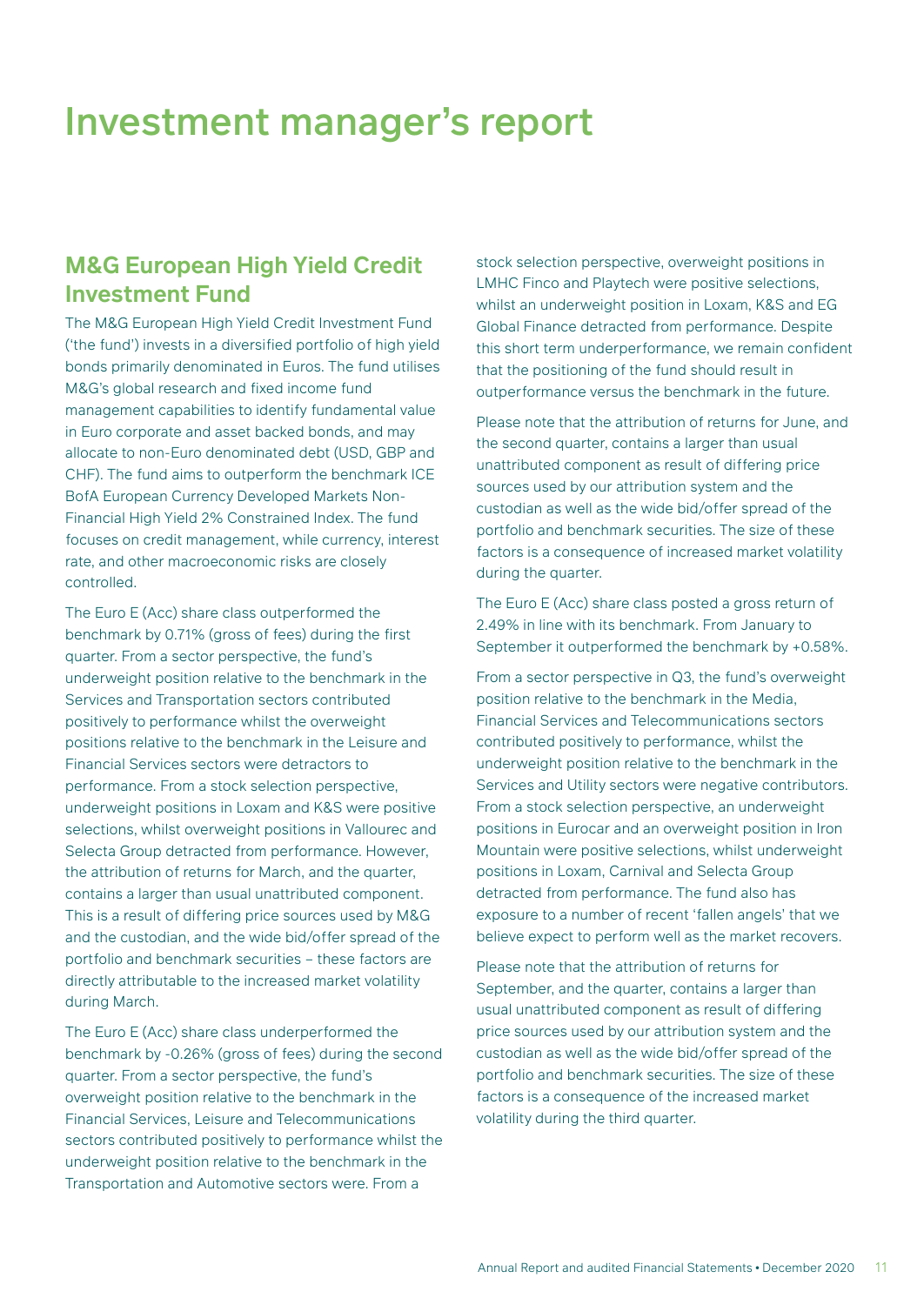### **M&G European High Yield Credit Investment Fund**

The M&G European High Yield Credit Investment Fund ('the fund') invests in a diversified portfolio of high yield bonds primarily denominated in Euros. The fund utilises M&G's global research and fixed income fund management capabilities to identify fundamental value in Euro corporate and asset backed bonds, and may allocate to non-Euro denominated debt (USD, GBP and CHF). The fund aims to outperform the benchmark ICE BofA European Currency Developed Markets Non-Financial High Yield 2% Constrained Index. The fund focuses on credit management, while currency, interest rate, and other macroeconomic risks are closely controlled.

The Euro E (Acc) share class outperformed the benchmark by 0.71% (gross of fees) during the first quarter. From a sector perspective, the fund's underweight position relative to the benchmark in the Services and Transportation sectors contributed positively to performance whilst the overweight positions relative to the benchmark in the Leisure and Financial Services sectors were detractors to performance. From a stock selection perspective, underweight positions in Loxam and K&S were positive selections, whilst overweight positions in Vallourec and Selecta Group detracted from performance. However, the attribution of returns for March, and the quarter, contains a larger than usual unattributed component. This is a result of differing price sources used by M&G and the custodian, and the wide bid/offer spread of the portfolio and benchmark securities – these factors are directly attributable to the increased market volatility during March.

The Euro E (Acc) share class underperformed the benchmark by -0.26% (gross of fees) during the second quarter. From a sector perspective, the fund's overweight position relative to the benchmark in the Financial Services, Leisure and Telecommunications sectors contributed positively to performance whilst the underweight position relative to the benchmark in the Transportation and Automotive sectors were. From a

stock selection perspective, overweight positions in LMHC Finco and Playtech were positive selections, whilst an underweight position in Loxam, K&S and EG Global Finance detracted from performance. Despite this short term underperformance, we remain confident that the positioning of the fund should result in outperformance versus the benchmark in the future.

Please note that the attribution of returns for June, and the second quarter, contains a larger than usual unattributed component as result of differing price sources used by our attribution system and the custodian as well as the wide bid/offer spread of the portfolio and benchmark securities. The size of these factors is a consequence of increased market volatility during the quarter.

The Euro E (Acc) share class posted a gross return of 2.49% in line with its benchmark. From January to September it outperformed the benchmark by +0.58%.

From a sector perspective in Q3, the fund's overweight position relative to the benchmark in the Media, Financial Services and Telecommunications sectors contributed positively to performance, whilst the underweight position relative to the benchmark in the Services and Utility sectors were negative contributors. From a stock selection perspective, an underweight positions in Eurocar and an overweight position in Iron Mountain were positive selections, whilst underweight positions in Loxam, Carnival and Selecta Group detracted from performance. The fund also has exposure to a number of recent 'fallen angels' that we believe expect to perform well as the market recovers.

Please note that the attribution of returns for September, and the quarter, contains a larger than usual unattributed component as result of differing price sources used by our attribution system and the custodian as well as the wide bid/offer spread of the portfolio and benchmark securities. The size of these factors is a consequence of the increased market volatility during the third quarter.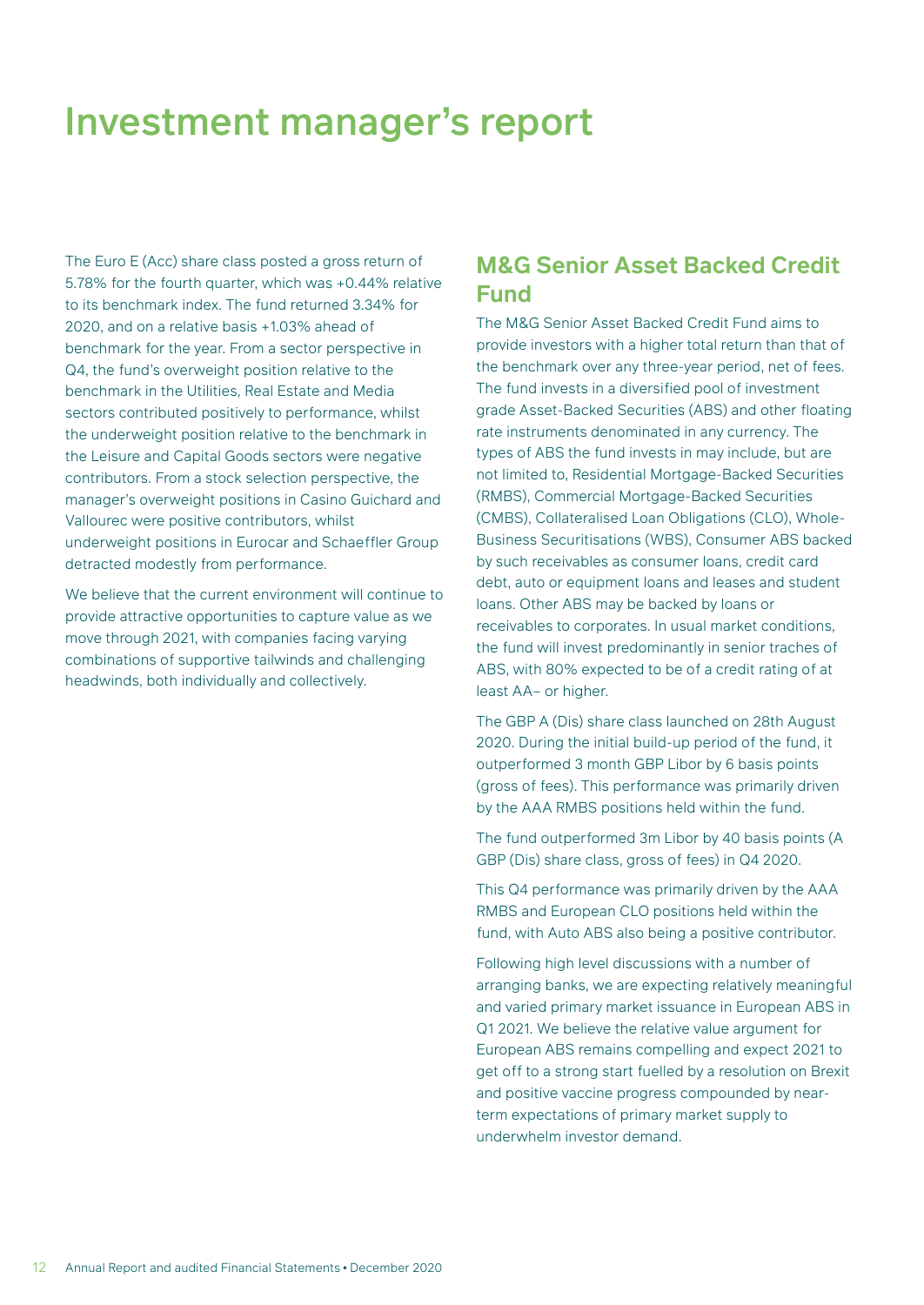The Euro E (Acc) share class posted a gross return of 5.78% for the fourth quarter, which was +0.44% relative to its benchmark index. The fund returned 3.34% for 2020, and on a relative basis +1.03% ahead of benchmark for the year. From a sector perspective in Q4, the fund's overweight position relative to the benchmark in the Utilities, Real Estate and Media sectors contributed positively to performance, whilst the underweight position relative to the benchmark in the Leisure and Capital Goods sectors were negative contributors. From a stock selection perspective, the manager's overweight positions in Casino Guichard and Vallourec were positive contributors, whilst underweight positions in Eurocar and Schaeffler Group detracted modestly from performance.

We believe that the current environment will continue to provide attractive opportunities to capture value as we move through 2021, with companies facing varying combinations of supportive tailwinds and challenging headwinds, both individually and collectively.

### **M&G Senior Asset Backed Credit Fund**

The M&G Senior Asset Backed Credit Fund aims to provide investors with a higher total return than that of the benchmark over any three-year period, net of fees. The fund invests in a diversified pool of investment grade Asset-Backed Securities (ABS) and other floating rate instruments denominated in any currency. The types of ABS the fund invests in may include, but are not limited to, Residential Mortgage-Backed Securities (RMBS), Commercial Mortgage-Backed Securities (CMBS), Collateralised Loan Obligations (CLO), Whole-Business Securitisations (WBS), Consumer ABS backed by such receivables as consumer loans, credit card debt, auto or equipment loans and leases and student loans. Other ABS may be backed by loans or receivables to corporates. In usual market conditions, the fund will invest predominantly in senior traches of ABS, with 80% expected to be of a credit rating of at least AA– or higher.

The GBP A (Dis) share class launched on 28th August 2020. During the initial build-up period of the fund, it outperformed 3 month GBP Libor by 6 basis points (gross of fees). This performance was primarily driven by the AAA RMBS positions held within the fund.

The fund outperformed 3m Libor by 40 basis points (A GBP (Dis) share class, gross of fees) in Q4 2020.

This Q4 performance was primarily driven by the AAA RMBS and European CLO positions held within the fund, with Auto ABS also being a positive contributor.

Following high level discussions with a number of arranging banks, we are expecting relatively meaningful and varied primary market issuance in European ABS in Q1 2021. We believe the relative value argument for European ABS remains compelling and expect 2021 to get off to a strong start fuelled by a resolution on Brexit and positive vaccine progress compounded by nearterm expectations of primary market supply to underwhelm investor demand.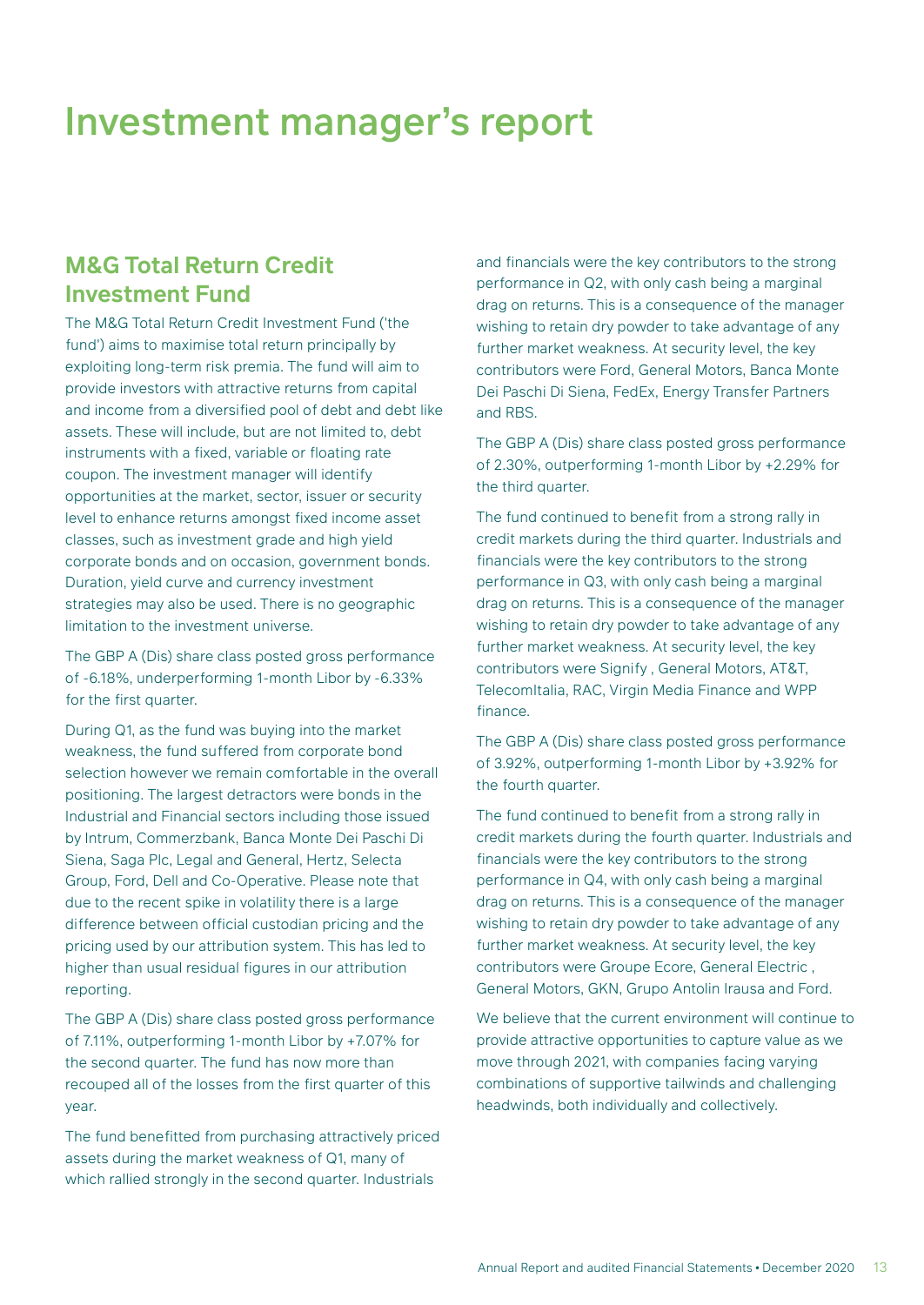### **M&G Total Return Credit Investment Fund**

The M&G Total Return Credit Investment Fund ('the fund') aims to maximise total return principally by exploiting long-term risk premia. The fund will aim to provide investors with attractive returns from capital and income from a diversified pool of debt and debt like assets. These will include, but are not limited to, debt instruments with a fixed, variable or floating rate coupon. The investment manager will identify opportunities at the market, sector, issuer or security level to enhance returns amongst fixed income asset classes, such as investment grade and high yield corporate bonds and on occasion, government bonds. Duration, yield curve and currency investment strategies may also be used. There is no geographic limitation to the investment universe.

The GBP A (Dis) share class posted gross performance of -6.18%, underperforming 1-month Libor by -6.33% for the first quarter.

During Q1, as the fund was buying into the market weakness, the fund suffered from corporate bond selection however we remain comfortable in the overall positioning. The largest detractors were bonds in the Industrial and Financial sectors including those issued by Intrum, Commerzbank, Banca Monte Dei Paschi Di Siena, Saga Plc, Legal and General, Hertz, Selecta Group, Ford, Dell and Co-Operative. Please note that due to the recent spike in volatility there is a large difference between official custodian pricing and the pricing used by our attribution system. This has led to higher than usual residual figures in our attribution reporting.

The GBP A (Dis) share class posted gross performance of 7.11%, outperforming 1-month Libor by +7.07% for the second quarter. The fund has now more than recouped all of the losses from the first quarter of this year.

The fund benefitted from purchasing attractively priced assets during the market weakness of Q1, many of which rallied strongly in the second quarter. Industrials

and financials were the key contributors to the strong performance in Q2, with only cash being a marginal drag on returns. This is a consequence of the manager wishing to retain dry powder to take advantage of any further market weakness. At security level, the key contributors were Ford, General Motors, Banca Monte Dei Paschi Di Siena, FedEx, Energy Transfer Partners and RBS.

The GBP A (Dis) share class posted gross performance of 2.30%, outperforming 1-month Libor by +2.29% for the third quarter.

The fund continued to benefit from a strong rally in credit markets during the third quarter. Industrials and financials were the key contributors to the strong performance in Q3, with only cash being a marginal drag on returns. This is a consequence of the manager wishing to retain dry powder to take advantage of any further market weakness. At security level, the key contributors were Signify , General Motors, AT&T, TelecomItalia, RAC, Virgin Media Finance and WPP finance.

The GBP A (Dis) share class posted gross performance of 3.92%, outperforming 1-month Libor by +3.92% for the fourth quarter.

The fund continued to benefit from a strong rally in credit markets during the fourth quarter. Industrials and financials were the key contributors to the strong performance in Q4, with only cash being a marginal drag on returns. This is a consequence of the manager wishing to retain dry powder to take advantage of any further market weakness. At security level, the key contributors were Groupe Ecore, General Electric , General Motors, GKN, Grupo Antolin Irausa and Ford.

We believe that the current environment will continue to provide attractive opportunities to capture value as we move through 2021, with companies facing varying combinations of supportive tailwinds and challenging headwinds, both individually and collectively.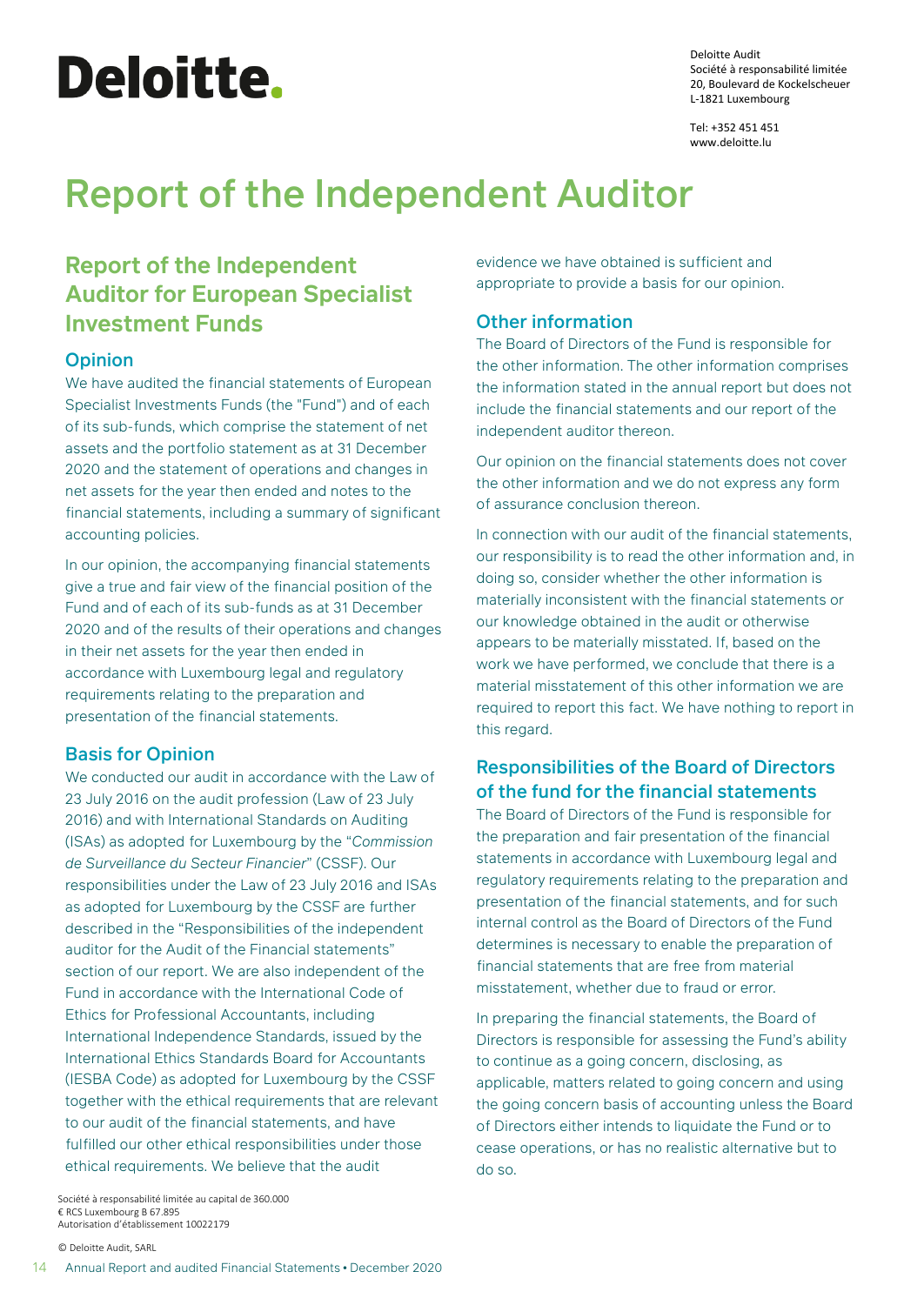# <span id="page-15-0"></span>Deloitte.

Deloitte Audit Société à responsabilité limitée 20, Boulevard de Kockelscheuer L-1821 Luxembourg

Tel: +352 451 451 www.deloitte.lu

# Report of the Independent Auditor

# **Report of the Independent Auditor for European Specialist Investment Funds**

#### **Opinion**

We have audited the financial statements of European Specialist Investments Funds (the "Fund") and of each of its sub-funds, which comprise the statement of net assets and the portfolio statement as at 31 December 2020 and the statement of operations and changes in net assets for the year then ended and notes to the financial statements, including a summary of significant accounting policies.

In our opinion, the accompanying financial statements give a true and fair view of the financial position of the Fund and of each of its sub-funds as at 31 December 2020 and of the results of their operations and changes in their net assets for the year then ended in accordance with Luxembourg legal and regulatory requirements relating to the preparation and presentation of the financial statements.

#### Basis for Opinion

We conducted our audit in accordance with the Law of 23 July 2016 on the audit profession (Law of 23 July 2016) and with International Standards on Auditing (ISAs) as adopted for Luxembourg by the "*Commission de Surveillance du Secteur Financier*" (CSSF). Our responsibilities under the Law of 23 July 2016 and ISAs as adopted for Luxembourg by the CSSF are further described in the "Responsibilities of the independent auditor for the Audit of the Financial statements" section of our report. We are also independent of the Fund in accordance with the International Code of Ethics for Professional Accountants, including International Independence Standards, issued by the International Ethics Standards Board for Accountants (IESBA Code) as adopted for Luxembourg by the CSSF together with the ethical requirements that are relevant to our audit of the financial statements, and have fulfilled our other ethical responsibilities under those ethical requirements. We believe that the audit

Société à responsabilité limitée au capital de 360.000 € RCS Luxembourg B 67.895 Autorisation d'établissement 10022179

© Deloitte Audit, SARL

evidence we have obtained is sufficient and appropriate to provide a basis for our opinion.

#### Other information

The Board of Directors of the Fund is responsible for the other information. The other information comprises the information stated in the annual report but does not include the financial statements and our report of the independent auditor thereon.

Our opinion on the financial statements does not cover the other information and we do not express any form of assurance conclusion thereon.

ln connection with our audit of the financial statements, our responsibility is to read the other information and, in doing so, consider whether the other information is materially inconsistent with the financial statements or our knowledge obtained in the audit or otherwise appears to be materially misstated. If, based on the work we have performed, we conclude that there is a material misstatement of this other information we are required to report this fact. We have nothing to report in this regard.

#### Responsibilities of the Board of Directors of the fund for the financial statements

The Board of Directors of the Fund is responsible for the preparation and fair presentation of the financial statements in accordance with Luxembourg legal and regulatory requirements relating to the preparation and presentation of the financial statements, and for such internal control as the Board of Directors of the Fund determines is necessary to enable the preparation of financial statements that are free from material misstatement, whether due to fraud or error.

In preparing the financial statements, the Board of Directors is responsible for assessing the Fund's ability to continue as a going concern, disclosing, as applicable, matters related to going concern and using the going concern basis of accounting unless the Board of Directors either intends to liquidate the Fund or to cease operations, or has no realistic alternative but to do so.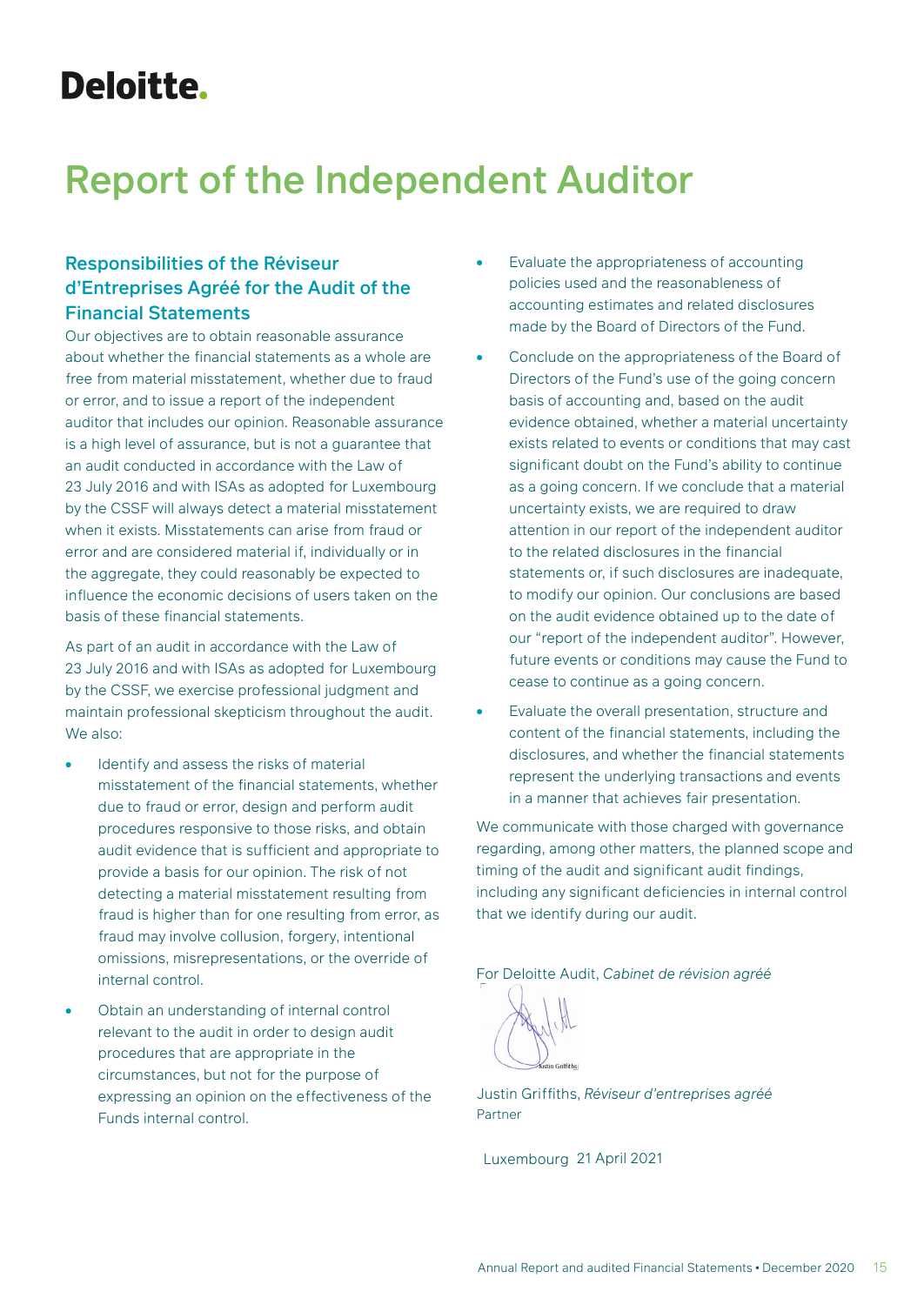# Deloitte.

# Report of the Independent Auditor

#### Responsibilities of the Réviseur d'Entreprises Agréé for the Audit of the Financial Statements

Our objectives are to obtain reasonable assurance about whether the financial statements as a whole are free from material misstatement, whether due to fraud or error, and to issue a report of the independent auditor that includes our opinion. Reasonable assurance is a high level of assurance, but is not a guarantee that an audit conducted in accordance with the Law of 23 July 2016 and with ISAs as adopted for Luxembourg by the CSSF will always detect a material misstatement when it exists. Misstatements can arise from fraud or error and are considered material if, individually or in the aggregate, they could reasonably be expected to influence the economic decisions of users taken on the basis of these financial statements.

As part of an audit in accordance with the Law of 23 July 2016 and with ISAs as adopted for Luxembourg by the CSSF, we exercise professional judgment and maintain professional skepticism throughout the audit. We also:

- Identify and assess the risks of material misstatement of the financial statements, whether due to fraud or error, design and perform audit procedures responsive to those risks, and obtain audit evidence that is sufficient and appropriate to provide a basis for our opinion. The risk of not detecting a material misstatement resulting from fraud is higher than for one resulting from error, as fraud may involve collusion, forgery, intentional omissions, misrepresentations, or the override of internal control.
- Obtain an understanding of internal control relevant to the audit in order to design audit procedures that are appropriate in the circumstances, but not for the purpose of expressing an opinion on the effectiveness of the Funds internal control.
- Evaluate the appropriateness of accounting policies used and the reasonableness of accounting estimates and related disclosures made by the Board of Directors of the Fund.
- Conclude on the appropriateness of the Board of Directors of the Fund's use of the going concern basis of accounting and, based on the audit evidence obtained, whether a material uncertainty exists related to events or conditions that may cast significant doubt on the Fund's ability to continue as a going concern. If we conclude that a material uncertainty exists, we are required to draw attention in our report of the independent auditor to the related disclosures in the financial statements or, if such disclosures are inadequate, to modify our opinion. Our conclusions are based on the audit evidence obtained up to the date of our "report of the independent auditor". However, future events or conditions may cause the Fund to cease to continue as a going concern.
- Evaluate the overall presentation, structure and content of the financial statements, including the disclosures, and whether the financial statements represent the underlying transactions and events in a manner that achieves fair presentation.

We communicate with those charged with governance regarding, among other matters, the planned scope and timing of the audit and significant audit findings, including any significant deficiencies in internal control that we identify during our audit.

For Deloitte Audit, *Cabinet de révision agréé*



Justin Griffiths, *Réviseur d'entreprises agréé* Partner

Luxembourg 21 April 2021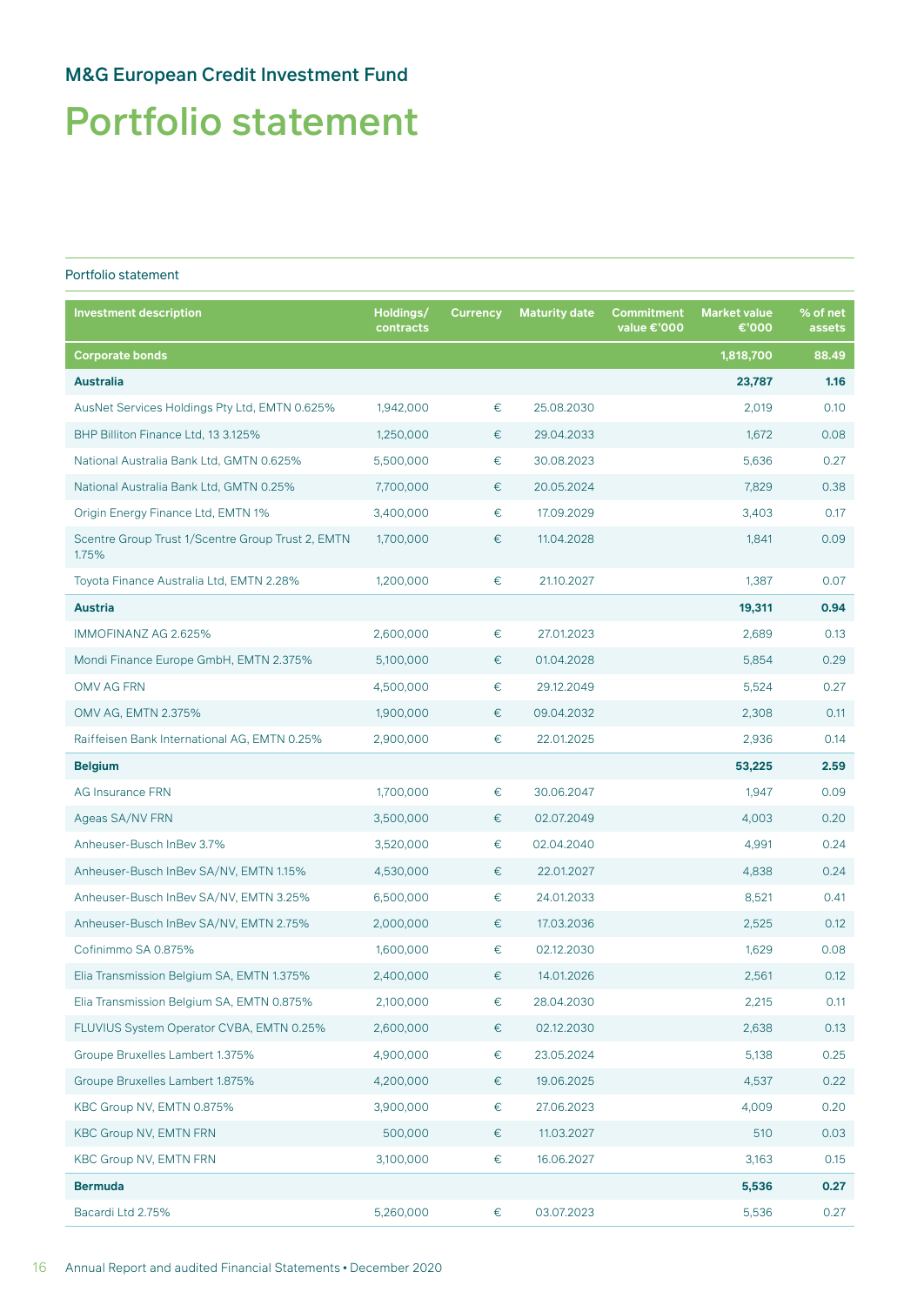# <span id="page-17-0"></span>Portfolio statement

#### Portfolio statement

| <b>Investment description</b>                              | Holdings/<br>contracts | <b>Currency</b> | <b>Maturity date</b> | Commitment<br>value €'000 | <b>Market value</b><br>€'000 | % of net<br>assets |
|------------------------------------------------------------|------------------------|-----------------|----------------------|---------------------------|------------------------------|--------------------|
| <b>Corporate bonds</b>                                     |                        |                 |                      |                           | 1,818,700                    | 88.49              |
| <b>Australia</b>                                           |                        |                 |                      |                           | 23,787                       | 1.16               |
| AusNet Services Holdings Pty Ltd, EMTN 0.625%              | 1,942,000              | €               | 25.08.2030           |                           | 2,019                        | 0.10               |
| BHP Billiton Finance Ltd, 13 3.125%                        | 1,250,000              | €               | 29.04.2033           |                           | 1,672                        | 0.08               |
| National Australia Bank Ltd, GMTN 0.625%                   | 5,500,000              | €               | 30.08.2023           |                           | 5,636                        | 0.27               |
| National Australia Bank Ltd, GMTN 0.25%                    | 7,700,000              | €               | 20.05.2024           |                           | 7,829                        | 0.38               |
| Origin Energy Finance Ltd, EMTN 1%                         | 3,400,000              | €               | 17.09.2029           |                           | 3,403                        | 0.17               |
| Scentre Group Trust 1/Scentre Group Trust 2, EMTN<br>1.75% | 1,700,000              | €               | 11.04.2028           |                           | 1,841                        | 0.09               |
| Toyota Finance Australia Ltd, EMTN 2.28%                   | 1,200,000              | €               | 21.10.2027           |                           | 1,387                        | 0.07               |
| <b>Austria</b>                                             |                        |                 |                      |                           | 19,311                       | 0.94               |
| IMMOFINANZ AG 2.625%                                       | 2,600,000              | €               | 27.01.2023           |                           | 2,689                        | 0.13               |
| Mondi Finance Europe GmbH, EMTN 2.375%                     | 5,100,000              | €               | 01.04.2028           |                           | 5,854                        | 0.29               |
| OMV AG FRN                                                 | 4,500,000              | €               | 29.12.2049           |                           | 5,524                        | 0.27               |
| OMV AG, EMTN 2.375%                                        | 1,900,000              | €               | 09.04.2032           |                           | 2,308                        | 0.11               |
| Raiffeisen Bank International AG, EMTN 0.25%               | 2,900,000              | €               | 22.01.2025           |                           | 2,936                        | 0.14               |
| <b>Belgium</b>                                             |                        |                 |                      |                           | 53,225                       | 2.59               |
| <b>AG Insurance FRN</b>                                    | 1,700,000              | €               | 30.06.2047           |                           | 1,947                        | 0.09               |
| Ageas SA/NV FRN                                            | 3,500,000              | €               | 02.07.2049           |                           | 4,003                        | 0.20               |
| Anheuser-Busch InBev 3.7%                                  | 3,520,000              | €               | 02.04.2040           |                           | 4,991                        | 0.24               |
| Anheuser-Busch InBev SA/NV, EMTN 1.15%                     | 4,530,000              | €               | 22.01.2027           |                           | 4,838                        | 0.24               |
| Anheuser-Busch InBev SA/NV, EMTN 3.25%                     | 6,500,000              | €               | 24.01.2033           |                           | 8,521                        | 0.41               |
| Anheuser-Busch InBev SA/NV, EMTN 2.75%                     | 2,000,000              | €               | 17.03.2036           |                           | 2,525                        | 0.12               |
| Cofinimmo SA 0.875%                                        | 1,600,000              | €               | 02.12.2030           |                           | 1,629                        | 0.08               |
| Elia Transmission Belgium SA, EMTN 1.375%                  | 2,400,000              | €               | 14.01.2026           |                           | 2,561                        | 0.12               |
| Elia Transmission Belgium SA, EMTN 0.875%                  | 2,100,000              | €               | 28.04.2030           |                           | 2,215                        | 0.11               |
| FLUVIUS System Operator CVBA, EMTN 0.25%                   | 2,600,000              | €               | 02.12.2030           |                           | 2,638                        | 0.13               |
| Groupe Bruxelles Lambert 1.375%                            | 4,900,000              | €               | 23.05.2024           |                           | 5,138                        | 0.25               |
| Groupe Bruxelles Lambert 1.875%                            | 4,200,000              | €               | 19.06.2025           |                           | 4,537                        | 0.22               |
| KBC Group NV, EMTN 0.875%                                  | 3,900,000              | €               | 27.06.2023           |                           | 4,009                        | 0.20               |
| <b>KBC Group NV, EMTN FRN</b>                              | 500,000                | €               | 11.03.2027           |                           | 510                          | 0.03               |
| <b>KBC Group NV, EMTN FRN</b>                              | 3,100,000              | €               | 16.06.2027           |                           | 3,163                        | 0.15               |
| <b>Bermuda</b>                                             |                        |                 |                      |                           | 5,536                        | 0.27               |
| Bacardi Ltd 2.75%                                          | 5,260,000              | €               | 03.07.2023           |                           | 5,536                        | 0.27               |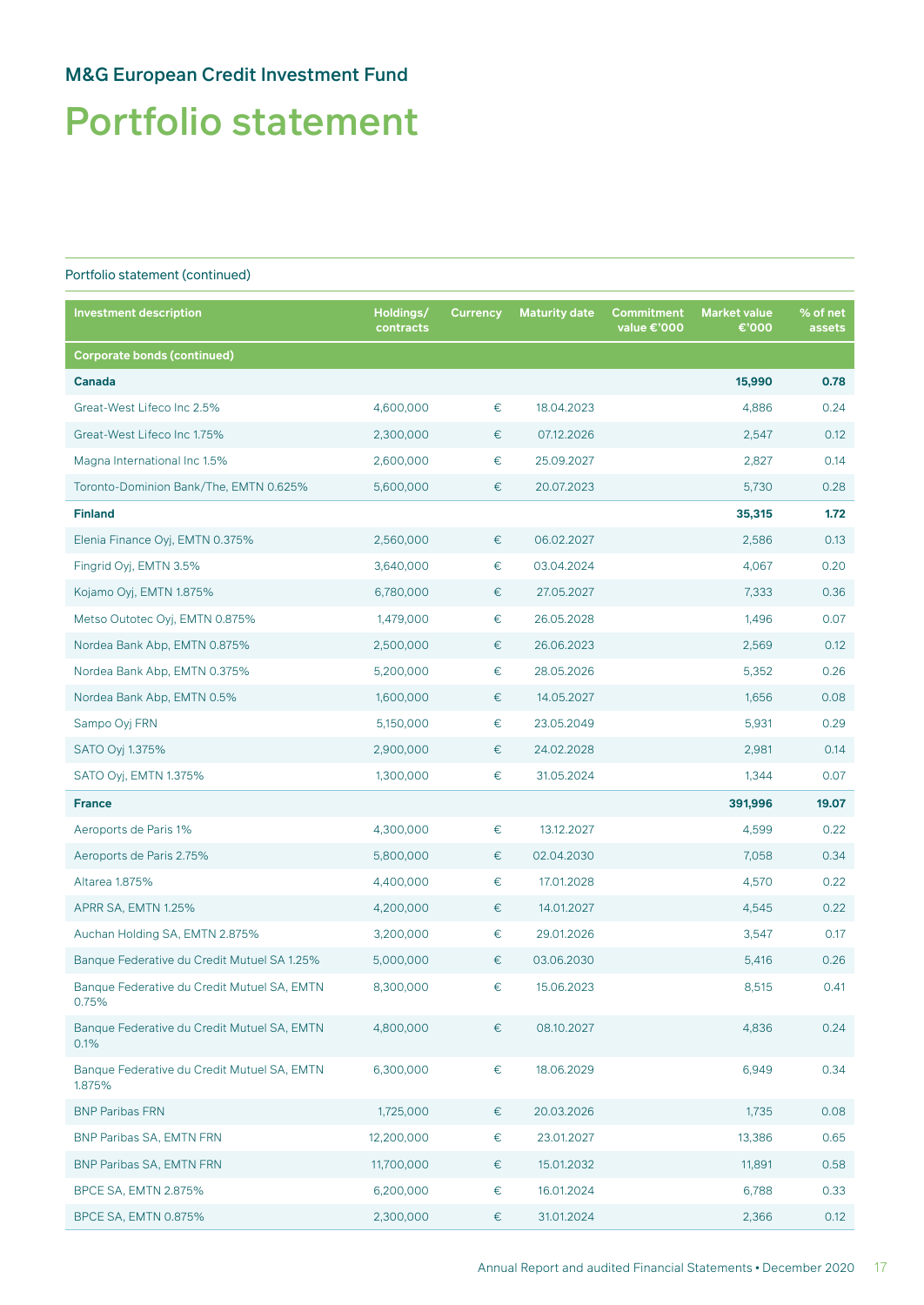# Portfolio statement

| <b>Investment description</b>                         | Holdings/<br>contracts | <b>Currency</b> | <b>Maturity date</b> | <b>Commitment</b><br>value €'000 | <b>Market value</b><br>€'000 | % of net<br>assets |
|-------------------------------------------------------|------------------------|-----------------|----------------------|----------------------------------|------------------------------|--------------------|
| <b>Corporate bonds (continued)</b>                    |                        |                 |                      |                                  |                              |                    |
| Canada                                                |                        |                 |                      |                                  | 15,990                       | 0.78               |
| Great-West Lifeco Inc 2.5%                            | 4,600,000              | €               | 18.04.2023           |                                  | 4,886                        | 0.24               |
| Great-West Lifeco Inc 1.75%                           | 2,300,000              | €               | 07.12.2026           |                                  | 2,547                        | 0.12               |
| Magna International Inc 1.5%                          | 2,600,000              | €               | 25.09.2027           |                                  | 2,827                        | 0.14               |
| Toronto-Dominion Bank/The, EMTN 0.625%                | 5,600,000              | €               | 20.07.2023           |                                  | 5,730                        | 0.28               |
| <b>Finland</b>                                        |                        |                 |                      |                                  | 35,315                       | 1.72               |
| Elenia Finance Oyj, EMTN 0.375%                       | 2,560,000              | $\in$           | 06.02.2027           |                                  | 2,586                        | 0.13               |
| Fingrid Oyj, EMTN 3.5%                                | 3,640,000              | €               | 03.04.2024           |                                  | 4,067                        | 0.20               |
| Kojamo Oyj, EMTN 1.875%                               | 6,780,000              | €               | 27.05.2027           |                                  | 7,333                        | 0.36               |
| Metso Outotec Oyj, EMTN 0.875%                        | 1,479,000              | €               | 26.05.2028           |                                  | 1,496                        | 0.07               |
| Nordea Bank Abp, EMTN 0.875%                          | 2,500,000              | €               | 26.06.2023           |                                  | 2,569                        | 0.12               |
| Nordea Bank Abp, EMTN 0.375%                          | 5,200,000              | €               | 28.05.2026           |                                  | 5,352                        | 0.26               |
| Nordea Bank Abp, EMTN 0.5%                            | 1,600,000              | €               | 14.05.2027           |                                  | 1,656                        | 0.08               |
| Sampo Oyj FRN                                         | 5,150,000              | €               | 23.05.2049           |                                  | 5,931                        | 0.29               |
| SATO Oyj 1.375%                                       | 2,900,000              | €               | 24.02.2028           |                                  | 2,981                        | 0.14               |
| SATO Oyj, EMTN 1.375%                                 | 1,300,000              | €               | 31.05.2024           |                                  | 1,344                        | 0.07               |
| <b>France</b>                                         |                        |                 |                      |                                  | 391,996                      | 19.07              |
| Aeroports de Paris 1%                                 | 4,300,000              | €               | 13.12.2027           |                                  | 4,599                        | 0.22               |
| Aeroports de Paris 2.75%                              | 5,800,000              | €               | 02.04.2030           |                                  | 7,058                        | 0.34               |
| Altarea 1.875%                                        | 4,400,000              | €               | 17.01.2028           |                                  | 4,570                        | 0.22               |
| APRR SA, EMTN 1.25%                                   | 4,200,000              | €               | 14.01.2027           |                                  | 4,545                        | 0.22               |
| Auchan Holding SA, EMTN 2.875%                        | 3,200,000              | €               | 29.01.2026           |                                  | 3,547                        | 0.17               |
| Banque Federative du Credit Mutuel SA 1.25%           | 5,000,000              | €               | 03.06.2030           |                                  | 5,416                        | 0.26               |
| Banque Federative du Credit Mutuel SA, EMTN<br>0.75%  | 8,300,000              | €               | 15.06.2023           |                                  | 8,515                        | 0.41               |
| Banque Federative du Credit Mutuel SA, EMTN<br>0.1%   | 4,800,000              | $\in$           | 08.10.2027           |                                  | 4,836                        | 0.24               |
| Banque Federative du Credit Mutuel SA, EMTN<br>1.875% | 6,300,000              | €               | 18.06.2029           |                                  | 6,949                        | 0.34               |
| <b>BNP Paribas FRN</b>                                | 1,725,000              | €               | 20.03.2026           |                                  | 1,735                        | 0.08               |
| BNP Paribas SA, EMTN FRN                              | 12,200,000             | €               | 23.01.2027           |                                  | 13,386                       | 0.65               |
| <b>BNP Paribas SA, EMTN FRN</b>                       | 11,700,000             | €               | 15.01.2032           |                                  | 11,891                       | 0.58               |
| <b>BPCE SA, EMTN 2.875%</b>                           | 6,200,000              | €               | 16.01.2024           |                                  | 6,788                        | 0.33               |
| BPCE SA, EMTN 0.875%                                  | 2,300,000              | €               | 31.01.2024           |                                  | 2,366                        | 0.12               |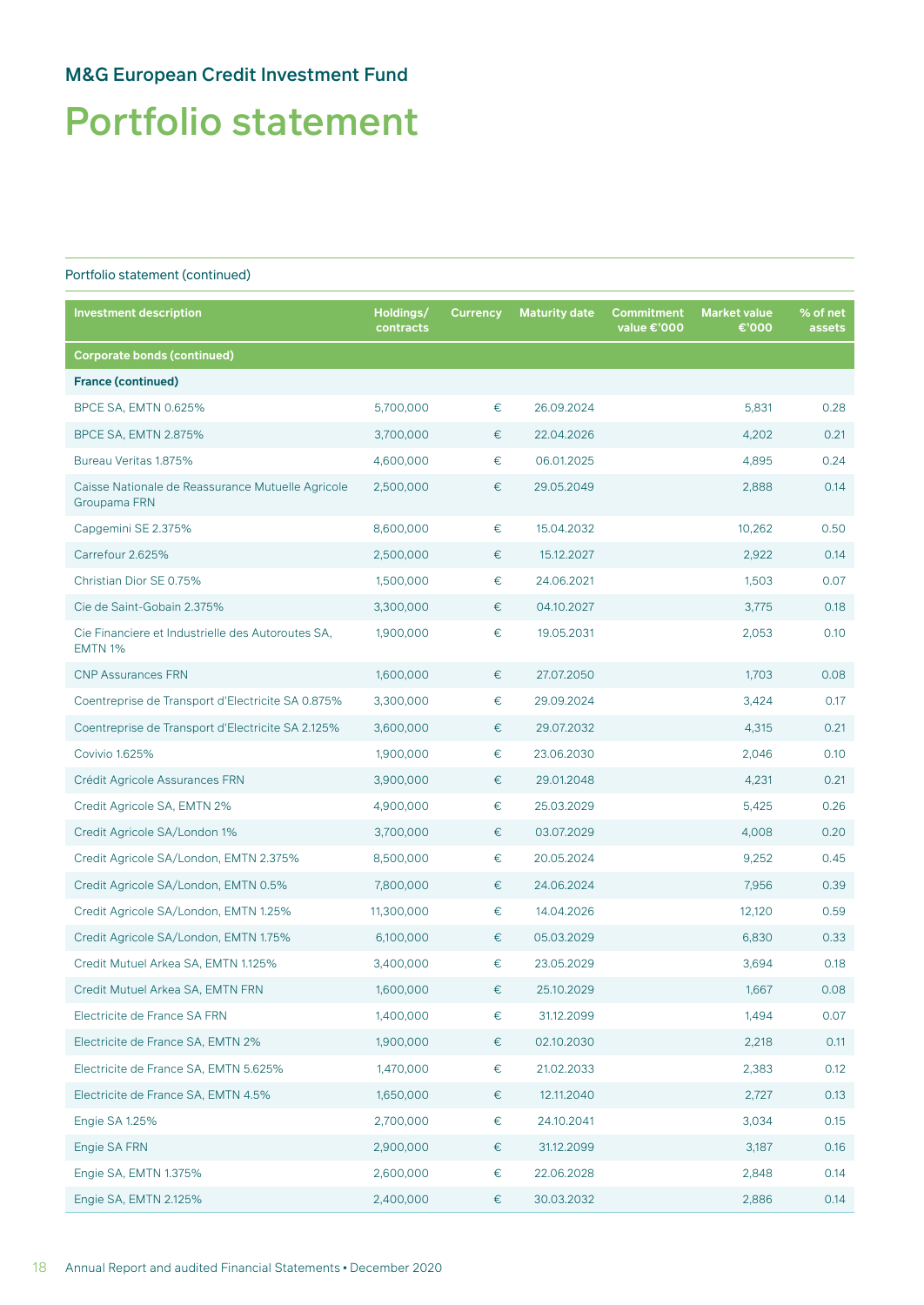# Portfolio statement

| <b>Investment description</b>                                       | Holdings/<br>contracts | <b>Currency</b> | <b>Maturity date</b> | <b>Commitment</b><br>value €'000 | <b>Market value</b><br>€'000 | % of net<br>assets |
|---------------------------------------------------------------------|------------------------|-----------------|----------------------|----------------------------------|------------------------------|--------------------|
| <b>Corporate bonds (continued)</b>                                  |                        |                 |                      |                                  |                              |                    |
| <b>France (continued)</b>                                           |                        |                 |                      |                                  |                              |                    |
| BPCE SA, EMTN 0.625%                                                | 5,700,000              | €               | 26.09.2024           |                                  | 5,831                        | 0.28               |
| <b>BPCE SA, EMTN 2.875%</b>                                         | 3,700,000              | €               | 22.04.2026           |                                  | 4,202                        | 0.21               |
| Bureau Veritas 1.875%                                               | 4,600,000              | €               | 06.01.2025           |                                  | 4,895                        | 0.24               |
| Caisse Nationale de Reassurance Mutuelle Agricole<br>Groupama FRN   | 2,500,000              | €               | 29.05.2049           |                                  | 2,888                        | 0.14               |
| Capgemini SE 2.375%                                                 | 8,600,000              | €               | 15.04.2032           |                                  | 10,262                       | 0.50               |
| Carrefour 2.625%                                                    | 2,500,000              | €               | 15.12.2027           |                                  | 2,922                        | 0.14               |
| Christian Dior SE 0.75%                                             | 1,500,000              | €               | 24.06.2021           |                                  | 1,503                        | 0.07               |
| Cie de Saint-Gobain 2.375%                                          | 3,300,000              | €               | 04.10.2027           |                                  | 3,775                        | 0.18               |
| Cie Financiere et Industrielle des Autoroutes SA,<br><b>EMTN 1%</b> | 1,900,000              | €               | 19.05.2031           |                                  | 2,053                        | 0.10               |
| <b>CNP Assurances FRN</b>                                           | 1,600,000              | €               | 27.07.2050           |                                  | 1,703                        | 0.08               |
| Coentreprise de Transport d'Electricite SA 0.875%                   | 3,300,000              | €               | 29.09.2024           |                                  | 3,424                        | 0.17               |
| Coentreprise de Transport d'Electricite SA 2.125%                   | 3,600,000              | €               | 29.07.2032           |                                  | 4,315                        | 0.21               |
| Covivio 1.625%                                                      | 1,900,000              | €               | 23.06.2030           |                                  | 2,046                        | 0.10               |
| Crédit Agricole Assurances FRN                                      | 3,900,000              | €               | 29.01.2048           |                                  | 4,231                        | 0.21               |
| Credit Agricole SA, EMTN 2%                                         | 4,900,000              | €               | 25.03.2029           |                                  | 5,425                        | 0.26               |
| Credit Agricole SA/London 1%                                        | 3,700,000              | €               | 03.07.2029           |                                  | 4,008                        | 0.20               |
| Credit Agricole SA/London, EMTN 2.375%                              | 8,500,000              | €               | 20.05.2024           |                                  | 9,252                        | 0.45               |
| Credit Agricole SA/London, EMTN 0.5%                                | 7,800,000              | €               | 24.06.2024           |                                  | 7,956                        | 0.39               |
| Credit Agricole SA/London, EMTN 1.25%                               | 11,300,000             | €               | 14.04.2026           |                                  | 12,120                       | 0.59               |
| Credit Agricole SA/London, EMTN 1.75%                               | 6,100,000              | €               | 05.03.2029           |                                  | 6,830                        | 0.33               |
| Credit Mutuel Arkea SA, EMTN 1.125%                                 | 3,400,000              | €               | 23.05.2029           |                                  | 3,694                        | 0.18               |
| Credit Mutuel Arkea SA, EMTN FRN                                    | 1,600,000              | €               | 25.10.2029           |                                  | 1,667                        | 0.08               |
| Electricite de France SA FRN                                        | 1,400,000              | €               | 31.12.2099           |                                  | 1,494                        | 0.07               |
| Electricite de France SA, EMTN 2%                                   | 1,900,000              | €               | 02.10.2030           |                                  | 2,218                        | 0.11               |
| Electricite de France SA, EMTN 5.625%                               | 1,470,000              | €               | 21.02.2033           |                                  | 2,383                        | 0.12               |
| Electricite de France SA, EMTN 4.5%                                 | 1,650,000              | €               | 12.11.2040           |                                  | 2,727                        | 0.13               |
| Engie SA 1.25%                                                      | 2,700,000              | €               | 24.10.2041           |                                  | 3,034                        | 0.15               |
| Engie SA FRN                                                        | 2,900,000              | €               | 31.12.2099           |                                  | 3,187                        | 0.16               |
| Engie SA, EMTN 1.375%                                               | 2,600,000              | €               | 22.06.2028           |                                  | 2,848                        | 0.14               |
| Engie SA, EMTN 2.125%                                               | 2,400,000              | €               | 30.03.2032           |                                  | 2,886                        | 0.14               |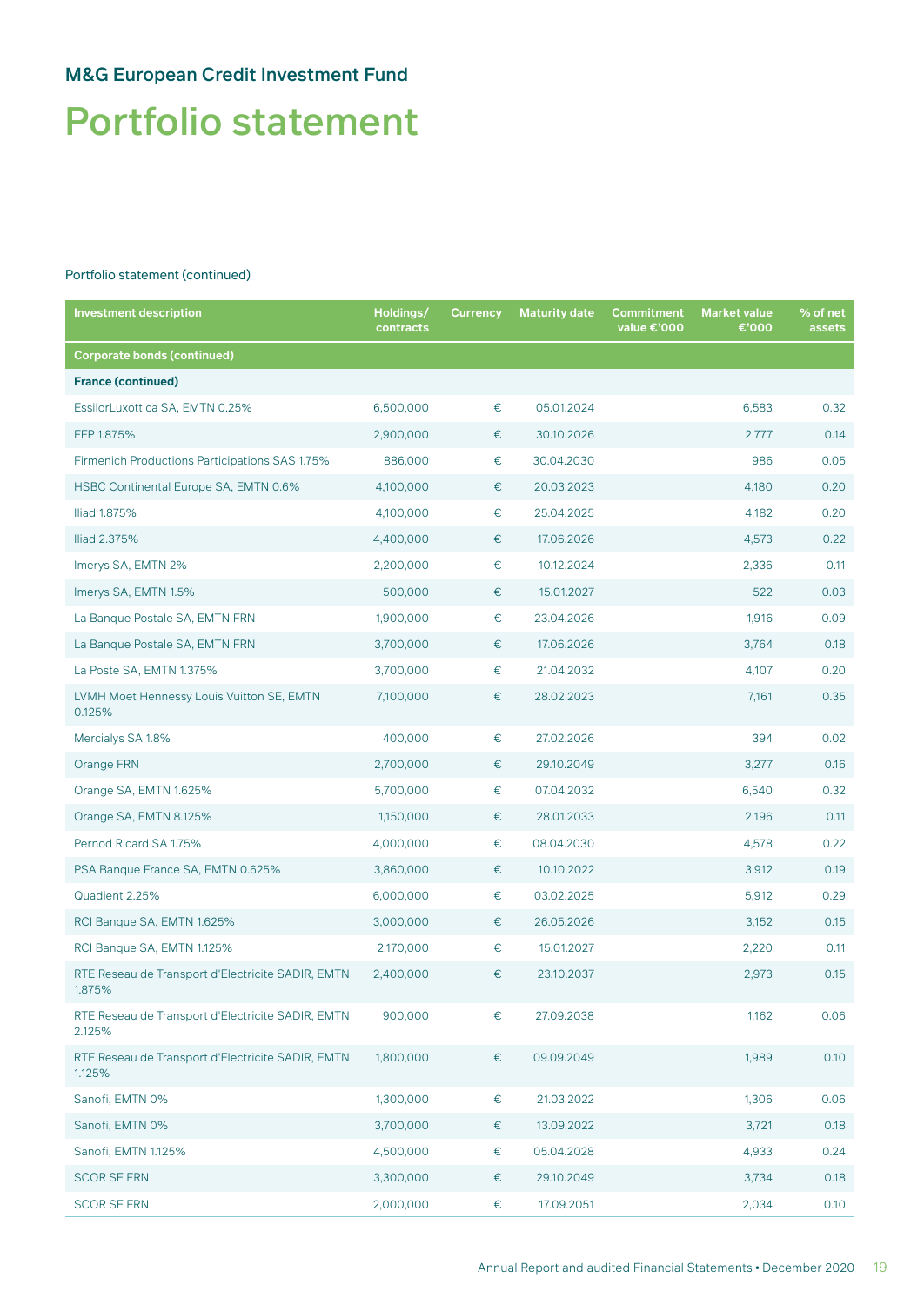# Portfolio statement

| Investment description                                      | Holdings/<br>contracts | <b>Currency</b> | <b>Maturity date</b> | Commitment<br>value €'000 | <b>Market value</b><br>€'000 | % of net<br>assets |
|-------------------------------------------------------------|------------------------|-----------------|----------------------|---------------------------|------------------------------|--------------------|
| <b>Corporate bonds (continued)</b>                          |                        |                 |                      |                           |                              |                    |
| <b>France (continued)</b>                                   |                        |                 |                      |                           |                              |                    |
| EssilorLuxottica SA, EMTN 0.25%                             | 6,500,000              | $\in$           | 05.01.2024           |                           | 6,583                        | 0.32               |
| FFP 1.875%                                                  | 2,900,000              | €               | 30.10.2026           |                           | 2,777                        | 0.14               |
| Firmenich Productions Participations SAS 1.75%              | 886,000                | €               | 30.04.2030           |                           | 986                          | 0.05               |
| HSBC Continental Europe SA, EMTN 0.6%                       | 4,100,000              | €               | 20.03.2023           |                           | 4,180                        | 0.20               |
| Iliad 1.875%                                                | 4,100,000              | €               | 25.04.2025           |                           | 4,182                        | 0.20               |
| Iliad 2.375%                                                | 4,400,000              | €               | 17.06.2026           |                           | 4,573                        | 0.22               |
| Imerys SA, EMTN 2%                                          | 2,200,000              | €               | 10.12.2024           |                           | 2,336                        | 0.11               |
| Imerys SA, EMTN 1.5%                                        | 500,000                | €               | 15.01.2027           |                           | 522                          | 0.03               |
| La Banque Postale SA, EMTN FRN                              | 1,900,000              | €               | 23.04.2026           |                           | 1,916                        | 0.09               |
| La Banque Postale SA, EMTN FRN                              | 3,700,000              | €               | 17.06.2026           |                           | 3,764                        | 0.18               |
| La Poste SA, EMTN 1.375%                                    | 3,700,000              | €               | 21.04.2032           |                           | 4.107                        | 0.20               |
| LVMH Moet Hennessy Louis Vuitton SE, EMTN<br>0.125%         | 7,100,000              | €               | 28.02.2023           |                           | 7,161                        | 0.35               |
| Mercialys SA 1.8%                                           | 400,000                | $\in$           | 27.02.2026           |                           | 394                          | 0.02               |
| Orange FRN                                                  | 2,700,000              | €               | 29.10.2049           |                           | 3,277                        | 0.16               |
| Orange SA, EMTN 1.625%                                      | 5,700,000              | €               | 07.04.2032           |                           | 6,540                        | 0.32               |
| Orange SA, EMTN 8.125%                                      | 1,150,000              | €               | 28.01.2033           |                           | 2,196                        | 0.11               |
| Pernod Ricard SA 1.75%                                      | 4,000,000              | €               | 08.04.2030           |                           | 4,578                        | 0.22               |
| PSA Banque France SA, EMTN 0.625%                           | 3,860,000              | €               | 10.10.2022           |                           | 3,912                        | 0.19               |
| Quadient 2.25%                                              | 6,000,000              | €               | 03.02.2025           |                           | 5,912                        | 0.29               |
| RCI Banque SA, EMTN 1.625%                                  | 3,000,000              | €               | 26.05.2026           |                           | 3,152                        | 0.15               |
| RCI Banque SA, EMTN 1.125%                                  | 2,170,000              | €               | 15.01.2027           |                           | 2,220                        | 0.11               |
| RTE Reseau de Transport d'Electricite SADIR, EMTN<br>1.875% | 2,400,000              | €               | 23.10.2037           |                           | 2,973                        | 0.15               |
| RTE Reseau de Transport d'Electricite SADIR, EMTN<br>2.125% | 900,000                | €               | 27.09.2038           |                           | 1,162                        | 0.06               |
| RTE Reseau de Transport d'Electricite SADIR, EMTN<br>1.125% | 1,800,000              | €               | 09.09.2049           |                           | 1,989                        | 0.10               |
| Sanofi, EMTN 0%                                             | 1,300,000              | €               | 21.03.2022           |                           | 1,306                        | 0.06               |
| Sanofi, EMTN 0%                                             | 3,700,000              | €               | 13.09.2022           |                           | 3,721                        | 0.18               |
| Sanofi, EMTN 1.125%                                         | 4,500,000              | €               | 05.04.2028           |                           | 4,933                        | 0.24               |
| <b>SCOR SE FRN</b>                                          | 3,300,000              | €               | 29.10.2049           |                           | 3,734                        | 0.18               |
| <b>SCOR SE FRN</b>                                          | 2,000,000              | €               | 17.09.2051           |                           | 2,034                        | 0.10               |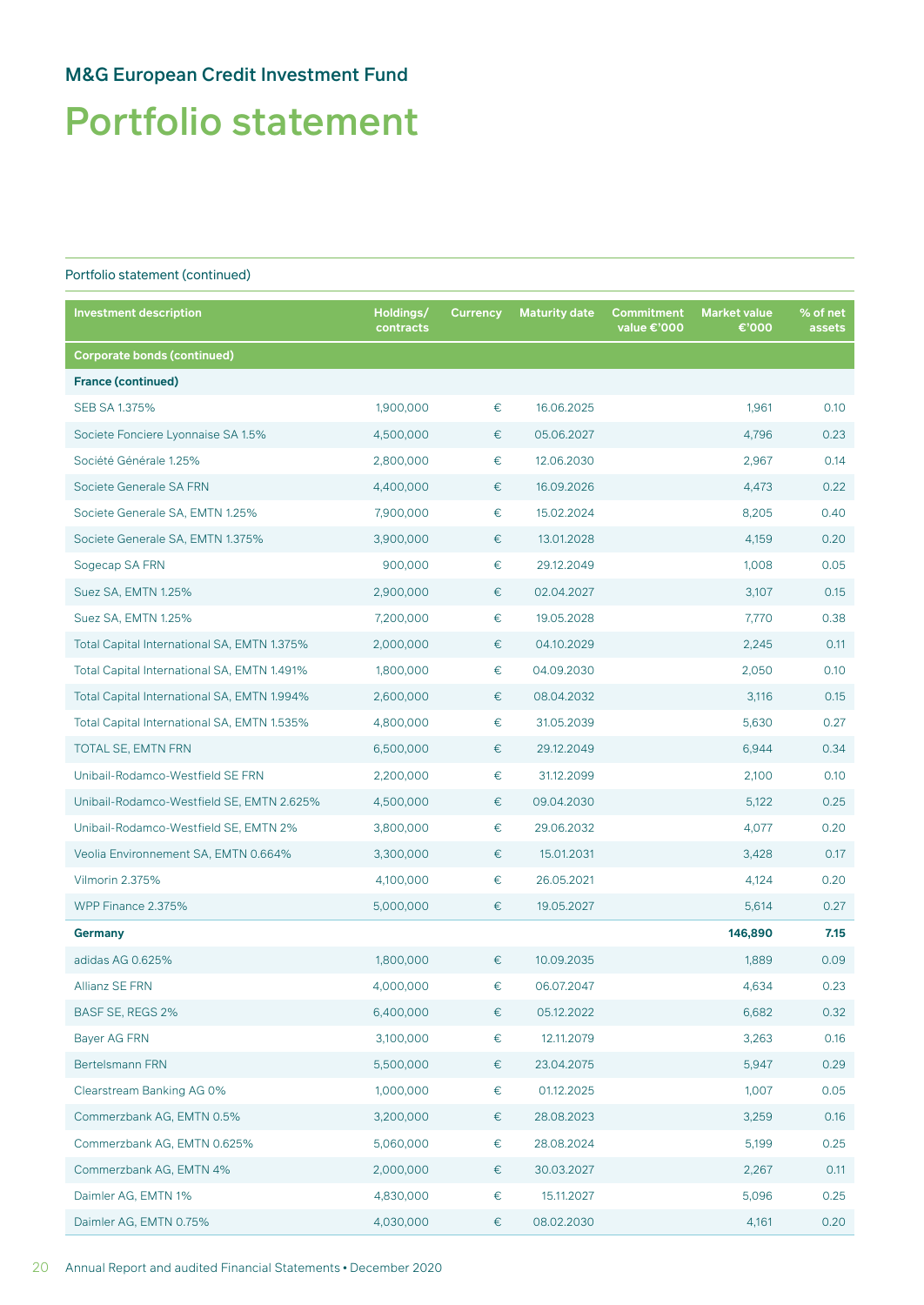# Portfolio statement

| <b>Investment description</b>               | Holdings/<br>contracts | <b>Currency</b> | <b>Maturity date</b> | Commitment<br>value €'000 | <b>Market value</b><br>€'000 | % of net<br>assets |
|---------------------------------------------|------------------------|-----------------|----------------------|---------------------------|------------------------------|--------------------|
| <b>Corporate bonds (continued)</b>          |                        |                 |                      |                           |                              |                    |
| <b>France (continued)</b>                   |                        |                 |                      |                           |                              |                    |
| SEB SA 1.375%                               | 1,900,000              | $\in$           | 16.06.2025           |                           | 1,961                        | 0.10               |
| Societe Fonciere Lyonnaise SA 1.5%          | 4,500,000              | €               | 05.06.2027           |                           | 4,796                        | 0.23               |
| Société Générale 1.25%                      | 2,800,000              | €               | 12.06.2030           |                           | 2,967                        | 0.14               |
| Societe Generale SA FRN                     | 4,400,000              | €               | 16.09.2026           |                           | 4,473                        | 0.22               |
| Societe Generale SA, EMTN 1.25%             | 7,900,000              | €               | 15.02.2024           |                           | 8,205                        | 0.40               |
| Societe Generale SA, EMTN 1.375%            | 3,900,000              | €               | 13.01.2028           |                           | 4,159                        | 0.20               |
| Sogecap SA FRN                              | 900,000                | €               | 29.12.2049           |                           | 1,008                        | 0.05               |
| Suez SA, EMTN 1.25%                         | 2,900,000              | €               | 02.04.2027           |                           | 3,107                        | 0.15               |
| Suez SA, EMTN 1.25%                         | 7,200,000              | €               | 19.05.2028           |                           | 7,770                        | 0.38               |
| Total Capital International SA, EMTN 1.375% | 2,000,000              | €               | 04.10.2029           |                           | 2,245                        | 0.11               |
| Total Capital International SA, EMTN 1.491% | 1,800,000              | €               | 04.09.2030           |                           | 2,050                        | 0.10               |
| Total Capital International SA, EMTN 1.994% | 2,600,000              | €               | 08.04.2032           |                           | 3,116                        | 0.15               |
| Total Capital International SA, EMTN 1.535% | 4,800,000              | €               | 31.05.2039           |                           | 5,630                        | 0.27               |
| TOTAL SE, EMTN FRN                          | 6,500,000              | €               | 29.12.2049           |                           | 6,944                        | 0.34               |
| Unibail-Rodamco-Westfield SE FRN            | 2,200,000              | €               | 31.12.2099           |                           | 2,100                        | 0.10               |
| Unibail-Rodamco-Westfield SE, EMTN 2.625%   | 4,500,000              | €               | 09.04.2030           |                           | 5,122                        | 0.25               |
| Unibail-Rodamco-Westfield SE, EMTN 2%       | 3,800,000              | €               | 29.06.2032           |                           | 4,077                        | 0.20               |
| Veolia Environnement SA, EMTN 0.664%        | 3,300,000              | €               | 15.01.2031           |                           | 3,428                        | 0.17               |
| Vilmorin 2.375%                             | 4,100,000              | €               | 26.05.2021           |                           | 4,124                        | 0.20               |
| WPP Finance 2.375%                          | 5,000,000              | €               | 19.05.2027           |                           | 5,614                        | 0.27               |
| Germany                                     |                        |                 |                      |                           | 146,890                      | 7.15               |
| adidas AG 0.625%                            | 1,800,000              | €               | 10.09.2035           |                           | 1,889                        | 0.09               |
| Allianz SE FRN                              | 4,000,000              | €               | 06.07.2047           |                           | 4,634                        | 0.23               |
| BASF SE, REGS 2%                            | 6,400,000              | $\in$           | 05.12.2022           |                           | 6,682                        | 0.32               |
| Bayer AG FRN                                | 3,100,000              | $\in$           | 12.11.2079           |                           | 3,263                        | 0.16               |
| Bertelsmann FRN                             | 5,500,000              | €               | 23.04.2075           |                           | 5,947                        | 0.29               |
| Clearstream Banking AG 0%                   | 1,000,000              | €               | 01.12.2025           |                           | 1,007                        | 0.05               |
| Commerzbank AG, EMTN 0.5%                   | 3,200,000              | €               | 28.08.2023           |                           | 3,259                        | 0.16               |
| Commerzbank AG, EMTN 0.625%                 | 5,060,000              | €               | 28.08.2024           |                           | 5,199                        | 0.25               |
| Commerzbank AG, EMTN 4%                     | 2,000,000              | €               | 30.03.2027           |                           | 2,267                        | 0.11               |
| Daimler AG, EMTN 1%                         | 4,830,000              | €               | 15.11.2027           |                           | 5,096                        | 0.25               |
| Daimler AG, EMTN 0.75%                      | 4,030,000              | €               | 08.02.2030           |                           | 4,161                        | 0.20               |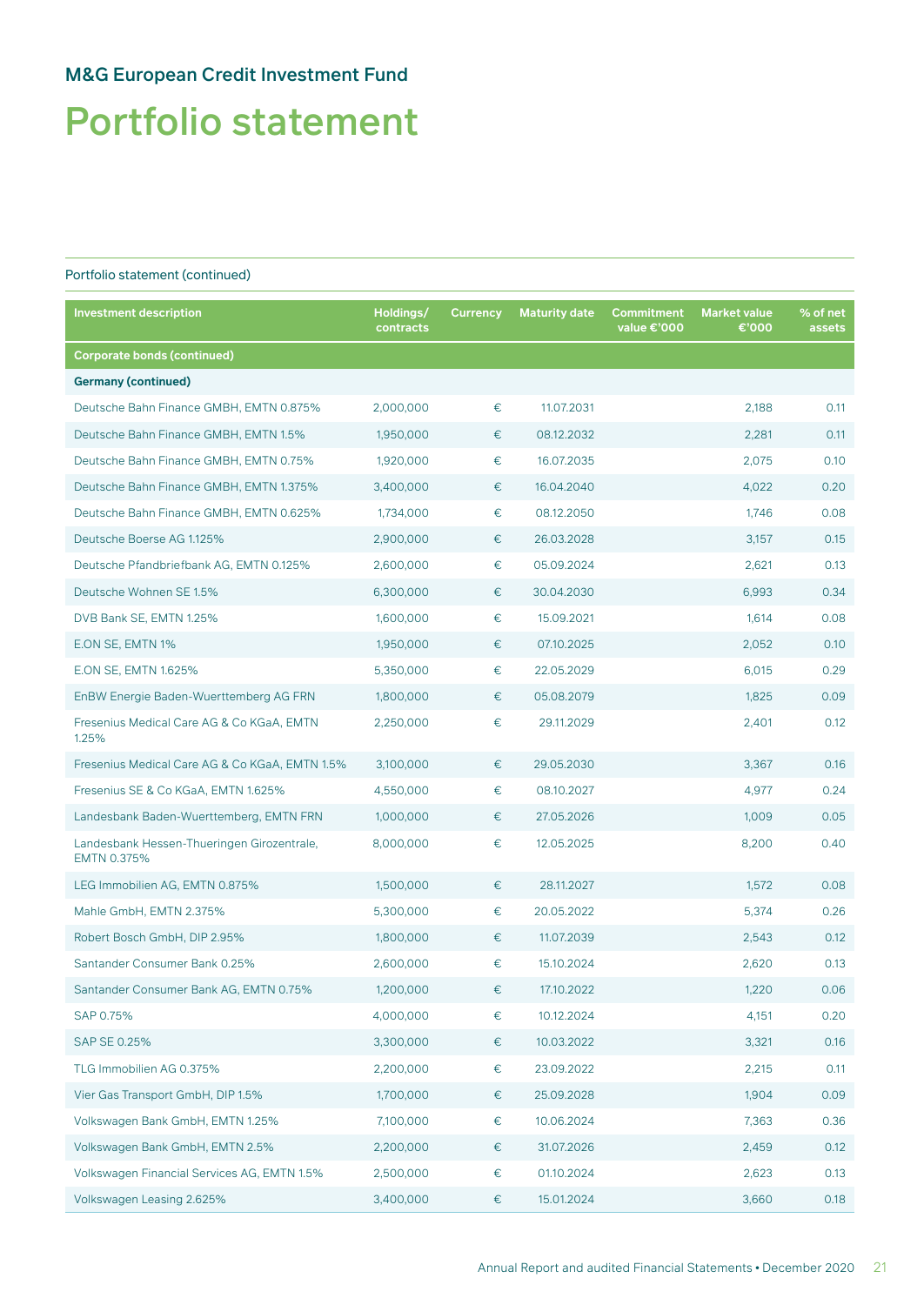# Portfolio statement

| <b>Investment description</b>                             | Holdings/<br>contracts | <b>Currency</b> | <b>Maturity date</b> | <b>Commitment</b><br>value €'000 | <b>Market value</b><br>€'000 | % of net<br>assets |
|-----------------------------------------------------------|------------------------|-----------------|----------------------|----------------------------------|------------------------------|--------------------|
| <b>Corporate bonds (continued)</b>                        |                        |                 |                      |                                  |                              |                    |
| <b>Germany (continued)</b>                                |                        |                 |                      |                                  |                              |                    |
| Deutsche Bahn Finance GMBH, EMTN 0.875%                   | 2,000,000              | €               | 11.07.2031           |                                  | 2,188                        | 0.11               |
| Deutsche Bahn Finance GMBH, EMTN 1.5%                     | 1,950,000              | €               | 08.12.2032           |                                  | 2,281                        | 0.11               |
| Deutsche Bahn Finance GMBH, EMTN 0.75%                    | 1,920,000              | €               | 16.07.2035           |                                  | 2,075                        | 0.10               |
| Deutsche Bahn Finance GMBH, EMTN 1.375%                   | 3,400,000              | €               | 16.04.2040           |                                  | 4,022                        | 0.20               |
| Deutsche Bahn Finance GMBH, EMTN 0.625%                   | 1,734,000              | €               | 08.12.2050           |                                  | 1,746                        | 0.08               |
| Deutsche Boerse AG 1.125%                                 | 2,900,000              | €               | 26.03.2028           |                                  | 3,157                        | 0.15               |
| Deutsche Pfandbriefbank AG, EMTN 0.125%                   | 2,600,000              | €               | 05.09.2024           |                                  | 2,621                        | 0.13               |
| Deutsche Wohnen SE 1.5%                                   | 6,300,000              | €               | 30.04.2030           |                                  | 6,993                        | 0.34               |
| DVB Bank SE, EMTN 1.25%                                   | 1,600,000              | €               | 15.09.2021           |                                  | 1,614                        | 0.08               |
| E.ON SE, EMTN 1%                                          | 1,950,000              | €               | 07.10.2025           |                                  | 2,052                        | 0.10               |
| E.ON SE. EMTN 1.625%                                      | 5,350,000              | €               | 22.05.2029           |                                  | 6,015                        | 0.29               |
| EnBW Energie Baden-Wuerttemberg AG FRN                    | 1,800,000              | €               | 05.08.2079           |                                  | 1,825                        | 0.09               |
| Fresenius Medical Care AG & Co KGaA, EMTN<br>1.25%        | 2,250,000              | €               | 29.11.2029           |                                  | 2,401                        | 0.12               |
| Fresenius Medical Care AG & Co KGaA, EMTN 1.5%            | 3,100,000              | €               | 29.05.2030           |                                  | 3,367                        | 0.16               |
| Fresenius SE & Co KGaA, EMTN 1.625%                       | 4,550,000              | €               | 08.10.2027           |                                  | 4,977                        | 0.24               |
| Landesbank Baden-Wuerttemberg, EMTN FRN                   | 1,000,000              | €               | 27.05.2026           |                                  | 1,009                        | 0.05               |
| Landesbank Hessen-Thueringen Girozentrale,<br>EMTN 0.375% | 8,000,000              | €               | 12.05.2025           |                                  | 8,200                        | 0.40               |
| LEG Immobilien AG, EMTN 0.875%                            | 1,500,000              | €               | 28.11.2027           |                                  | 1,572                        | 0.08               |
| Mahle GmbH, EMTN 2.375%                                   | 5,300,000              | €               | 20.05.2022           |                                  | 5,374                        | 0.26               |
| Robert Bosch GmbH, DIP 2.95%                              | 1,800,000              | €               | 11.07.2039           |                                  | 2,543                        | 0.12               |
| Santander Consumer Bank 0.25%                             | 2,600,000              | €               | 15.10.2024           |                                  | 2.620                        | 0.13               |
| Santander Consumer Bank AG, EMTN 0.75%                    | 1,200,000              | $\in$           | 17.10.2022           |                                  | 1,220                        | 0.06               |
| SAP 0.75%                                                 | 4,000,000              | €               | 10.12.2024           |                                  | 4,151                        | 0.20               |
| SAP SE 0.25%                                              | 3,300,000              | €               | 10.03.2022           |                                  | 3,321                        | 0.16               |
| TLG Immobilien AG 0.375%                                  | 2,200,000              | €               | 23.09.2022           |                                  | 2,215                        | 0.11               |
| Vier Gas Transport GmbH, DIP 1.5%                         | 1,700,000              | €               | 25.09.2028           |                                  | 1,904                        | 0.09               |
| Volkswagen Bank GmbH, EMTN 1.25%                          | 7,100,000              | $\in$           | 10.06.2024           |                                  | 7,363                        | 0.36               |
| Volkswagen Bank GmbH, EMTN 2.5%                           | 2,200,000              | €               | 31.07.2026           |                                  | 2,459                        | 0.12               |
| Volkswagen Financial Services AG, EMTN 1.5%               | 2,500,000              | €               | 01.10.2024           |                                  | 2,623                        | 0.13               |
| Volkswagen Leasing 2.625%                                 | 3,400,000              | €               | 15.01.2024           |                                  | 3,660                        | 0.18               |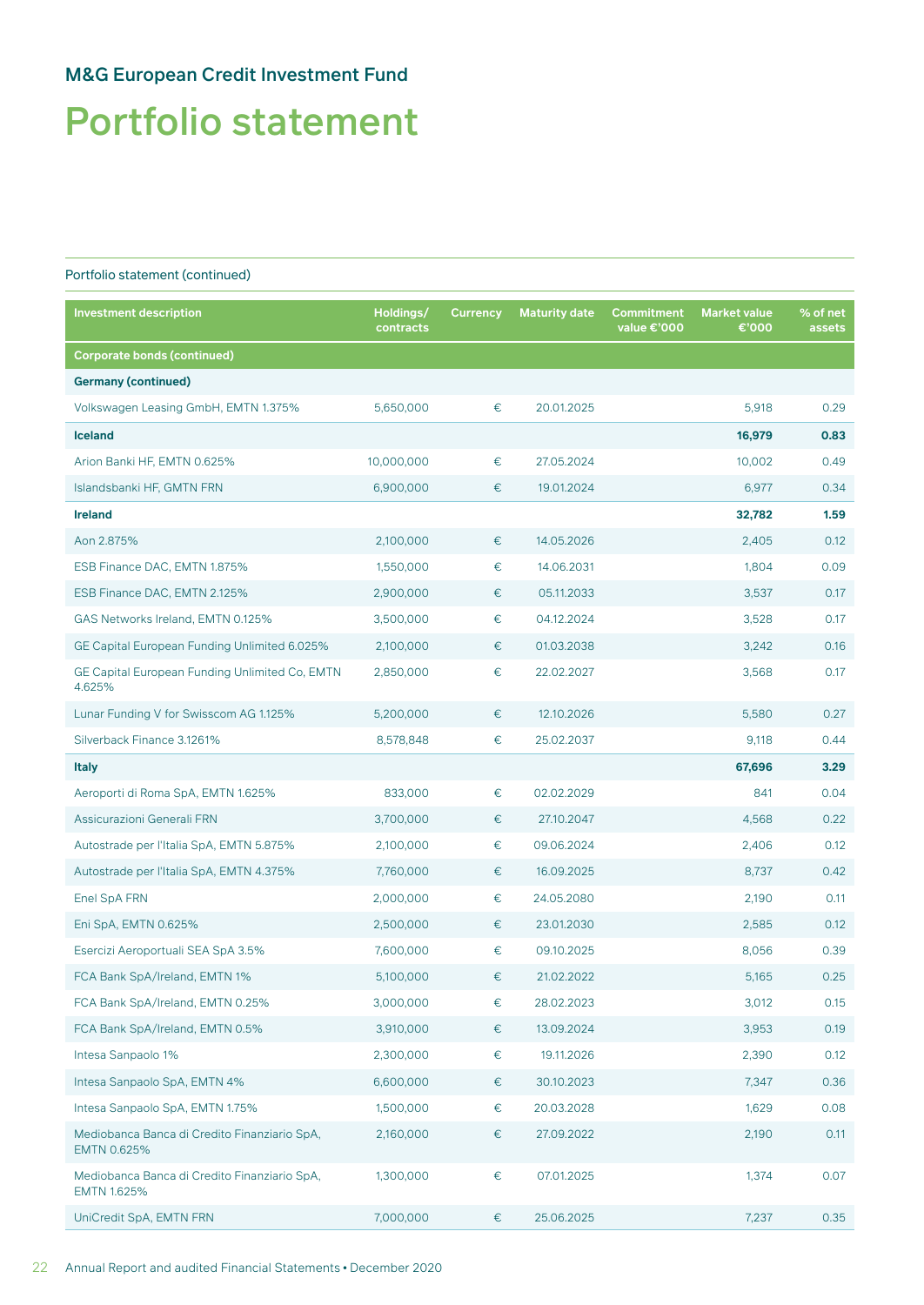# Portfolio statement

| <b>Investment description</b>                                      | Holdings/<br>contracts | <b>Currency</b> | <b>Maturity date</b> | <b>Commitment</b><br>value €'000 | <b>Market value</b><br>€'000 | % of net<br>assets |
|--------------------------------------------------------------------|------------------------|-----------------|----------------------|----------------------------------|------------------------------|--------------------|
| <b>Corporate bonds (continued)</b>                                 |                        |                 |                      |                                  |                              |                    |
| <b>Germany (continued)</b>                                         |                        |                 |                      |                                  |                              |                    |
| Volkswagen Leasing GmbH, EMTN 1.375%                               | 5,650,000              | €               | 20.01.2025           |                                  | 5,918                        | 0.29               |
| <b>Iceland</b>                                                     |                        |                 |                      |                                  | 16,979                       | 0.83               |
| Arion Banki HF, EMTN 0.625%                                        | 10,000,000             | €               | 27.05.2024           |                                  | 10,002                       | 0.49               |
| Islandsbanki HF, GMTN FRN                                          | 6,900,000              | €               | 19.01.2024           |                                  | 6,977                        | 0.34               |
| <b>Ireland</b>                                                     |                        |                 |                      |                                  | 32,782                       | 1.59               |
| Aon 2.875%                                                         | 2,100,000              | €               | 14.05.2026           |                                  | 2,405                        | 0.12               |
| ESB Finance DAC, EMTN 1.875%                                       | 1,550,000              | $\in$           | 14.06.2031           |                                  | 1,804                        | 0.09               |
| ESB Finance DAC, EMTN 2.125%                                       | 2,900,000              | €               | 05.11.2033           |                                  | 3,537                        | 0.17               |
| GAS Networks Ireland, EMTN 0.125%                                  | 3,500,000              | $\in$           | 04.12.2024           |                                  | 3,528                        | 0.17               |
| GE Capital European Funding Unlimited 6.025%                       | 2,100,000              | €               | 01.03.2038           |                                  | 3,242                        | 0.16               |
| GE Capital European Funding Unlimited Co, EMTN<br>4.625%           | 2,850,000              | €               | 22.02.2027           |                                  | 3,568                        | 0.17               |
| Lunar Funding V for Swisscom AG 1.125%                             | 5,200,000              | €               | 12.10.2026           |                                  | 5,580                        | 0.27               |
| Silverback Finance 3.1261%                                         | 8,578,848              | €               | 25.02.2037           |                                  | 9,118                        | 0.44               |
| <b>Italy</b>                                                       |                        |                 |                      |                                  | 67,696                       | 3.29               |
| Aeroporti di Roma SpA, EMTN 1.625%                                 | 833,000                | €               | 02.02.2029           |                                  | 841                          | 0.04               |
| Assicurazioni Generali FRN                                         | 3,700,000              | €               | 27.10.2047           |                                  | 4,568                        | 0.22               |
| Autostrade per l'Italia SpA, EMTN 5.875%                           | 2,100,000              | $\in$           | 09.06.2024           |                                  | 2,406                        | 0.12               |
| Autostrade per l'Italia SpA, EMTN 4.375%                           | 7,760,000              | €               | 16.09.2025           |                                  | 8,737                        | 0.42               |
| Enel SpA FRN                                                       | 2,000,000              | €               | 24.05.2080           |                                  | 2,190                        | 0.11               |
| Eni SpA, EMTN 0.625%                                               | 2,500,000              | €               | 23.01.2030           |                                  | 2,585                        | 0.12               |
| Esercizi Aeroportuali SEA SpA 3.5%                                 | 7,600,000              | €               | 09.10.2025           |                                  | 8,056                        | 0.39               |
| FCA Bank SpA/Ireland, EMTN 1%                                      | 5,100,000              | €               | 21.02.2022           |                                  | 5,165                        | 0.25               |
| FCA Bank SpA/Ireland, EMTN 0.25%                                   | 3,000,000              | €               | 28.02.2023           |                                  | 3,012                        | 0.15               |
| FCA Bank SpA/Ireland, EMTN 0.5%                                    | 3,910,000              | €               | 13.09.2024           |                                  | 3,953                        | 0.19               |
| Intesa Sanpaolo 1%                                                 | 2,300,000              | €               | 19.11.2026           |                                  | 2,390                        | 0.12               |
| Intesa Sanpaolo SpA, EMTN 4%                                       | 6,600,000              | €               | 30.10.2023           |                                  | 7,347                        | 0.36               |
| Intesa Sanpaolo SpA, EMTN 1.75%                                    | 1,500,000              | €               | 20.03.2028           |                                  | 1,629                        | 0.08               |
| Mediobanca Banca di Credito Finanziario SpA,<br>EMTN 0.625%        | 2,160,000              | €               | 27.09.2022           |                                  | 2,190                        | 0.11               |
| Mediobanca Banca di Credito Finanziario SpA,<br><b>EMTN 1.625%</b> | 1,300,000              | €               | 07.01.2025           |                                  | 1,374                        | 0.07               |
| UniCredit SpA, EMTN FRN                                            | 7,000,000              | €               | 25.06.2025           |                                  | 7,237                        | 0.35               |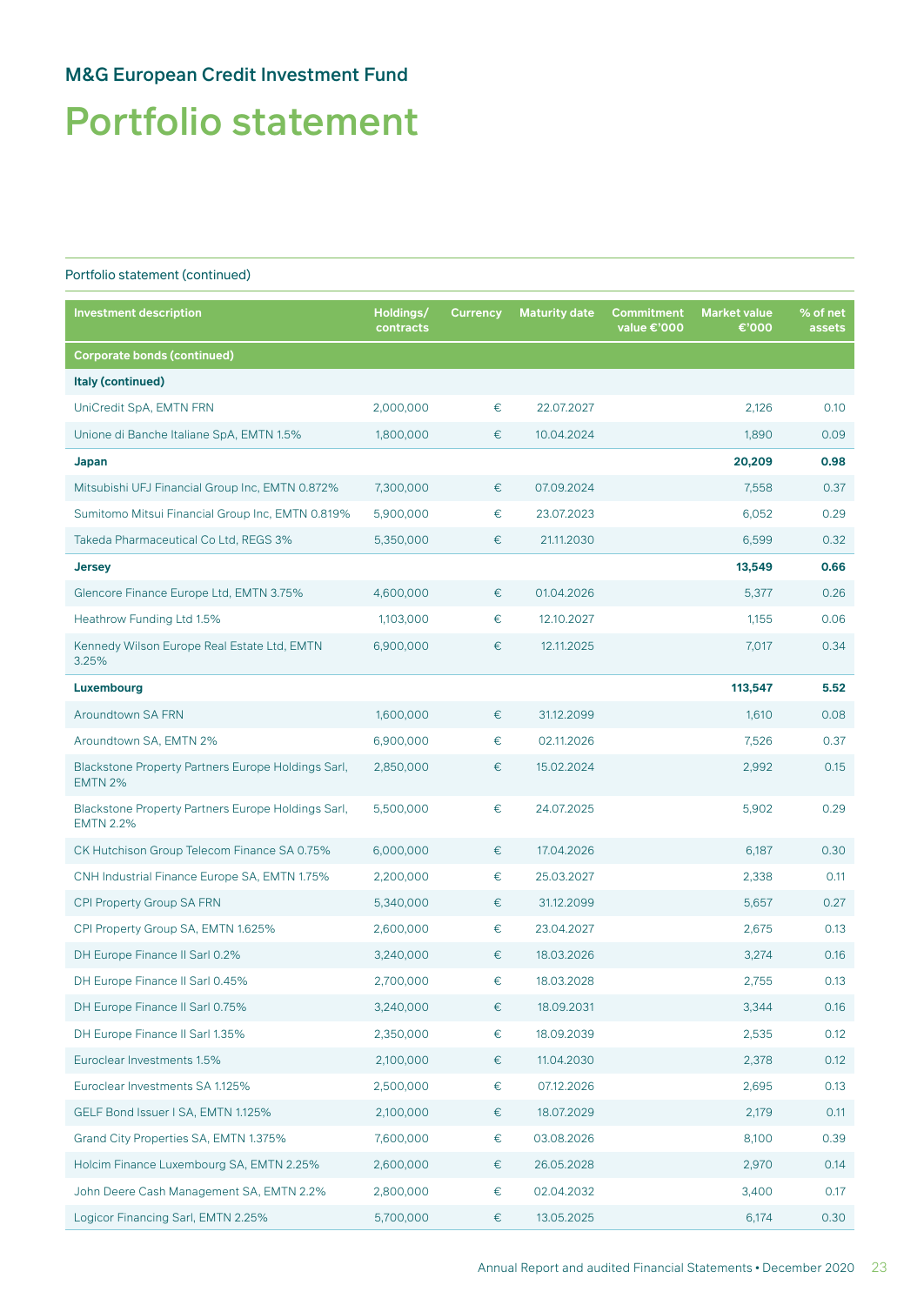# Portfolio statement

| <b>Investment description</b>                                          | Holdings/<br>contracts | <b>Currency</b> | <b>Maturity date</b> | <b>Commitment</b><br>value €'000 | <b>Market value</b><br>€'000 | % of net<br>assets |
|------------------------------------------------------------------------|------------------------|-----------------|----------------------|----------------------------------|------------------------------|--------------------|
| <b>Corporate bonds (continued)</b>                                     |                        |                 |                      |                                  |                              |                    |
| Italy (continued)                                                      |                        |                 |                      |                                  |                              |                    |
| UniCredit SpA, EMTN FRN                                                | 2,000,000              | €               | 22.07.2027           |                                  | 2,126                        | 0.10               |
| Unione di Banche Italiane SpA, EMTN 1.5%                               | 1,800,000              | €               | 10.04.2024           |                                  | 1,890                        | 0.09               |
| Japan                                                                  |                        |                 |                      |                                  | 20,209                       | 0.98               |
| Mitsubishi UFJ Financial Group Inc, EMTN 0.872%                        | 7,300,000              | €               | 07.09.2024           |                                  | 7,558                        | 0.37               |
| Sumitomo Mitsui Financial Group Inc, EMTN 0.819%                       | 5,900,000              | €               | 23.07.2023           |                                  | 6,052                        | 0.29               |
| Takeda Pharmaceutical Co Ltd, REGS 3%                                  | 5,350,000              | €               | 21.11.2030           |                                  | 6,599                        | 0.32               |
| <b>Jersey</b>                                                          |                        |                 |                      |                                  | 13,549                       | 0.66               |
| Glencore Finance Europe Ltd, EMTN 3.75%                                | 4,600,000              | €               | 01.04.2026           |                                  | 5,377                        | 0.26               |
| Heathrow Funding Ltd 1.5%                                              | 1,103,000              | €               | 12.10.2027           |                                  | 1,155                        | 0.06               |
| Kennedy Wilson Europe Real Estate Ltd, EMTN<br>3.25%                   | 6,900,000              | €               | 12.11.2025           |                                  | 7,017                        | 0.34               |
| Luxembourg                                                             |                        |                 |                      |                                  | 113,547                      | 5.52               |
| Aroundtown SA FRN                                                      | 1,600,000              | €               | 31.12.2099           |                                  | 1,610                        | 0.08               |
| Aroundtown SA, EMTN 2%                                                 | 6,900,000              | €               | 02.11.2026           |                                  | 7,526                        | 0.37               |
| Blackstone Property Partners Europe Holdings Sarl,<br><b>EMTN 2%</b>   | 2,850,000              | €               | 15.02.2024           |                                  | 2,992                        | 0.15               |
| Blackstone Property Partners Europe Holdings Sarl,<br><b>EMTN 2.2%</b> | 5,500,000              | €               | 24.07.2025           |                                  | 5,902                        | 0.29               |
| CK Hutchison Group Telecom Finance SA 0.75%                            | 6,000,000              | €               | 17.04.2026           |                                  | 6,187                        | 0.30               |
| CNH Industrial Finance Europe SA, EMTN 1.75%                           | 2,200,000              | €               | 25.03.2027           |                                  | 2,338                        | 0.11               |
| CPI Property Group SA FRN                                              | 5,340,000              | €               | 31.12.2099           |                                  | 5,657                        | 0.27               |
| CPI Property Group SA, EMTN 1.625%                                     | 2,600,000              | €               | 23.04.2027           |                                  | 2,675                        | 0.13               |
| DH Europe Finance II Sarl 0.2%                                         | 3,240,000              | €               | 18.03.2026           |                                  | 3,274                        | 0.16               |
| DH Europe Finance II Sarl 0.45%                                        | 2,700,000              | €               | 18.03.2028           |                                  | 2,755                        | 0.13               |
| DH Europe Finance II Sarl 0.75%                                        | 3,240,000              | €               | 18.09.2031           |                                  | 3,344                        | 0.16               |
| DH Europe Finance II Sarl 1.35%                                        | 2,350,000              | €               | 18.09.2039           |                                  | 2,535                        | 0.12               |
| Euroclear Investments 1.5%                                             | 2,100,000              | €               | 11.04.2030           |                                  | 2,378                        | 0.12               |
| Euroclear Investments SA 1.125%                                        | 2,500,000              | €               | 07.12.2026           |                                  | 2,695                        | 0.13               |
| GELF Bond Issuer I SA, EMTN 1.125%                                     | 2,100,000              | €               | 18.07.2029           |                                  | 2,179                        | 0.11               |
| Grand City Properties SA, EMTN 1.375%                                  | 7,600,000              | €               | 03.08.2026           |                                  | 8,100                        | 0.39               |
| Holcim Finance Luxembourg SA, EMTN 2.25%                               | 2,600,000              | €               | 26.05.2028           |                                  | 2,970                        | 0.14               |
| John Deere Cash Management SA, EMTN 2.2%                               | 2,800,000              | €               | 02.04.2032           |                                  | 3,400                        | 0.17               |
| Logicor Financing Sarl, EMTN 2.25%                                     | 5,700,000              | €               | 13.05.2025           |                                  | 6,174                        | 0.30               |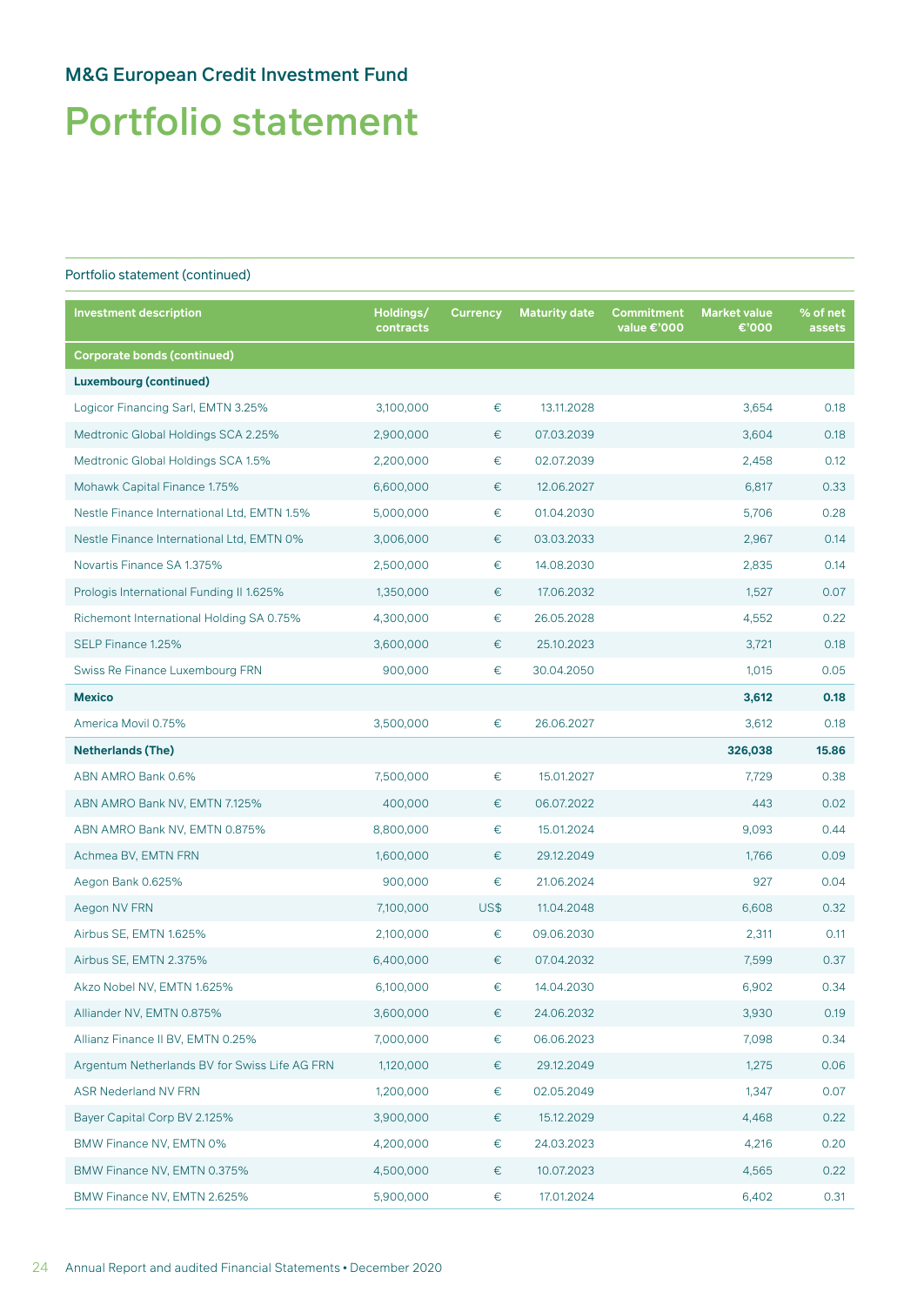# Portfolio statement

| <b>Investment description</b>                 | Holdings/<br>contracts | <b>Currency</b> | <b>Maturity date</b> | Commitment<br>value €'000 | <b>Market value</b><br>€'000 | % of net<br>assets |
|-----------------------------------------------|------------------------|-----------------|----------------------|---------------------------|------------------------------|--------------------|
| <b>Corporate bonds (continued)</b>            |                        |                 |                      |                           |                              |                    |
| <b>Luxembourg (continued)</b>                 |                        |                 |                      |                           |                              |                    |
| Logicor Financing Sarl, EMTN 3.25%            | 3,100,000              | $\in$           | 13.11.2028           |                           | 3,654                        | 0.18               |
| Medtronic Global Holdings SCA 2.25%           | 2,900,000              | €               | 07.03.2039           |                           | 3,604                        | 0.18               |
| Medtronic Global Holdings SCA 1.5%            | 2,200,000              | €               | 02.07.2039           |                           | 2,458                        | 0.12               |
| Mohawk Capital Finance 1.75%                  | 6,600,000              | €               | 12.06.2027           |                           | 6,817                        | 0.33               |
| Nestle Finance International Ltd, EMTN 1.5%   | 5,000,000              | €               | 01.04.2030           |                           | 5,706                        | 0.28               |
| Nestle Finance International Ltd, EMTN 0%     | 3,006,000              | €               | 03.03.2033           |                           | 2,967                        | 0.14               |
| Novartis Finance SA 1.375%                    | 2,500,000              | €               | 14.08.2030           |                           | 2,835                        | 0.14               |
| Prologis International Funding II 1.625%      | 1,350,000              | €               | 17.06.2032           |                           | 1,527                        | 0.07               |
| Richemont International Holding SA 0.75%      | 4,300,000              | $\in$           | 26.05.2028           |                           | 4,552                        | 0.22               |
| SELP Finance 1.25%                            | 3,600,000              | €               | 25.10.2023           |                           | 3,721                        | 0.18               |
| Swiss Re Finance Luxembourg FRN               | 900,000                | €               | 30.04.2050           |                           | 1,015                        | 0.05               |
| <b>Mexico</b>                                 |                        |                 |                      |                           | 3,612                        | 0.18               |
| America Movil 0.75%                           | 3,500,000              | €               | 26.06.2027           |                           | 3,612                        | 0.18               |
| <b>Netherlands (The)</b>                      |                        |                 |                      |                           | 326,038                      | 15.86              |
| ABN AMRO Bank 0.6%                            | 7,500,000              | $\in$           | 15.01.2027           |                           | 7,729                        | 0.38               |
| ABN AMRO Bank NV, EMTN 7.125%                 | 400,000                | €               | 06.07.2022           |                           | 443                          | 0.02               |
| ABN AMRO Bank NV, EMTN 0.875%                 | 8,800,000              | €               | 15.01.2024           |                           | 9,093                        | 0.44               |
| Achmea BV, EMTN FRN                           | 1,600,000              | €               | 29.12.2049           |                           | 1,766                        | 0.09               |
| Aegon Bank 0.625%                             | 900,000                | €               | 21.06.2024           |                           | 927                          | 0.04               |
| Aegon NV FRN                                  | 7,100,000              | US\$            | 11.04.2048           |                           | 6,608                        | 0.32               |
| Airbus SE, EMTN 1.625%                        | 2,100,000              | €               | 09.06.2030           |                           | 2,311                        | 0.11               |
| Airbus SE, EMTN 2.375%                        | 6,400,000              | €               | 07.04.2032           |                           | 7,599                        | 0.37               |
| Akzo Nobel NV, EMTN 1.625%                    | 6,100,000              | €               | 14.04.2030           |                           | 6,902                        | 0.34               |
| Alliander NV, EMTN 0.875%                     | 3,600,000              | €               | 24.06.2032           |                           | 3,930                        | 0.19               |
| Allianz Finance II BV, EMTN 0.25%             | 7,000,000              | $\in$           | 06.06.2023           |                           | 7,098                        | 0.34               |
| Argentum Netherlands BV for Swiss Life AG FRN | 1,120,000              | €               | 29.12.2049           |                           | 1,275                        | 0.06               |
| <b>ASR Nederland NV FRN</b>                   | 1,200,000              | €               | 02.05.2049           |                           | 1,347                        | 0.07               |
| Bayer Capital Corp BV 2.125%                  | 3,900,000              | €               | 15.12.2029           |                           | 4,468                        | 0.22               |
| BMW Finance NV, EMTN 0%                       | 4,200,000              | €               | 24.03.2023           |                           | 4,216                        | 0.20               |
| BMW Finance NV, EMTN 0.375%                   | 4,500,000              | €               | 10.07.2023           |                           | 4,565                        | 0.22               |
| BMW Finance NV, EMTN 2.625%                   | 5,900,000              | €               | 17.01.2024           |                           | 6,402                        | 0.31               |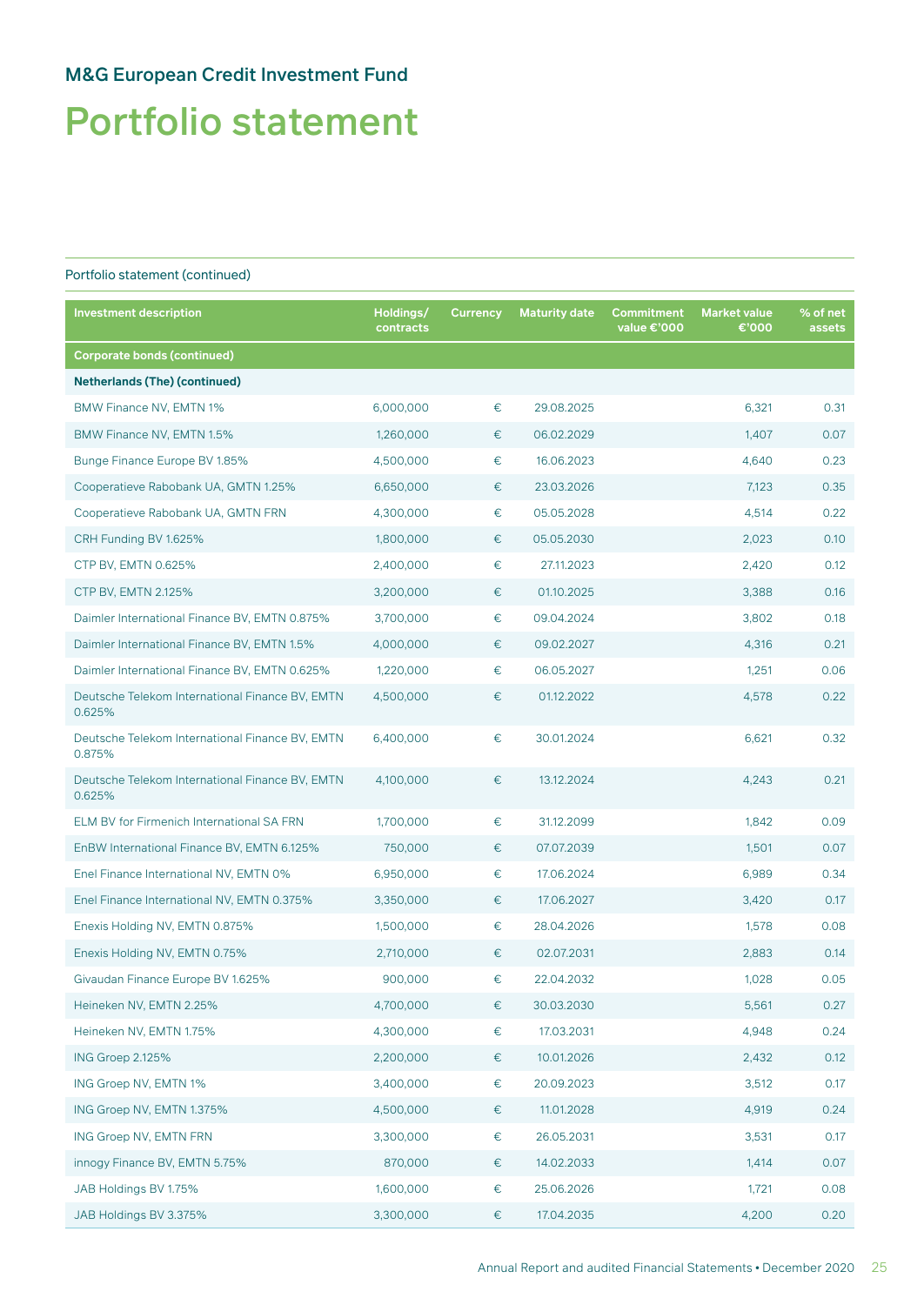# Portfolio statement

| <b>Investment description</b>                             | Holdings/<br>contracts | <b>Currency</b> | <b>Maturity date</b> | Commitment<br>value €'000 | <b>Market value</b><br>€'000 | % of net<br>assets |
|-----------------------------------------------------------|------------------------|-----------------|----------------------|---------------------------|------------------------------|--------------------|
| <b>Corporate bonds (continued)</b>                        |                        |                 |                      |                           |                              |                    |
| <b>Netherlands (The) (continued)</b>                      |                        |                 |                      |                           |                              |                    |
| BMW Finance NV, EMTN 1%                                   | 6,000,000              | $\in$           | 29.08.2025           |                           | 6,321                        | 0.31               |
| BMW Finance NV, EMTN 1.5%                                 | 1,260,000              | €               | 06.02.2029           |                           | 1,407                        | 0.07               |
| Bunge Finance Europe BV 1.85%                             | 4,500,000              | €               | 16.06.2023           |                           | 4,640                        | 0.23               |
| Cooperatieve Rabobank UA, GMTN 1.25%                      | 6,650,000              | €               | 23.03.2026           |                           | 7,123                        | 0.35               |
| Cooperatieve Rabobank UA, GMTN FRN                        | 4,300,000              | €               | 05.05.2028           |                           | 4,514                        | 0.22               |
| CRH Funding BV 1.625%                                     | 1,800,000              | €               | 05.05.2030           |                           | 2,023                        | 0.10               |
| CTP BV, EMTN 0.625%                                       | 2,400,000              | $\in$           | 27.11.2023           |                           | 2,420                        | 0.12               |
| CTP BV, EMTN 2.125%                                       | 3,200,000              | €               | 01.10.2025           |                           | 3,388                        | 0.16               |
| Daimler International Finance BV, EMTN 0.875%             | 3,700,000              | €               | 09.04.2024           |                           | 3,802                        | 0.18               |
| Daimler International Finance BV, EMTN 1.5%               | 4,000,000              | €               | 09.02.2027           |                           | 4,316                        | 0.21               |
| Daimler International Finance BV, EMTN 0.625%             | 1,220,000              | €               | 06.05.2027           |                           | 1,251                        | 0.06               |
| Deutsche Telekom International Finance BV, EMTN<br>0.625% | 4,500,000              | €               | 01.12.2022           |                           | 4,578                        | 0.22               |
| Deutsche Telekom International Finance BV, EMTN<br>0.875% | 6,400,000              | €               | 30.01.2024           |                           | 6,621                        | 0.32               |
| Deutsche Telekom International Finance BV, EMTN<br>0.625% | 4,100,000              | €               | 13.12.2024           |                           | 4,243                        | 0.21               |
| ELM BV for Firmenich International SA FRN                 | 1,700,000              | €               | 31.12.2099           |                           | 1,842                        | 0.09               |
| EnBW International Finance BV, EMTN 6.125%                | 750,000                | €               | 07.07.2039           |                           | 1,501                        | 0.07               |
| Enel Finance International NV, EMTN 0%                    | 6,950,000              | €               | 17.06.2024           |                           | 6,989                        | 0.34               |
| Enel Finance International NV, EMTN 0.375%                | 3,350,000              | €               | 17.06.2027           |                           | 3,420                        | 0.17               |
| Enexis Holding NV, EMTN 0.875%                            | 1,500,000              | €               | 28.04.2026           |                           | 1,578                        | 0.08               |
| Enexis Holding NV, EMTN 0.75%                             | 2,710,000              | €               | 02.07.2031           |                           | 2,883                        | 0.14               |
| Givaudan Finance Europe BV 1.625%                         | 900,000                | €               | 22.04.2032           |                           | 1,028                        | 0.05               |
| Heineken NV, EMTN 2.25%                                   | 4,700,000              | €               | 30.03.2030           |                           | 5,561                        | 0.27               |
| Heineken NV, EMTN 1.75%                                   | 4,300,000              | €               | 17.03.2031           |                           | 4,948                        | 0.24               |
| ING Groep 2.125%                                          | 2,200,000              | €               | 10.01.2026           |                           | 2,432                        | 0.12               |
| ING Groep NV, EMTN 1%                                     | 3,400,000              | €               | 20.09.2023           |                           | 3,512                        | 0.17               |
| ING Groep NV, EMTN 1.375%                                 | 4,500,000              | $\in$           | 11.01.2028           |                           | 4,919                        | 0.24               |
| ING Groep NV, EMTN FRN                                    | 3,300,000              | €               | 26.05.2031           |                           | 3,531                        | 0.17               |
| innogy Finance BV, EMTN 5.75%                             | 870,000                | €               | 14.02.2033           |                           | 1,414                        | 0.07               |
| JAB Holdings BV 1.75%                                     | 1,600,000              | €               | 25.06.2026           |                           | 1,721                        | 0.08               |
| JAB Holdings BV 3.375%                                    | 3,300,000              | €               | 17.04.2035           |                           | 4,200                        | 0.20               |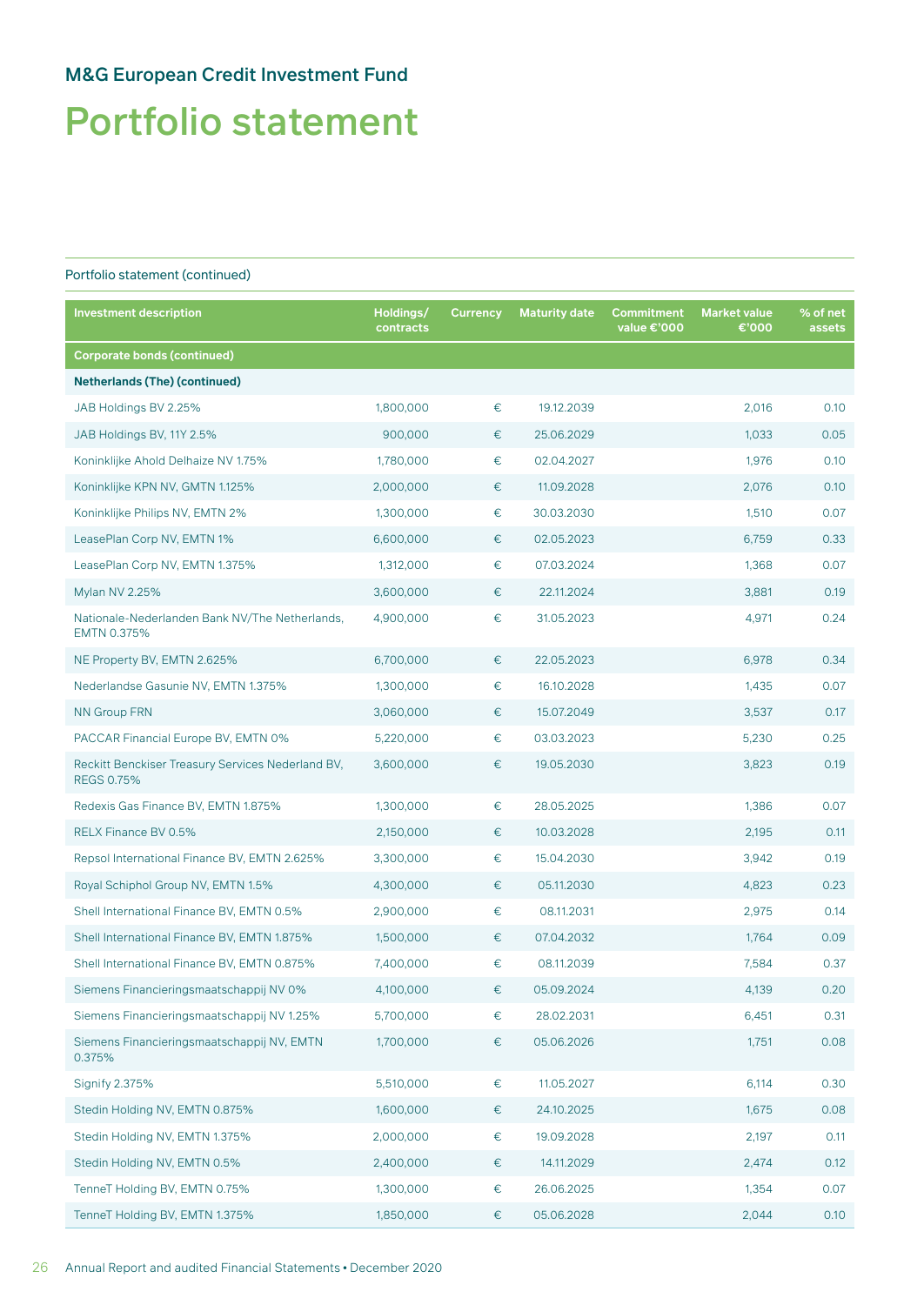# Portfolio statement

| <b>Investment description</b>                                          | Holdings/<br>contracts | <b>Currency</b> | <b>Maturity date</b> | Commitment<br>value €'000 | <b>Market value</b><br>€'000 | % of net<br>assets |
|------------------------------------------------------------------------|------------------------|-----------------|----------------------|---------------------------|------------------------------|--------------------|
| <b>Corporate bonds (continued)</b>                                     |                        |                 |                      |                           |                              |                    |
| <b>Netherlands (The) (continued)</b>                                   |                        |                 |                      |                           |                              |                    |
| JAB Holdings BV 2.25%                                                  | 1,800,000              | €               | 19.12.2039           |                           | 2,016                        | 0.10               |
| JAB Holdings BV, 11Y 2.5%                                              | 900,000                | €               | 25.06.2029           |                           | 1,033                        | 0.05               |
| Koninklijke Ahold Delhaize NV 1.75%                                    | 1,780,000              | €               | 02.04.2027           |                           | 1,976                        | 0.10               |
| Koninklijke KPN NV, GMTN 1.125%                                        | 2,000,000              | €               | 11.09.2028           |                           | 2,076                        | 0.10               |
| Koninklijke Philips NV, EMTN 2%                                        | 1,300,000              | €               | 30.03.2030           |                           | 1,510                        | 0.07               |
| LeasePlan Corp NV, EMTN 1%                                             | 6,600,000              | €               | 02.05.2023           |                           | 6,759                        | 0.33               |
| LeasePlan Corp NV, EMTN 1.375%                                         | 1,312,000              | €               | 07.03.2024           |                           | 1,368                        | 0.07               |
| Mylan NV 2.25%                                                         | 3,600,000              | €               | 22.11.2024           |                           | 3,881                        | 0.19               |
| Nationale-Nederlanden Bank NV/The Netherlands,<br>EMTN 0.375%          | 4,900,000              | €               | 31.05.2023           |                           | 4,971                        | 0.24               |
| NE Property BV, EMTN 2.625%                                            | 6,700,000              | €               | 22.05.2023           |                           | 6,978                        | 0.34               |
| Nederlandse Gasunie NV, EMTN 1.375%                                    | 1,300,000              | €               | 16.10.2028           |                           | 1,435                        | 0.07               |
| <b>NN Group FRN</b>                                                    | 3,060,000              | €               | 15.07.2049           |                           | 3,537                        | 0.17               |
| PACCAR Financial Europe BV, EMTN 0%                                    | 5,220,000              | €               | 03.03.2023           |                           | 5,230                        | 0.25               |
| Reckitt Benckiser Treasury Services Nederland BV,<br><b>REGS 0.75%</b> | 3,600,000              | €               | 19.05.2030           |                           | 3,823                        | 0.19               |
| Redexis Gas Finance BV, EMTN 1.875%                                    | 1,300,000              | €               | 28.05.2025           |                           | 1,386                        | 0.07               |
| RELX Finance BV 0.5%                                                   | 2,150,000              | €               | 10.03.2028           |                           | 2,195                        | 0.11               |
| Repsol International Finance BV, EMTN 2.625%                           | 3,300,000              | €               | 15.04.2030           |                           | 3,942                        | 0.19               |
| Royal Schiphol Group NV, EMTN 1.5%                                     | 4,300,000              | €               | 05.11.2030           |                           | 4,823                        | 0.23               |
| Shell International Finance BV, EMTN 0.5%                              | 2,900,000              | €               | 08.11.2031           |                           | 2,975                        | 0.14               |
| Shell International Finance BV, EMTN 1.875%                            | 1,500,000              | €               | 07.04.2032           |                           | 1.764                        | 0.09               |
| Shell International Finance BV, EMTN 0.875%                            | 7,400,000              | €               | 08.11.2039           |                           | 7,584                        | 0.37               |
| Siemens Financieringsmaatschappij NV 0%                                | 4,100,000              | €               | 05.09.2024           |                           | 4,139                        | 0.20               |
| Siemens Financieringsmaatschappij NV 1.25%                             | 5,700,000              | €               | 28.02.2031           |                           | 6,451                        | 0.31               |
| Siemens Financieringsmaatschappij NV, EMTN<br>0.375%                   | 1,700,000              | €               | 05.06.2026           |                           | 1,751                        | 0.08               |
| <b>Signify 2.375%</b>                                                  | 5,510,000              | $\in$           | 11.05.2027           |                           | 6,114                        | 0.30               |
| Stedin Holding NV, EMTN 0.875%                                         | 1,600,000              | €               | 24.10.2025           |                           | 1,675                        | 0.08               |
| Stedin Holding NV, EMTN 1.375%                                         | 2,000,000              | €               | 19.09.2028           |                           | 2,197                        | 0.11               |
| Stedin Holding NV, EMTN 0.5%                                           | 2,400,000              | €               | 14.11.2029           |                           | 2,474                        | 0.12               |
| TenneT Holding BV, EMTN 0.75%                                          | 1,300,000              | €               | 26.06.2025           |                           | 1,354                        | 0.07               |
| TenneT Holding BV, EMTN 1.375%                                         | 1,850,000              | €               | 05.06.2028           |                           | 2,044                        | 0.10               |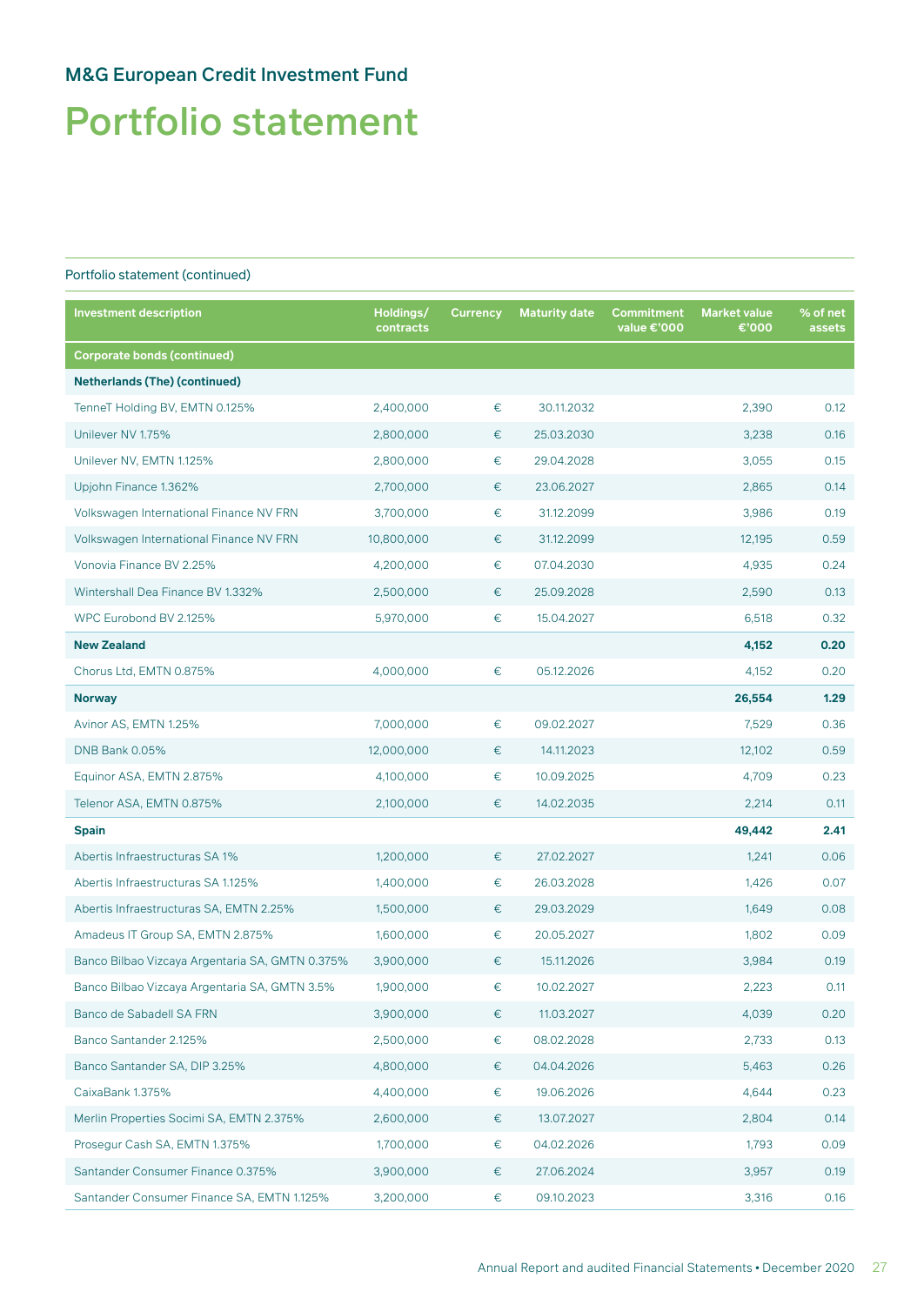# Portfolio statement

| <b>Investment description</b>                   | Holdings/<br>contracts | <b>Currency</b> | <b>Maturity date</b> | <b>Commitment</b><br>value €'000 | <b>Market value</b><br>€'000 | % of net<br>assets |
|-------------------------------------------------|------------------------|-----------------|----------------------|----------------------------------|------------------------------|--------------------|
| <b>Corporate bonds (continued)</b>              |                        |                 |                      |                                  |                              |                    |
| <b>Netherlands (The) (continued)</b>            |                        |                 |                      |                                  |                              |                    |
| TenneT Holding BV, EMTN 0.125%                  | 2,400,000              | €               | 30.11.2032           |                                  | 2,390                        | 0.12               |
| Unilever NV 1.75%                               | 2,800,000              | €               | 25.03.2030           |                                  | 3,238                        | 0.16               |
| Unilever NV, EMTN 1.125%                        | 2,800,000              | €               | 29.04.2028           |                                  | 3,055                        | 0.15               |
| Upjohn Finance 1.362%                           | 2,700,000              | €               | 23.06.2027           |                                  | 2,865                        | 0.14               |
| Volkswagen International Finance NV FRN         | 3,700,000              | €               | 31.12.2099           |                                  | 3,986                        | 0.19               |
| Volkswagen International Finance NV FRN         | 10,800,000             | €               | 31.12.2099           |                                  | 12,195                       | 0.59               |
| Vonovia Finance BV 2.25%                        | 4,200,000              | €               | 07.04.2030           |                                  | 4,935                        | 0.24               |
| Wintershall Dea Finance BV 1.332%               | 2,500,000              | €               | 25.09.2028           |                                  | 2,590                        | 0.13               |
| WPC Eurobond BV 2.125%                          | 5,970,000              | €               | 15.04.2027           |                                  | 6,518                        | 0.32               |
| <b>New Zealand</b>                              |                        |                 |                      |                                  | 4,152                        | 0.20               |
| Chorus Ltd, EMTN 0.875%                         | 4,000,000              | €               | 05.12.2026           |                                  | 4,152                        | 0.20               |
| <b>Norway</b>                                   |                        |                 |                      |                                  | 26,554                       | 1.29               |
| Avinor AS, EMTN 1.25%                           | 7,000,000              | €               | 09.02.2027           |                                  | 7,529                        | 0.36               |
| <b>DNB Bank 0.05%</b>                           | 12,000,000             | €               | 14.11.2023           |                                  | 12,102                       | 0.59               |
| Equinor ASA, EMTN 2.875%                        | 4,100,000              | €               | 10.09.2025           |                                  | 4,709                        | 0.23               |
| Telenor ASA, EMTN 0.875%                        | 2,100,000              | €               | 14.02.2035           |                                  | 2,214                        | 0.11               |
| <b>Spain</b>                                    |                        |                 |                      |                                  | 49,442                       | 2.41               |
| Abertis Infraestructuras SA 1%                  | 1,200,000              | €               | 27.02.2027           |                                  | 1,241                        | 0.06               |
| Abertis Infraestructuras SA 1.125%              | 1,400,000              | €               | 26.03.2028           |                                  | 1,426                        | 0.07               |
| Abertis Infraestructuras SA, EMTN 2.25%         | 1,500,000              | €               | 29.03.2029           |                                  | 1,649                        | 0.08               |
| Amadeus IT Group SA, EMTN 2.875%                | 1,600,000              | €               | 20.05.2027           |                                  | 1,802                        | 0.09               |
| Banco Bilbao Vizcaya Argentaria SA, GMTN 0.375% | 3,900,000              | €               | 15.11.2026           |                                  | 3,984                        | 0.19               |
| Banco Bilbao Vizcaya Argentaria SA, GMTN 3.5%   | 1,900,000              | €               | 10.02.2027           |                                  | 2,223                        | 0.11               |
| Banco de Sabadell SA FRN                        | 3,900,000              | €               | 11.03.2027           |                                  | 4,039                        | 0.20               |
| Banco Santander 2.125%                          | 2,500,000              | €               | 08.02.2028           |                                  | 2,733                        | 0.13               |
| Banco Santander SA, DIP 3.25%                   | 4,800,000              | €               | 04.04.2026           |                                  | 5,463                        | 0.26               |
| CaixaBank 1.375%                                | 4,400,000              | €               | 19.06.2026           |                                  | 4,644                        | 0.23               |
| Merlin Properties Socimi SA, EMTN 2.375%        | 2,600,000              | €               | 13.07.2027           |                                  | 2,804                        | 0.14               |
| Prosegur Cash SA, EMTN 1.375%                   | 1,700,000              | €               | 04.02.2026           |                                  | 1,793                        | 0.09               |
| Santander Consumer Finance 0.375%               | 3,900,000              | €               | 27.06.2024           |                                  | 3,957                        | 0.19               |
| Santander Consumer Finance SA, EMTN 1.125%      | 3,200,000              | €               | 09.10.2023           |                                  | 3,316                        | 0.16               |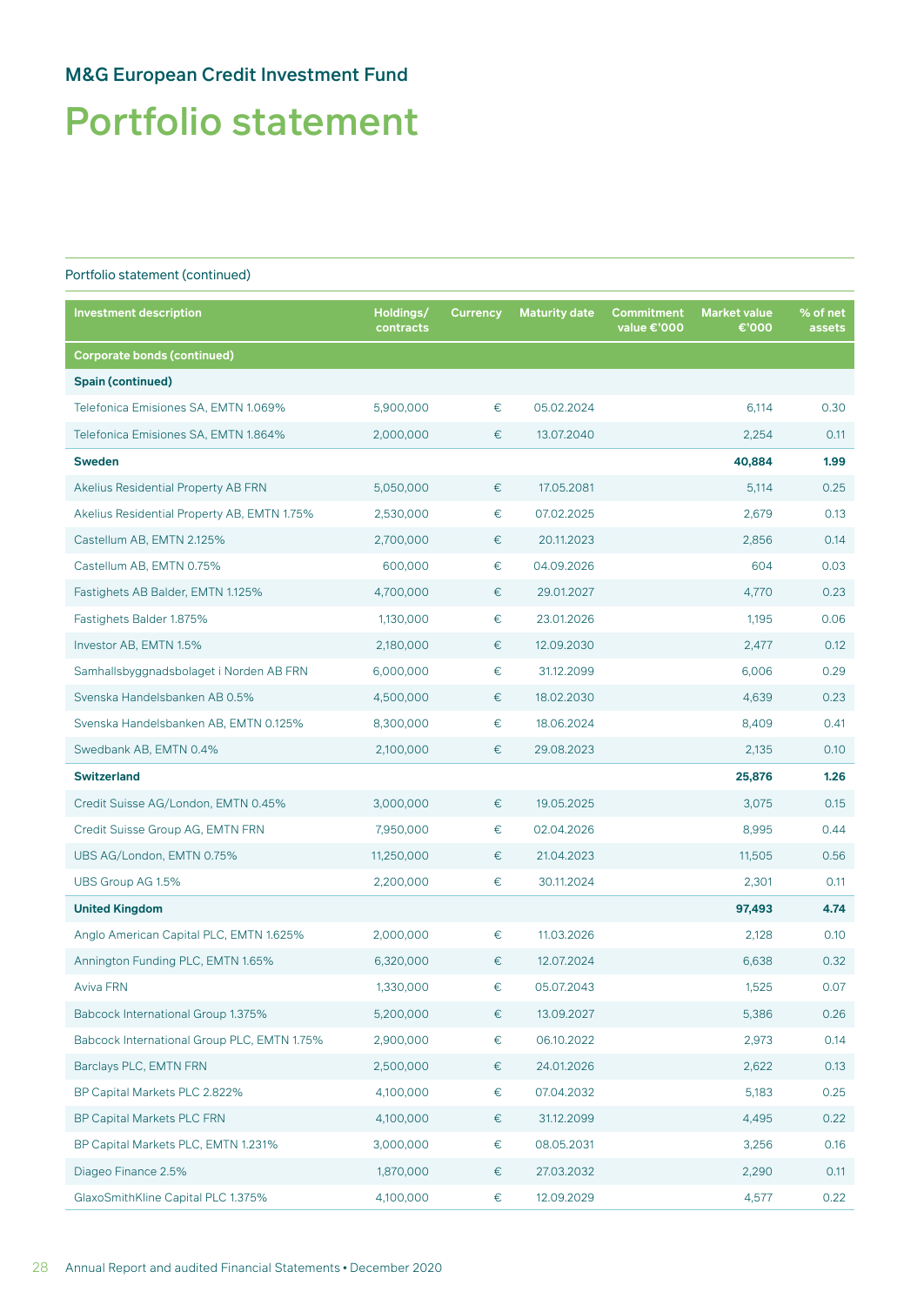# Portfolio statement

| <b>Investment description</b>               | Holdings/<br>contracts | <b>Currency</b> | <b>Maturity date</b> | Commitment<br>value €'000 | <b>Market value</b><br>€'000 | % of net<br>assets |
|---------------------------------------------|------------------------|-----------------|----------------------|---------------------------|------------------------------|--------------------|
| <b>Corporate bonds (continued)</b>          |                        |                 |                      |                           |                              |                    |
| <b>Spain (continued)</b>                    |                        |                 |                      |                           |                              |                    |
| Telefonica Emisiones SA, EMTN 1.069%        | 5,900,000              | €               | 05.02.2024           |                           | 6,114                        | 0.30               |
| Telefonica Emisiones SA, EMTN 1.864%        | 2,000,000              | €               | 13.07.2040           |                           | 2,254                        | 0.11               |
| <b>Sweden</b>                               |                        |                 |                      |                           | 40,884                       | 1.99               |
| Akelius Residential Property AB FRN         | 5,050,000              | €               | 17.05.2081           |                           | 5,114                        | 0.25               |
| Akelius Residential Property AB, EMTN 1.75% | 2,530,000              | €               | 07.02.2025           |                           | 2,679                        | 0.13               |
| Castellum AB, EMTN 2.125%                   | 2,700,000              | €               | 20.11.2023           |                           | 2,856                        | 0.14               |
| Castellum AB, EMTN 0.75%                    | 600,000                | €               | 04.09.2026           |                           | 604                          | 0.03               |
| Fastighets AB Balder, EMTN 1.125%           | 4,700,000              | €               | 29.01.2027           |                           | 4,770                        | 0.23               |
| Fastighets Balder 1.875%                    | 1,130,000              | €               | 23.01.2026           |                           | 1,195                        | 0.06               |
| Investor AB, EMTN 1.5%                      | 2,180,000              | €               | 12.09.2030           |                           | 2,477                        | 0.12               |
| Samhallsbyggnadsbolaget i Norden AB FRN     | 6,000,000              | €               | 31.12.2099           |                           | 6,006                        | 0.29               |
| Svenska Handelsbanken AB 0.5%               | 4,500,000              | €               | 18.02.2030           |                           | 4,639                        | 0.23               |
| Svenska Handelsbanken AB, EMTN 0.125%       | 8,300,000              | €               | 18.06.2024           |                           | 8,409                        | 0.41               |
| Swedbank AB, EMTN 0.4%                      | 2,100,000              | €               | 29.08.2023           |                           | 2,135                        | 0.10               |
| <b>Switzerland</b>                          |                        |                 |                      |                           | 25,876                       | 1.26               |
| Credit Suisse AG/London, EMTN 0.45%         | 3,000,000              | €               | 19.05.2025           |                           | 3,075                        | 0.15               |
| Credit Suisse Group AG, EMTN FRN            | 7,950,000              | €               | 02.04.2026           |                           | 8,995                        | 0.44               |
| UBS AG/London, EMTN 0.75%                   | 11,250,000             | €               | 21.04.2023           |                           | 11,505                       | 0.56               |
| UBS Group AG 1.5%                           | 2,200,000              | €               | 30.11.2024           |                           | 2,301                        | 0.11               |
| <b>United Kingdom</b>                       |                        |                 |                      |                           | 97,493                       | 4.74               |
| Anglo American Capital PLC, EMTN 1.625%     | 2,000,000              | €               | 11.03.2026           |                           | 2,128                        | 0.10               |
| Annington Funding PLC, EMTN 1.65%           | 6,320,000              | €               | 12.07.2024           |                           | 6,638                        | 0.32               |
| Aviva FRN                                   | 1,330,000              | €               | 05.07.2043           |                           | 1,525                        | 0.07               |
| Babcock International Group 1.375%          | 5,200,000              | €               | 13.09.2027           |                           | 5,386                        | 0.26               |
| Babcock International Group PLC, EMTN 1.75% | 2,900,000              | $\in$           | 06.10.2022           |                           | 2,973                        | 0.14               |
| Barclays PLC, EMTN FRN                      | 2,500,000              | €               | 24.01.2026           |                           | 2,622                        | 0.13               |
| BP Capital Markets PLC 2.822%               | 4,100,000              | €               | 07.04.2032           |                           | 5,183                        | 0.25               |
| <b>BP Capital Markets PLC FRN</b>           | 4,100,000              | €               | 31.12.2099           |                           | 4,495                        | 0.22               |
| BP Capital Markets PLC, EMTN 1.231%         | 3,000,000              | €               | 08.05.2031           |                           | 3,256                        | 0.16               |
| Diageo Finance 2.5%                         | 1,870,000              | €               | 27.03.2032           |                           | 2,290                        | 0.11               |
| GlaxoSmithKline Capital PLC 1.375%          | 4,100,000              | €               | 12.09.2029           |                           | 4,577                        | 0.22               |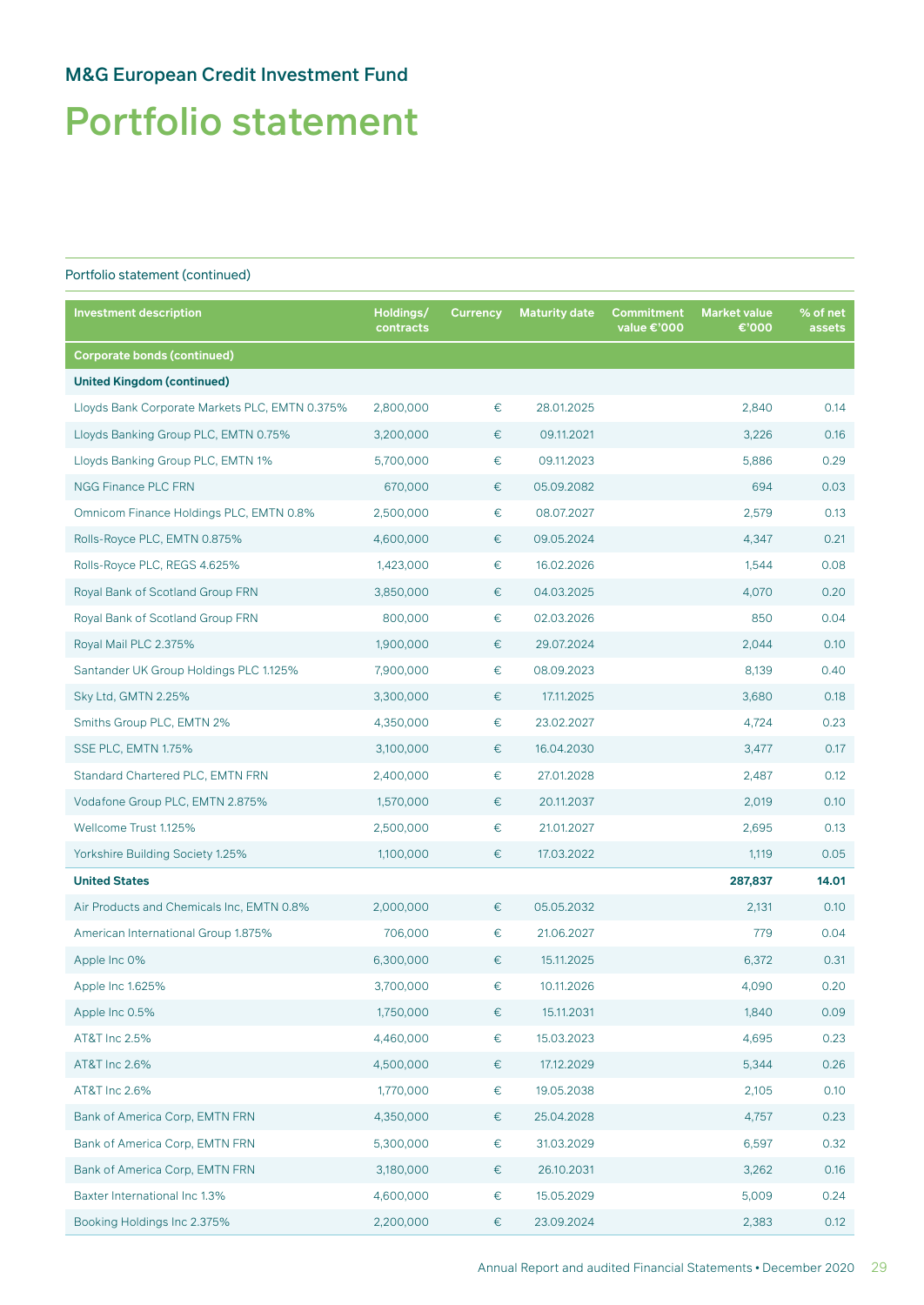# Portfolio statement

| <b>Investment description</b>                  | Holdings/<br>contracts | <b>Currency</b> | <b>Maturity date</b> | Commitment<br>value €'000 | <b>Market value</b><br>€'000 | % of net<br>assets |
|------------------------------------------------|------------------------|-----------------|----------------------|---------------------------|------------------------------|--------------------|
| <b>Corporate bonds (continued)</b>             |                        |                 |                      |                           |                              |                    |
| <b>United Kingdom (continued)</b>              |                        |                 |                      |                           |                              |                    |
| Lloyds Bank Corporate Markets PLC, EMTN 0.375% | 2,800,000              | $\in$           | 28.01.2025           |                           | 2,840                        | 0.14               |
| Lloyds Banking Group PLC, EMTN 0.75%           | 3,200,000              | €               | 09.11.2021           |                           | 3,226                        | 0.16               |
| Lloyds Banking Group PLC, EMTN 1%              | 5,700,000              | €               | 09.11.2023           |                           | 5,886                        | 0.29               |
| <b>NGG Finance PLC FRN</b>                     | 670,000                | €               | 05.09.2082           |                           | 694                          | 0.03               |
| Omnicom Finance Holdings PLC, EMTN 0.8%        | 2,500,000              | €               | 08.07.2027           |                           | 2,579                        | 0.13               |
| Rolls-Royce PLC, EMTN 0.875%                   | 4,600,000              | €               | 09.05.2024           |                           | 4,347                        | 0.21               |
| Rolls-Royce PLC, REGS 4.625%                   | 1,423,000              | €               | 16.02.2026           |                           | 1,544                        | 0.08               |
| Royal Bank of Scotland Group FRN               | 3,850,000              | €               | 04.03.2025           |                           | 4,070                        | 0.20               |
| Royal Bank of Scotland Group FRN               | 800,000                | €               | 02.03.2026           |                           | 850                          | 0.04               |
| Royal Mail PLC 2.375%                          | 1,900,000              | €               | 29.07.2024           |                           | 2,044                        | 0.10               |
| Santander UK Group Holdings PLC 1.125%         | 7,900,000              | €               | 08.09.2023           |                           | 8,139                        | 0.40               |
| Sky Ltd, GMTN 2.25%                            | 3,300,000              | $\in$           | 17.11.2025           |                           | 3,680                        | 0.18               |
| Smiths Group PLC, EMTN 2%                      | 4,350,000              | $\in$           | 23.02.2027           |                           | 4,724                        | 0.23               |
| SSE PLC, EMTN 1.75%                            | 3,100,000              | €               | 16.04.2030           |                           | 3,477                        | 0.17               |
| Standard Chartered PLC, EMTN FRN               | 2,400,000              | $\in$           | 27.01.2028           |                           | 2,487                        | 0.12               |
| Vodafone Group PLC, EMTN 2.875%                | 1,570,000              | €               | 20.11.2037           |                           | 2,019                        | 0.10               |
| Wellcome Trust 1.125%                          | 2,500,000              | €               | 21.01.2027           |                           | 2,695                        | 0.13               |
| Yorkshire Building Society 1.25%               | 1,100,000              | €               | 17.03.2022           |                           | 1,119                        | 0.05               |
| <b>United States</b>                           |                        |                 |                      |                           | 287,837                      | 14.01              |
| Air Products and Chemicals Inc, EMTN 0.8%      | 2,000,000              | €               | 05.05.2032           |                           | 2,131                        | 0.10               |
| American International Group 1.875%            | 706,000                | €               | 21.06.2027           |                           | 779                          | 0.04               |
| Apple Inc 0%                                   | 6,300,000              | €               | 15.11.2025           |                           | 6,372                        | 0.31               |
| Apple Inc 1.625%                               | 3,700,000              | €               | 10.11.2026           |                           | 4,090                        | 0.20               |
| Apple Inc 0.5%                                 | 1,750,000              | $\in$           | 15.11.2031           |                           | 1,840                        | 0.09               |
| AT&T Inc 2.5%                                  | 4,460,000              | €               | 15.03.2023           |                           | 4,695                        | 0.23               |
| AT&T Inc 2.6%                                  | 4,500,000              | €               | 17.12.2029           |                           | 5,344                        | 0.26               |
| AT&T Inc 2.6%                                  | 1,770,000              | €               | 19.05.2038           |                           | 2,105                        | 0.10               |
| Bank of America Corp, EMTN FRN                 | 4,350,000              | €               | 25.04.2028           |                           | 4,757                        | 0.23               |
| Bank of America Corp, EMTN FRN                 | 5,300,000              | €               | 31.03.2029           |                           | 6,597                        | 0.32               |
| Bank of America Corp, EMTN FRN                 | 3,180,000              | €               | 26.10.2031           |                           | 3,262                        | 0.16               |
| Baxter International Inc 1.3%                  | 4,600,000              | €               | 15.05.2029           |                           | 5,009                        | 0.24               |
| Booking Holdings Inc 2.375%                    | 2,200,000              | €               | 23.09.2024           |                           | 2,383                        | 0.12               |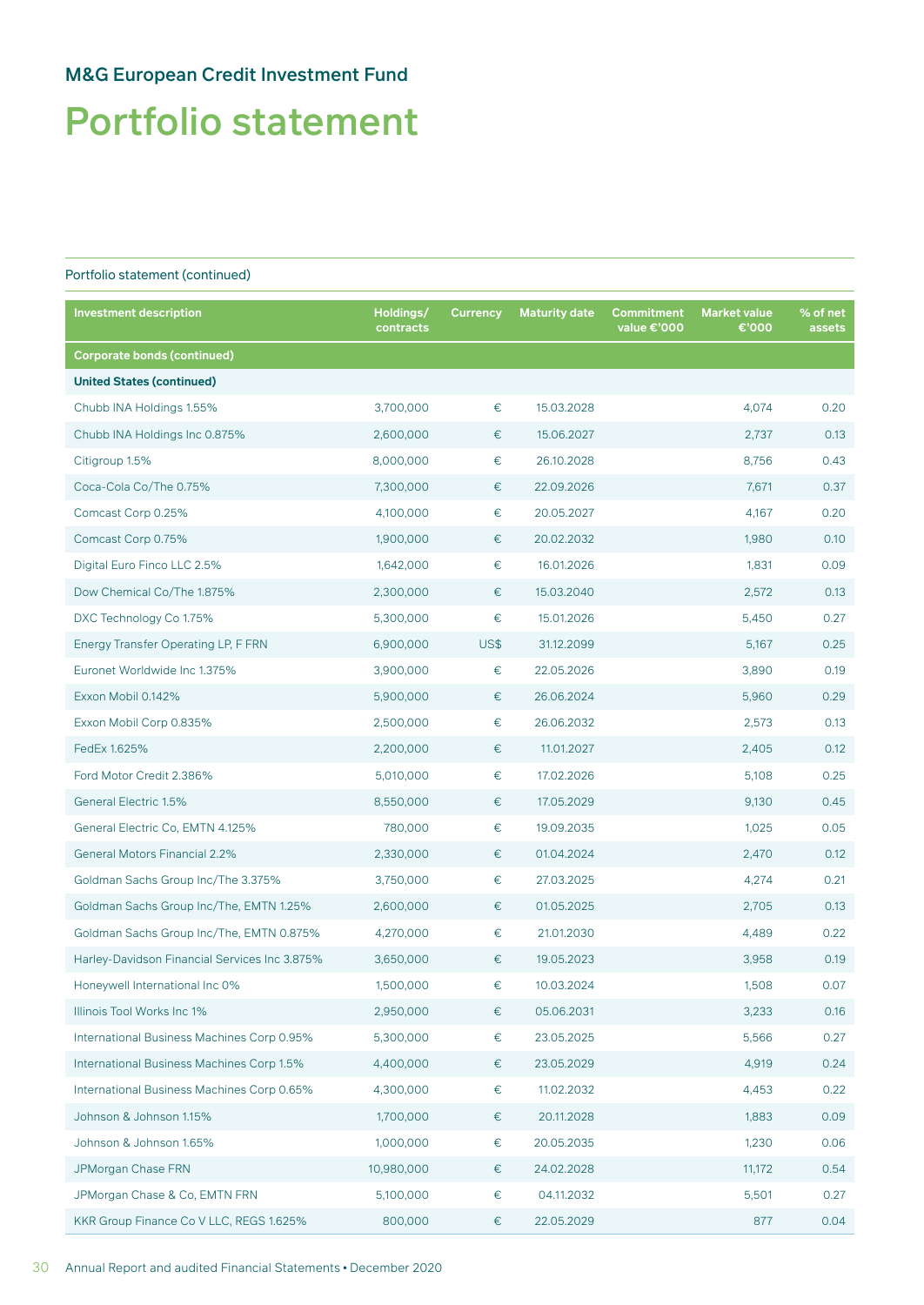# Portfolio statement

| <b>Investment description</b>                 | Holdings/<br>contracts | <b>Currency</b> | <b>Maturity date</b> | Commitment<br>value €'000 | <b>Market value</b><br>€'000 | % of net<br>assets |
|-----------------------------------------------|------------------------|-----------------|----------------------|---------------------------|------------------------------|--------------------|
| <b>Corporate bonds (continued)</b>            |                        |                 |                      |                           |                              |                    |
| <b>United States (continued)</b>              |                        |                 |                      |                           |                              |                    |
| Chubb INA Holdings 1.55%                      | 3,700,000              | $\in$           | 15.03.2028           |                           | 4,074                        | 0.20               |
| Chubb INA Holdings Inc 0.875%                 | 2,600,000              | €               | 15.06.2027           |                           | 2,737                        | 0.13               |
| Citigroup 1.5%                                | 8,000,000              | $\in$           | 26.10.2028           |                           | 8,756                        | 0.43               |
| Coca-Cola Co/The 0.75%                        | 7,300,000              | €               | 22.09.2026           |                           | 7,671                        | 0.37               |
| Comcast Corp 0.25%                            | 4,100,000              | €               | 20.05.2027           |                           | 4,167                        | 0.20               |
| Comcast Corp 0.75%                            | 1,900,000              | €               | 20.02.2032           |                           | 1,980                        | 0.10               |
| Digital Euro Finco LLC 2.5%                   | 1,642,000              | €               | 16.01.2026           |                           | 1,831                        | 0.09               |
| Dow Chemical Co/The 1.875%                    | 2,300,000              | €               | 15.03.2040           |                           | 2,572                        | 0.13               |
| DXC Technology Co 1.75%                       | 5,300,000              | €               | 15.01.2026           |                           | 5,450                        | 0.27               |
| Energy Transfer Operating LP, F FRN           | 6,900,000              | US\$            | 31.12.2099           |                           | 5,167                        | 0.25               |
| Euronet Worldwide Inc 1.375%                  | 3,900,000              | $\in$           | 22.05.2026           |                           | 3,890                        | 0.19               |
| Exxon Mobil 0.142%                            | 5,900,000              | €               | 26.06.2024           |                           | 5,960                        | 0.29               |
| Exxon Mobil Corp 0.835%                       | 2,500,000              | €               | 26.06.2032           |                           | 2,573                        | 0.13               |
| FedEx 1.625%                                  | 2,200,000              | €               | 11.01.2027           |                           | 2,405                        | 0.12               |
| Ford Motor Credit 2.386%                      | 5,010,000              | €               | 17.02.2026           |                           | 5,108                        | 0.25               |
| General Electric 1.5%                         | 8,550,000              | €               | 17.05.2029           |                           | 9,130                        | 0.45               |
| General Electric Co, EMTN 4.125%              | 780,000                | €               | 19.09.2035           |                           | 1,025                        | 0.05               |
| <b>General Motors Financial 2.2%</b>          | 2,330,000              | €               | 01.04.2024           |                           | 2,470                        | 0.12               |
| Goldman Sachs Group Inc/The 3.375%            | 3,750,000              | €               | 27.03.2025           |                           | 4,274                        | 0.21               |
| Goldman Sachs Group Inc/The, EMTN 1.25%       | 2,600,000              | €               | 01.05.2025           |                           | 2,705                        | 0.13               |
| Goldman Sachs Group Inc/The, EMTN 0.875%      | 4,270,000              | €               | 21.01.2030           |                           | 4,489                        | 0.22               |
| Harley-Davidson Financial Services Inc 3.875% | 3,650,000              | €               | 19.05.2023           |                           | 3,958                        | 0.19               |
| Honeywell International Inc 0%                | 1,500,000              | €               | 10.03.2024           |                           | 1,508                        | 0.07               |
| Illinois Tool Works Inc 1%                    | 2,950,000              | €               | 05.06.2031           |                           | 3,233                        | 0.16               |
| International Business Machines Corp 0.95%    | 5,300,000              | €               | 23.05.2025           |                           | 5,566                        | 0.27               |
| International Business Machines Corp 1.5%     | 4,400,000              | €               | 23.05.2029           |                           | 4,919                        | 0.24               |
| International Business Machines Corp 0.65%    | 4,300,000              | €               | 11.02.2032           |                           | 4,453                        | 0.22               |
| Johnson & Johnson 1.15%                       | 1,700,000              | €               | 20.11.2028           |                           | 1,883                        | 0.09               |
| Johnson & Johnson 1.65%                       | 1,000,000              | €               | 20.05.2035           |                           | 1,230                        | 0.06               |
| JPMorgan Chase FRN                            | 10,980,000             | €               | 24.02.2028           |                           | 11,172                       | 0.54               |
| JPMorgan Chase & Co, EMTN FRN                 | 5,100,000              | €               | 04.11.2032           |                           | 5,501                        | 0.27               |
| KKR Group Finance Co V LLC, REGS 1.625%       | 800,000                | €               | 22.05.2029           |                           | 877                          | 0.04               |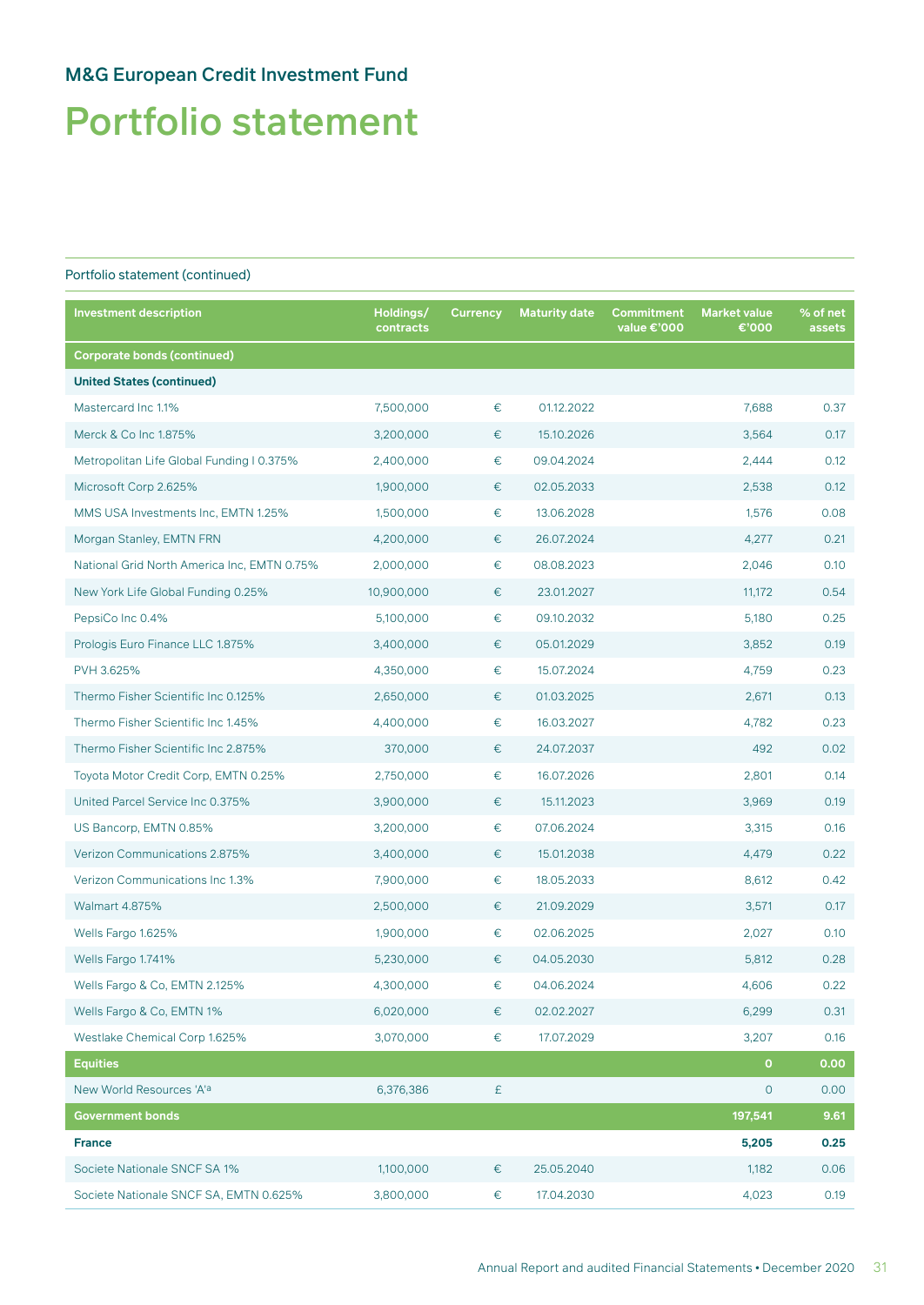# Portfolio statement

| <b>Investment description</b>               | Holdings/<br>contracts | <b>Currency</b> | <b>Maturity date</b> | Commitment<br>value €'000 | <b>Market value</b><br>€'000 | % of net<br>assets |
|---------------------------------------------|------------------------|-----------------|----------------------|---------------------------|------------------------------|--------------------|
| <b>Corporate bonds (continued)</b>          |                        |                 |                      |                           |                              |                    |
| <b>United States (continued)</b>            |                        |                 |                      |                           |                              |                    |
| Mastercard Inc 1.1%                         | 7,500,000              | $\in$           | 01.12.2022           |                           | 7,688                        | 0.37               |
| Merck & Co Inc 1.875%                       | 3,200,000              | €               | 15.10.2026           |                           | 3,564                        | 0.17               |
| Metropolitan Life Global Funding I 0.375%   | 2,400,000              | €               | 09.04.2024           |                           | 2,444                        | 0.12               |
| Microsoft Corp 2.625%                       | 1,900,000              | €               | 02.05.2033           |                           | 2,538                        | 0.12               |
| MMS USA Investments Inc, EMTN 1.25%         | 1,500,000              | €               | 13.06.2028           |                           | 1,576                        | 0.08               |
| Morgan Stanley, EMTN FRN                    | 4,200,000              | €               | 26.07.2024           |                           | 4,277                        | 0.21               |
| National Grid North America Inc, EMTN 0.75% | 2,000,000              | €               | 08.08.2023           |                           | 2,046                        | 0.10               |
| New York Life Global Funding 0.25%          | 10,900,000             | €               | 23.01.2027           |                           | 11,172                       | 0.54               |
| PepsiCo Inc 0.4%                            | 5,100,000              | €               | 09.10.2032           |                           | 5,180                        | 0.25               |
| Prologis Euro Finance LLC 1.875%            | 3,400,000              | €               | 05.01.2029           |                           | 3,852                        | 0.19               |
| PVH 3.625%                                  | 4,350,000              | €               | 15.07.2024           |                           | 4,759                        | 0.23               |
| Thermo Fisher Scientific Inc 0.125%         | 2,650,000              | €               | 01.03.2025           |                           | 2,671                        | 0.13               |
| Thermo Fisher Scientific Inc 1.45%          | 4,400,000              | €               | 16.03.2027           |                           | 4,782                        | 0.23               |
| Thermo Fisher Scientific Inc 2.875%         | 370,000                | €               | 24.07.2037           |                           | 492                          | 0.02               |
| Toyota Motor Credit Corp, EMTN 0.25%        | 2,750,000              | €               | 16.07.2026           |                           | 2,801                        | 0.14               |
| United Parcel Service Inc 0.375%            | 3,900,000              | €               | 15.11.2023           |                           | 3,969                        | 0.19               |
| US Bancorp, EMTN 0.85%                      | 3,200,000              | €               | 07.06.2024           |                           | 3,315                        | 0.16               |
| Verizon Communications 2.875%               | 3,400,000              | €               | 15.01.2038           |                           | 4,479                        | 0.22               |
| Verizon Communications Inc 1.3%             | 7,900,000              | €               | 18.05.2033           |                           | 8,612                        | 0.42               |
| Walmart 4.875%                              | 2,500,000              | €               | 21.09.2029           |                           | 3,571                        | 0.17               |
| Wells Fargo 1.625%                          | 1,900,000              | €               | 02.06.2025           |                           | 2,027                        | 0.10               |
| Wells Fargo 1.741%                          | 5,230,000              | €               | 04.05.2030           |                           | 5,812                        | 0.28               |
| Wells Fargo & Co, EMTN 2.125%               | 4,300,000              | $\in$           | 04.06.2024           |                           | 4,606                        | 0.22               |
| Wells Fargo & Co, EMTN 1%                   | 6,020,000              | €               | 02.02.2027           |                           | 6,299                        | 0.31               |
| Westlake Chemical Corp 1.625%               | 3,070,000              | €               | 17.07.2029           |                           | 3,207                        | 0.16               |
| <b>Equities</b>                             |                        |                 |                      |                           | $\mathbf{O}$                 | 0.00               |
| New World Resources 'A'a                    | 6,376,386              | £               |                      |                           | $\circ$                      | 0.00               |
| <b>Government bonds</b>                     |                        |                 |                      |                           | 197,541                      | 9.61               |
| <b>France</b>                               |                        |                 |                      |                           | 5,205                        | 0.25               |
| Societe Nationale SNCF SA 1%                | 1,100,000              | €               | 25.05.2040           |                           | 1,182                        | 0.06               |
| Societe Nationale SNCF SA, EMTN 0.625%      | 3,800,000              | €               | 17.04.2030           |                           | 4,023                        | 0.19               |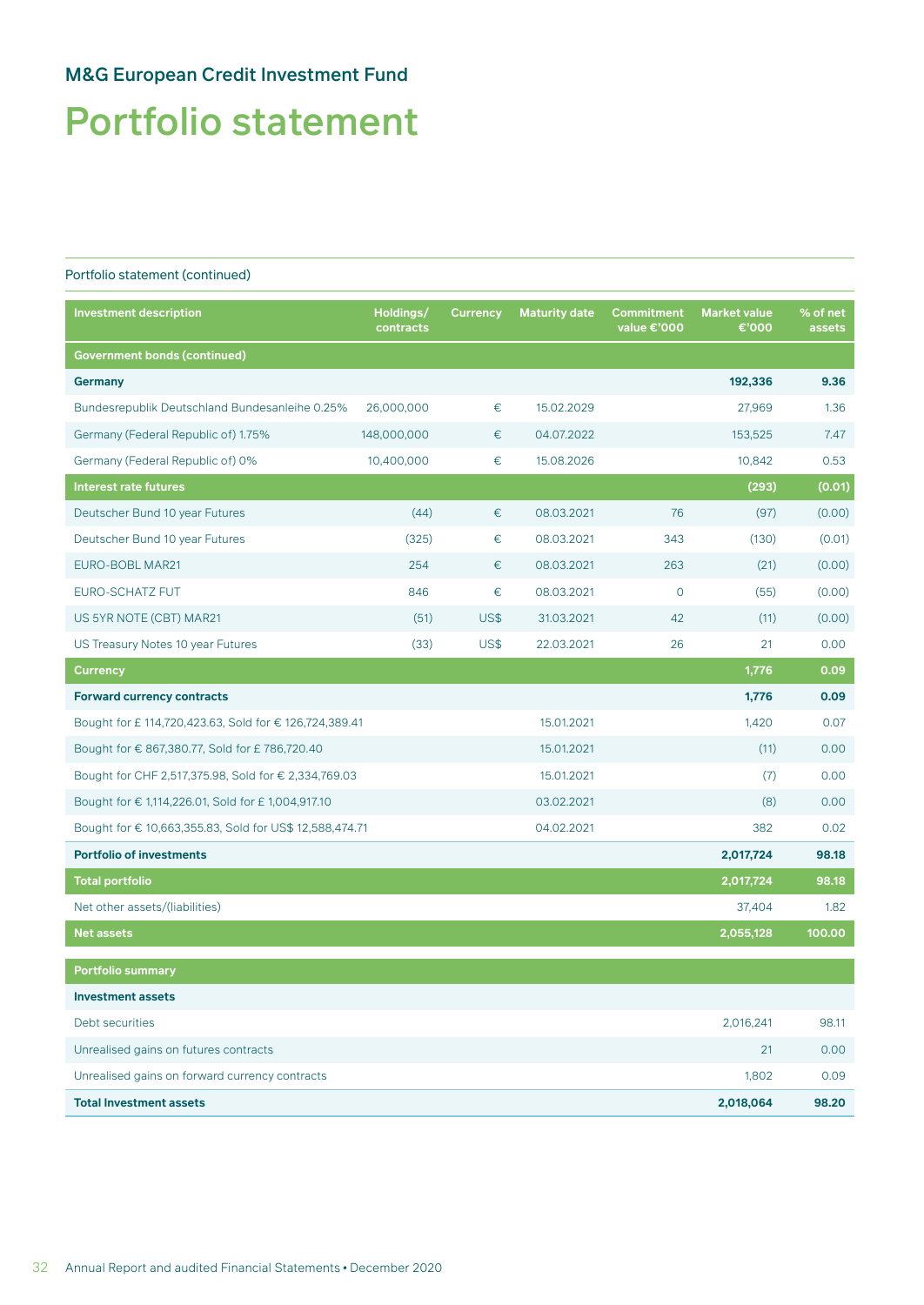# Portfolio statement

| <b>Investment description</b>                           | Holdings/<br>contracts | <b>Currency</b> | <b>Maturity date</b> | Commitment<br>value €'000 | <b>Market value</b><br>€'000 | % of net<br>assets |
|---------------------------------------------------------|------------------------|-----------------|----------------------|---------------------------|------------------------------|--------------------|
| <b>Government bonds (continued)</b>                     |                        |                 |                      |                           |                              |                    |
| <b>Germany</b>                                          |                        |                 |                      |                           | 192,336                      | 9.36               |
| Bundesrepublik Deutschland Bundesanleihe 0.25%          | 26,000,000             | €               | 15.02.2029           |                           | 27,969                       | 1.36               |
| Germany (Federal Republic of) 1.75%                     | 148,000,000            | €               | 04.07.2022           |                           | 153,525                      | 7.47               |
| Germany (Federal Republic of) 0%                        | 10,400,000             | €               | 15.08.2026           |                           | 10,842                       | 0.53               |
| <b>Interest rate futures</b>                            |                        |                 |                      |                           | (293)                        | (0.01)             |
| Deutscher Bund 10 year Futures                          | (44)                   | €               | 08.03.2021           | 76                        | (97)                         | (0.00)             |
| Deutscher Bund 10 year Futures                          | (325)                  | €               | 08.03.2021           | 343                       | (130)                        | (0.01)             |
| EURO-BOBL MAR21                                         | 254                    | €               | 08.03.2021           | 263                       | (21)                         | (0.00)             |
| EURO-SCHATZ FUT                                         | 846                    | €               | 08.03.2021           | $\overline{O}$            | (55)                         | (0.00)             |
| US 5YR NOTE (CBT) MAR21                                 | (51)                   | US\$            | 31.03.2021           | 42                        | (11)                         | (0.00)             |
| US Treasury Notes 10 year Futures                       | (33)                   | US\$            | 22.03.2021           | 26                        | 21                           | 0.00               |
| <b>Currency</b>                                         |                        |                 |                      |                           | 1,776                        | 0.09               |
| <b>Forward currency contracts</b>                       |                        |                 |                      |                           | 1,776                        | 0.09               |
| Bought for £114,720,423.63, Sold for €126,724,389.41    |                        |                 | 15.01.2021           |                           | 1,420                        | 0.07               |
| Bought for € 867,380.77, Sold for £786,720.40           |                        |                 | 15.01.2021           |                           | (11)                         | 0.00               |
| Bought for CHF 2,517,375.98, Sold for € 2,334,769.03    |                        |                 | 15.01.2021           |                           | (7)                          | 0.00               |
| Bought for € 1,114,226.01, Sold for £ 1,004,917.10      |                        |                 | 03.02.2021           |                           | (8)                          | 0.00               |
| Bought for € 10,663,355.83, Sold for US\$ 12,588,474.71 |                        |                 | 04.02.2021           |                           | 382                          | 0.02               |
| <b>Portfolio of investments</b>                         |                        |                 |                      |                           | 2,017,724                    | 98.18              |
| <b>Total portfolio</b>                                  |                        |                 |                      |                           | 2,017,724                    | 98.18              |
| Net other assets/(liabilities)                          |                        |                 |                      |                           | 37,404                       | 1.82               |
| <b>Net assets</b>                                       |                        |                 |                      |                           | 2,055,128                    | 100.00             |
| Portfolio summary                                       |                        |                 |                      |                           |                              |                    |
| <b>Investment assets</b>                                |                        |                 |                      |                           |                              |                    |
| Debt securities                                         |                        |                 |                      |                           | 2,016,241                    | 98.11              |
| Unrealised gains on futures contracts                   |                        |                 |                      |                           | 21                           | 0.00               |
| Unrealised gains on forward currency contracts          |                        |                 |                      |                           | 1,802                        | 0.09               |
| <b>Total Investment assets</b>                          |                        |                 |                      |                           | 2,018,064                    | 98.20              |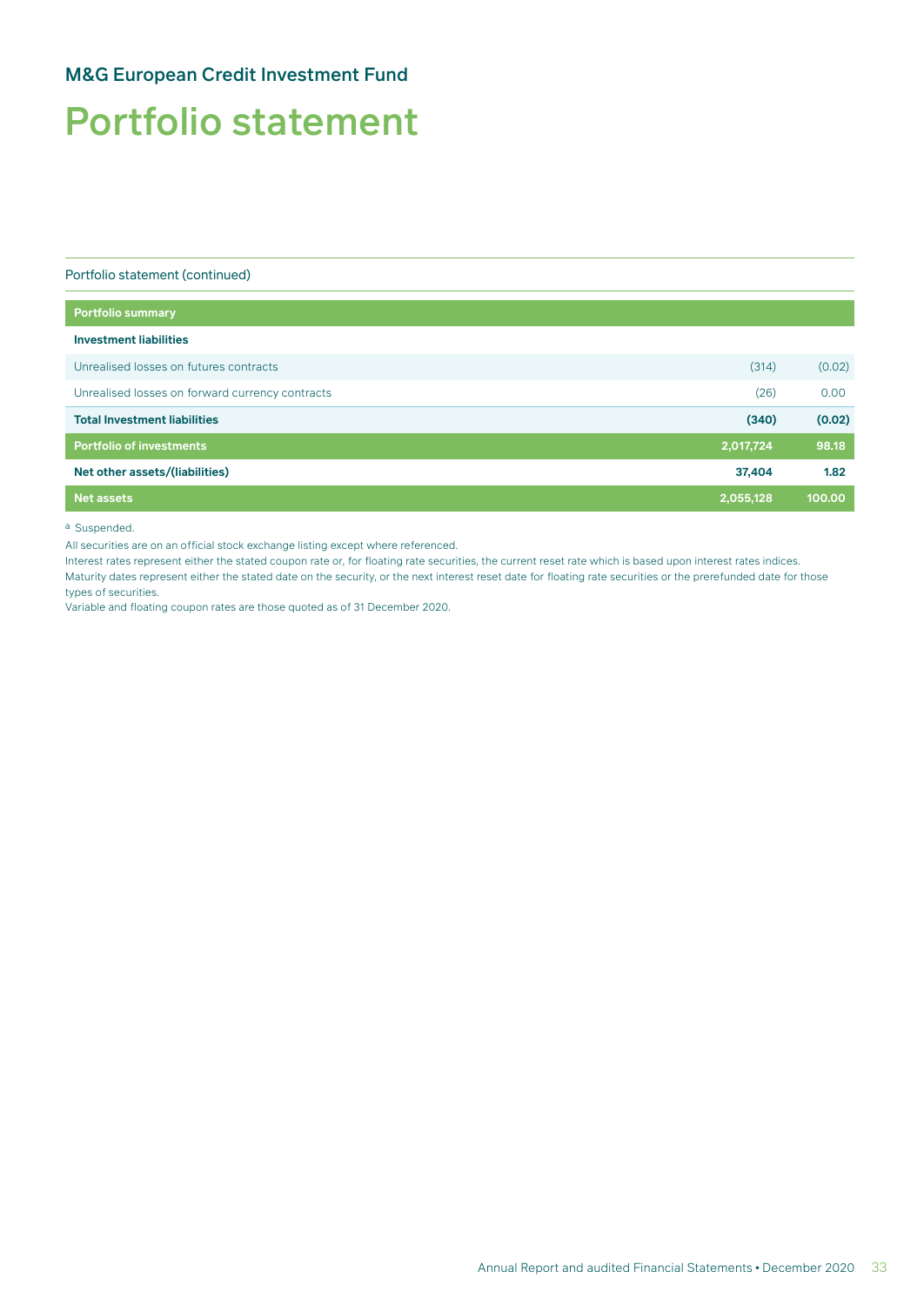# Portfolio statement

Portfolio statement (continued)

| Portfolio summary                               |           |        |
|-------------------------------------------------|-----------|--------|
| <b>Investment liabilities</b>                   |           |        |
| Unrealised losses on futures contracts          | (314)     | (0.02) |
| Unrealised losses on forward currency contracts | (26)      | 0.00   |
| <b>Total Investment liabilities</b>             | (340)     | (0.02) |
| <b>Portfolio of investments</b>                 | 2,017,724 | 98.18  |
| Net other assets/(liabilities)                  | 37,404    | 1.82   |
| <b>Net assets</b>                               | 2,055,128 | 100.00 |

a Suspended.

All securities are on an official stock exchange listing except where referenced.

Interest rates represent either the stated coupon rate or, for floating rate securities, the current reset rate which is based upon interest rates indices.

Maturity dates represent either the stated date on the security, or the next interest reset date for floating rate securities or the prerefunded date for those types of securities.

Variable and floating coupon rates are those quoted as of 31 December 2020.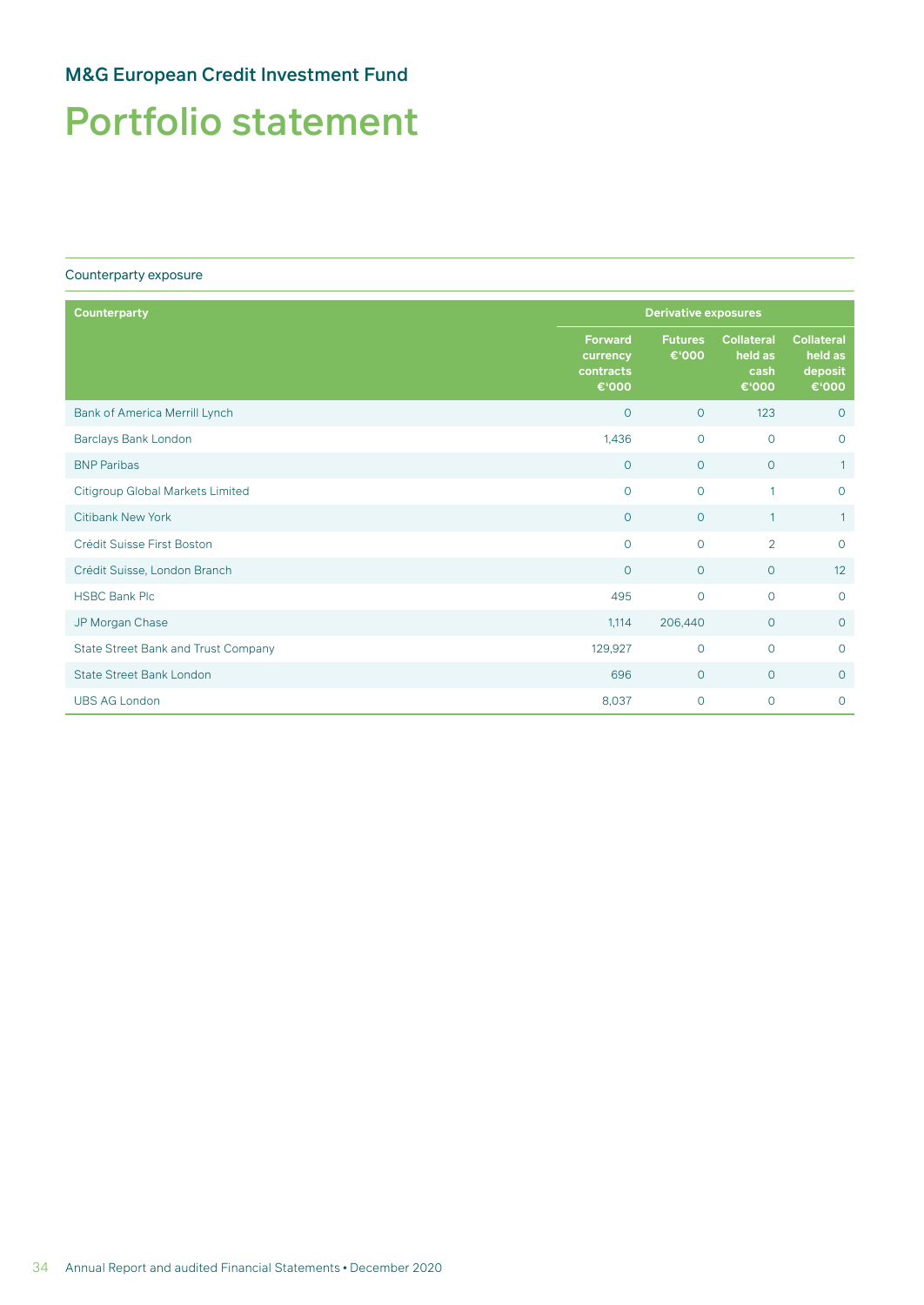# Portfolio statement

#### Counterparty exposure

| <b>Counterparty</b>                        |                                                  |                         | <b>Derivative exposures</b>                   |                                                  |  |  |
|--------------------------------------------|--------------------------------------------------|-------------------------|-----------------------------------------------|--------------------------------------------------|--|--|
|                                            | <b>Forward</b><br>currency<br>contracts<br>€'000 | <b>Futures</b><br>€'000 | <b>Collateral</b><br>held as<br>cash<br>€'000 | <b>Collateral</b><br>held as<br>deposit<br>€'000 |  |  |
| Bank of America Merrill Lynch              | $\overline{0}$                                   | $\circ$                 | 123                                           | $\circ$                                          |  |  |
| Barclays Bank London                       | 1,436                                            | $\mathsf{O}$            | $\circ$                                       | $\circ$                                          |  |  |
| <b>BNP Paribas</b>                         | $\overline{0}$                                   | $\overline{0}$          | $\circ$                                       | $\mathbf{1}$                                     |  |  |
| Citigroup Global Markets Limited           | $\Omega$                                         | $\circ$                 | 1                                             | $\circ$                                          |  |  |
| <b>Citibank New York</b>                   | $\circ$                                          | $\circ$                 | $\mathbf{1}$                                  | $\mathbf{1}$                                     |  |  |
| Crédit Suisse First Boston                 | $\mathbf{O}$                                     | $\overline{O}$          | $\overline{2}$                                | $\circ$                                          |  |  |
| Crédit Suisse, London Branch               | $\overline{0}$                                   | $\circ$                 | $\circ$                                       | 12                                               |  |  |
| <b>HSBC Bank Plc</b>                       | 495                                              | $\circ$                 | $\circ$                                       | $\mathsf{O}$                                     |  |  |
| JP Morgan Chase                            | 1,114                                            | 206,440                 | $\circ$                                       | $\mathbf 0$                                      |  |  |
| <b>State Street Bank and Trust Company</b> | 129,927                                          | $\circ$                 | $\Omega$                                      | $\overline{O}$                                   |  |  |
| <b>State Street Bank London</b>            | 696                                              | $\circ$                 | $\overline{0}$                                | $\circ$                                          |  |  |
| <b>UBS AG London</b>                       | 8,037                                            | $\circ$                 | $\circ$                                       | $\overline{O}$                                   |  |  |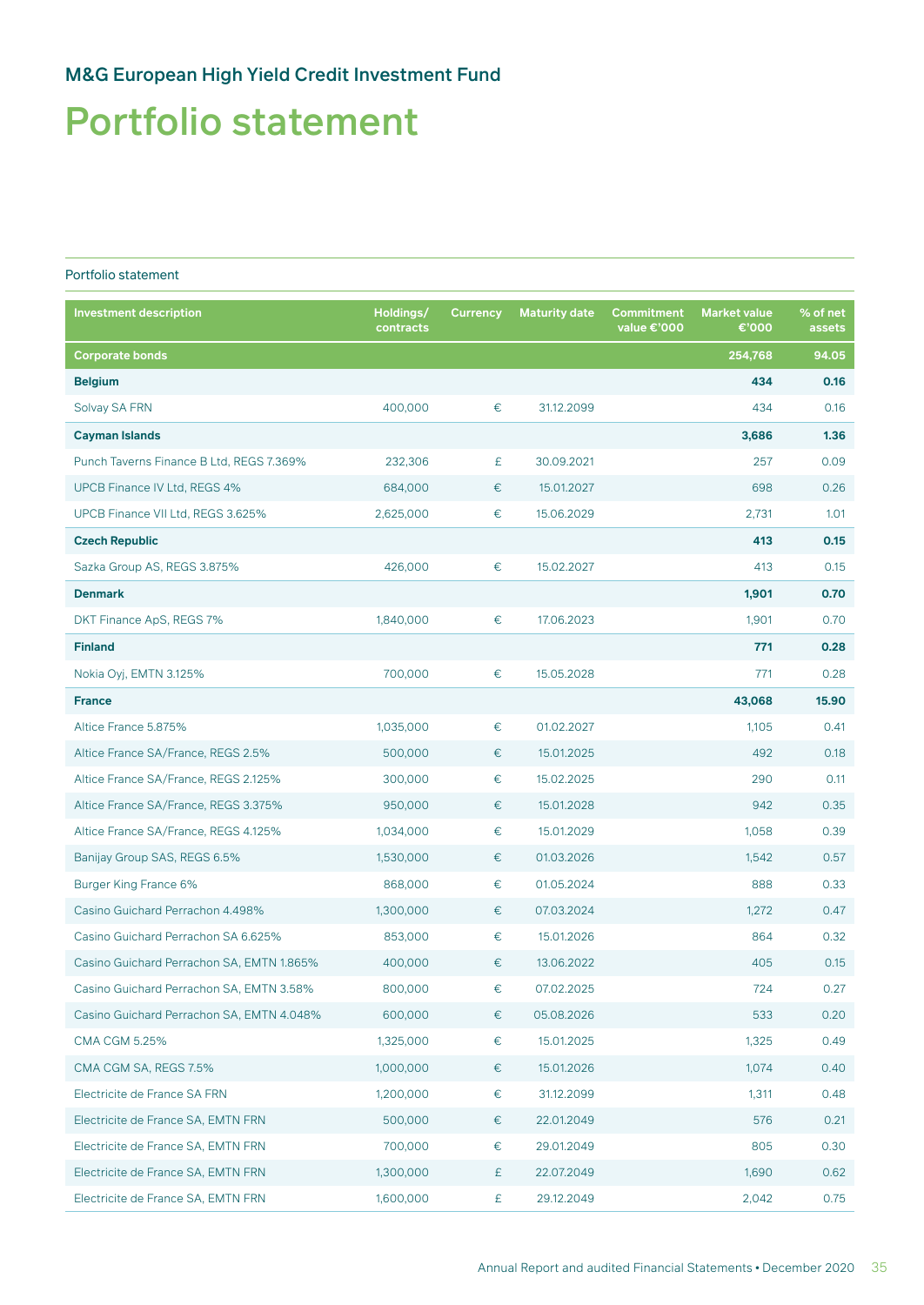## Portfolio statement

### Portfolio statement

| <b>Investment description</b>             | Holdings/<br>contracts | <b>Currency</b> | <b>Maturity date</b> | <b>Commitment</b><br>value €'000 | <b>Market value</b><br>€'000 | % of net<br>assets |
|-------------------------------------------|------------------------|-----------------|----------------------|----------------------------------|------------------------------|--------------------|
| <b>Corporate bonds</b>                    |                        |                 |                      |                                  | 254,768                      | 94.05              |
| <b>Belgium</b>                            |                        |                 |                      |                                  | 434                          | 0.16               |
| Solvay SA FRN                             | 400,000                | €               | 31.12.2099           |                                  | 434                          | 0.16               |
| <b>Cayman Islands</b>                     |                        |                 |                      |                                  | 3,686                        | 1.36               |
| Punch Taverns Finance B Ltd, REGS 7.369%  | 232,306                | £               | 30.09.2021           |                                  | 257                          | 0.09               |
| UPCB Finance IV Ltd, REGS 4%              | 684,000                | €               | 15.01.2027           |                                  | 698                          | 0.26               |
| UPCB Finance VII Ltd, REGS 3.625%         | 2,625,000              | €               | 15.06.2029           |                                  | 2,731                        | 1.01               |
| <b>Czech Republic</b>                     |                        |                 |                      |                                  | 413                          | 0.15               |
| Sazka Group AS, REGS 3.875%               | 426,000                | €               | 15.02.2027           |                                  | 413                          | 0.15               |
| <b>Denmark</b>                            |                        |                 |                      |                                  | 1,901                        | 0.70               |
| DKT Finance ApS, REGS 7%                  | 1,840,000              | €               | 17.06.2023           |                                  | 1,901                        | 0.70               |
| <b>Finland</b>                            |                        |                 |                      |                                  | 771                          | 0.28               |
| Nokia Oyj, EMTN 3.125%                    | 700,000                | €               | 15.05.2028           |                                  | 771                          | 0.28               |
| <b>France</b>                             |                        |                 |                      |                                  | 43,068                       | 15.90              |
| Altice France 5.875%                      | 1,035,000              | €               | 01.02.2027           |                                  | 1,105                        | 0.41               |
| Altice France SA/France, REGS 2.5%        | 500,000                | €               | 15.01.2025           |                                  | 492                          | 0.18               |
| Altice France SA/France, REGS 2.125%      | 300,000                | €               | 15.02.2025           |                                  | 290                          | 0.11               |
| Altice France SA/France, REGS 3.375%      | 950,000                | €               | 15.01.2028           |                                  | 942                          | 0.35               |
| Altice France SA/France, REGS 4.125%      | 1,034,000              | €               | 15.01.2029           |                                  | 1,058                        | 0.39               |
| Banijay Group SAS, REGS 6.5%              | 1,530,000              | €               | 01.03.2026           |                                  | 1,542                        | 0.57               |
| Burger King France 6%                     | 868,000                | €               | 01.05.2024           |                                  | 888                          | 0.33               |
| Casino Guichard Perrachon 4.498%          | 1,300,000              | €               | 07.03.2024           |                                  | 1,272                        | 0.47               |
| Casino Guichard Perrachon SA 6.625%       | 853,000                | €               | 15.01.2026           |                                  | 864                          | 0.32               |
| Casino Guichard Perrachon SA, EMTN 1.865% | 400,000                | €               | 13.06.2022           |                                  | 405                          | 0.15               |
| Casino Guichard Perrachon SA, EMTN 3.58%  | 800,000                | €               | 07.02.2025           |                                  | 724                          | 0.27               |
| Casino Guichard Perrachon SA, EMTN 4.048% | 600,000                | €               | 05.08.2026           |                                  | 533                          | 0.20               |
| <b>CMA CGM 5.25%</b>                      | 1,325,000              | €               | 15.01.2025           |                                  | 1,325                        | 0.49               |
| CMA CGM SA, REGS 7.5%                     | 1,000,000              | €               | 15.01.2026           |                                  | 1,074                        | 0.40               |
| Electricite de France SA FRN              | 1,200,000              | €               | 31.12.2099           |                                  | 1,311                        | 0.48               |
| Electricite de France SA, EMTN FRN        | 500,000                | €               | 22.01.2049           |                                  | 576                          | 0.21               |
| Electricite de France SA, EMTN FRN        | 700,000                | €               | 29.01.2049           |                                  | 805                          | 0.30               |
| Electricite de France SA, EMTN FRN        | 1,300,000              | £               | 22.07.2049           |                                  | 1,690                        | 0.62               |
| Electricite de France SA, EMTN FRN        | 1,600,000              | £               | 29.12.2049           |                                  | 2,042                        | 0.75               |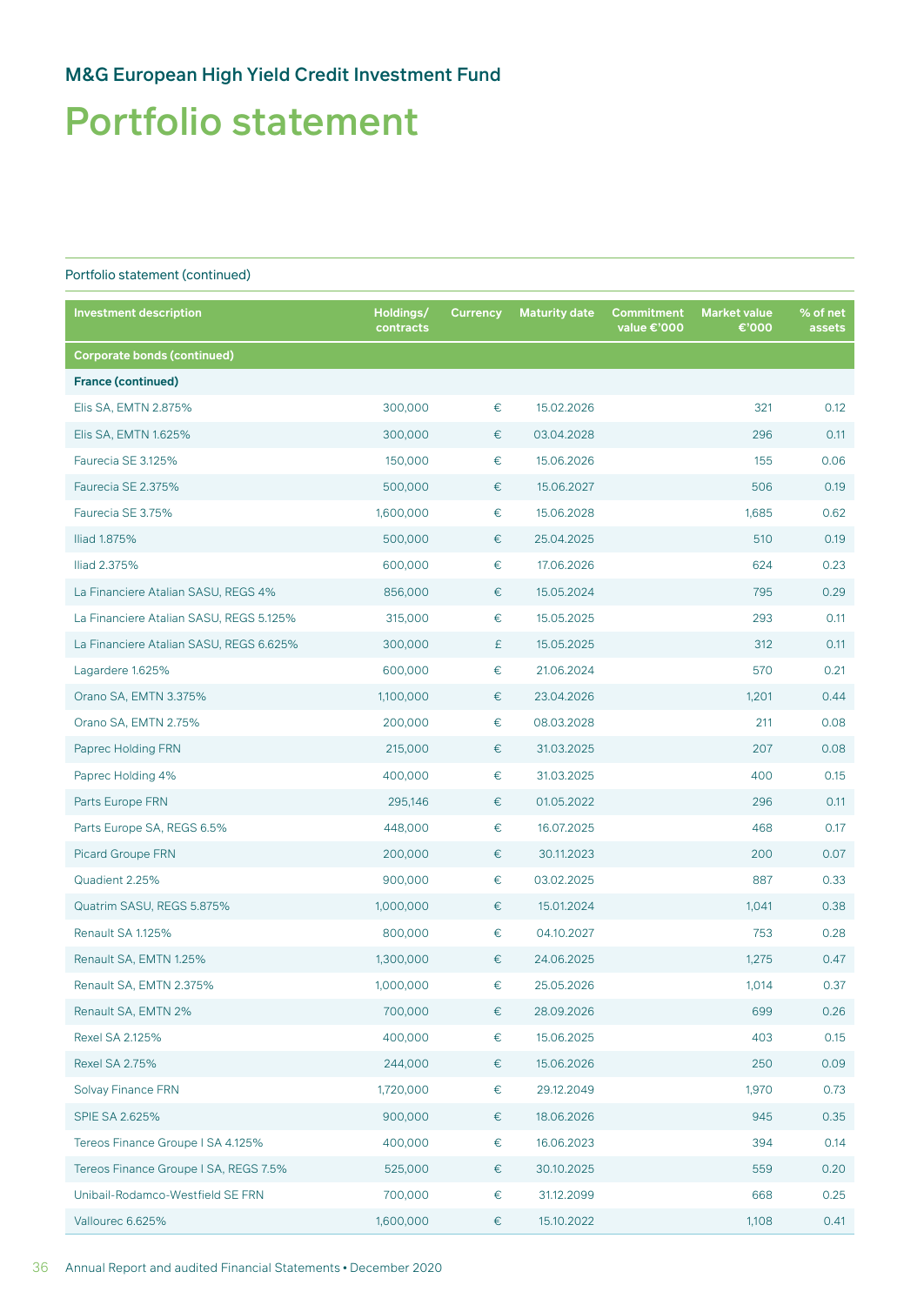## Portfolio statement

| <b>Investment description</b>           | Holdings/<br>contracts | <b>Currency</b> | <b>Maturity date</b> | <b>Commitment</b><br>value €'000 | <b>Market value</b><br>€'000 | % of net<br>assets |
|-----------------------------------------|------------------------|-----------------|----------------------|----------------------------------|------------------------------|--------------------|
| <b>Corporate bonds (continued)</b>      |                        |                 |                      |                                  |                              |                    |
| <b>France (continued)</b>               |                        |                 |                      |                                  |                              |                    |
| Elis SA, EMTN 2.875%                    | 300,000                | $\in$           | 15.02.2026           |                                  | 321                          | 0.12               |
| Elis SA, EMTN 1.625%                    | 300,000                | €               | 03.04.2028           |                                  | 296                          | 0.11               |
| Faurecia SE 3.125%                      | 150,000                | €               | 15.06.2026           |                                  | 155                          | 0.06               |
| Faurecia SE 2.375%                      | 500,000                | €               | 15.06.2027           |                                  | 506                          | 0.19               |
| Faurecia SE 3.75%                       | 1,600,000              | $\in$           | 15.06.2028           |                                  | 1,685                        | 0.62               |
| Iliad 1.875%                            | 500,000                | €               | 25.04.2025           |                                  | 510                          | 0.19               |
| Iliad 2.375%                            | 600,000                | $\in$           | 17.06.2026           |                                  | 624                          | 0.23               |
| La Financiere Atalian SASU, REGS 4%     | 856,000                | €               | 15.05.2024           |                                  | 795                          | 0.29               |
| La Financiere Atalian SASU, REGS 5.125% | 315,000                | €               | 15.05.2025           |                                  | 293                          | 0.11               |
| La Financiere Atalian SASU, REGS 6.625% | 300,000                | £               | 15.05.2025           |                                  | 312                          | 0.11               |
| Lagardere 1.625%                        | 600,000                | $\in$           | 21.06.2024           |                                  | 570                          | 0.21               |
| Orano SA, EMTN 3.375%                   | 1,100,000              | €               | 23.04.2026           |                                  | 1,201                        | 0.44               |
| Orano SA, EMTN 2.75%                    | 200,000                | $\in$           | 08.03.2028           |                                  | 211                          | 0.08               |
| Paprec Holding FRN                      | 215,000                | €               | 31.03.2025           |                                  | 207                          | 0.08               |
| Paprec Holding 4%                       | 400,000                | €               | 31.03.2025           |                                  | 400                          | 0.15               |
| Parts Europe FRN                        | 295,146                | €               | 01.05.2022           |                                  | 296                          | 0.11               |
| Parts Europe SA, REGS 6.5%              | 448,000                | €               | 16.07.2025           |                                  | 468                          | 0.17               |
| <b>Picard Groupe FRN</b>                | 200,000                | €               | 30.11.2023           |                                  | 200                          | 0.07               |
| Quadient 2.25%                          | 900,000                | $\in$           | 03.02.2025           |                                  | 887                          | 0.33               |
| Quatrim SASU, REGS 5.875%               | 1,000,000              | €               | 15.01.2024           |                                  | 1,041                        | 0.38               |
| Renault SA 1.125%                       | 800,000                | €               | 04.10.2027           |                                  | 753                          | 0.28               |
| Renault SA, EMTN 1.25%                  | 1,300,000              | €               | 24.06.2025           |                                  | 1,275                        | 0.47               |
| Renault SA, EMTN 2.375%                 | 1,000,000              | €               | 25.05.2026           |                                  | 1,014                        | 0.37               |
| Renault SA, EMTN 2%                     | 700,000                | €               | 28.09.2026           |                                  | 699                          | 0.26               |
| Rexel SA 2.125%                         | 400,000                | €               | 15.06.2025           |                                  | 403                          | 0.15               |
| <b>Rexel SA 2.75%</b>                   | 244,000                | €               | 15.06.2026           |                                  | 250                          | 0.09               |
| <b>Solvay Finance FRN</b>               | 1,720,000              | €               | 29.12.2049           |                                  | 1,970                        | 0.73               |
| <b>SPIE SA 2.625%</b>                   | 900,000                | €               | 18.06.2026           |                                  | 945                          | 0.35               |
| Tereos Finance Groupe I SA 4.125%       | 400,000                | $\in$           | 16.06.2023           |                                  | 394                          | 0.14               |
| Tereos Finance Groupe I SA, REGS 7.5%   | 525,000                | €               | 30.10.2025           |                                  | 559                          | 0.20               |
| Unibail-Rodamco-Westfield SE FRN        | 700,000                | €               | 31.12.2099           |                                  | 668                          | 0.25               |
| Vallourec 6.625%                        | 1,600,000              | €               | 15.10.2022           |                                  | 1,108                        | 0.41               |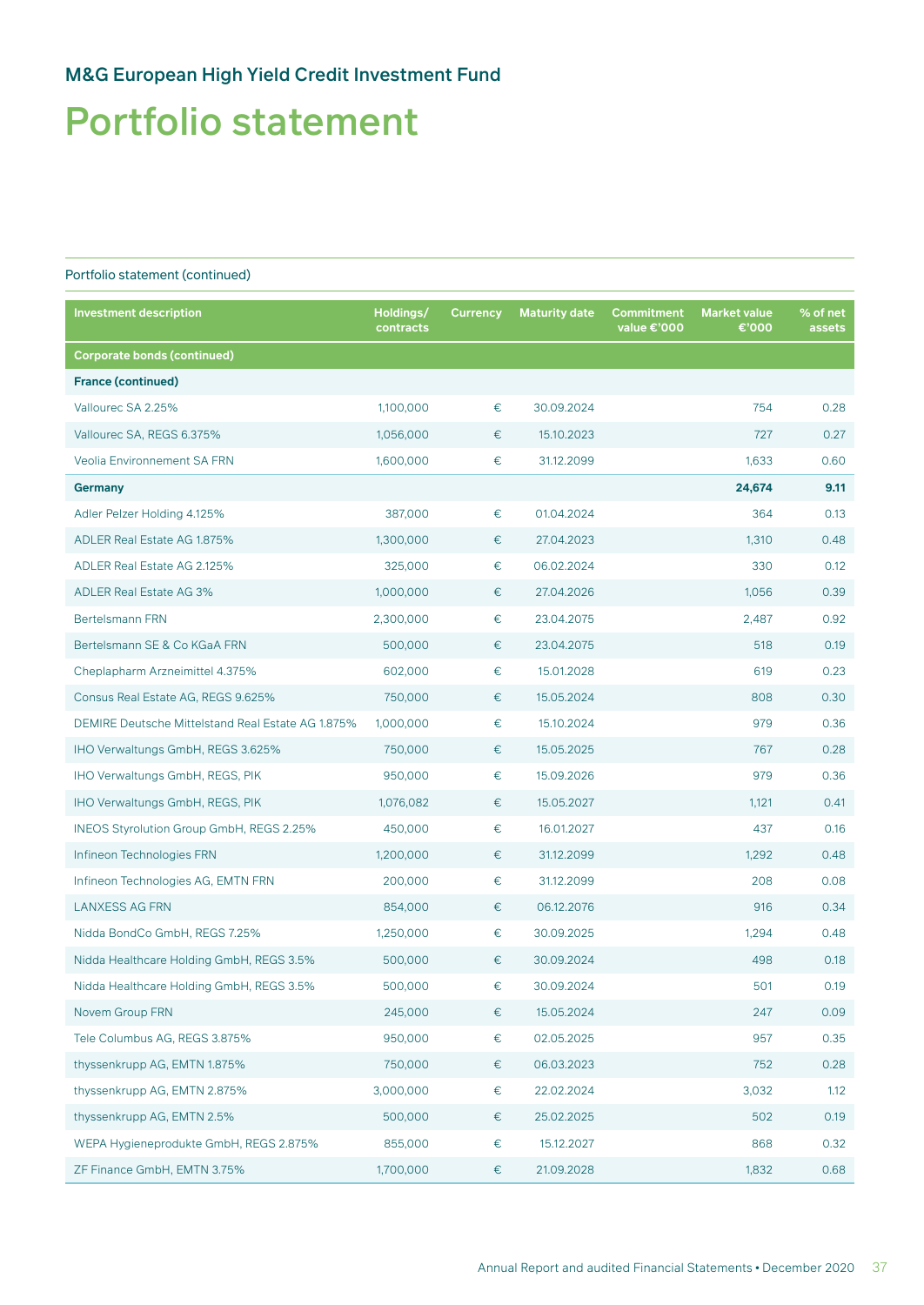## Portfolio statement

| <b>Investment description</b>                     | Holdings/<br>contracts | <b>Currency</b> | <b>Maturity date</b> | <b>Commitment</b><br>value €'000 | <b>Market value</b><br>€'000 | % of net<br>assets |
|---------------------------------------------------|------------------------|-----------------|----------------------|----------------------------------|------------------------------|--------------------|
| <b>Corporate bonds (continued)</b>                |                        |                 |                      |                                  |                              |                    |
| <b>France (continued)</b>                         |                        |                 |                      |                                  |                              |                    |
| Vallourec SA 2.25%                                | 1,100,000              | $\in$           | 30.09.2024           |                                  | 754                          | 0.28               |
| Vallourec SA, REGS 6.375%                         | 1,056,000              | €               | 15.10.2023           |                                  | 727                          | 0.27               |
| <b>Veolia Environnement SA FRN</b>                | 1,600,000              | €               | 31.12.2099           |                                  | 1,633                        | 0.60               |
| <b>Germany</b>                                    |                        |                 |                      |                                  | 24,674                       | 9.11               |
| Adler Pelzer Holding 4.125%                       | 387,000                | €               | 01.04.2024           |                                  | 364                          | 0.13               |
| ADLER Real Estate AG 1.875%                       | 1,300,000              | €               | 27.04.2023           |                                  | 1,310                        | 0.48               |
| ADLER Real Estate AG 2.125%                       | 325,000                | €               | 06.02.2024           |                                  | 330                          | 0.12               |
| <b>ADLER Real Estate AG 3%</b>                    | 1,000,000              | €               | 27.04.2026           |                                  | 1,056                        | 0.39               |
| <b>Bertelsmann FRN</b>                            | 2,300,000              | $\in$           | 23.04.2075           |                                  | 2,487                        | 0.92               |
| Bertelsmann SE & Co KGaA FRN                      | 500,000                | €               | 23.04.2075           |                                  | 518                          | 0.19               |
| Cheplapharm Arzneimittel 4.375%                   | 602,000                | €               | 15.01.2028           |                                  | 619                          | 0.23               |
| Consus Real Estate AG, REGS 9.625%                | 750,000                | €               | 15.05.2024           |                                  | 808                          | 0.30               |
| DEMIRE Deutsche Mittelstand Real Estate AG 1.875% | 1,000,000              | $\in$           | 15.10.2024           |                                  | 979                          | 0.36               |
| IHO Verwaltungs GmbH, REGS 3.625%                 | 750,000                | €               | 15.05.2025           |                                  | 767                          | 0.28               |
| IHO Verwaltungs GmbH, REGS, PIK                   | 950,000                | $\in$           | 15.09.2026           |                                  | 979                          | 0.36               |
| IHO Verwaltungs GmbH, REGS, PIK                   | 1,076,082              | €               | 15.05.2027           |                                  | 1,121                        | 0.41               |
| <b>INEOS Styrolution Group GmbH, REGS 2.25%</b>   | 450,000                | €               | 16.01.2027           |                                  | 437                          | 0.16               |
| Infineon Technologies FRN                         | 1,200,000              | €               | 31.12.2099           |                                  | 1,292                        | 0.48               |
| Infineon Technologies AG, EMTN FRN                | 200,000                | €               | 31.12.2099           |                                  | 208                          | 0.08               |
| <b>LANXESS AG FRN</b>                             | 854,000                | €               | 06.12.2076           |                                  | 916                          | 0.34               |
| Nidda BondCo GmbH, REGS 7.25%                     | 1,250,000              | €               | 30.09.2025           |                                  | 1,294                        | 0.48               |
| Nidda Healthcare Holding GmbH, REGS 3.5%          | 500,000                | €               | 30.09.2024           |                                  | 498                          | 0.18               |
| Nidda Healthcare Holding GmbH, REGS 3.5%          | 500,000                | €               | 30.09.2024           |                                  | 501                          | 0.19               |
| Novem Group FRN                                   | 245,000                | $\in$           | 15.05.2024           |                                  | 247                          | 0.09               |
| Tele Columbus AG, REGS 3.875%                     | 950,000                | €               | 02.05.2025           |                                  | 957                          | 0.35               |
| thyssenkrupp AG, EMTN 1.875%                      | 750,000                | €               | 06.03.2023           |                                  | 752                          | 0.28               |
| thyssenkrupp AG, EMTN 2.875%                      | 3,000,000              | €               | 22.02.2024           |                                  | 3,032                        | 1.12               |
| thyssenkrupp AG, EMTN 2.5%                        | 500,000                | €               | 25.02.2025           |                                  | 502                          | 0.19               |
| WEPA Hygieneprodukte GmbH, REGS 2.875%            | 855,000                | €               | 15.12.2027           |                                  | 868                          | 0.32               |
| ZF Finance GmbH, EMTN 3.75%                       | 1,700,000              | $\in$           | 21.09.2028           |                                  | 1,832                        | 0.68               |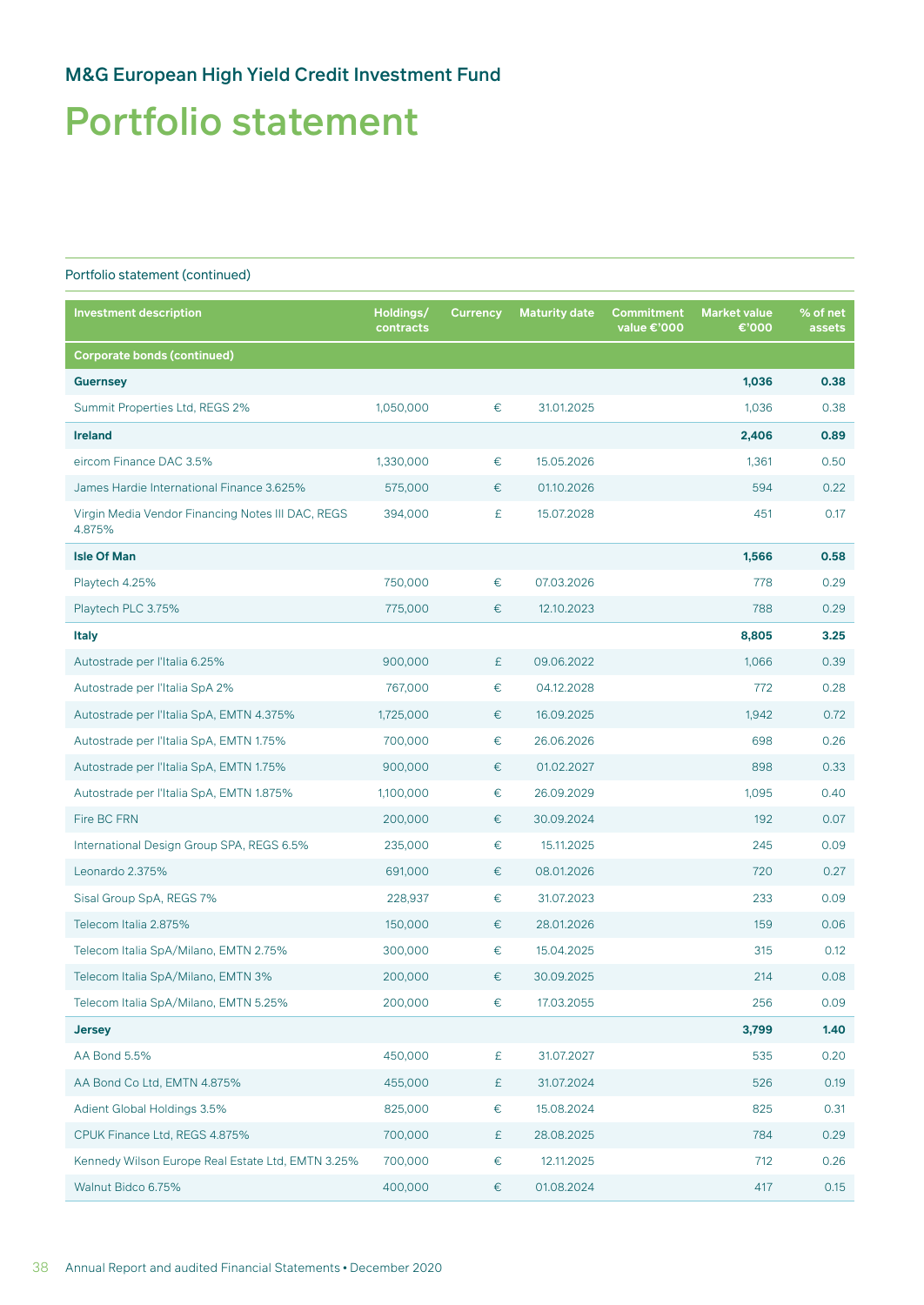## Portfolio statement

| <b>Investment description</b>                               | Holdings/<br>contracts | <b>Currency</b> | <b>Maturity date</b> | <b>Commitment</b><br>value €'000 | <b>Market value</b><br>€'000 | % of net<br>assets |
|-------------------------------------------------------------|------------------------|-----------------|----------------------|----------------------------------|------------------------------|--------------------|
| <b>Corporate bonds (continued)</b>                          |                        |                 |                      |                                  |                              |                    |
| <b>Guernsey</b>                                             |                        |                 |                      |                                  | 1,036                        | 0.38               |
| Summit Properties Ltd, REGS 2%                              | 1,050,000              | €               | 31.01.2025           |                                  | 1,036                        | 0.38               |
| <b>Ireland</b>                                              |                        |                 |                      |                                  | 2,406                        | 0.89               |
| eircom Finance DAC 3.5%                                     | 1,330,000              | €               | 15.05.2026           |                                  | 1,361                        | 0.50               |
| James Hardie International Finance 3.625%                   | 575,000                | €               | 01.10.2026           |                                  | 594                          | 0.22               |
| Virgin Media Vendor Financing Notes III DAC, REGS<br>4.875% | 394,000                | £               | 15.07.2028           |                                  | 451                          | 0.17               |
| <b>Isle Of Man</b>                                          |                        |                 |                      |                                  | 1,566                        | 0.58               |
| Playtech 4.25%                                              | 750,000                | €               | 07.03.2026           |                                  | 778                          | 0.29               |
| Playtech PLC 3.75%                                          | 775,000                | €               | 12.10.2023           |                                  | 788                          | 0.29               |
| <b>Italy</b>                                                |                        |                 |                      |                                  | 8,805                        | 3.25               |
| Autostrade per l'Italia 6.25%                               | 900,000                | £               | 09.06.2022           |                                  | 1,066                        | 0.39               |
| Autostrade per l'Italia SpA 2%                              | 767,000                | €               | 04.12.2028           |                                  | 772                          | 0.28               |
| Autostrade per l'Italia SpA, EMTN 4.375%                    | 1,725,000              | €               | 16.09.2025           |                                  | 1,942                        | 0.72               |
| Autostrade per l'Italia SpA, EMTN 1.75%                     | 700,000                | €               | 26.06.2026           |                                  | 698                          | 0.26               |
| Autostrade per l'Italia SpA, EMTN 1.75%                     | 900,000                | €               | 01.02.2027           |                                  | 898                          | 0.33               |
| Autostrade per l'Italia SpA, EMTN 1.875%                    | 1,100,000              | €               | 26.09.2029           |                                  | 1,095                        | 0.40               |
| Fire BC FRN                                                 | 200,000                | €               | 30.09.2024           |                                  | 192                          | 0.07               |
| International Design Group SPA, REGS 6.5%                   | 235,000                | €               | 15.11.2025           |                                  | 245                          | 0.09               |
| Leonardo 2.375%                                             | 691,000                | €               | 08.01.2026           |                                  | 720                          | 0.27               |
| Sisal Group SpA, REGS 7%                                    | 228,937                | €               | 31.07.2023           |                                  | 233                          | 0.09               |
| Telecom Italia 2.875%                                       | 150,000                | €               | 28.01.2026           |                                  | 159                          | 0.06               |
| Telecom Italia SpA/Milano, EMTN 2.75%                       | 300,000                | €               | 15.04.2025           |                                  | 315                          | 0.12               |
| Telecom Italia SpA/Milano, EMTN 3%                          | 200,000                | €               | 30.09.2025           |                                  | 214                          | 0.08               |
| Telecom Italia SpA/Milano, EMTN 5.25%                       | 200,000                | €               | 17.03.2055           |                                  | 256                          | 0.09               |
| <b>Jersey</b>                                               |                        |                 |                      |                                  | 3,799                        | 1.40               |
| AA Bond 5.5%                                                | 450,000                | £               | 31.07.2027           |                                  | 535                          | 0.20               |
| AA Bond Co Ltd, EMTN 4.875%                                 | 455,000                | £               | 31.07.2024           |                                  | 526                          | 0.19               |
| Adient Global Holdings 3.5%                                 | 825,000                | €               | 15.08.2024           |                                  | 825                          | 0.31               |
| CPUK Finance Ltd, REGS 4.875%                               | 700,000                | £               | 28.08.2025           |                                  | 784                          | 0.29               |
| Kennedy Wilson Europe Real Estate Ltd, EMTN 3.25%           | 700,000                | €               | 12.11.2025           |                                  | 712                          | 0.26               |
| Walnut Bidco 6.75%                                          | 400,000                | $\varepsilon$   | 01.08.2024           |                                  | 417                          | 0.15               |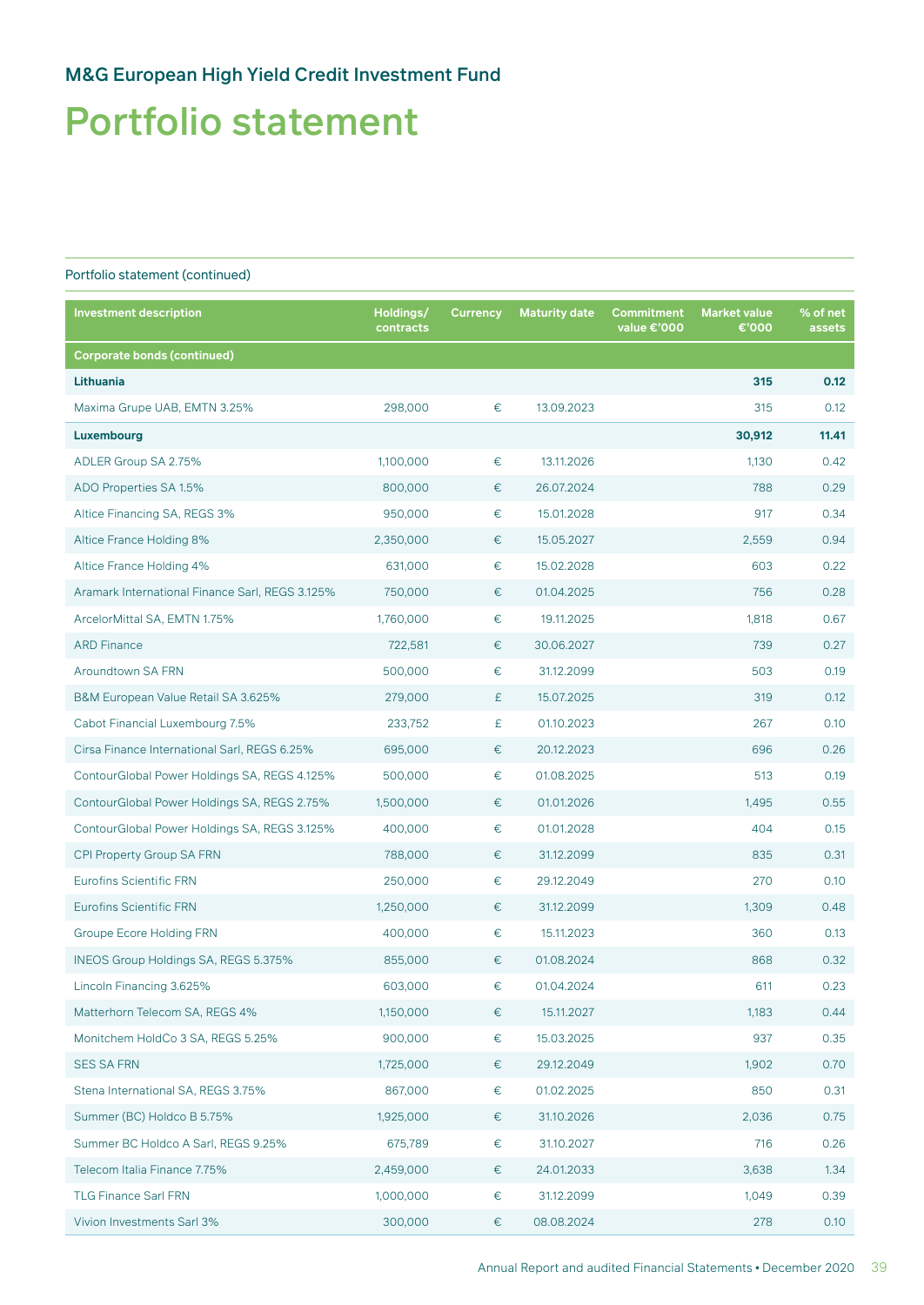## Portfolio statement

| <b>Investment description</b>                   | Holdings/<br>contracts | <b>Currency</b> | <b>Maturity date</b> | <b>Commitment</b><br>value €'000 | <b>Market value</b><br>€'000 | % of net<br>assets |
|-------------------------------------------------|------------------------|-----------------|----------------------|----------------------------------|------------------------------|--------------------|
| <b>Corporate bonds (continued)</b>              |                        |                 |                      |                                  |                              |                    |
| <b>Lithuania</b>                                |                        |                 |                      |                                  | 315                          | 0.12               |
| Maxima Grupe UAB, EMTN 3.25%                    | 298,000                | €               | 13.09.2023           |                                  | 315                          | 0.12               |
| Luxembourg                                      |                        |                 |                      |                                  | 30,912                       | 11.41              |
| ADLER Group SA 2.75%                            | 1,100,000              | $\in$           | 13.11.2026           |                                  | 1,130                        | 0.42               |
| ADO Properties SA 1.5%                          | 800,000                | €               | 26.07.2024           |                                  | 788                          | 0.29               |
| Altice Financing SA, REGS 3%                    | 950,000                | €               | 15.01.2028           |                                  | 917                          | 0.34               |
| Altice France Holding 8%                        | 2,350,000              | $\in$           | 15.05.2027           |                                  | 2,559                        | 0.94               |
| Altice France Holding 4%                        | 631,000                | $\in$           | 15.02.2028           |                                  | 603                          | 0.22               |
| Aramark International Finance Sarl, REGS 3.125% | 750,000                | €               | 01.04.2025           |                                  | 756                          | 0.28               |
| ArcelorMittal SA, EMTN 1.75%                    | 1,760,000              | €               | 19.11.2025           |                                  | 1,818                        | 0.67               |
| <b>ARD Finance</b>                              | 722,581                | €               | 30.06.2027           |                                  | 739                          | 0.27               |
| Aroundtown SA FRN                               | 500,000                | €               | 31.12.2099           |                                  | 503                          | 0.19               |
| B&M European Value Retail SA 3.625%             | 279,000                | £               | 15.07.2025           |                                  | 319                          | 0.12               |
| Cabot Financial Luxembourg 7.5%                 | 233,752                | £               | 01.10.2023           |                                  | 267                          | 0.10               |
| Cirsa Finance International Sarl, REGS 6.25%    | 695,000                | €               | 20.12.2023           |                                  | 696                          | 0.26               |
| ContourGlobal Power Holdings SA, REGS 4.125%    | 500,000                | €               | 01.08.2025           |                                  | 513                          | 0.19               |
| ContourGlobal Power Holdings SA, REGS 2.75%     | 1,500,000              | €               | 01.01.2026           |                                  | 1,495                        | 0.55               |
| ContourGlobal Power Holdings SA, REGS 3.125%    | 400,000                | €               | 01.01.2028           |                                  | 404                          | 0.15               |
| CPI Property Group SA FRN                       | 788,000                | €               | 31.12.2099           |                                  | 835                          | 0.31               |
| <b>Eurofins Scientific FRN</b>                  | 250,000                | $\in$           | 29.12.2049           |                                  | 270                          | 0.10               |
| <b>Eurofins Scientific FRN</b>                  | 1,250,000              | €               | 31.12.2099           |                                  | 1,309                        | 0.48               |
| <b>Groupe Ecore Holding FRN</b>                 | 400,000                | €               | 15.11.2023           |                                  | 360                          | 0.13               |
| INEOS Group Holdings SA, REGS 5.375%            | 855,000                | €               | 01.08.2024           |                                  | 868                          | 0.32               |
| Lincoln Financing 3.625%                        | 603,000                | €               | 01.04.2024           |                                  | 611                          | 0.23               |
| Matterhorn Telecom SA, REGS 4%                  | 1,150,000              | €               | 15.11.2027           |                                  | 1,183                        | 0.44               |
| Monitchem HoldCo 3 SA, REGS 5.25%               | 900,000                | $\in$           | 15.03.2025           |                                  | 937                          | 0.35               |
| <b>SES SA FRN</b>                               | 1,725,000              | €               | 29.12.2049           |                                  | 1,902                        | 0.70               |
| Stena International SA, REGS 3.75%              | 867,000                | €               | 01.02.2025           |                                  | 850                          | 0.31               |
| Summer (BC) Holdco B 5.75%                      | 1,925,000              | €               | 31.10.2026           |                                  | 2,036                        | 0.75               |
| Summer BC Holdco A Sarl, REGS 9.25%             | 675,789                | $\in$           | 31.10.2027           |                                  | 716                          | 0.26               |
| Telecom Italia Finance 7.75%                    | 2,459,000              | €               | 24.01.2033           |                                  | 3,638                        | 1.34               |
| <b>TLG Finance Sarl FRN</b>                     | 1,000,000              | €               | 31.12.2099           |                                  | 1,049                        | 0.39               |
| Vivion Investments Sarl 3%                      | 300,000                | €               | 08.08.2024           |                                  | 278                          | 0.10               |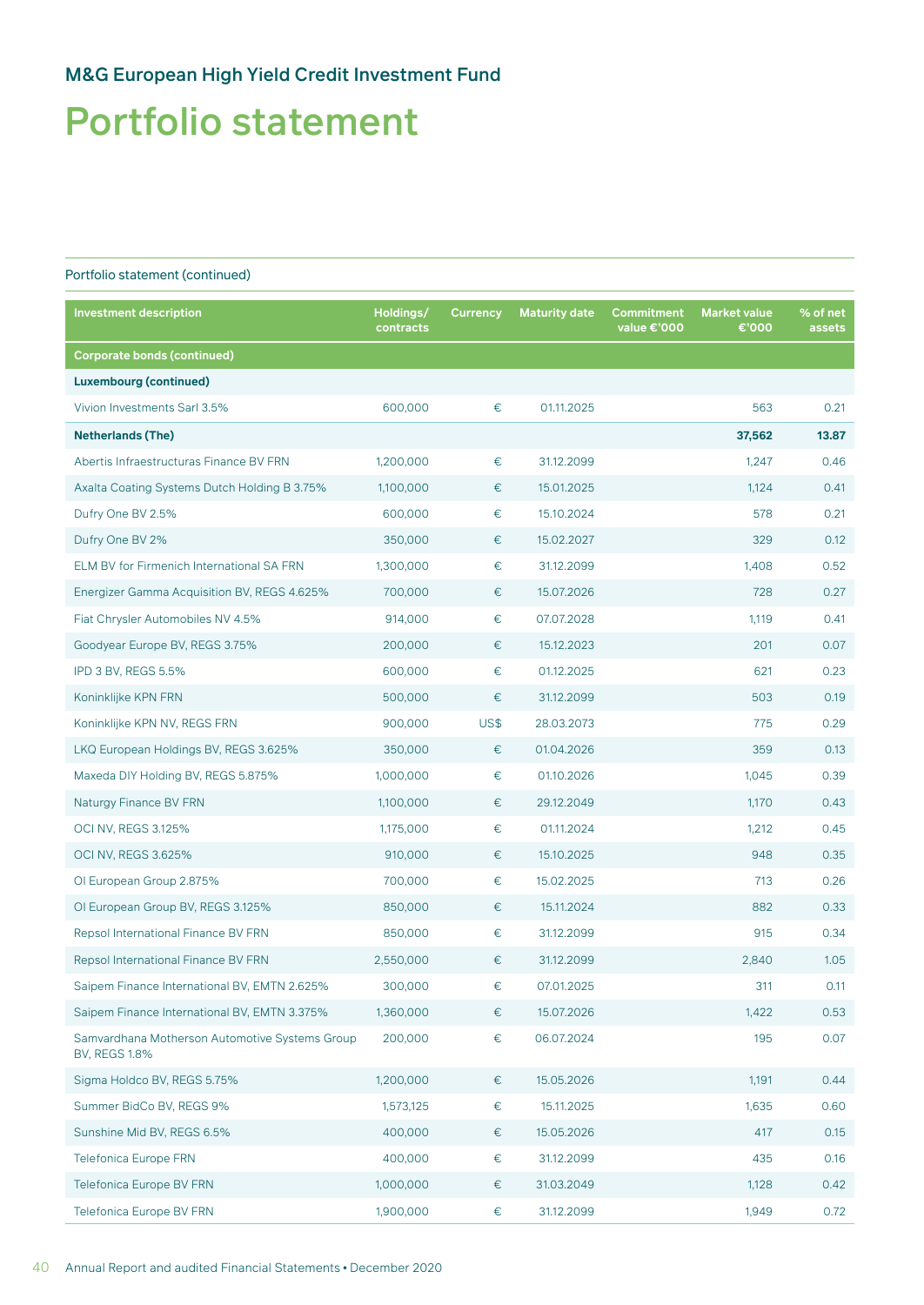## Portfolio statement

| <b>Investment description</b>                                          | Holdings/<br>contracts | <b>Currency</b> | <b>Maturity date</b> | <b>Commitment</b><br>value €'000 | <b>Market value</b><br>€'000 | % of net<br>assets |
|------------------------------------------------------------------------|------------------------|-----------------|----------------------|----------------------------------|------------------------------|--------------------|
| <b>Corporate bonds (continued)</b>                                     |                        |                 |                      |                                  |                              |                    |
| <b>Luxembourg (continued)</b>                                          |                        |                 |                      |                                  |                              |                    |
| Vivion Investments Sarl 3.5%                                           | 600,000                | $\in$           | 01.11.2025           |                                  | 563                          | 0.21               |
| <b>Netherlands (The)</b>                                               |                        |                 |                      |                                  | 37,562                       | 13.87              |
| Abertis Infraestructuras Finance BV FRN                                | 1,200,000              | $\in$           | 31.12.2099           |                                  | 1,247                        | 0.46               |
| Axalta Coating Systems Dutch Holding B 3.75%                           | 1,100,000              | €               | 15.01.2025           |                                  | 1,124                        | 0.41               |
| Dufry One BV 2.5%                                                      | 600,000                | €               | 15.10.2024           |                                  | 578                          | 0.21               |
| Dufry One BV 2%                                                        | 350,000                | €               | 15.02.2027           |                                  | 329                          | 0.12               |
| ELM BV for Firmenich International SA FRN                              | 1,300,000              | $\in$           | 31.12.2099           |                                  | 1,408                        | 0.52               |
| Energizer Gamma Acquisition BV, REGS 4.625%                            | 700,000                | €               | 15.07.2026           |                                  | 728                          | 0.27               |
| Fiat Chrysler Automobiles NV 4.5%                                      | 914,000                | $\in$           | 07.07.2028           |                                  | 1,119                        | 0.41               |
| Goodyear Europe BV, REGS 3.75%                                         | 200,000                | €               | 15.12.2023           |                                  | 201                          | 0.07               |
| IPD 3 BV, REGS 5.5%                                                    | 600,000                | $\in$           | 01.12.2025           |                                  | 621                          | 0.23               |
| Koninklijke KPN FRN                                                    | 500,000                | $\in$           | 31.12.2099           |                                  | 503                          | 0.19               |
| Koninklijke KPN NV, REGS FRN                                           | 900,000                | US\$            | 28.03.2073           |                                  | 775                          | 0.29               |
| LKQ European Holdings BV, REGS 3.625%                                  | 350,000                | €               | 01.04.2026           |                                  | 359                          | 0.13               |
| Maxeda DIY Holding BV, REGS 5.875%                                     | 1,000,000              | $\in$           | 01.10.2026           |                                  | 1,045                        | 0.39               |
| Naturgy Finance BV FRN                                                 | 1,100,000              | €               | 29.12.2049           |                                  | 1,170                        | 0.43               |
| <b>OCI NV, REGS 3.125%</b>                                             | 1,175,000              | €               | 01.11.2024           |                                  | 1,212                        | 0.45               |
| <b>OCI NV, REGS 3.625%</b>                                             | 910,000                | $\in$           | 15.10.2025           |                                  | 948                          | 0.35               |
| OI European Group 2.875%                                               | 700,000                | €               | 15.02.2025           |                                  | 713                          | 0.26               |
| OI European Group BV, REGS 3.125%                                      | 850,000                | €               | 15.11.2024           |                                  | 882                          | 0.33               |
| Repsol International Finance BV FRN                                    | 850,000                | €               | 31.12.2099           |                                  | 915                          | 0.34               |
| Repsol International Finance BV FRN                                    | 2,550,000              | €               | 31.12.2099           |                                  | 2,840                        | 1.05               |
| Saipem Finance International BV, EMTN 2.625%                           | 300,000                | €               | 07.01.2025           |                                  | 311                          | 0.11               |
| Saipem Finance International BV, EMTN 3.375%                           | 1,360,000              | $\in$           | 15.07.2026           |                                  | 1,422                        | 0.53               |
| Samvardhana Motherson Automotive Systems Group<br><b>BV, REGS 1.8%</b> | 200,000                | $\in$           | 06.07.2024           |                                  | 195                          | 0.07               |
| Sigma Holdco BV, REGS 5.75%                                            | 1,200,000              | €               | 15.05.2026           |                                  | 1,191                        | 0.44               |
| Summer BidCo BV, REGS 9%                                               | 1,573,125              | €               | 15.11.2025           |                                  | 1,635                        | 0.60               |
| Sunshine Mid BV, REGS 6.5%                                             | 400,000                | €               | 15.05.2026           |                                  | 417                          | 0.15               |
| <b>Telefonica Europe FRN</b>                                           | 400,000                | $\in$           | 31.12.2099           |                                  | 435                          | 0.16               |
| <b>Telefonica Europe BV FRN</b>                                        | 1,000,000              | €               | 31.03.2049           |                                  | 1,128                        | 0.42               |
| Telefonica Europe BV FRN                                               | 1,900,000              | €               | 31.12.2099           |                                  | 1,949                        | 0.72               |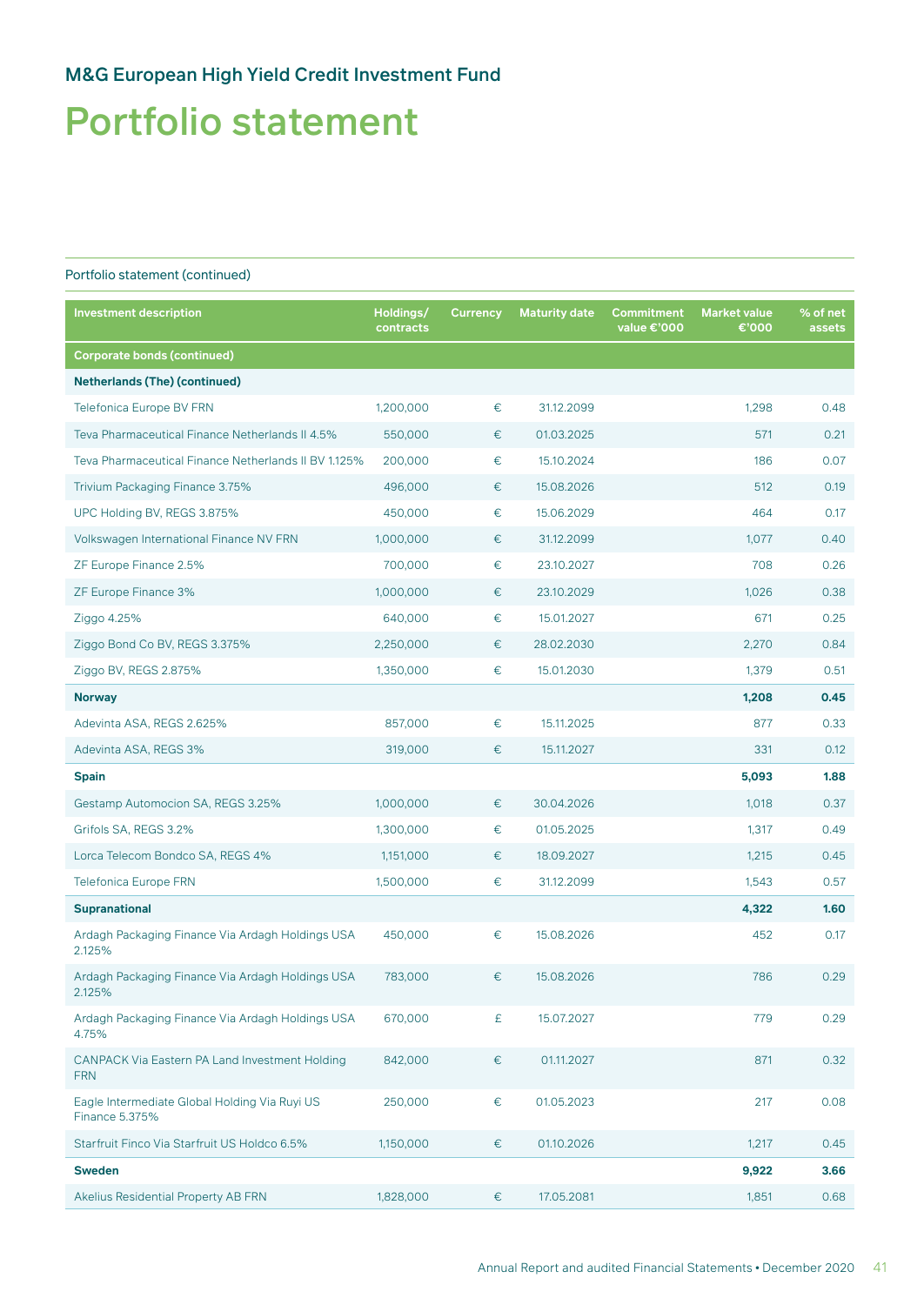## Portfolio statement

| <b>Investment description</b>                                          | Holdings/<br>contracts | <b>Currency</b> | <b>Maturity date</b> | <b>Commitment</b><br>value €'000 | <b>Market value</b><br>€'000 | % of net<br>assets |
|------------------------------------------------------------------------|------------------------|-----------------|----------------------|----------------------------------|------------------------------|--------------------|
| <b>Corporate bonds (continued)</b>                                     |                        |                 |                      |                                  |                              |                    |
| <b>Netherlands (The) (continued)</b>                                   |                        |                 |                      |                                  |                              |                    |
| <b>Telefonica Europe BV FRN</b>                                        | 1,200,000              | €               | 31.12.2099           |                                  | 1,298                        | 0.48               |
| Teva Pharmaceutical Finance Netherlands II 4.5%                        | 550,000                | €               | 01.03.2025           |                                  | 571                          | 0.21               |
| Teva Pharmaceutical Finance Netherlands II BV 1.125%                   | 200,000                | $\in$           | 15.10.2024           |                                  | 186                          | 0.07               |
| Trivium Packaging Finance 3.75%                                        | 496,000                | €               | 15.08.2026           |                                  | 512                          | 0.19               |
| UPC Holding BV, REGS 3.875%                                            | 450,000                | €               | 15.06.2029           |                                  | 464                          | 0.17               |
| Volkswagen International Finance NV FRN                                | 1,000,000              | €               | 31.12.2099           |                                  | 1,077                        | 0.40               |
| ZF Europe Finance 2.5%                                                 | 700,000                | $\in$           | 23.10.2027           |                                  | 708                          | 0.26               |
| ZF Europe Finance 3%                                                   | 1,000,000              | €               | 23.10.2029           |                                  | 1,026                        | 0.38               |
| Ziggo 4.25%                                                            | 640,000                | $\in$           | 15.01.2027           |                                  | 671                          | 0.25               |
| Ziggo Bond Co BV, REGS 3.375%                                          | 2,250,000              | €               | 28.02.2030           |                                  | 2,270                        | 0.84               |
| Ziggo BV, REGS 2.875%                                                  | 1,350,000              | €               | 15.01.2030           |                                  | 1,379                        | 0.51               |
| <b>Norway</b>                                                          |                        |                 |                      |                                  | 1,208                        | 0.45               |
| Adevinta ASA, REGS 2.625%                                              | 857,000                | €               | 15.11.2025           |                                  | 877                          | 0.33               |
| Adevinta ASA, REGS 3%                                                  | 319,000                | €               | 15.11.2027           |                                  | 331                          | 0.12               |
| <b>Spain</b>                                                           |                        |                 |                      |                                  | 5,093                        | 1.88               |
| Gestamp Automocion SA, REGS 3.25%                                      | 1,000,000              | €               | 30.04.2026           |                                  | 1,018                        | 0.37               |
| Grifols SA, REGS 3.2%                                                  | 1,300,000              | €               | 01.05.2025           |                                  | 1,317                        | 0.49               |
| Lorca Telecom Bondco SA, REGS 4%                                       | 1,151,000              | €               | 18.09.2027           |                                  | 1,215                        | 0.45               |
| <b>Telefonica Europe FRN</b>                                           | 1,500,000              | €               | 31.12.2099           |                                  | 1,543                        | 0.57               |
| <b>Supranational</b>                                                   |                        |                 |                      |                                  | 4,322                        | 1.60               |
| Ardagh Packaging Finance Via Ardagh Holdings USA<br>2.125%             | 450,000                | €               | 15.08.2026           |                                  | 452                          | 0.17               |
| Ardagh Packaging Finance Via Ardagh Holdings USA<br>2.125%             | 783.000                | €               | 15.08.2026           |                                  | 786                          | 0.29               |
| Ardagh Packaging Finance Via Ardagh Holdings USA<br>4.75%              | 670,000                | £               | 15.07.2027           |                                  | 779                          | 0.29               |
| CANPACK Via Eastern PA Land Investment Holding<br><b>FRN</b>           | 842,000                | €               | 01.11.2027           |                                  | 871                          | 0.32               |
| Eagle Intermediate Global Holding Via Ruyi US<br><b>Finance 5.375%</b> | 250,000                | $\in$           | 01.05.2023           |                                  | 217                          | 0.08               |
| Starfruit Finco Via Starfruit US Holdco 6.5%                           | 1,150,000              | €               | 01.10.2026           |                                  | 1,217                        | 0.45               |
| <b>Sweden</b>                                                          |                        |                 |                      |                                  | 9,922                        | 3.66               |
| Akelius Residential Property AB FRN                                    | 1,828,000              | €               | 17.05.2081           |                                  | 1,851                        | 0.68               |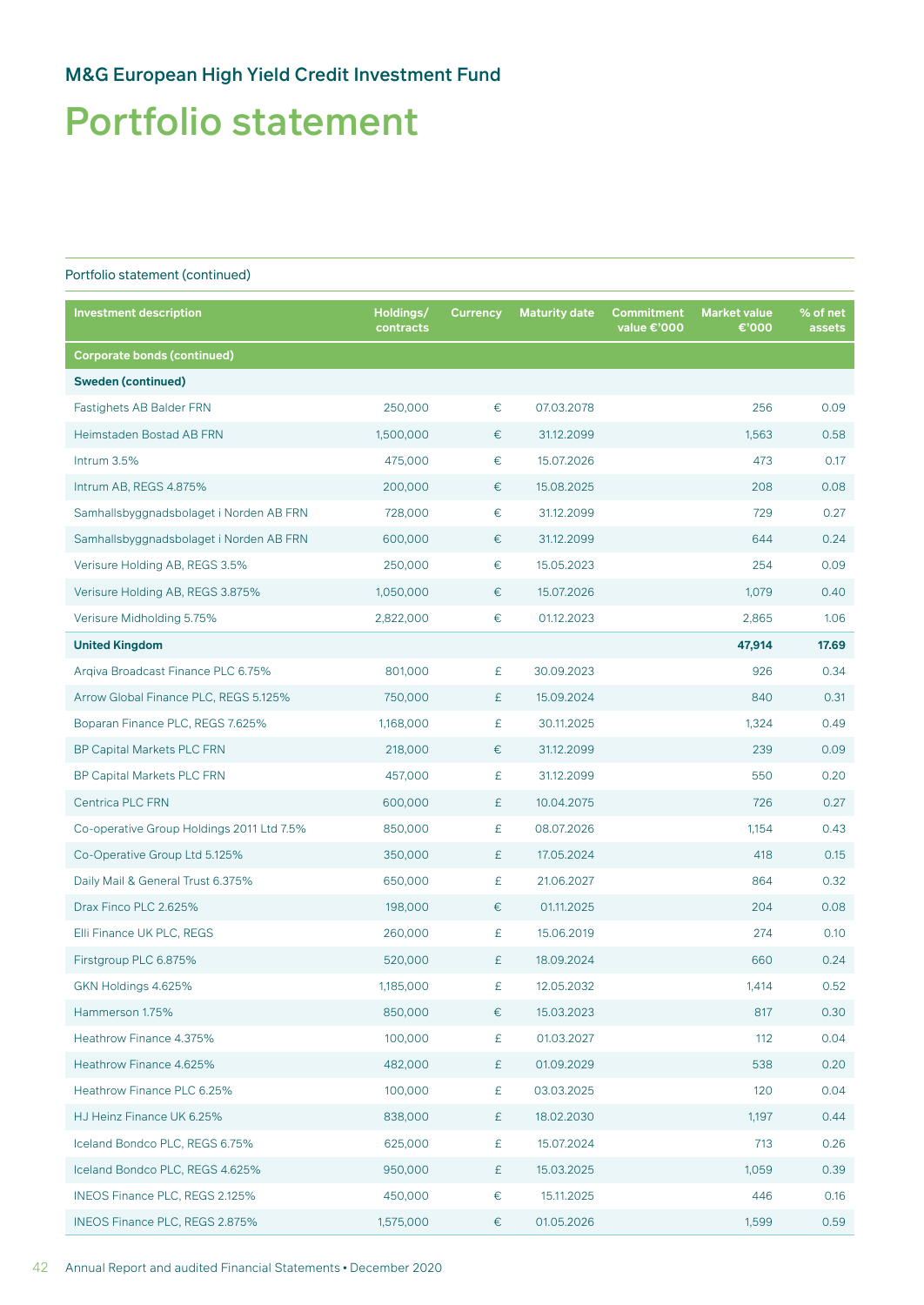## Portfolio statement

| <b>Investment description</b>             | Holdings/<br>contracts | <b>Currency</b> | <b>Maturity date</b> | <b>Commitment</b><br>value €'000 | <b>Market value</b><br>€'000 | % of net<br>assets |
|-------------------------------------------|------------------------|-----------------|----------------------|----------------------------------|------------------------------|--------------------|
| <b>Corporate bonds (continued)</b>        |                        |                 |                      |                                  |                              |                    |
| <b>Sweden (continued)</b>                 |                        |                 |                      |                                  |                              |                    |
| <b>Fastighets AB Balder FRN</b>           | 250,000                | €               | 07.03.2078           |                                  | 256                          | 0.09               |
| Heimstaden Bostad AB FRN                  | 1,500,000              | €               | 31.12.2099           |                                  | 1,563                        | 0.58               |
| Intrum 3.5%                               | 475,000                | €               | 15.07.2026           |                                  | 473                          | 0.17               |
| Intrum AB, REGS 4.875%                    | 200,000                | €               | 15.08.2025           |                                  | 208                          | 0.08               |
| Samhallsbyggnadsbolaget i Norden AB FRN   | 728,000                | €               | 31.12.2099           |                                  | 729                          | 0.27               |
| Samhallsbyggnadsbolaget i Norden AB FRN   | 600,000                | €               | 31.12.2099           |                                  | 644                          | 0.24               |
| Verisure Holding AB, REGS 3.5%            | 250,000                | €               | 15.05.2023           |                                  | 254                          | 0.09               |
| Verisure Holding AB, REGS 3.875%          | 1,050,000              | €               | 15.07.2026           |                                  | 1,079                        | 0.40               |
| Verisure Midholding 5.75%                 | 2,822,000              | €               | 01.12.2023           |                                  | 2,865                        | 1.06               |
| <b>United Kingdom</b>                     |                        |                 |                      |                                  | 47,914                       | 17.69              |
| Argiva Broadcast Finance PLC 6.75%        | 801,000                | £               | 30.09.2023           |                                  | 926                          | 0.34               |
| Arrow Global Finance PLC, REGS 5.125%     | 750,000                | £               | 15.09.2024           |                                  | 840                          | 0.31               |
| Boparan Finance PLC, REGS 7.625%          | 1,168,000              | £               | 30.11.2025           |                                  | 1,324                        | 0.49               |
| <b>BP Capital Markets PLC FRN</b>         | 218,000                | €               | 31.12.2099           |                                  | 239                          | 0.09               |
| <b>BP Capital Markets PLC FRN</b>         | 457,000                | £               | 31.12.2099           |                                  | 550                          | 0.20               |
| Centrica PLC FRN                          | 600,000                | £               | 10.04.2075           |                                  | 726                          | 0.27               |
| Co-operative Group Holdings 2011 Ltd 7.5% | 850,000                | £               | 08.07.2026           |                                  | 1,154                        | 0.43               |
| Co-Operative Group Ltd 5.125%             | 350,000                | £               | 17.05.2024           |                                  | 418                          | 0.15               |
| Daily Mail & General Trust 6.375%         | 650,000                | £               | 21.06.2027           |                                  | 864                          | 0.32               |
| Drax Finco PLC 2.625%                     | 198,000                | €               | 01.11.2025           |                                  | 204                          | 0.08               |
| Elli Finance UK PLC, REGS                 | 260,000                | £               | 15.06.2019           |                                  | 274                          | 0.10               |
| Firstgroup PLC 6.875%                     | 520,000                | £               | 18.09.2024           |                                  | 660                          | 0.24               |
| GKN Holdings 4.625%                       | 1,185,000              | £               | 12.05.2032           |                                  | 1,414                        | 0.52               |
| Hammerson 1.75%                           | 850,000                | €               | 15.03.2023           |                                  | 817                          | 0.30               |
| Heathrow Finance 4.375%                   | 100,000                | £               | 01.03.2027           |                                  | 112                          | 0.04               |
| Heathrow Finance 4.625%                   | 482,000                | £               | 01.09.2029           |                                  | 538                          | 0.20               |
| Heathrow Finance PLC 6.25%                | 100,000                | £               | 03.03.2025           |                                  | 120                          | 0.04               |
| HJ Heinz Finance UK 6.25%                 | 838,000                | £               | 18.02.2030           |                                  | 1,197                        | 0.44               |
| Iceland Bondco PLC, REGS 6.75%            | 625,000                | £               | 15.07.2024           |                                  | 713                          | 0.26               |
| Iceland Bondco PLC, REGS 4.625%           | 950,000                | £               | 15.03.2025           |                                  | 1,059                        | 0.39               |
| INEOS Finance PLC, REGS 2.125%            | 450,000                | €               | 15.11.2025           |                                  | 446                          | 0.16               |
| INEOS Finance PLC, REGS 2.875%            | 1,575,000              | €               | 01.05.2026           |                                  | 1,599                        | 0.59               |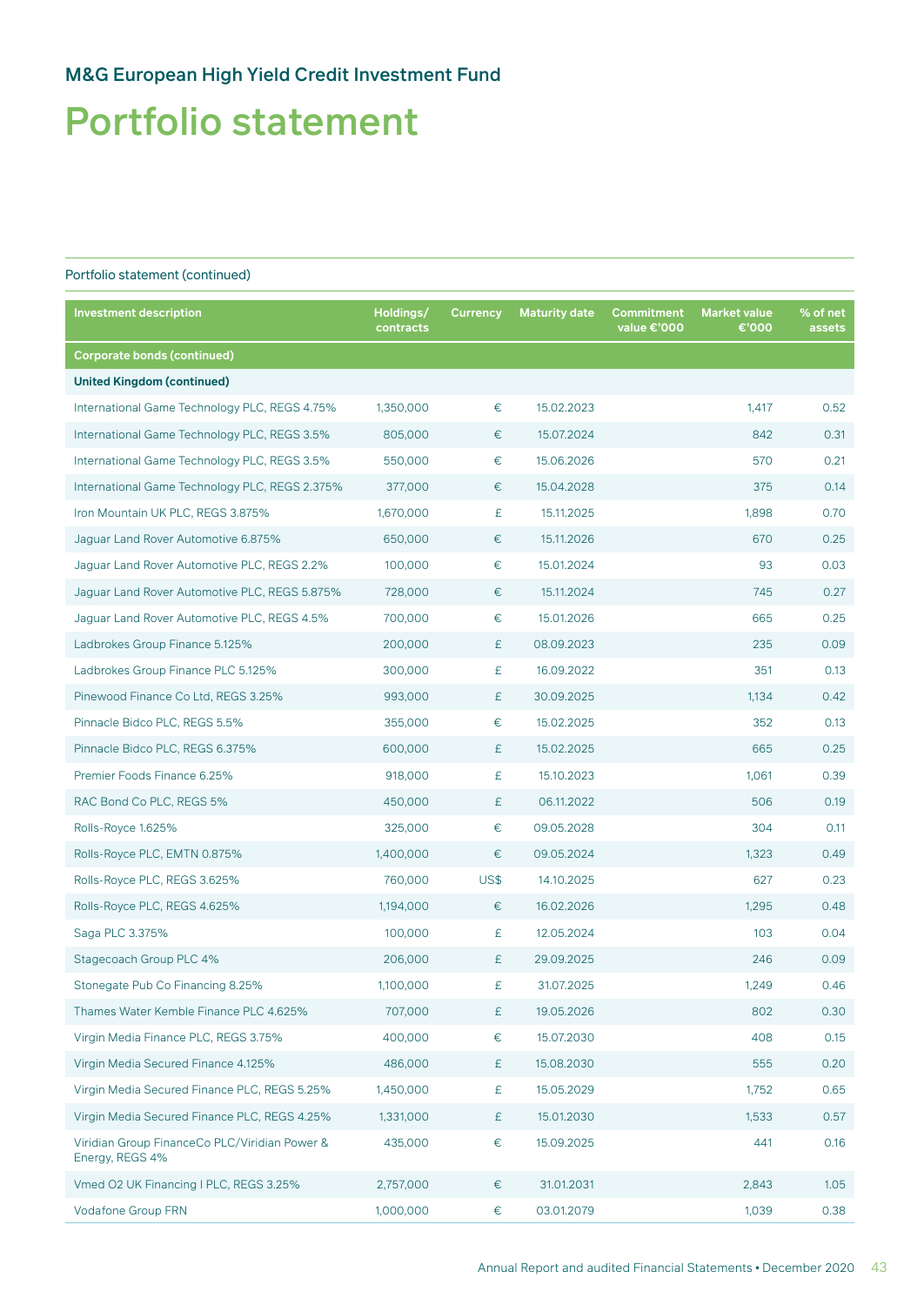## Portfolio statement

| <b>Investment description</b>                                    | Holdings/<br>contracts | <b>Currency</b> | <b>Maturity date</b> | Commitment<br>value €'000 | <b>Market value</b><br>€'000 | % of net<br>assets |
|------------------------------------------------------------------|------------------------|-----------------|----------------------|---------------------------|------------------------------|--------------------|
| <b>Corporate bonds (continued)</b>                               |                        |                 |                      |                           |                              |                    |
| <b>United Kingdom (continued)</b>                                |                        |                 |                      |                           |                              |                    |
| International Game Technology PLC, REGS 4.75%                    | 1,350,000              | $\in$           | 15.02.2023           |                           | 1,417                        | 0.52               |
| International Game Technology PLC, REGS 3.5%                     | 805,000                | €               | 15.07.2024           |                           | 842                          | 0.31               |
| International Game Technology PLC, REGS 3.5%                     | 550,000                | €               | 15.06.2026           |                           | 570                          | 0.21               |
| International Game Technology PLC, REGS 2.375%                   | 377,000                | €               | 15.04.2028           |                           | 375                          | 0.14               |
| Iron Mountain UK PLC, REGS 3.875%                                | 1,670,000              | £               | 15.11.2025           |                           | 1,898                        | 0.70               |
| Jaguar Land Rover Automotive 6.875%                              | 650,000                | €               | 15.11.2026           |                           | 670                          | 0.25               |
| Jaguar Land Rover Automotive PLC, REGS 2.2%                      | 100,000                | $\in$           | 15.01.2024           |                           | 93                           | 0.03               |
| Jaguar Land Rover Automotive PLC, REGS 5.875%                    | 728,000                | €               | 15.11.2024           |                           | 745                          | 0.27               |
| Jaguar Land Rover Automotive PLC, REGS 4.5%                      | 700,000                | $\in$           | 15.01.2026           |                           | 665                          | 0.25               |
| Ladbrokes Group Finance 5.125%                                   | 200,000                | £               | 08.09.2023           |                           | 235                          | 0.09               |
| Ladbrokes Group Finance PLC 5.125%                               | 300,000                | £               | 16.09.2022           |                           | 351                          | 0.13               |
| Pinewood Finance Co Ltd, REGS 3.25%                              | 993,000                | £               | 30.09.2025           |                           | 1,134                        | 0.42               |
| Pinnacle Bidco PLC, REGS 5.5%                                    | 355,000                | €               | 15.02.2025           |                           | 352                          | 0.13               |
| Pinnacle Bidco PLC, REGS 6.375%                                  | 600,000                | £               | 15.02.2025           |                           | 665                          | 0.25               |
| Premier Foods Finance 6.25%                                      | 918,000                | £               | 15.10.2023           |                           | 1,061                        | 0.39               |
| RAC Bond Co PLC, REGS 5%                                         | 450,000                | £               | 06.11.2022           |                           | 506                          | 0.19               |
| Rolls-Royce 1.625%                                               | 325,000                | €               | 09.05.2028           |                           | 304                          | 0.11               |
| Rolls-Royce PLC, EMTN 0.875%                                     | 1,400,000              | €               | 09.05.2024           |                           | 1,323                        | 0.49               |
| Rolls-Royce PLC, REGS 3.625%                                     | 760,000                | US\$            | 14.10.2025           |                           | 627                          | 0.23               |
| Rolls-Royce PLC, REGS 4.625%                                     | 1,194,000              | €               | 16.02.2026           |                           | 1,295                        | 0.48               |
| Saga PLC 3.375%                                                  | 100,000                | £               | 12.05.2024           |                           | 103                          | 0.04               |
| Stagecoach Group PLC 4%                                          | 206,000                | £               | 29.09.2025           |                           | 246                          | 0.09               |
| Stonegate Pub Co Financing 8.25%                                 | 1,100,000              | £               | 31.07.2025           |                           | 1,249                        | 0.46               |
| Thames Water Kemble Finance PLC 4.625%                           | 707,000                | £               | 19.05.2026           |                           | 802                          | 0.30               |
| Virgin Media Finance PLC, REGS 3.75%                             | 400,000                | €               | 15.07.2030           |                           | 408                          | 0.15               |
| Virgin Media Secured Finance 4.125%                              | 486,000                | £               | 15.08.2030           |                           | 555                          | 0.20               |
| Virgin Media Secured Finance PLC, REGS 5.25%                     | 1,450,000              | £               | 15.05.2029           |                           | 1,752                        | 0.65               |
| Virgin Media Secured Finance PLC, REGS 4.25%                     | 1,331,000              | £               | 15.01.2030           |                           | 1,533                        | 0.57               |
| Viridian Group FinanceCo PLC/Viridian Power &<br>Energy, REGS 4% | 435,000                | €               | 15.09.2025           |                           | 441                          | 0.16               |
| Vmed O2 UK Financing I PLC, REGS 3.25%                           | 2,757,000              | €               | 31.01.2031           |                           | 2,843                        | 1.05               |
| Vodafone Group FRN                                               | 1,000,000              | €               | 03.01.2079           |                           | 1,039                        | 0.38               |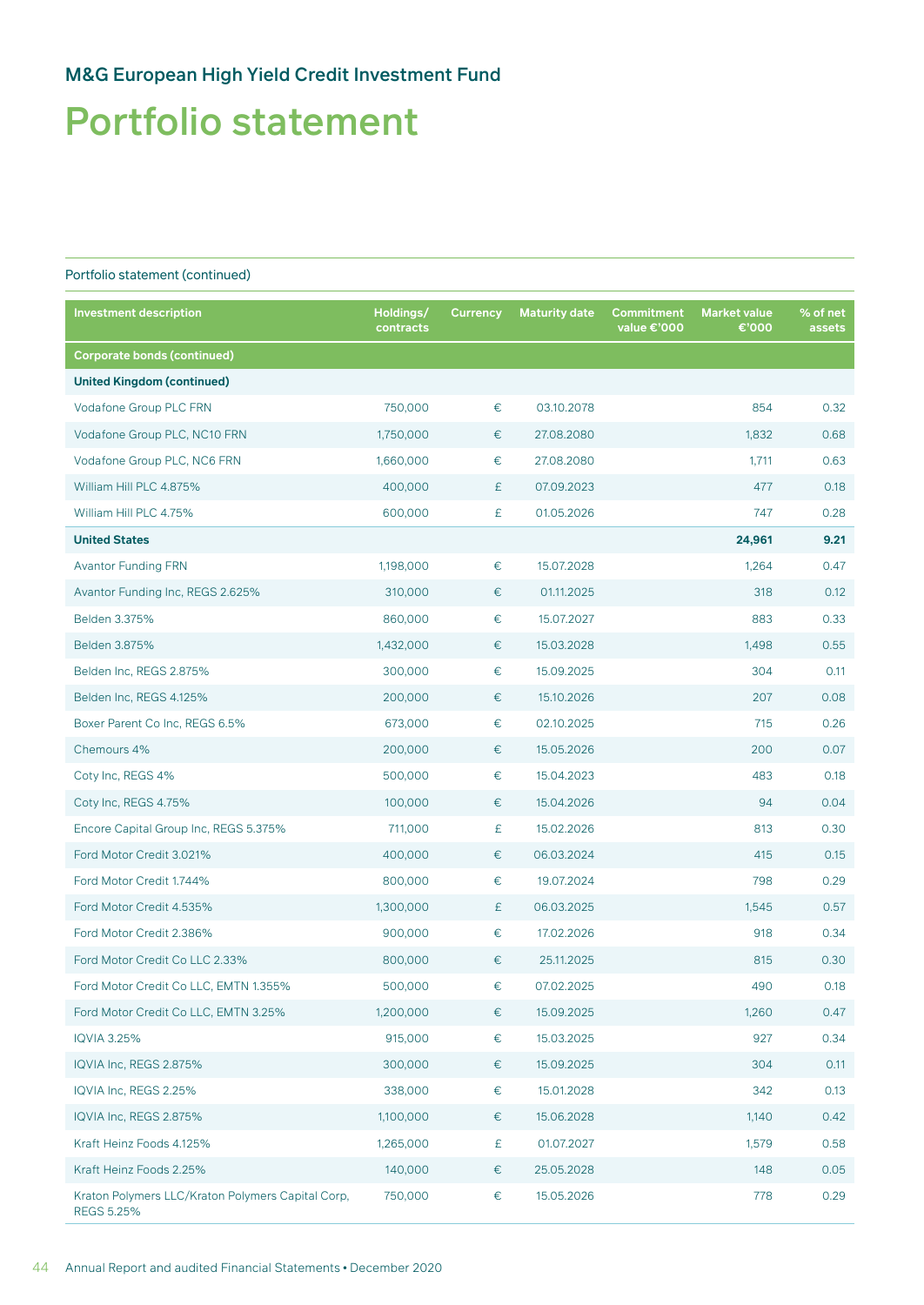## Portfolio statement

| <b>Investment description</b>                                          | Holdings/<br>contracts | <b>Currency</b> | <b>Maturity date</b> | Commitment<br>value €'000 | <b>Market value</b><br>€'000 | % of net<br>assets |
|------------------------------------------------------------------------|------------------------|-----------------|----------------------|---------------------------|------------------------------|--------------------|
| <b>Corporate bonds (continued)</b>                                     |                        |                 |                      |                           |                              |                    |
| <b>United Kingdom (continued)</b>                                      |                        |                 |                      |                           |                              |                    |
| Vodafone Group PLC FRN                                                 | 750,000                | $\in$           | 03.10.2078           |                           | 854                          | 0.32               |
| Vodafone Group PLC, NC10 FRN                                           | 1,750,000              | €               | 27.08.2080           |                           | 1,832                        | 0.68               |
| Vodafone Group PLC, NC6 FRN                                            | 1,660,000              | €               | 27.08.2080           |                           | 1,711                        | 0.63               |
| William Hill PLC 4.875%                                                | 400,000                | £               | 07.09.2023           |                           | 477                          | 0.18               |
| William Hill PLC 4.75%                                                 | 600,000                | £               | 01.05.2026           |                           | 747                          | 0.28               |
| <b>United States</b>                                                   |                        |                 |                      |                           | 24,961                       | 9.21               |
| <b>Avantor Funding FRN</b>                                             | 1,198,000              | $\in$           | 15.07.2028           |                           | 1,264                        | 0.47               |
| Avantor Funding Inc, REGS 2.625%                                       | 310,000                | €               | 01.11.2025           |                           | 318                          | 0.12               |
| Belden 3.375%                                                          | 860,000                | $\in$           | 15.07.2027           |                           | 883                          | 0.33               |
| Belden 3.875%                                                          | 1,432,000              | €               | 15.03.2028           |                           | 1,498                        | 0.55               |
| Belden Inc, REGS 2.875%                                                | 300,000                | $\in$           | 15.09.2025           |                           | 304                          | 0.11               |
| Belden Inc, REGS 4.125%                                                | 200,000                | €               | 15.10.2026           |                           | 207                          | 0.08               |
| Boxer Parent Co Inc, REGS 6.5%                                         | 673,000                | €               | 02.10.2025           |                           | 715                          | 0.26               |
| Chemours 4%                                                            | 200,000                | €               | 15.05.2026           |                           | 200                          | 0.07               |
| Coty Inc, REGS 4%                                                      | 500,000                | $\in$           | 15.04.2023           |                           | 483                          | 0.18               |
| Coty Inc, REGS 4.75%                                                   | 100,000                | €               | 15.04.2026           |                           | 94                           | 0.04               |
| Encore Capital Group Inc, REGS 5.375%                                  | 711,000                | £               | 15.02.2026           |                           | 813                          | 0.30               |
| Ford Motor Credit 3.021%                                               | 400,000                | €               | 06.03.2024           |                           | 415                          | 0.15               |
| Ford Motor Credit 1.744%                                               | 800,000                | €               | 19.07.2024           |                           | 798                          | 0.29               |
| Ford Motor Credit 4.535%                                               | 1,300,000              | £               | 06.03.2025           |                           | 1,545                        | 0.57               |
| Ford Motor Credit 2.386%                                               | 900,000                | €               | 17.02.2026           |                           | 918                          | 0.34               |
| Ford Motor Credit Co LLC 2.33%                                         | 800,000                | €               | 25.11.2025           |                           | 815                          | 0.30               |
| Ford Motor Credit Co LLC, EMTN 1.355%                                  | 500,000                | €               | 07.02.2025           |                           | 490                          | 0.18               |
| Ford Motor Credit Co LLC, EMTN 3.25%                                   | 1,200,000              | €               | 15.09.2025           |                           | 1,260                        | 0.47               |
| <b>IQVIA 3.25%</b>                                                     | 915,000                | €               | 15.03.2025           |                           | 927                          | 0.34               |
| IQVIA Inc, REGS 2.875%                                                 | 300,000                | €               | 15.09.2025           |                           | 304                          | 0.11               |
| IQVIA Inc, REGS 2.25%                                                  | 338,000                | €               | 15.01.2028           |                           | 342                          | 0.13               |
| IQVIA Inc, REGS 2.875%                                                 | 1,100,000              | €               | 15.06.2028           |                           | 1,140                        | 0.42               |
| Kraft Heinz Foods 4.125%                                               | 1,265,000              | £               | 01.07.2027           |                           | 1,579                        | 0.58               |
| Kraft Heinz Foods 2.25%                                                | 140,000                | €               | 25.05.2028           |                           | 148                          | 0.05               |
| Kraton Polymers LLC/Kraton Polymers Capital Corp,<br><b>REGS 5.25%</b> | 750,000                | €               | 15.05.2026           |                           | 778                          | 0.29               |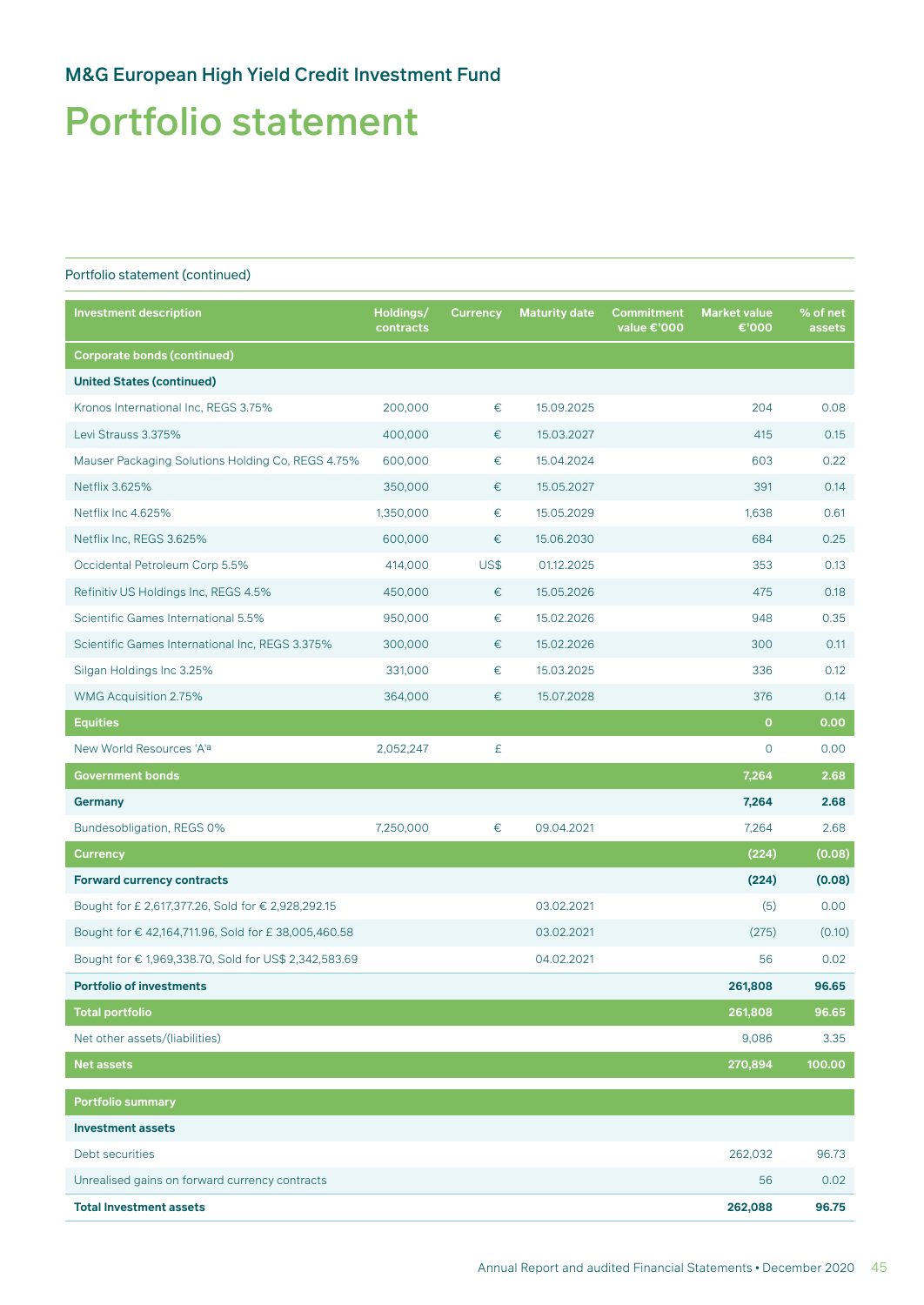## Portfolio statement

| <b>Investment description</b>                         | Holdings/<br>contracts | <b>Currency</b> | <b>Maturity date</b> | <b>Commitment</b><br>value €'000 | <b>Market value</b><br>€'000 | % of net<br>assets |
|-------------------------------------------------------|------------------------|-----------------|----------------------|----------------------------------|------------------------------|--------------------|
| <b>Corporate bonds (continued)</b>                    |                        |                 |                      |                                  |                              |                    |
| <b>United States (continued)</b>                      |                        |                 |                      |                                  |                              |                    |
| Kronos International Inc, REGS 3.75%                  | 200,000                | €               | 15.09.2025           |                                  | 204                          | 0.08               |
| Levi Strauss 3.375%                                   | 400,000                | €               | 15.03.2027           |                                  | 415                          | 0.15               |
| Mauser Packaging Solutions Holding Co, REGS 4.75%     | 600,000                | €               | 15.04.2024           |                                  | 603                          | 0.22               |
| Netflix 3.625%                                        | 350,000                | €               | 15.05.2027           |                                  | 391                          | 0.14               |
| Netflix Inc 4.625%                                    | 1,350,000              | $\in$           | 15.05.2029           |                                  | 1,638                        | 0.61               |
| Netflix Inc, REGS 3.625%                              | 600,000                | €               | 15.06.2030           |                                  | 684                          | 0.25               |
| Occidental Petroleum Corp 5.5%                        | 414,000                | US\$            | 01.12.2025           |                                  | 353                          | 0.13               |
| Refinitiv US Holdings Inc, REGS 4.5%                  | 450,000                | $\in$           | 15.05.2026           |                                  | 475                          | 0.18               |
| Scientific Games International 5.5%                   | 950,000                | €               | 15.02.2026           |                                  | 948                          | 0.35               |
| Scientific Games International Inc, REGS 3.375%       | 300,000                | €               | 15.02.2026           |                                  | 300                          | 0.11               |
| Silgan Holdings Inc 3.25%                             | 331,000                | €               | 15.03.2025           |                                  | 336                          | 0.12               |
| WMG Acquisition 2.75%                                 | 364,000                | €               | 15.07.2028           |                                  | 376                          | 0.14               |
| <b>Equities</b>                                       |                        |                 |                      |                                  | $\mathbf{o}$                 | 0.00               |
| New World Resources 'A'a                              | 2,052,247              | £               |                      |                                  | $\mathsf{O}$                 | 0.00               |
| <b>Government bonds</b>                               |                        |                 |                      |                                  | 7,264                        | 2.68               |
| Germany                                               |                        |                 |                      |                                  | 7,264                        | 2.68               |
| Bundesobligation, REGS 0%                             | 7,250,000              | €               | 09.04.2021           |                                  | 7,264                        | 2.68               |
| Currency                                              |                        |                 |                      |                                  | (224)                        | (0.08)             |
| <b>Forward currency contracts</b>                     |                        |                 |                      |                                  | (224)                        | (0.08)             |
| Bought for £ 2,617,377.26, Sold for € 2,928,292.15    |                        |                 | 03.02.2021           |                                  | (5)                          | 0.00               |
| Bought for € 42,164,711.96, Sold for £ 38,005,460.58  |                        |                 | 03.02.2021           |                                  | (275)                        | (0.10)             |
| Bought for € 1,969,338.70, Sold for US\$ 2,342,583.69 |                        |                 | 04.02.2021           |                                  | 56                           | 0.02               |
| <b>Portfolio of investments</b>                       |                        |                 |                      |                                  | 261,808                      | 96.65              |
| <b>Total portfolio</b>                                |                        |                 |                      |                                  | 261,808                      | 96.65              |
| Net other assets/(liabilities)                        |                        |                 |                      |                                  | 9,086                        | 3.35               |
| <b>Net assets</b>                                     |                        |                 |                      |                                  | 270,894                      | 100.00             |
| Portfolio summary                                     |                        |                 |                      |                                  |                              |                    |
| <b>Investment assets</b>                              |                        |                 |                      |                                  |                              |                    |
| Debt securities                                       |                        |                 |                      |                                  | 262,032                      | 96.73              |
| Unrealised gains on forward currency contracts        |                        |                 |                      |                                  | 56                           | 0.02               |
| <b>Total Investment assets</b>                        |                        |                 |                      |                                  | 262,088                      | 96.75              |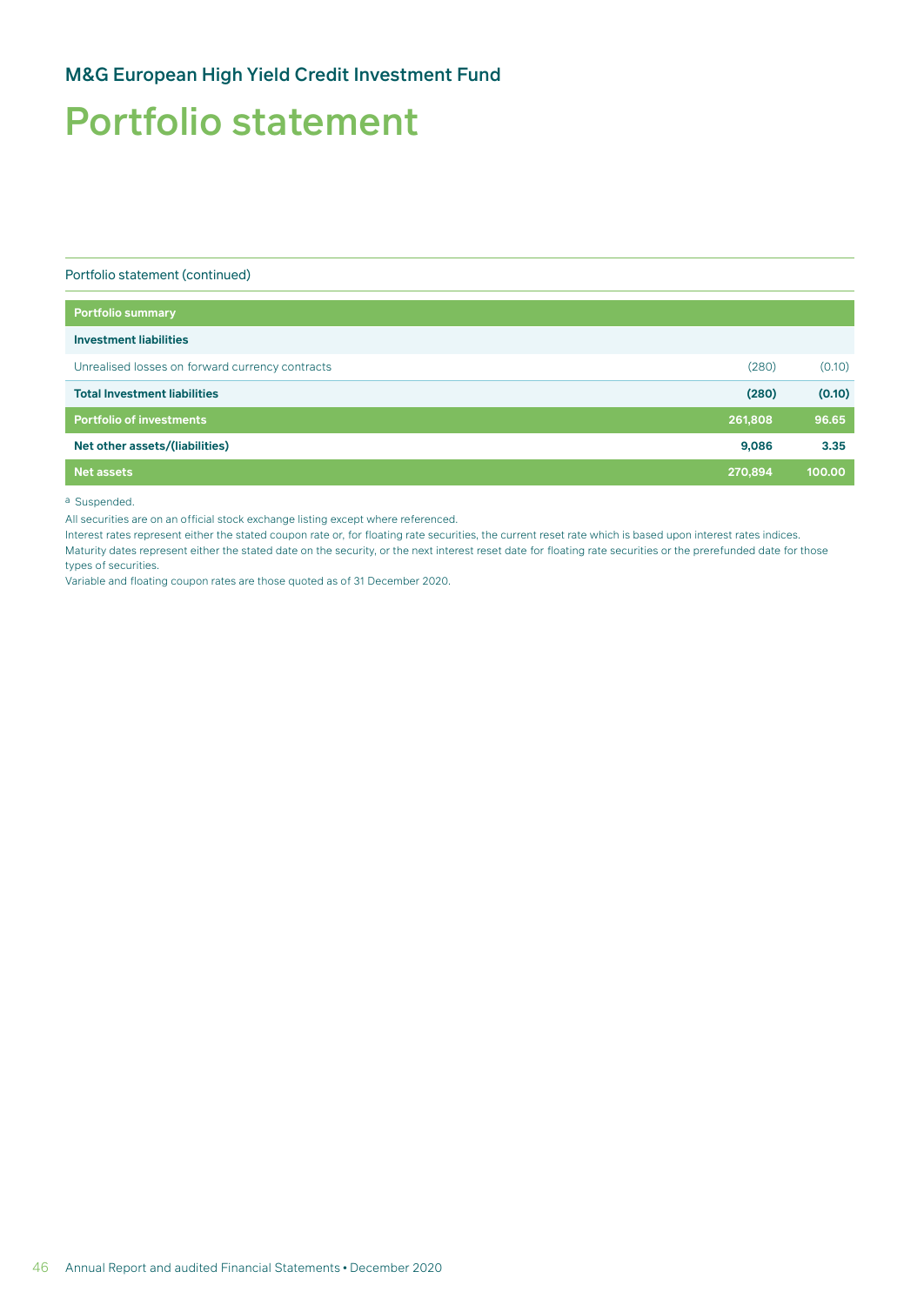## Portfolio statement

Portfolio statement (continued)

| <b>Portfolio summary</b>                        |         |        |
|-------------------------------------------------|---------|--------|
| <b>Investment liabilities</b>                   |         |        |
| Unrealised losses on forward currency contracts | (280)   | (0.10) |
| <b>Total Investment liabilities</b>             | (280)   | (0.10) |
| <b>Portfolio of investments</b>                 | 261,808 | 96.65  |
| Net other assets/(liabilities)                  | 9,086   | 3.35   |
| <b>Net assets</b>                               | 270,894 | 100.00 |
|                                                 |         |        |

a Suspended.

All securities are on an official stock exchange listing except where referenced.

Interest rates represent either the stated coupon rate or, for floating rate securities, the current reset rate which is based upon interest rates indices. Maturity dates represent either the stated date on the security, or the next interest reset date for floating rate securities or the prerefunded date for those types of securities.

Variable and floating coupon rates are those quoted as of 31 December 2020.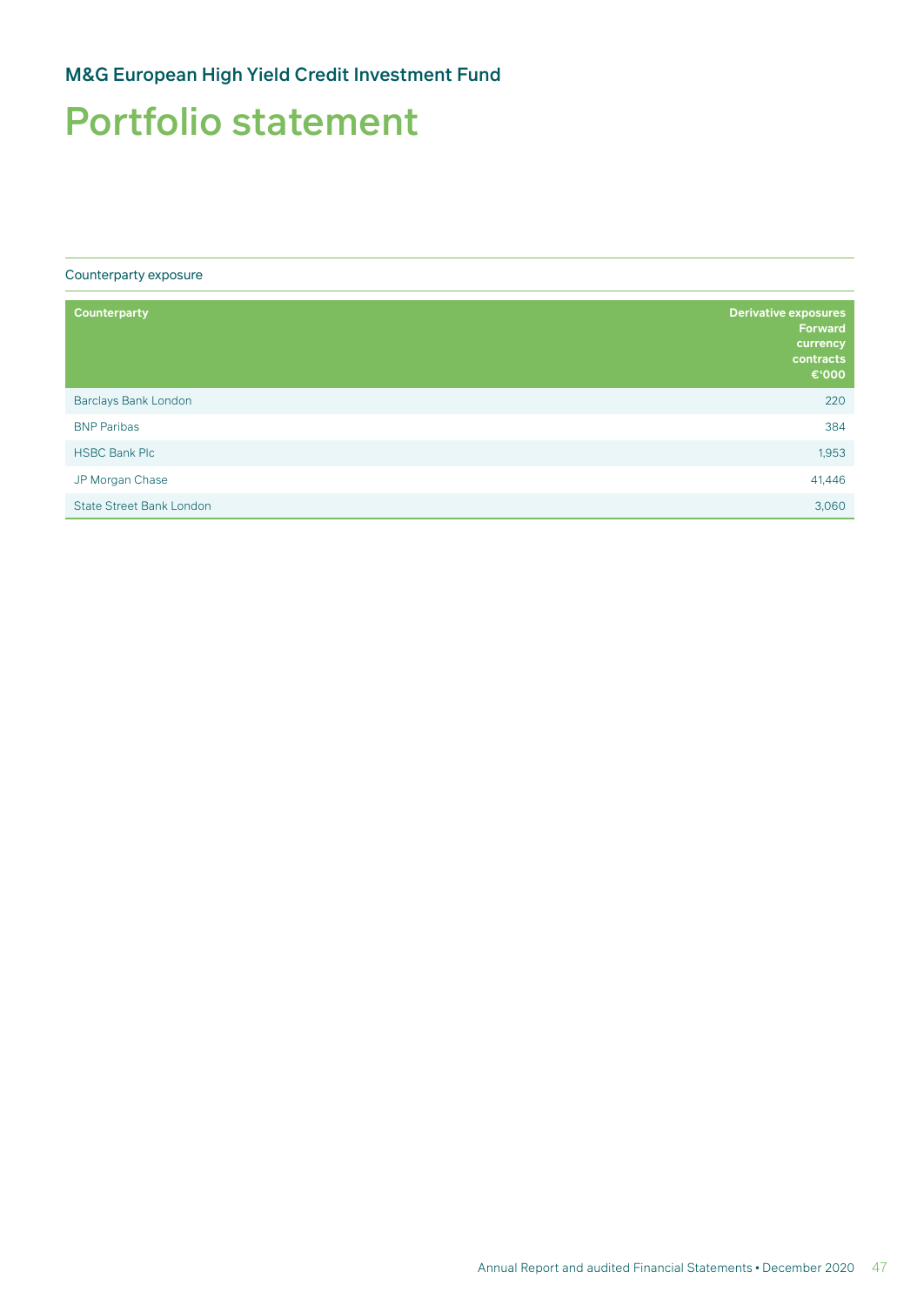## Portfolio statement

Counterparty exposure

| <b>Counterparty</b>             | <b>Derivative exposures</b><br><b>Forward</b><br>currency<br>contracts<br>€'000 |
|---------------------------------|---------------------------------------------------------------------------------|
| Barclays Bank London            | 220                                                                             |
| <b>BNP Paribas</b>              | 384                                                                             |
| <b>HSBC Bank Plc</b>            | 1,953                                                                           |
| JP Morgan Chase                 | 41,446                                                                          |
| <b>State Street Bank London</b> | 3,060                                                                           |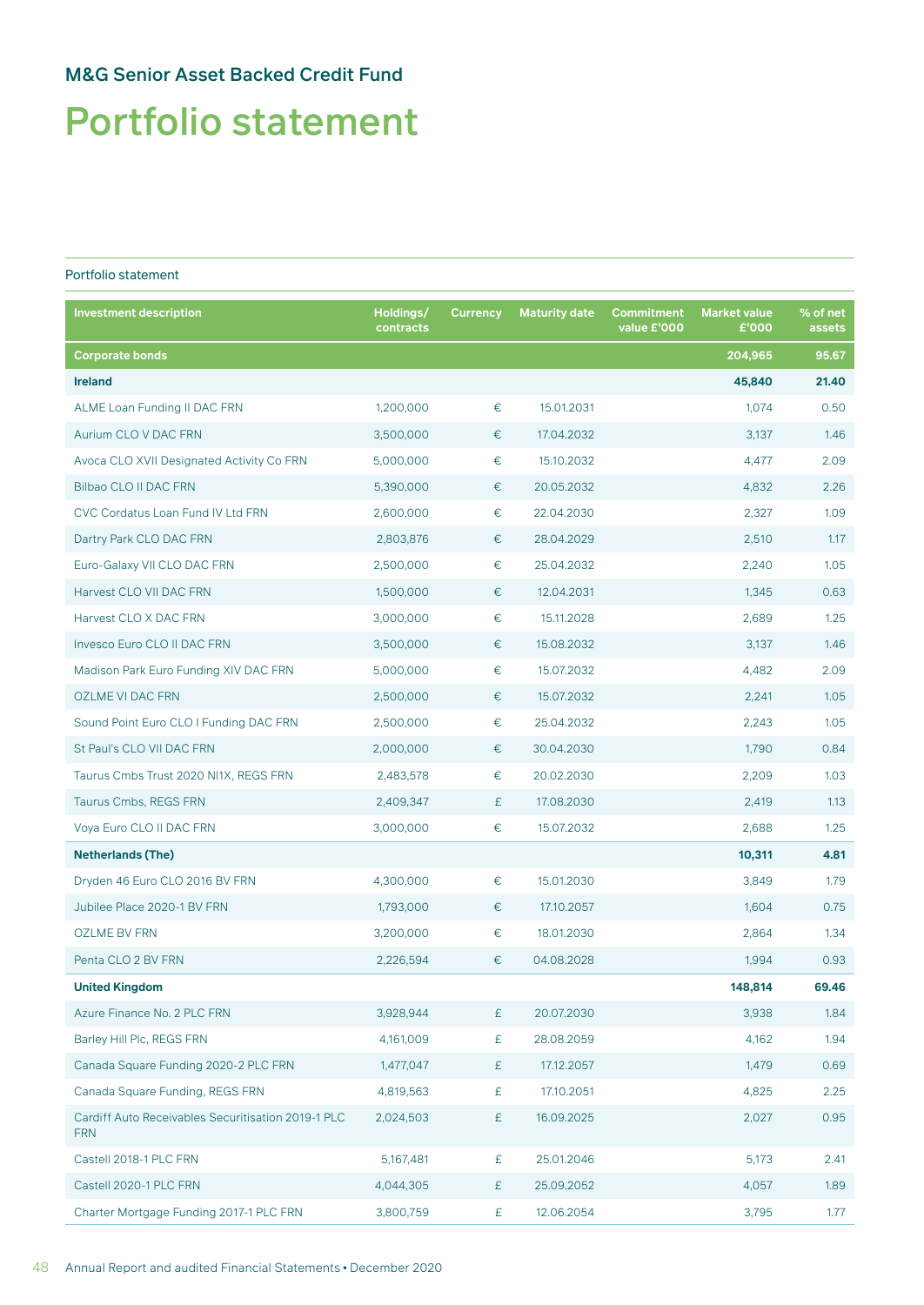# Portfolio statement

### Portfolio statement

| <b>Investment description</b>                                    | Holdings/<br>contracts | <b>Currency</b> | <b>Maturity date</b> | Commitment<br>value £'000 | <b>Market value</b><br>£'000 | % of net<br>assets |
|------------------------------------------------------------------|------------------------|-----------------|----------------------|---------------------------|------------------------------|--------------------|
| <b>Corporate bonds</b>                                           |                        |                 |                      |                           | 204,965                      | 95.67              |
| <b>Ireland</b>                                                   |                        |                 |                      |                           | 45,840                       | 21.40              |
| ALME Loan Funding II DAC FRN                                     | 1,200,000              | €               | 15.01.2031           |                           | 1,074                        | 0.50               |
| Aurium CLO V DAC FRN                                             | 3,500,000              | €               | 17.04.2032           |                           | 3,137                        | 1.46               |
| Avoca CLO XVII Designated Activity Co FRN                        | 5,000,000              | €               | 15.10.2032           |                           | 4,477                        | 2.09               |
| Bilbao CLO II DAC FRN                                            | 5,390,000              | €               | 20.05.2032           |                           | 4,832                        | 2.26               |
| CVC Cordatus Loan Fund IV Ltd FRN                                | 2,600,000              | €               | 22.04.2030           |                           | 2,327                        | 1.09               |
| Dartry Park CLO DAC FRN                                          | 2,803,876              | €               | 28.04.2029           |                           | 2,510                        | 1.17               |
| Euro-Galaxy VII CLO DAC FRN                                      | 2,500,000              | €               | 25.04.2032           |                           | 2,240                        | 1.05               |
| Harvest CLO VII DAC FRN                                          | 1,500,000              | €               | 12.04.2031           |                           | 1,345                        | 0.63               |
| Harvest CLO X DAC FRN                                            | 3,000,000              | €               | 15.11.2028           |                           | 2,689                        | 1.25               |
| Invesco Euro CLO II DAC FRN                                      | 3,500,000              | €               | 15.08.2032           |                           | 3,137                        | 1.46               |
| Madison Park Euro Funding XIV DAC FRN                            | 5,000,000              | €               | 15.07.2032           |                           | 4,482                        | 2.09               |
| <b>OZLME VI DAC FRN</b>                                          | 2,500,000              | €               | 15.07.2032           |                           | 2,241                        | 1.05               |
| Sound Point Euro CLO I Funding DAC FRN                           | 2,500,000              | €               | 25.04.2032           |                           | 2,243                        | 1.05               |
| St Paul's CLO VII DAC FRN                                        | 2,000,000              | €               | 30.04.2030           |                           | 1,790                        | 0.84               |
| Taurus Cmbs Trust 2020 NI1X, REGS FRN                            | 2,483,578              | €               | 20.02.2030           |                           | 2,209                        | 1.03               |
| Taurus Cmbs, REGS FRN                                            | 2,409,347              | £               | 17.08.2030           |                           | 2,419                        | 1.13               |
| Voya Euro CLO II DAC FRN                                         | 3,000,000              | €               | 15.07.2032           |                           | 2,688                        | 1.25               |
| <b>Netherlands (The)</b>                                         |                        |                 |                      |                           | 10,311                       | 4.81               |
| Dryden 46 Euro CLO 2016 BV FRN                                   | 4,300,000              | €               | 15.01.2030           |                           | 3,849                        | 1.79               |
| Jubilee Place 2020-1 BV FRN                                      | 1,793,000              | €               | 17.10.2057           |                           | 1,604                        | 0.75               |
| <b>OZLME BV FRN</b>                                              | 3,200,000              | €               | 18.01.2030           |                           | 2,864                        | 1.34               |
| Penta CLO 2 BV FRN                                               | 2,226,594              | €               | 04.08.2028           |                           | 1,994                        | 0.93               |
| <b>United Kingdom</b>                                            |                        |                 |                      |                           | 148,814                      | 69.46              |
| Azure Finance No. 2 PLC FRN                                      | 3,928,944              | £               | 20.07.2030           |                           | 3,938                        | 1.84               |
| Barley Hill Plc, REGS FRN                                        | 4,161,009              | £               | 28.08.2059           |                           | 4,162                        | 1.94               |
| Canada Square Funding 2020-2 PLC FRN                             | 1,477,047              | £               | 17.12.2057           |                           | 1,479                        | 0.69               |
| Canada Square Funding, REGS FRN                                  | 4,819,563              | £               | 17.10.2051           |                           | 4,825                        | 2.25               |
| Cardiff Auto Receivables Securitisation 2019-1 PLC<br><b>FRN</b> | 2,024,503              | £               | 16.09.2025           |                           | 2,027                        | 0.95               |
| Castell 2018-1 PLC FRN                                           | 5,167,481              | £               | 25.01.2046           |                           | 5,173                        | 2.41               |
| Castell 2020-1 PLC FRN                                           | 4,044,305              | £               | 25.09.2052           |                           | 4,057                        | 1.89               |
| Charter Mortgage Funding 2017-1 PLC FRN                          | 3,800,759              | £               | 12.06.2054           |                           | 3,795                        | 1.77               |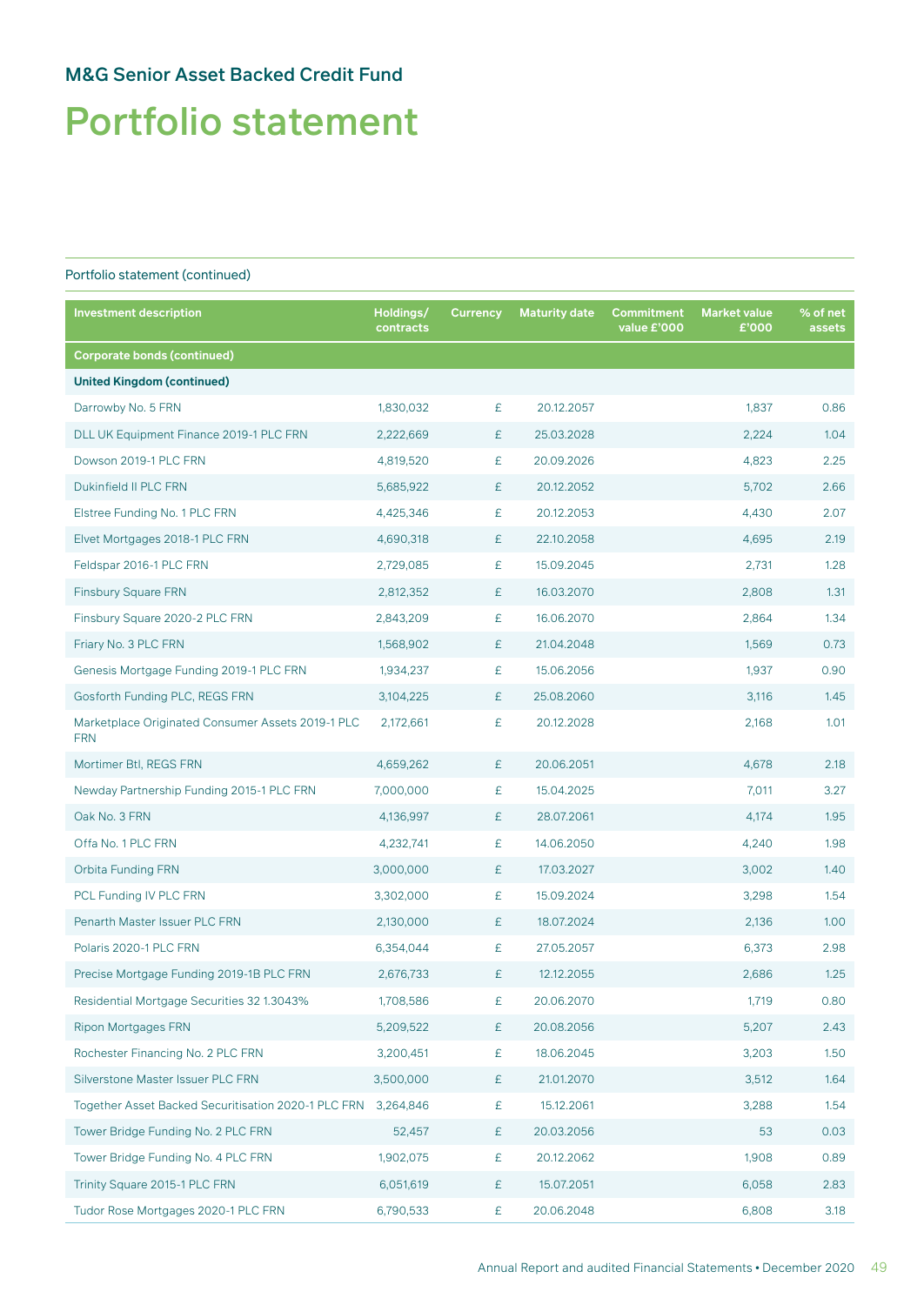# Portfolio statement

| <b>Investment description</b>                                   | Holdings/<br>contracts | <b>Currency</b> | <b>Maturity date</b> | Commitment<br>value £'000 | <b>Market value</b><br>£'000 | % of net<br>assets |
|-----------------------------------------------------------------|------------------------|-----------------|----------------------|---------------------------|------------------------------|--------------------|
| <b>Corporate bonds (continued)</b>                              |                        |                 |                      |                           |                              |                    |
| <b>United Kingdom (continued)</b>                               |                        |                 |                      |                           |                              |                    |
| Darrowby No. 5 FRN                                              | 1,830,032              | £               | 20.12.2057           |                           | 1,837                        | 0.86               |
| DLL UK Equipment Finance 2019-1 PLC FRN                         | 2,222,669              | £               | 25.03.2028           |                           | 2,224                        | 1.04               |
| Dowson 2019-1 PLC FRN                                           | 4,819,520              | £               | 20.09.2026           |                           | 4,823                        | 2.25               |
| Dukinfield II PLC FRN                                           | 5,685,922              | £               | 20.12.2052           |                           | 5,702                        | 2.66               |
| Elstree Funding No. 1 PLC FRN                                   | 4,425,346              | £               | 20.12.2053           |                           | 4,430                        | 2.07               |
| Elvet Mortgages 2018-1 PLC FRN                                  | 4,690,318              | £               | 22.10.2058           |                           | 4,695                        | 2.19               |
| Feldspar 2016-1 PLC FRN                                         | 2,729,085              | £               | 15.09.2045           |                           | 2,731                        | 1.28               |
| <b>Finsbury Square FRN</b>                                      | 2,812,352              | £               | 16.03.2070           |                           | 2,808                        | 1.31               |
| Finsbury Square 2020-2 PLC FRN                                  | 2,843,209              | £               | 16.06.2070           |                           | 2,864                        | 1.34               |
| Friary No. 3 PLC FRN                                            | 1,568,902              | £               | 21.04.2048           |                           | 1,569                        | 0.73               |
| Genesis Mortgage Funding 2019-1 PLC FRN                         | 1,934,237              | £               | 15.06.2056           |                           | 1,937                        | 0.90               |
| Gosforth Funding PLC, REGS FRN                                  | 3,104,225              | £               | 25.08.2060           |                           | 3,116                        | 1.45               |
| Marketplace Originated Consumer Assets 2019-1 PLC<br><b>FRN</b> | 2,172,661              | £               | 20.12.2028           |                           | 2,168                        | 1.01               |
| Mortimer Btl, REGS FRN                                          | 4,659,262              | £               | 20.06.2051           |                           | 4,678                        | 2.18               |
| Newday Partnership Funding 2015-1 PLC FRN                       | 7,000,000              | £               | 15.04.2025           |                           | 7,011                        | 3.27               |
| Oak No. 3 FRN                                                   | 4,136,997              | £               | 28.07.2061           |                           | 4,174                        | 1.95               |
| Offa No. 1 PLC FRN                                              | 4,232,741              | £               | 14.06.2050           |                           | 4,240                        | 1.98               |
| <b>Orbita Funding FRN</b>                                       | 3,000,000              | £               | 17.03.2027           |                           | 3,002                        | 1.40               |
| PCL Funding IV PLC FRN                                          | 3,302,000              | £               | 15.09.2024           |                           | 3,298                        | 1.54               |
| Penarth Master Issuer PLC FRN                                   | 2,130,000              | £               | 18.07.2024           |                           | 2,136                        | 1.00               |
| Polaris 2020-1 PLC FRN                                          | 6,354,044              | £               | 27.05.2057           |                           | 6,373                        | 2.98               |
| Precise Mortgage Funding 2019-1B PLC FRN                        | 2,676,733              | £               | 12.12.2055           |                           | 2,686                        | 1.25               |
| Residential Mortgage Securities 32 1.3043%                      | 1,708,586              | £               | 20.06.2070           |                           | 1,719                        | 0.80               |
| <b>Ripon Mortgages FRN</b>                                      | 5,209,522              | £               | 20.08.2056           |                           | 5,207                        | 2.43               |
| Rochester Financing No. 2 PLC FRN                               | 3,200,451              | £               | 18.06.2045           |                           | 3,203                        | 1.50               |
| Silverstone Master Issuer PLC FRN                               | 3,500,000              | £               | 21.01.2070           |                           | 3,512                        | 1.64               |
| Together Asset Backed Securitisation 2020-1 PLC FRN             | 3,264,846              | £               | 15.12.2061           |                           | 3,288                        | 1.54               |
| Tower Bridge Funding No. 2 PLC FRN                              | 52,457                 | £               | 20.03.2056           |                           | 53                           | 0.03               |
| Tower Bridge Funding No. 4 PLC FRN                              | 1,902,075              | £               | 20.12.2062           |                           | 1,908                        | 0.89               |
| Trinity Square 2015-1 PLC FRN                                   | 6,051,619              | £               | 15.07.2051           |                           | 6,058                        | 2.83               |
| Tudor Rose Mortgages 2020-1 PLC FRN                             | 6,790,533              | £               | 20.06.2048           |                           | 6,808                        | 3.18               |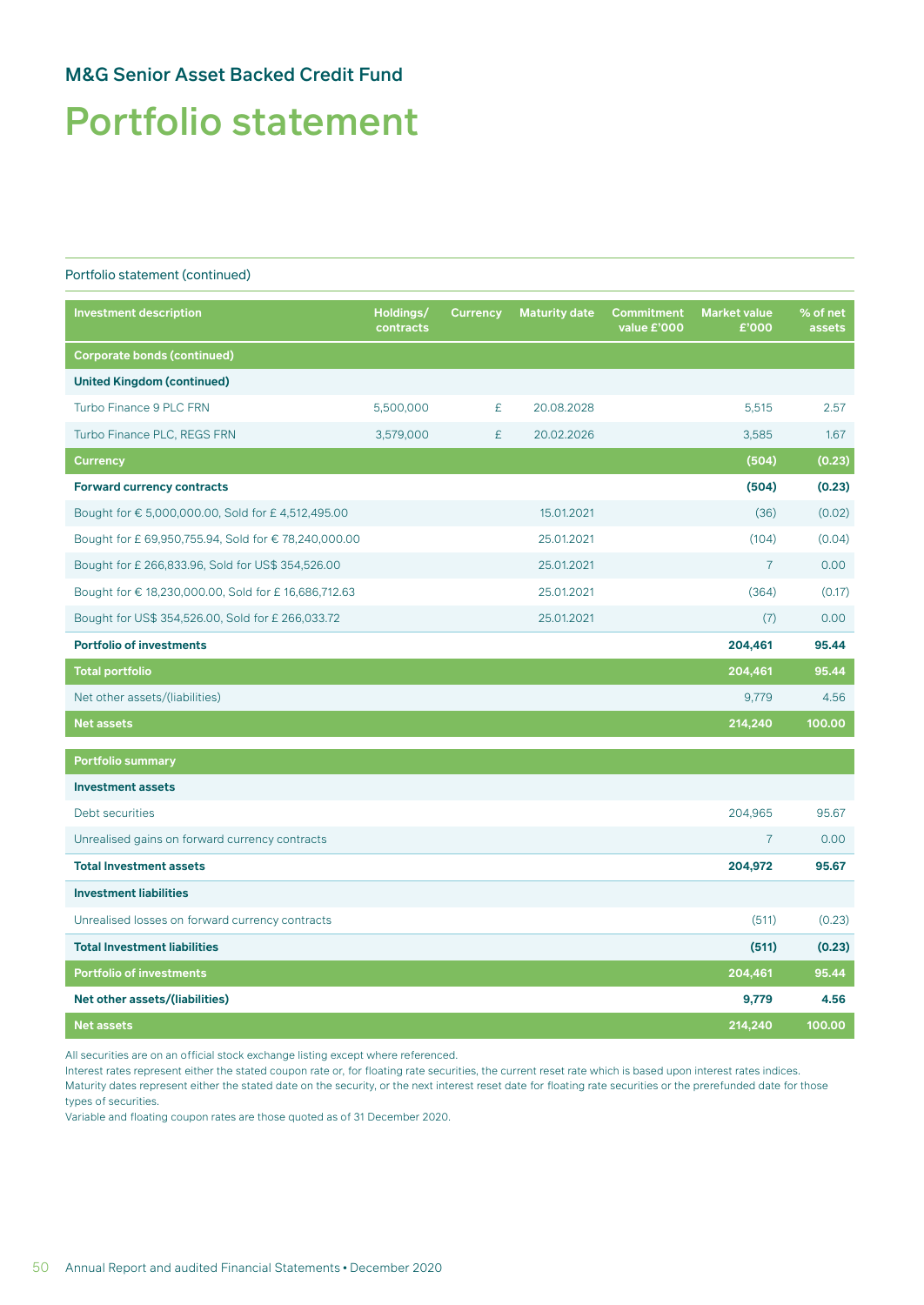# Portfolio statement

#### Portfolio statement (continued)

| <b>Investment description</b>                        | Holdings/<br>contracts | <b>Currency</b> | <b>Maturity date</b> | <b>Commitment</b><br>value £'000 | <b>Market value</b><br>£'000 | % of net<br>assets |
|------------------------------------------------------|------------------------|-----------------|----------------------|----------------------------------|------------------------------|--------------------|
| <b>Corporate bonds (continued)</b>                   |                        |                 |                      |                                  |                              |                    |
| <b>United Kingdom (continued)</b>                    |                        |                 |                      |                                  |                              |                    |
| Turbo Finance 9 PLC FRN                              | 5,500,000              | £               | 20.08.2028           |                                  | 5,515                        | 2.57               |
| Turbo Finance PLC, REGS FRN                          | 3,579,000              | £               | 20.02.2026           |                                  | 3,585                        | 1.67               |
| <b>Currency</b>                                      |                        |                 |                      |                                  | (504)                        | (0.23)             |
| <b>Forward currency contracts</b>                    |                        |                 |                      |                                  | (504)                        | (0.23)             |
| Bought for € 5,000,000.00, Sold for £ 4,512,495.00   |                        |                 | 15.01.2021           |                                  | (36)                         | (0.02)             |
| Bought for £ 69,950,755.94, Sold for € 78,240,000.00 |                        |                 | 25.01.2021           |                                  | (104)                        | (0.04)             |
| Bought for £ 266,833.96, Sold for US\$ 354,526.00    |                        |                 | 25.01.2021           |                                  | $\overline{7}$               | 0.00               |
| Bought for € 18,230,000.00, Sold for £ 16,686,712.63 |                        |                 | 25.01.2021           |                                  | (364)                        | (0.17)             |
| Bought for US\$ 354,526.00, Sold for £ 266,033.72    |                        |                 | 25.01.2021           |                                  | (7)                          | 0.00               |
| <b>Portfolio of investments</b>                      |                        |                 |                      |                                  | 204,461                      | 95.44              |
| <b>Total portfolio</b>                               |                        |                 |                      |                                  | 204,461                      | 95.44              |
| Net other assets/(liabilities)                       |                        |                 |                      |                                  | 9,779                        | 4.56               |
| <b>Net assets</b>                                    |                        |                 |                      |                                  | 214,240                      | 100.00             |
| <b>Portfolio summary</b>                             |                        |                 |                      |                                  |                              |                    |
| <b>Investment assets</b>                             |                        |                 |                      |                                  |                              |                    |
| Debt securities                                      |                        |                 |                      |                                  | 204,965                      | 95.67              |
| Unrealised gains on forward currency contracts       |                        |                 |                      |                                  | $\overline{7}$               | 0.00               |
| <b>Total Investment assets</b>                       |                        |                 |                      |                                  | 204,972                      | 95.67              |
| <b>Investment liabilities</b>                        |                        |                 |                      |                                  |                              |                    |
| Unrealised losses on forward currency contracts      |                        |                 |                      |                                  | (511)                        | (0.23)             |
| <b>Total Investment liabilities</b>                  |                        |                 |                      |                                  | (511)                        | (0.23)             |
| <b>Portfolio of investments</b>                      |                        |                 |                      |                                  | 204,461                      | 95.44              |
| Net other assets/(liabilities)                       |                        |                 |                      |                                  | 9,779                        | 4.56               |
| <b>Net assets</b>                                    |                        |                 |                      |                                  | 214,240                      | 100.00             |

All securities are on an official stock exchange listing except where referenced.

Interest rates represent either the stated coupon rate or, for floating rate securities, the current reset rate which is based upon interest rates indices. Maturity dates represent either the stated date on the security, or the next interest reset date for floating rate securities or the prerefunded date for those types of securities.

Variable and floating coupon rates are those quoted as of 31 December 2020.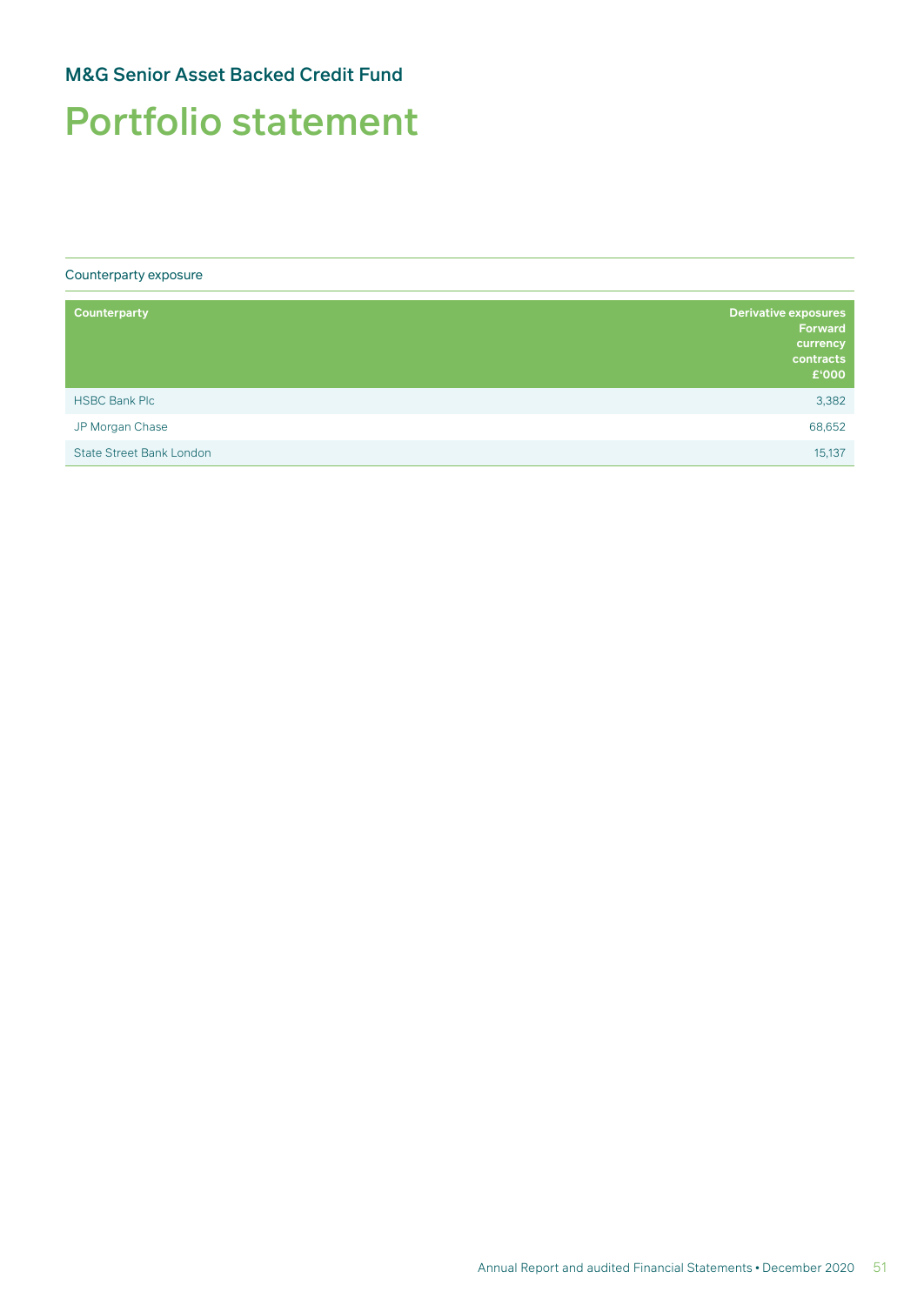## Portfolio statement

Counterparty exposure

| Counterparty                    | Derivative exposures<br><b>Forward</b><br>currency<br>contracts<br>£'000 |
|---------------------------------|--------------------------------------------------------------------------|
| <b>HSBC Bank Plc</b>            | 3,382                                                                    |
| JP Morgan Chase                 | 68,652                                                                   |
| <b>State Street Bank London</b> | 15,137                                                                   |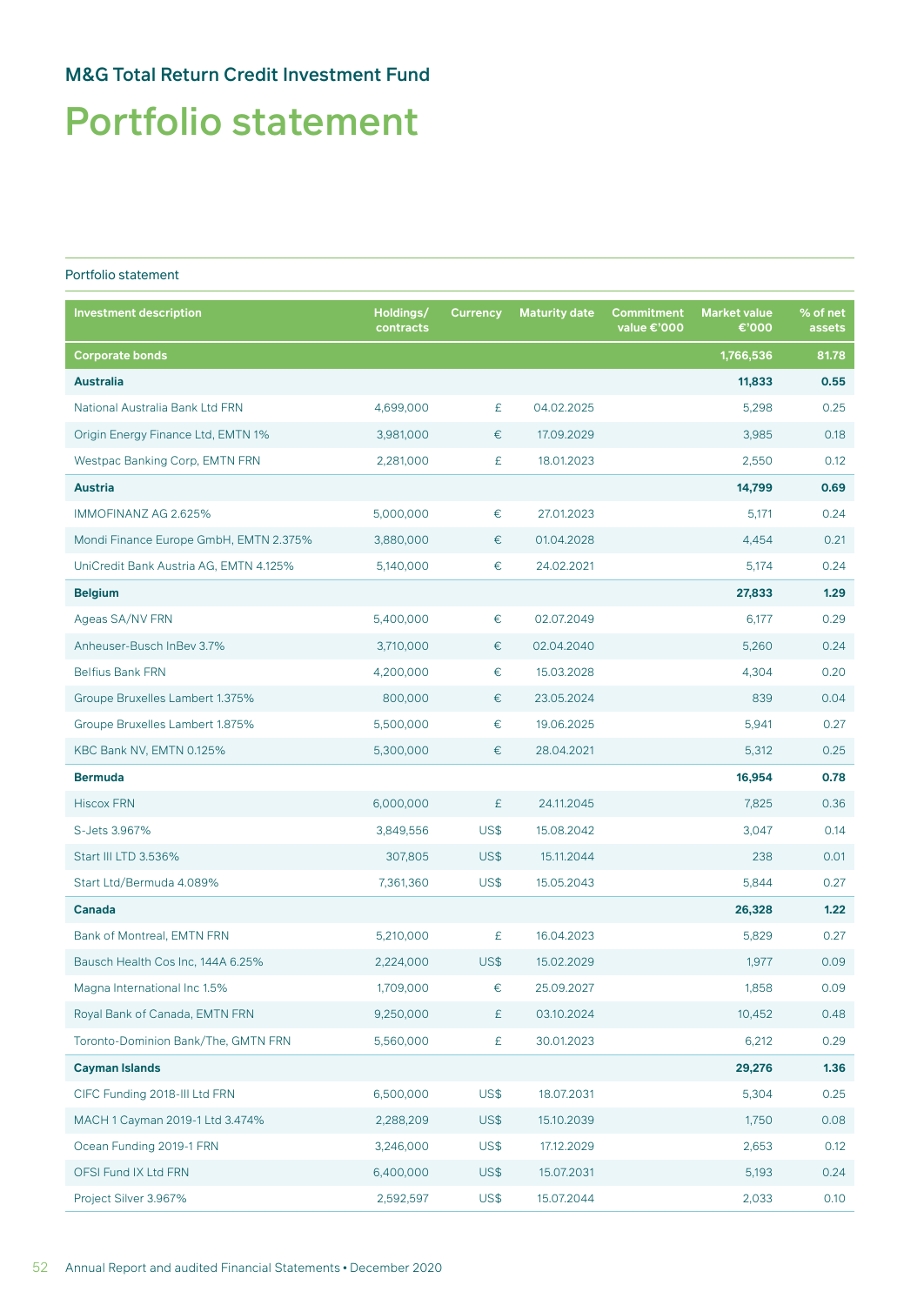## Portfolio statement

### Portfolio statement

| <b>Investment description</b>          | Holdings/<br>contracts | <b>Currency</b> | <b>Maturity date</b> | Commitment<br>value €'000 | <b>Market value</b><br>€'000 | % of net<br>assets |
|----------------------------------------|------------------------|-----------------|----------------------|---------------------------|------------------------------|--------------------|
| <b>Corporate bonds</b>                 |                        |                 |                      |                           | 1,766,536                    | 81.78              |
| <b>Australia</b>                       |                        |                 |                      |                           | 11,833                       | 0.55               |
| National Australia Bank Ltd FRN        | 4,699,000              | £               | 04.02.2025           |                           | 5,298                        | 0.25               |
| Origin Energy Finance Ltd, EMTN 1%     | 3,981,000              | €               | 17.09.2029           |                           | 3,985                        | 0.18               |
| Westpac Banking Corp, EMTN FRN         | 2,281,000              | £               | 18.01.2023           |                           | 2,550                        | 0.12               |
| <b>Austria</b>                         |                        |                 |                      |                           | 14,799                       | 0.69               |
| IMMOFINANZ AG 2.625%                   | 5,000,000              | €               | 27.01.2023           |                           | 5,171                        | 0.24               |
| Mondi Finance Europe GmbH, EMTN 2.375% | 3,880,000              | €               | 01.04.2028           |                           | 4,454                        | 0.21               |
| UniCredit Bank Austria AG, EMTN 4.125% | 5,140,000              | €               | 24.02.2021           |                           | 5,174                        | 0.24               |
| <b>Belgium</b>                         |                        |                 |                      |                           | 27,833                       | 1.29               |
| Ageas SA/NV FRN                        | 5,400,000              | €               | 02.07.2049           |                           | 6,177                        | 0.29               |
| Anheuser-Busch InBev 3.7%              | 3,710,000              | €               | 02.04.2040           |                           | 5,260                        | 0.24               |
| <b>Belfius Bank FRN</b>                | 4,200,000              | $\in$           | 15.03.2028           |                           | 4,304                        | 0.20               |
| Groupe Bruxelles Lambert 1.375%        | 800,000                | €               | 23.05.2024           |                           | 839                          | 0.04               |
| Groupe Bruxelles Lambert 1.875%        | 5,500,000              | €               | 19.06.2025           |                           | 5,941                        | 0.27               |
| KBC Bank NV, EMTN 0.125%               | 5,300,000              | €               | 28.04.2021           |                           | 5,312                        | 0.25               |
| <b>Bermuda</b>                         |                        |                 |                      |                           | 16,954                       | 0.78               |
| <b>Hiscox FRN</b>                      | 6,000,000              | £               | 24.11.2045           |                           | 7,825                        | 0.36               |
| S-Jets 3.967%                          | 3,849,556              | US\$            | 15.08.2042           |                           | 3,047                        | 0.14               |
| Start III LTD 3.536%                   | 307,805                | US\$            | 15.11.2044           |                           | 238                          | 0.01               |
| Start Ltd/Bermuda 4.089%               | 7,361,360              | US\$            | 15.05.2043           |                           | 5,844                        | 0.27               |
| Canada                                 |                        |                 |                      |                           | 26,328                       | 1.22               |
| Bank of Montreal, EMTN FRN             | 5,210,000              | £               | 16.04.2023           |                           | 5,829                        | 0.27               |
| Bausch Health Cos Inc, 144A 6.25%      | 2,224,000              | US\$            | 15.02.2029           |                           | 1,977                        | 0.09               |
| Magna International Inc 1.5%           | 1,709,000              | €               | 25.09.2027           |                           | 1,858                        | 0.09               |
| Royal Bank of Canada, EMTN FRN         | 9,250,000              | £               | 03.10.2024           |                           | 10,452                       | 0.48               |
| Toronto-Dominion Bank/The, GMTN FRN    | 5,560,000              | £               | 30.01.2023           |                           | 6,212                        | 0.29               |
| <b>Cayman Islands</b>                  |                        |                 |                      |                           | 29,276                       | 1.36               |
| CIFC Funding 2018-III Ltd FRN          | 6,500,000              | US\$            | 18.07.2031           |                           | 5,304                        | 0.25               |
| MACH 1 Cayman 2019-1 Ltd 3.474%        | 2,288,209              | US\$            | 15.10.2039           |                           | 1,750                        | 0.08               |
| Ocean Funding 2019-1 FRN               | 3,246,000              | US\$            | 17.12.2029           |                           | 2,653                        | 0.12               |
| OFSI Fund IX Ltd FRN                   | 6,400,000              | US\$            | 15.07.2031           |                           | 5,193                        | 0.24               |
| Project Silver 3.967%                  | 2,592,597              | US\$            | 15.07.2044           |                           | 2,033                        | 0.10               |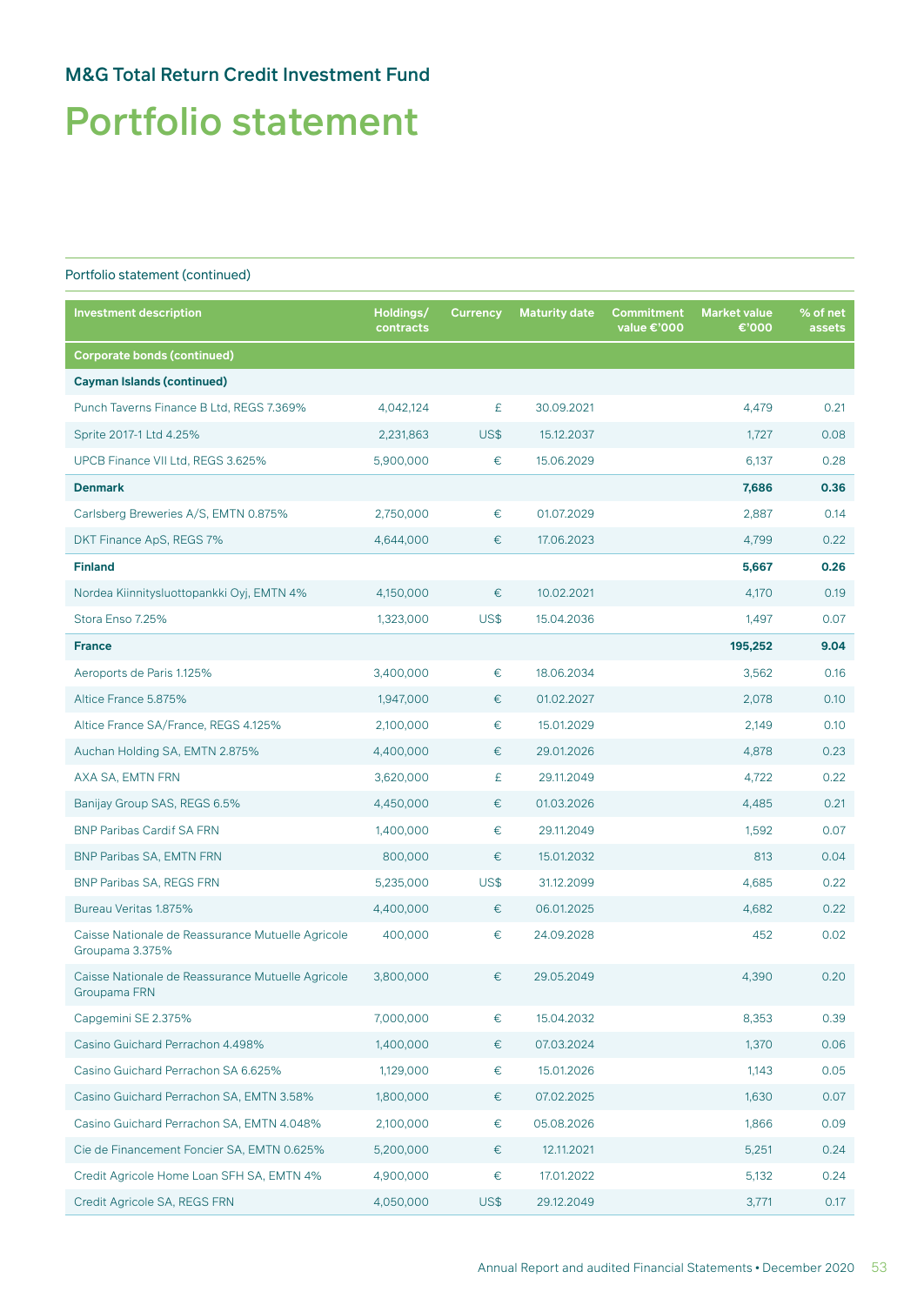# Portfolio statement

| <b>Investment description</b>                                        | Holdings/<br>contracts | <b>Currency</b> | <b>Maturity date</b> | Commitment<br>value €'000 | <b>Market value</b><br>€'000 | % of net<br>assets |
|----------------------------------------------------------------------|------------------------|-----------------|----------------------|---------------------------|------------------------------|--------------------|
| <b>Corporate bonds (continued)</b>                                   |                        |                 |                      |                           |                              |                    |
| <b>Cayman Islands (continued)</b>                                    |                        |                 |                      |                           |                              |                    |
| Punch Taverns Finance B Ltd, REGS 7.369%                             | 4,042,124              | £               | 30.09.2021           |                           | 4,479                        | 0.21               |
| Sprite 2017-1 Ltd 4.25%                                              | 2,231,863              | US\$            | 15.12.2037           |                           | 1,727                        | 0.08               |
| UPCB Finance VII Ltd, REGS 3.625%                                    | 5,900,000              | €               | 15.06.2029           |                           | 6,137                        | 0.28               |
| <b>Denmark</b>                                                       |                        |                 |                      |                           | 7,686                        | 0.36               |
| Carlsberg Breweries A/S, EMTN 0.875%                                 | 2,750,000              | €               | 01.07.2029           |                           | 2,887                        | 0.14               |
| DKT Finance ApS, REGS 7%                                             | 4,644,000              | €               | 17.06.2023           |                           | 4,799                        | 0.22               |
| <b>Finland</b>                                                       |                        |                 |                      |                           | 5,667                        | 0.26               |
| Nordea Kiinnitysluottopankki Oyj, EMTN 4%                            | 4,150,000              | €               | 10.02.2021           |                           | 4,170                        | 0.19               |
| Stora Enso 7.25%                                                     | 1,323,000              | US\$            | 15.04.2036           |                           | 1,497                        | 0.07               |
| <b>France</b>                                                        |                        |                 |                      |                           | 195,252                      | 9.04               |
| Aeroports de Paris 1.125%                                            | 3,400,000              | €               | 18.06.2034           |                           | 3,562                        | 0.16               |
| Altice France 5.875%                                                 | 1,947,000              | €               | 01.02.2027           |                           | 2,078                        | 0.10               |
| Altice France SA/France, REGS 4.125%                                 | 2,100,000              | $\in$           | 15.01.2029           |                           | 2,149                        | 0.10               |
| Auchan Holding SA, EMTN 2.875%                                       | 4,400,000              | €               | 29.01.2026           |                           | 4,878                        | 0.23               |
| AXA SA, EMTN FRN                                                     | 3,620,000              | £               | 29.11.2049           |                           | 4,722                        | 0.22               |
| Banijay Group SAS, REGS 6.5%                                         | 4,450,000              | €               | 01.03.2026           |                           | 4,485                        | 0.21               |
| <b>BNP Paribas Cardif SA FRN</b>                                     | 1,400,000              | €               | 29.11.2049           |                           | 1,592                        | 0.07               |
| <b>BNP Paribas SA, EMTN FRN</b>                                      | 800,000                | €               | 15.01.2032           |                           | 813                          | 0.04               |
| <b>BNP Paribas SA, REGS FRN</b>                                      | 5,235,000              | US\$            | 31.12.2099           |                           | 4,685                        | 0.22               |
| Bureau Veritas 1.875%                                                | 4,400,000              | €               | 06.01.2025           |                           | 4,682                        | 0.22               |
| Caisse Nationale de Reassurance Mutuelle Agricole<br>Groupama 3.375% | 400,000                | €               | 24.09.2028           |                           | 452                          | 0.02               |
| Caisse Nationale de Reassurance Mutuelle Agricole<br>Groupama FRN    | 3,800,000              | €               | 29.05.2049           |                           | 4,390                        | 0.20               |
| Capgemini SE 2.375%                                                  | 7,000,000              | €               | 15.04.2032           |                           | 8,353                        | 0.39               |
| Casino Guichard Perrachon 4.498%                                     | 1,400,000              | €               | 07.03.2024           |                           | 1,370                        | 0.06               |
| Casino Guichard Perrachon SA 6.625%                                  | 1,129,000              | €               | 15.01.2026           |                           | 1,143                        | 0.05               |
| Casino Guichard Perrachon SA, EMTN 3.58%                             | 1,800,000              | €               | 07.02.2025           |                           | 1,630                        | 0.07               |
| Casino Guichard Perrachon SA, EMTN 4.048%                            | 2,100,000              | $\in$           | 05.08.2026           |                           | 1,866                        | 0.09               |
| Cie de Financement Foncier SA, EMTN 0.625%                           | 5,200,000              | €               | 12.11.2021           |                           | 5,251                        | 0.24               |
| Credit Agricole Home Loan SFH SA, EMTN 4%                            | 4,900,000              | $\in$           | 17.01.2022           |                           | 5,132                        | 0.24               |
| Credit Agricole SA, REGS FRN                                         | 4,050,000              | US\$            | 29.12.2049           |                           | 3,771                        | 0.17               |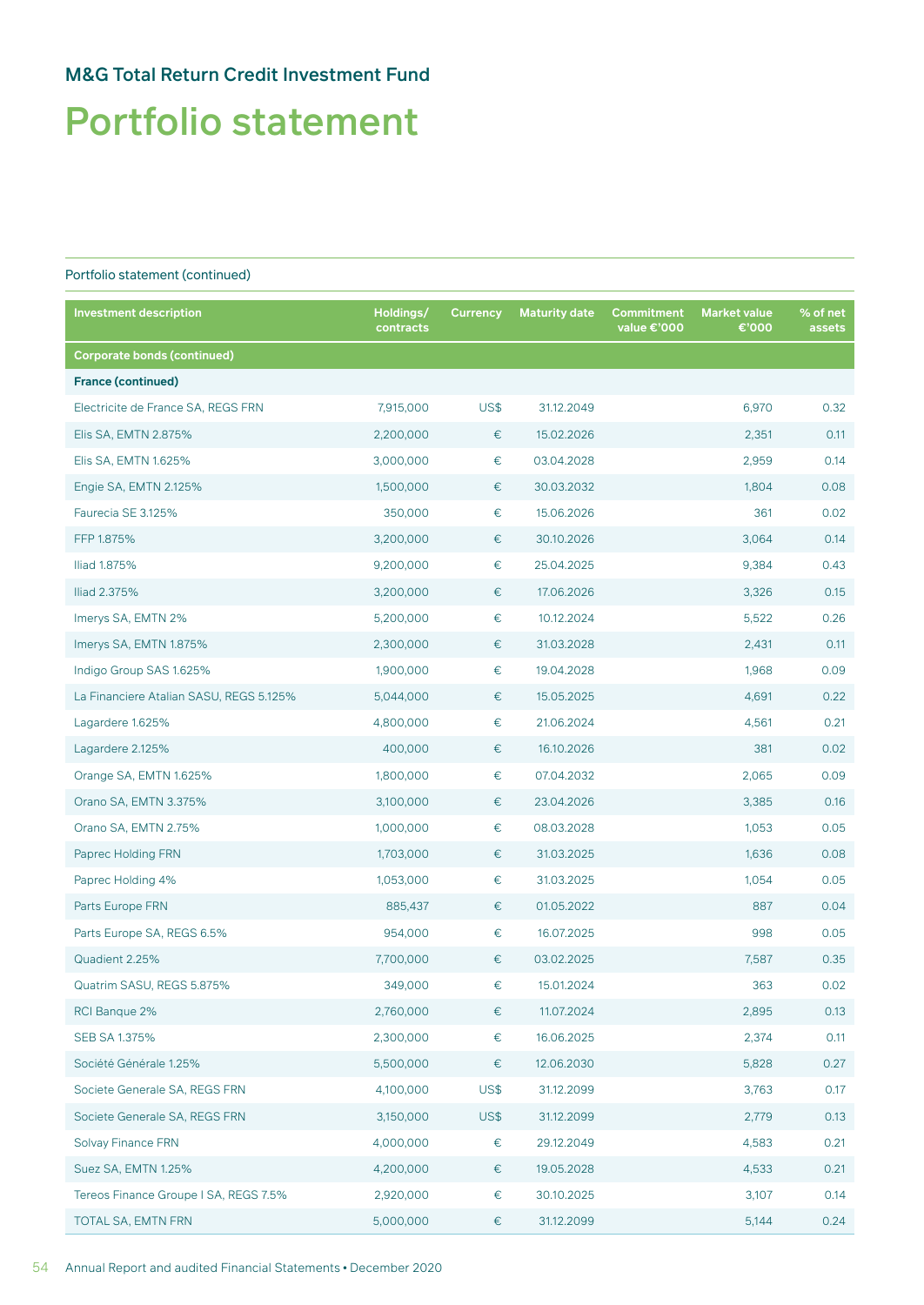# Portfolio statement

| <b>Investment description</b>           | Holdings/<br>contracts | <b>Currency</b> | <b>Maturity date</b> | Commitment<br>value €'000 | <b>Market value</b><br>€'000 | % of net<br>assets |
|-----------------------------------------|------------------------|-----------------|----------------------|---------------------------|------------------------------|--------------------|
| <b>Corporate bonds (continued)</b>      |                        |                 |                      |                           |                              |                    |
| <b>France (continued)</b>               |                        |                 |                      |                           |                              |                    |
| Electricite de France SA, REGS FRN      | 7,915,000              | US\$            | 31.12.2049           |                           | 6,970                        | 0.32               |
| Elis SA, EMTN 2.875%                    | 2,200,000              | €               | 15.02.2026           |                           | 2,351                        | 0.11               |
| Elis SA, EMTN 1.625%                    | 3,000,000              | $\in$           | 03.04.2028           |                           | 2,959                        | 0.14               |
| Engie SA, EMTN 2.125%                   | 1,500,000              | €               | 30.03.2032           |                           | 1,804                        | 0.08               |
| Faurecia SE 3.125%                      | 350,000                | €               | 15.06.2026           |                           | 361                          | 0.02               |
| FFP 1.875%                              | 3,200,000              | €               | 30.10.2026           |                           | 3,064                        | 0.14               |
| Iliad 1.875%                            | 9,200,000              | €               | 25.04.2025           |                           | 9,384                        | 0.43               |
| Iliad 2.375%                            | 3,200,000              | €               | 17.06.2026           |                           | 3,326                        | 0.15               |
| Imerys SA, EMTN 2%                      | 5,200,000              | €               | 10.12.2024           |                           | 5,522                        | 0.26               |
| Imerys SA, EMTN 1.875%                  | 2,300,000              | €               | 31.03.2028           |                           | 2,431                        | 0.11               |
| Indigo Group SAS 1.625%                 | 1,900,000              | €               | 19.04.2028           |                           | 1,968                        | 0.09               |
| La Financiere Atalian SASU, REGS 5.125% | 5,044,000              | $\in$           | 15.05.2025           |                           | 4,691                        | 0.22               |
| Lagardere 1.625%                        | 4,800,000              | €               | 21.06.2024           |                           | 4,561                        | 0.21               |
| Lagardere 2.125%                        | 400,000                | €               | 16.10.2026           |                           | 381                          | 0.02               |
| Orange SA, EMTN 1.625%                  | 1,800,000              | €               | 07.04.2032           |                           | 2,065                        | 0.09               |
| Orano SA, EMTN 3.375%                   | 3,100,000              | €               | 23.04.2026           |                           | 3,385                        | 0.16               |
| Orano SA, EMTN 2.75%                    | 1,000,000              | €               | 08.03.2028           |                           | 1,053                        | 0.05               |
| Paprec Holding FRN                      | 1,703,000              | €               | 31.03.2025           |                           | 1,636                        | 0.08               |
| Paprec Holding 4%                       | 1,053,000              | €               | 31.03.2025           |                           | 1,054                        | 0.05               |
| Parts Europe FRN                        | 885,437                | €               | 01.05.2022           |                           | 887                          | 0.04               |
| Parts Europe SA, REGS 6.5%              | 954,000                | €               | 16.07.2025           |                           | 998                          | 0.05               |
| Quadient 2.25%                          | 7,700,000              | €               | 03.02.2025           |                           | 7,587                        | 0.35               |
| Quatrim SASU, REGS 5.875%               | 349,000                | €               | 15.01.2024           |                           | 363                          | 0.02               |
| RCI Banque 2%                           | 2,760,000              | $\in$           | 11.07.2024           |                           | 2,895                        | 0.13               |
| SEB SA 1.375%                           | 2,300,000              | €               | 16.06.2025           |                           | 2,374                        | 0.11               |
| Société Générale 1.25%                  | 5,500,000              | €               | 12.06.2030           |                           | 5,828                        | 0.27               |
| Societe Generale SA, REGS FRN           | 4,100,000              | US\$            | 31.12.2099           |                           | 3,763                        | 0.17               |
| Societe Generale SA, REGS FRN           | 3,150,000              | US\$            | 31.12.2099           |                           | 2,779                        | 0.13               |
| <b>Solvay Finance FRN</b>               | 4,000,000              | €               | 29.12.2049           |                           | 4,583                        | 0.21               |
| Suez SA, EMTN 1.25%                     | 4,200,000              | €               | 19.05.2028           |                           | 4,533                        | 0.21               |
| Tereos Finance Groupe I SA, REGS 7.5%   | 2,920,000              | €               | 30.10.2025           |                           | 3,107                        | 0.14               |
| TOTAL SA, EMTN FRN                      | 5,000,000              | €               | 31.12.2099           |                           | 5,144                        | 0.24               |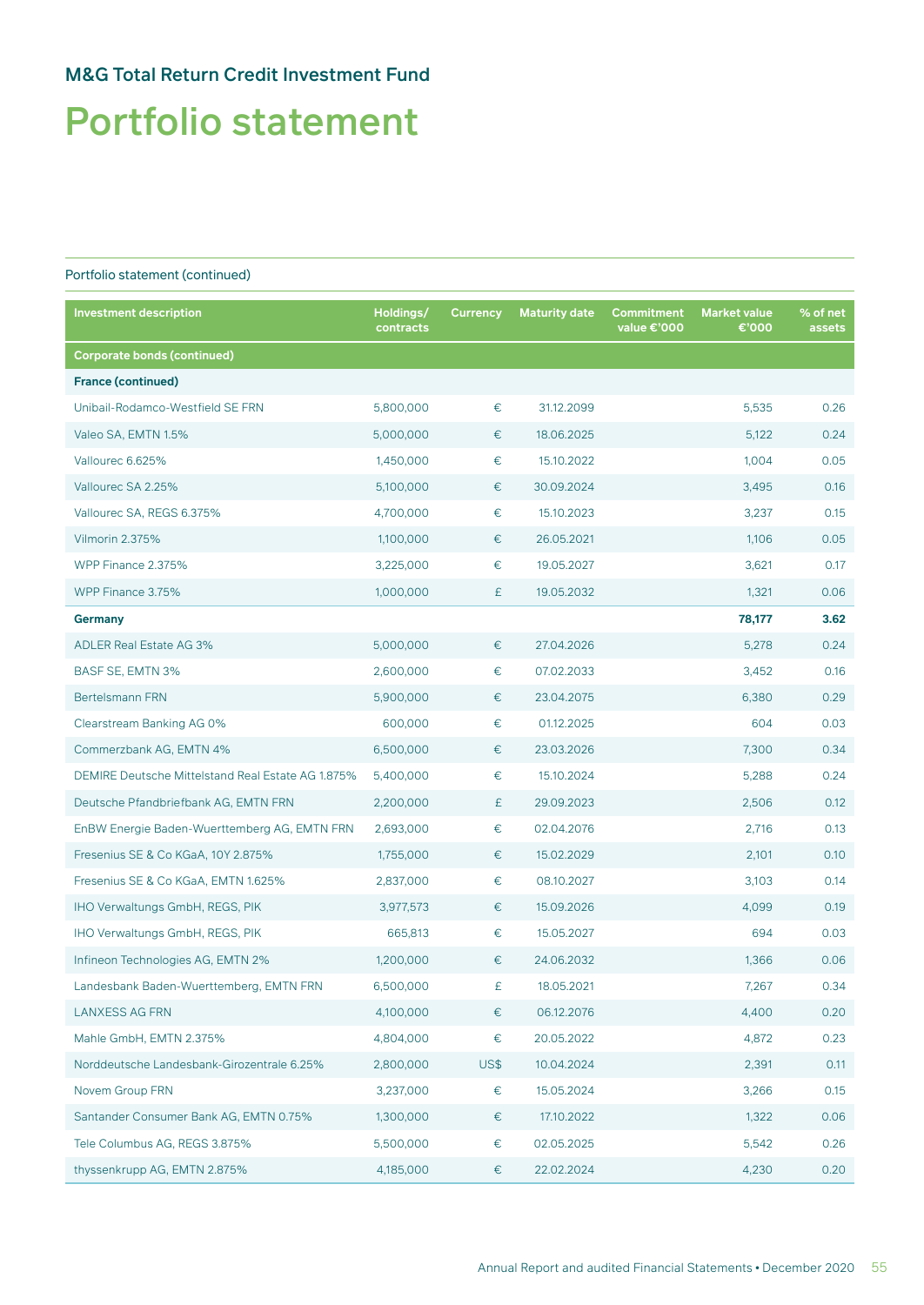# Portfolio statement

| <b>Investment description</b>                     | Holdings/<br>contracts | <b>Currency</b> | <b>Maturity date</b> | Commitment<br>value €'000 | <b>Market value</b><br>€'000 | % of net<br>assets |
|---------------------------------------------------|------------------------|-----------------|----------------------|---------------------------|------------------------------|--------------------|
| <b>Corporate bonds (continued)</b>                |                        |                 |                      |                           |                              |                    |
| <b>France (continued)</b>                         |                        |                 |                      |                           |                              |                    |
| Unibail-Rodamco-Westfield SE FRN                  | 5,800,000              | €               | 31.12.2099           |                           | 5,535                        | 0.26               |
| Valeo SA, EMTN 1.5%                               | 5,000,000              | €               | 18.06.2025           |                           | 5,122                        | 0.24               |
| Vallourec 6.625%                                  | 1,450,000              | $\in$           | 15.10.2022           |                           | 1,004                        | 0.05               |
| Vallourec SA 2.25%                                | 5,100,000              | €               | 30.09.2024           |                           | 3,495                        | 0.16               |
| Vallourec SA, REGS 6.375%                         | 4,700,000              | €               | 15.10.2023           |                           | 3,237                        | 0.15               |
| Vilmorin 2.375%                                   | 1,100,000              | €               | 26.05.2021           |                           | 1,106                        | 0.05               |
| WPP Finance 2.375%                                | 3,225,000              | €               | 19.05.2027           |                           | 3,621                        | 0.17               |
| WPP Finance 3.75%                                 | 1,000,000              | £               | 19.05.2032           |                           | 1,321                        | 0.06               |
| Germany                                           |                        |                 |                      |                           | 78,177                       | 3.62               |
| <b>ADLER Real Estate AG 3%</b>                    | 5,000,000              | €               | 27.04.2026           |                           | 5,278                        | 0.24               |
| BASF SE, EMTN 3%                                  | 2,600,000              | €               | 07.02.2033           |                           | 3,452                        | 0.16               |
| <b>Bertelsmann FRN</b>                            | 5,900,000              | €               | 23.04.2075           |                           | 6,380                        | 0.29               |
| Clearstream Banking AG 0%                         | 600,000                | €               | 01.12.2025           |                           | 604                          | 0.03               |
| Commerzbank AG, EMTN 4%                           | 6,500,000              | €               | 23.03.2026           |                           | 7,300                        | 0.34               |
| DEMIRE Deutsche Mittelstand Real Estate AG 1.875% | 5,400,000              | €               | 15.10.2024           |                           | 5,288                        | 0.24               |
| Deutsche Pfandbriefbank AG, EMTN FRN              | 2,200,000              | £               | 29.09.2023           |                           | 2,506                        | 0.12               |
| EnBW Energie Baden-Wuerttemberg AG, EMTN FRN      | 2,693,000              | €               | 02.04.2076           |                           | 2,716                        | 0.13               |
| Fresenius SE & Co KGaA, 10Y 2.875%                | 1,755,000              | €               | 15.02.2029           |                           | 2,101                        | 0.10               |
| Fresenius SE & Co KGaA, EMTN 1.625%               | 2,837,000              | €               | 08.10.2027           |                           | 3,103                        | 0.14               |
| IHO Verwaltungs GmbH, REGS, PIK                   | 3,977,573              | €               | 15.09.2026           |                           | 4,099                        | 0.19               |
| IHO Verwaltungs GmbH, REGS, PIK                   | 665,813                | €               | 15.05.2027           |                           | 694                          | 0.03               |
| Infineon Technologies AG, EMTN 2%                 | 1,200,000              | €               | 24.06.2032           |                           | 1,366                        | 0.06               |
| Landesbank Baden-Wuerttemberg, EMTN FRN           | 6,500,000              | £               | 18.05.2021           |                           | 7,267                        | 0.34               |
| <b>LANXESS AG FRN</b>                             | 4,100,000              | $\in$           | 06.12.2076           |                           | 4,400                        | 0.20               |
| Mahle GmbH, EMTN 2.375%                           | 4,804,000              | €               | 20.05.2022           |                           | 4,872                        | 0.23               |
| Norddeutsche Landesbank-Girozentrale 6.25%        | 2,800,000              | US\$            | 10.04.2024           |                           | 2,391                        | 0.11               |
| Novem Group FRN                                   | 3,237,000              | €               | 15.05.2024           |                           | 3,266                        | 0.15               |
| Santander Consumer Bank AG, EMTN 0.75%            | 1,300,000              | €               | 17.10.2022           |                           | 1,322                        | 0.06               |
| Tele Columbus AG, REGS 3.875%                     | 5,500,000              | €               | 02.05.2025           |                           | 5,542                        | 0.26               |
| thyssenkrupp AG, EMTN 2.875%                      | 4,185,000              | €               | 22.02.2024           |                           | 4,230                        | 0.20               |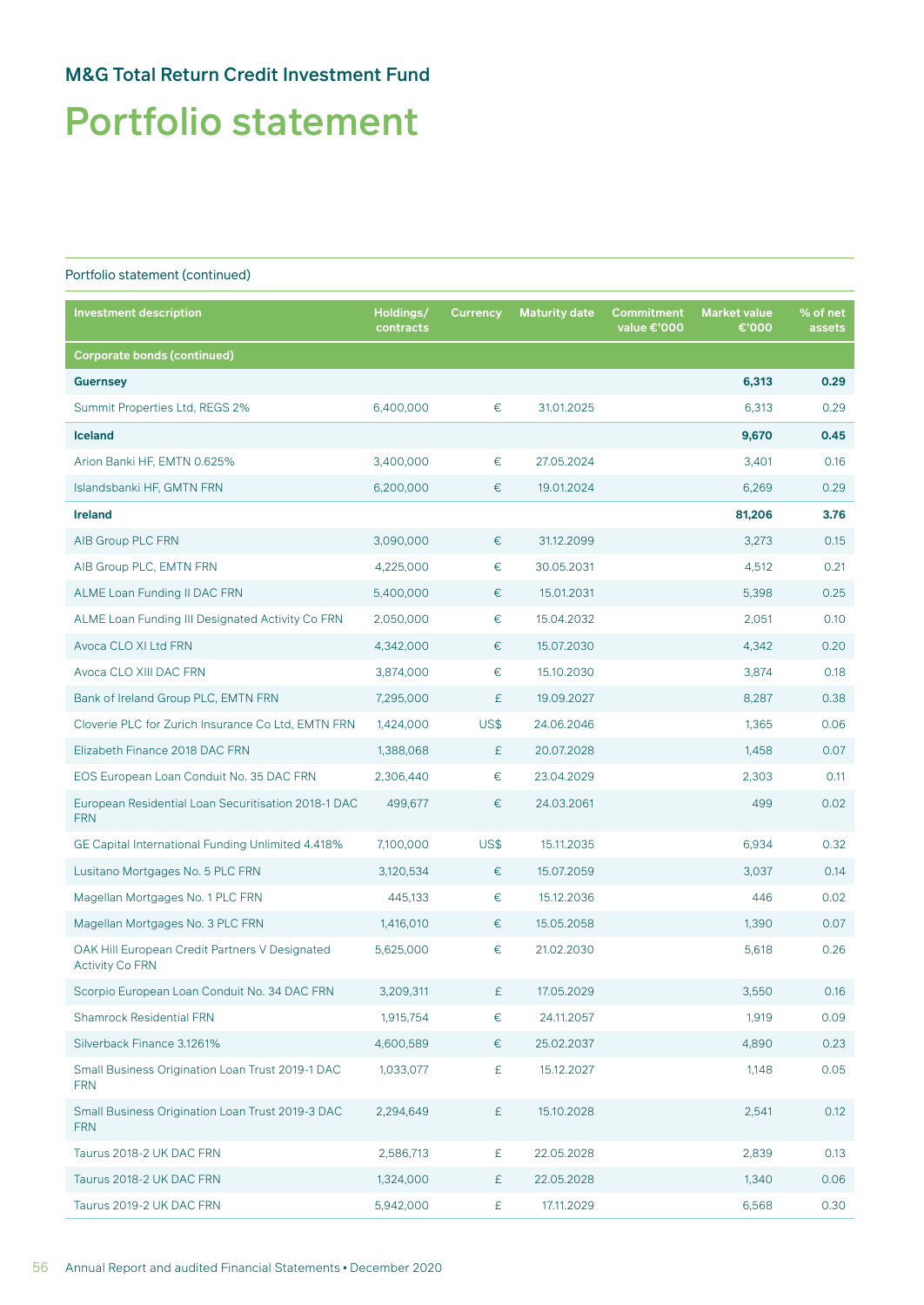## Portfolio statement

| <b>Investment description</b>                                            | Holdings/<br>contracts | <b>Currency</b> | <b>Maturity date</b> | <b>Commitment</b><br>value €'000 | <b>Market value</b><br>€'000 | % of net<br>assets |
|--------------------------------------------------------------------------|------------------------|-----------------|----------------------|----------------------------------|------------------------------|--------------------|
| <b>Corporate bonds (continued)</b>                                       |                        |                 |                      |                                  |                              |                    |
| <b>Guernsey</b>                                                          |                        |                 |                      |                                  | 6,313                        | 0.29               |
| Summit Properties Ltd, REGS 2%                                           | 6,400,000              | €               | 31.01.2025           |                                  | 6,313                        | 0.29               |
| <b>Iceland</b>                                                           |                        |                 |                      |                                  | 9,670                        | 0.45               |
| Arion Banki HF, EMTN 0.625%                                              | 3,400,000              | €               | 27.05.2024           |                                  | 3,401                        | 0.16               |
| Islandsbanki HF, GMTN FRN                                                | 6,200,000              | €               | 19.01.2024           |                                  | 6,269                        | 0.29               |
| <b>Ireland</b>                                                           |                        |                 |                      |                                  | 81,206                       | 3.76               |
| AIB Group PLC FRN                                                        | 3,090,000              | €               | 31.12.2099           |                                  | 3,273                        | 0.15               |
| AIB Group PLC, EMTN FRN                                                  | 4,225,000              | €               | 30.05.2031           |                                  | 4,512                        | 0.21               |
| ALME Loan Funding II DAC FRN                                             | 5,400,000              | €               | 15.01.2031           |                                  | 5,398                        | 0.25               |
| ALME Loan Funding III Designated Activity Co FRN                         | 2,050,000              | €               | 15.04.2032           |                                  | 2,051                        | 0.10               |
| Avoca CLO XI Ltd FRN                                                     | 4,342,000              | €               | 15.07.2030           |                                  | 4,342                        | 0.20               |
| Avoca CLO XIII DAC FRN                                                   | 3,874,000              | €               | 15.10.2030           |                                  | 3,874                        | 0.18               |
| Bank of Ireland Group PLC, EMTN FRN                                      | 7,295,000              | £               | 19.09.2027           |                                  | 8,287                        | 0.38               |
| Cloverie PLC for Zurich Insurance Co Ltd, EMTN FRN                       | 1,424,000              | US\$            | 24.06.2046           |                                  | 1,365                        | 0.06               |
| Elizabeth Finance 2018 DAC FRN                                           | 1,388,068              | £               | 20.07.2028           |                                  | 1,458                        | 0.07               |
| EOS European Loan Conduit No. 35 DAC FRN                                 | 2,306,440              | €               | 23.04.2029           |                                  | 2,303                        | 0.11               |
| European Residential Loan Securitisation 2018-1 DAC<br><b>FRN</b>        | 499,677                | €               | 24.03.2061           |                                  | 499                          | 0.02               |
| GE Capital International Funding Unlimited 4.418%                        | 7,100,000              | US\$            | 15.11.2035           |                                  | 6,934                        | 0.32               |
| Lusitano Mortgages No. 5 PLC FRN                                         | 3,120,534              | €               | 15.07.2059           |                                  | 3,037                        | 0.14               |
| Magellan Mortgages No. 1 PLC FRN                                         | 445,133                | €               | 15.12.2036           |                                  | 446                          | 0.02               |
| Magellan Mortgages No. 3 PLC FRN                                         | 1,416,010              | €               | 15.05.2058           |                                  | 1.390                        | 0.07               |
| OAK Hill European Credit Partners V Designated<br><b>Activity Co FRN</b> | 5,625,000              | €               | 21.02.2030           |                                  | 5,618                        | 0.26               |
| Scorpio European Loan Conduit No. 34 DAC FRN                             | 3,209,311              | £               | 17.05.2029           |                                  | 3,550                        | 0.16               |
| <b>Shamrock Residential FRN</b>                                          | 1,915,754              | €               | 24.11.2057           |                                  | 1,919                        | 0.09               |
| Silverback Finance 3.1261%                                               | 4,600,589              | €               | 25.02.2037           |                                  | 4,890                        | 0.23               |
| Small Business Origination Loan Trust 2019-1 DAC<br><b>FRN</b>           | 1,033,077              | £               | 15.12.2027           |                                  | 1,148                        | 0.05               |
| Small Business Origination Loan Trust 2019-3 DAC<br><b>FRN</b>           | 2,294,649              | £               | 15.10.2028           |                                  | 2,541                        | 0.12               |
| Taurus 2018-2 UK DAC FRN                                                 | 2,586,713              | £               | 22.05.2028           |                                  | 2,839                        | 0.13               |
| Taurus 2018-2 UK DAC FRN                                                 | 1,324,000              | £               | 22.05.2028           |                                  | 1,340                        | 0.06               |
| Taurus 2019-2 UK DAC FRN                                                 | 5,942,000              | £               | 17.11.2029           |                                  | 6,568                        | 0.30               |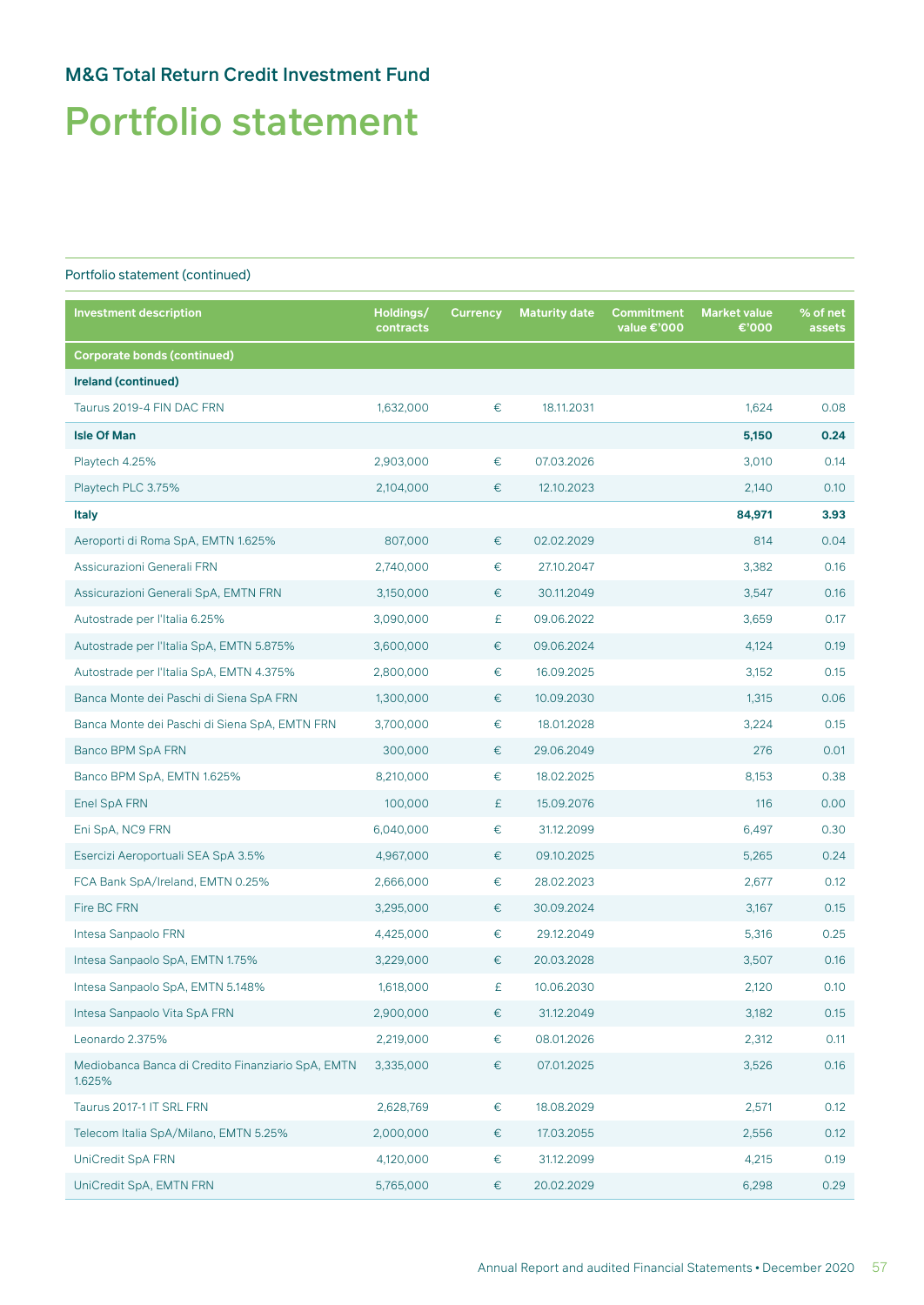# Portfolio statement

| <b>Investment description</b>                               | Holdings/<br>contracts | <b>Currency</b> | <b>Maturity date</b> | Commitment<br>value €'000 | <b>Market value</b><br>€'000 | % of net<br>assets |
|-------------------------------------------------------------|------------------------|-----------------|----------------------|---------------------------|------------------------------|--------------------|
| <b>Corporate bonds (continued)</b>                          |                        |                 |                      |                           |                              |                    |
| Ireland (continued)                                         |                        |                 |                      |                           |                              |                    |
| Taurus 2019-4 FIN DAC FRN                                   | 1,632,000              | $\in$           | 18.11.2031           |                           | 1,624                        | 0.08               |
| <b>Isle Of Man</b>                                          |                        |                 |                      |                           | 5,150                        | 0.24               |
| Playtech 4.25%                                              | 2,903,000              | €               | 07.03.2026           |                           | 3,010                        | 0.14               |
| Playtech PLC 3.75%                                          | 2,104,000              | €               | 12.10.2023           |                           | 2,140                        | 0.10               |
| <b>Italy</b>                                                |                        |                 |                      |                           | 84,971                       | 3.93               |
| Aeroporti di Roma SpA, EMTN 1.625%                          | 807,000                | €               | 02.02.2029           |                           | 814                          | 0.04               |
| Assicurazioni Generali FRN                                  | 2,740,000              | $\in$           | 27.10.2047           |                           | 3,382                        | 0.16               |
| Assicurazioni Generali SpA, EMTN FRN                        | 3,150,000              | $\in$           | 30.11.2049           |                           | 3,547                        | 0.16               |
| Autostrade per l'Italia 6.25%                               | 3,090,000              | £               | 09.06.2022           |                           | 3,659                        | 0.17               |
| Autostrade per l'Italia SpA, EMTN 5.875%                    | 3,600,000              | €               | 09.06.2024           |                           | 4,124                        | 0.19               |
| Autostrade per l'Italia SpA, EMTN 4.375%                    | 2,800,000              | €               | 16.09.2025           |                           | 3,152                        | 0.15               |
| Banca Monte dei Paschi di Siena SpA FRN                     | 1,300,000              | €               | 10.09.2030           |                           | 1,315                        | 0.06               |
| Banca Monte dei Paschi di Siena SpA, EMTN FRN               | 3,700,000              | $\in$           | 18.01.2028           |                           | 3,224                        | 0.15               |
| Banco BPM SpA FRN                                           | 300,000                | €               | 29.06.2049           |                           | 276                          | 0.01               |
| Banco BPM SpA, EMTN 1.625%                                  | 8,210,000              | €               | 18.02.2025           |                           | 8,153                        | 0.38               |
| Enel SpA FRN                                                | 100,000                | £               | 15.09.2076           |                           | 116                          | 0.00               |
| Eni SpA, NC9 FRN                                            | 6,040,000              | €               | 31.12.2099           |                           | 6,497                        | 0.30               |
| Esercizi Aeroportuali SEA SpA 3.5%                          | 4,967,000              | €               | 09.10.2025           |                           | 5,265                        | 0.24               |
| FCA Bank SpA/Ireland, EMTN 0.25%                            | 2,666,000              | €               | 28.02.2023           |                           | 2,677                        | 0.12               |
| Fire BC FRN                                                 | 3,295,000              | €               | 30.09.2024           |                           | 3,167                        | 0.15               |
| Intesa Sanpaolo FRN                                         | 4,425,000              | €               | 29.12.2049           |                           | 5,316                        | 0.25               |
| Intesa Sanpaolo SpA, EMTN 1.75%                             | 3,229,000              | €               | 20.03.2028           |                           | 3,507                        | 0.16               |
| Intesa Sanpaolo SpA, EMTN 5.148%                            | 1,618,000              | £               | 10.06.2030           |                           | 2,120                        | $0.10^{\circ}$     |
| Intesa Sanpaolo Vita SpA FRN                                | 2,900,000              | €               | 31.12.2049           |                           | 3,182                        | 0.15               |
| Leonardo 2.375%                                             | 2,219,000              | $\in$           | 08.01.2026           |                           | 2,312                        | 0.11               |
| Mediobanca Banca di Credito Finanziario SpA, EMTN<br>1.625% | 3,335,000              | $\in$           | 07.01.2025           |                           | 3,526                        | 0.16               |
| Taurus 2017-1 IT SRL FRN                                    | 2,628,769              | €               | 18.08.2029           |                           | 2,571                        | 0.12               |
| Telecom Italia SpA/Milano, EMTN 5.25%                       | 2,000,000              | €               | 17.03.2055           |                           | 2,556                        | 0.12               |
| UniCredit SpA FRN                                           | 4,120,000              | €               | 31.12.2099           |                           | 4,215                        | 0.19               |
| UniCredit SpA, EMTN FRN                                     | 5,765,000              | €               | 20.02.2029           |                           | 6,298                        | 0.29               |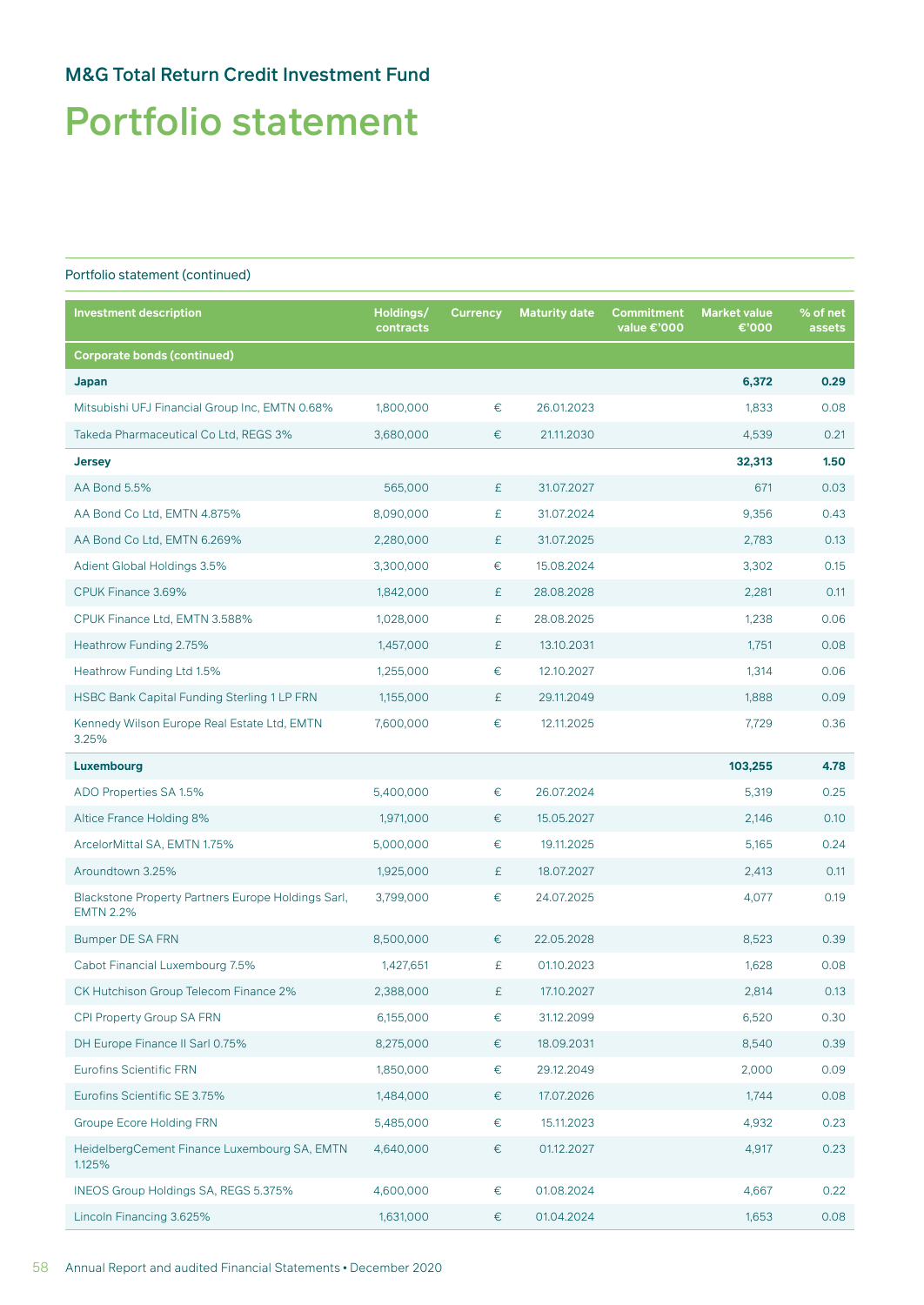## Portfolio statement

| <b>Investment description</b>                                          | Holdings/<br>contracts | <b>Currency</b> | <b>Maturity date</b> | <b>Commitment</b><br>value €'000 | <b>Market value</b><br>€'000 | % of net<br>assets |
|------------------------------------------------------------------------|------------------------|-----------------|----------------------|----------------------------------|------------------------------|--------------------|
| <b>Corporate bonds (continued)</b>                                     |                        |                 |                      |                                  |                              |                    |
| Japan                                                                  |                        |                 |                      |                                  | 6,372                        | 0.29               |
| Mitsubishi UFJ Financial Group Inc, EMTN 0.68%                         | 1,800,000              | €               | 26.01.2023           |                                  | 1,833                        | 0.08               |
| Takeda Pharmaceutical Co Ltd, REGS 3%                                  | 3,680,000              | €               | 21.11.2030           |                                  | 4,539                        | 0.21               |
| <b>Jersey</b>                                                          |                        |                 |                      |                                  | 32,313                       | 1.50               |
| AA Bond 5.5%                                                           | 565,000                | £               | 31.07.2027           |                                  | 671                          | 0.03               |
| AA Bond Co Ltd, EMTN 4.875%                                            | 8,090,000              | £               | 31.07.2024           |                                  | 9,356                        | 0.43               |
| AA Bond Co Ltd, EMTN 6.269%                                            | 2,280,000              | £               | 31.07.2025           |                                  | 2,783                        | 0.13               |
| Adient Global Holdings 3.5%                                            | 3,300,000              | €               | 15.08.2024           |                                  | 3,302                        | 0.15               |
| CPUK Finance 3.69%                                                     | 1,842,000              | £               | 28.08.2028           |                                  | 2,281                        | 0.11               |
| CPUK Finance Ltd, EMTN 3.588%                                          | 1,028,000              | £               | 28.08.2025           |                                  | 1,238                        | 0.06               |
| Heathrow Funding 2.75%                                                 | 1,457,000              | £               | 13.10.2031           |                                  | 1,751                        | 0.08               |
| Heathrow Funding Ltd 1.5%                                              | 1,255,000              | €               | 12.10.2027           |                                  | 1,314                        | 0.06               |
| HSBC Bank Capital Funding Sterling 1 LP FRN                            | 1,155,000              | £               | 29.11.2049           |                                  | 1,888                        | 0.09               |
| Kennedy Wilson Europe Real Estate Ltd, EMTN<br>3.25%                   | 7,600,000              | €               | 12.11.2025           |                                  | 7,729                        | 0.36               |
| Luxembourg                                                             |                        |                 |                      |                                  | 103,255                      | 4.78               |
| ADO Properties SA 1.5%                                                 | 5,400,000              | €               | 26.07.2024           |                                  | 5,319                        | 0.25               |
| Altice France Holding 8%                                               | 1,971,000              | €               | 15.05.2027           |                                  | 2,146                        | 0.10               |
| ArcelorMittal SA, EMTN 1.75%                                           | 5,000,000              | €               | 19.11.2025           |                                  | 5,165                        | 0.24               |
| Aroundtown 3.25%                                                       | 1,925,000              | £               | 18.07.2027           |                                  | 2,413                        | 0.11               |
| Blackstone Property Partners Europe Holdings Sarl,<br><b>EMTN 2.2%</b> | 3,799,000              | €               | 24.07.2025           |                                  | 4,077                        | 0.19               |
| Bumper DE SA FRN                                                       | 8,500,000              | €               | 22.05.2028           |                                  | 8,523                        | 0.39               |
| Cabot Financial Luxembourg 7.5%                                        | 1,427,651              | £               | 01.10.2023           |                                  | 1,628                        | 0.08               |
| CK Hutchison Group Telecom Finance 2%                                  | 2,388,000              | £               | 17.10.2027           |                                  | 2,814                        | 0.13               |
| CPI Property Group SA FRN                                              | 6,155,000              | $\in$           | 31.12.2099           |                                  | 6,520                        | 0.30               |
| DH Europe Finance II Sarl 0.75%                                        | 8,275,000              | €               | 18.09.2031           |                                  | 8,540                        | 0.39               |
| <b>Eurofins Scientific FRN</b>                                         | 1,850,000              | €               | 29.12.2049           |                                  | 2,000                        | 0.09               |
| Eurofins Scientific SE 3.75%                                           | 1,484,000              | €               | 17.07.2026           |                                  | 1,744                        | 0.08               |
| <b>Groupe Ecore Holding FRN</b>                                        | 5,485,000              | $\in$           | 15.11.2023           |                                  | 4,932                        | 0.23               |
| HeidelbergCement Finance Luxembourg SA, EMTN<br>1.125%                 | 4,640,000              | $\in$           | 01.12.2027           |                                  | 4,917                        | 0.23               |
| INEOS Group Holdings SA, REGS 5.375%                                   | 4,600,000              | €               | 01.08.2024           |                                  | 4,667                        | 0.22               |
| Lincoln Financing 3.625%                                               | 1,631,000              | €               | 01.04.2024           |                                  | 1,653                        | 0.08               |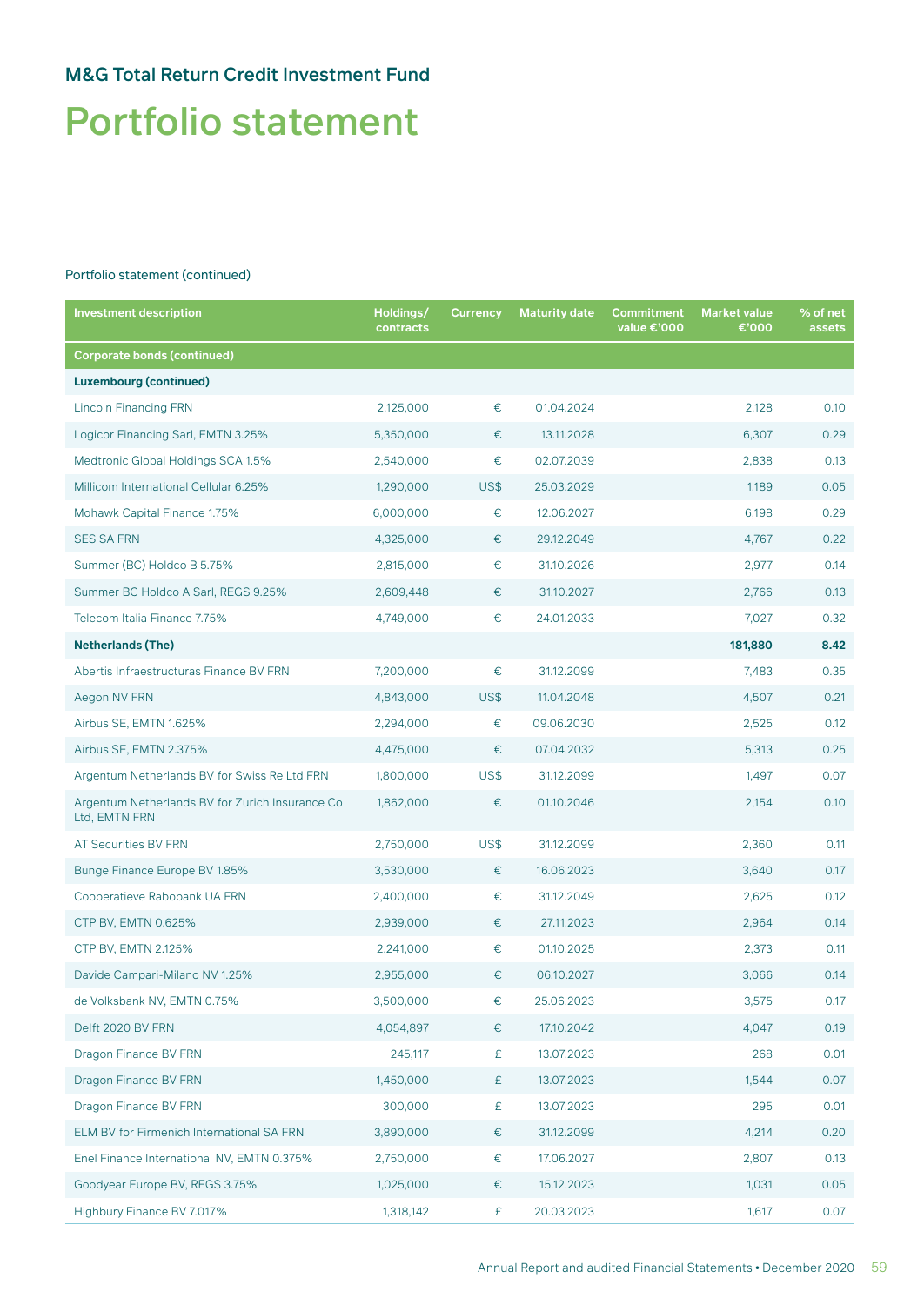# Portfolio statement

| <b>Investment description</b>                                    | Holdings/<br>contracts | <b>Currency</b> | <b>Maturity date</b> | Commitment<br>value €'000 | <b>Market value</b><br>€'000 | % of net<br>assets |
|------------------------------------------------------------------|------------------------|-----------------|----------------------|---------------------------|------------------------------|--------------------|
| <b>Corporate bonds (continued)</b>                               |                        |                 |                      |                           |                              |                    |
| <b>Luxembourg (continued)</b>                                    |                        |                 |                      |                           |                              |                    |
| <b>Lincoln Financing FRN</b>                                     | 2,125,000              | €               | 01.04.2024           |                           | 2,128                        | 0.10               |
| Logicor Financing Sarl, EMTN 3.25%                               | 5,350,000              | €               | 13.11.2028           |                           | 6,307                        | 0.29               |
| Medtronic Global Holdings SCA 1.5%                               | 2,540,000              | €               | 02.07.2039           |                           | 2,838                        | 0.13               |
| Millicom International Cellular 6.25%                            | 1,290,000              | US\$            | 25.03.2029           |                           | 1,189                        | 0.05               |
| Mohawk Capital Finance 1.75%                                     | 6,000,000              | $\in$           | 12.06.2027           |                           | 6,198                        | 0.29               |
| <b>SES SA FRN</b>                                                | 4,325,000              | €               | 29.12.2049           |                           | 4,767                        | 0.22               |
| Summer (BC) Holdco B 5.75%                                       | 2,815,000              | €               | 31.10.2026           |                           | 2,977                        | 0.14               |
| Summer BC Holdco A Sarl, REGS 9.25%                              | 2,609,448              | €               | 31.10.2027           |                           | 2,766                        | 0.13               |
| Telecom Italia Finance 7.75%                                     | 4,749,000              | €               | 24.01.2033           |                           | 7,027                        | 0.32               |
| <b>Netherlands (The)</b>                                         |                        |                 |                      |                           | 181,880                      | 8.42               |
| Abertis Infraestructuras Finance BV FRN                          | 7,200,000              | €               | 31.12.2099           |                           | 7,483                        | 0.35               |
| Aegon NV FRN                                                     | 4,843,000              | US\$            | 11.04.2048           |                           | 4,507                        | 0.21               |
| Airbus SE, EMTN 1.625%                                           | 2,294,000              | $\in$           | 09.06.2030           |                           | 2,525                        | 0.12               |
| Airbus SE, EMTN 2.375%                                           | 4,475,000              | €               | 07.04.2032           |                           | 5,313                        | 0.25               |
| Argentum Netherlands BV for Swiss Re Ltd FRN                     | 1,800,000              | US\$            | 31.12.2099           |                           | 1,497                        | 0.07               |
| Argentum Netherlands BV for Zurich Insurance Co<br>Ltd, EMTN FRN | 1,862,000              | €               | 01.10.2046           |                           | 2,154                        | 0.10               |
| AT Securities BV FRN                                             | 2,750,000              | US\$            | 31.12.2099           |                           | 2,360                        | 0.11               |
| Bunge Finance Europe BV 1.85%                                    | 3,530,000              | €               | 16.06.2023           |                           | 3,640                        | 0.17               |
| Cooperatieve Rabobank UA FRN                                     | 2,400,000              | €               | 31.12.2049           |                           | 2,625                        | 0.12               |
| CTP BV, EMTN 0.625%                                              | 2,939,000              | €               | 27.11.2023           |                           | 2,964                        | 0.14               |
| CTP BV, EMTN 2.125%                                              | 2,241,000              | €               | 01.10.2025           |                           | 2,373                        | 0.11               |
| Davide Campari-Milano NV 1.25%                                   | 2,955,000              | €               | 06.10.2027           |                           | 3,066                        | 0.14               |
| de Volksbank NV, EMTN 0.75%                                      | 3,500,000              | €               | 25.06.2023           |                           | 3,575                        | 0.17               |
| Delft 2020 BV FRN                                                | 4,054,897              | €               | 17.10.2042           |                           | 4,047                        | 0.19               |
| Dragon Finance BV FRN                                            | 245,117                | £               | 13.07.2023           |                           | 268                          | 0.01               |
| Dragon Finance BV FRN                                            | 1,450,000              | £               | 13.07.2023           |                           | 1,544                        | 0.07               |
| Dragon Finance BV FRN                                            | 300,000                | £               | 13.07.2023           |                           | 295                          | 0.01               |
| ELM BV for Firmenich International SA FRN                        | 3,890,000              | €               | 31.12.2099           |                           | 4,214                        | 0.20               |
| Enel Finance International NV, EMTN 0.375%                       | 2,750,000              | $\in$           | 17.06.2027           |                           | 2,807                        | 0.13               |
| Goodyear Europe BV, REGS 3.75%                                   | 1,025,000              | €               | 15.12.2023           |                           | 1,031                        | 0.05               |
| Highbury Finance BV 7.017%                                       | 1,318,142              | £               | 20.03.2023           |                           | 1,617                        | 0.07               |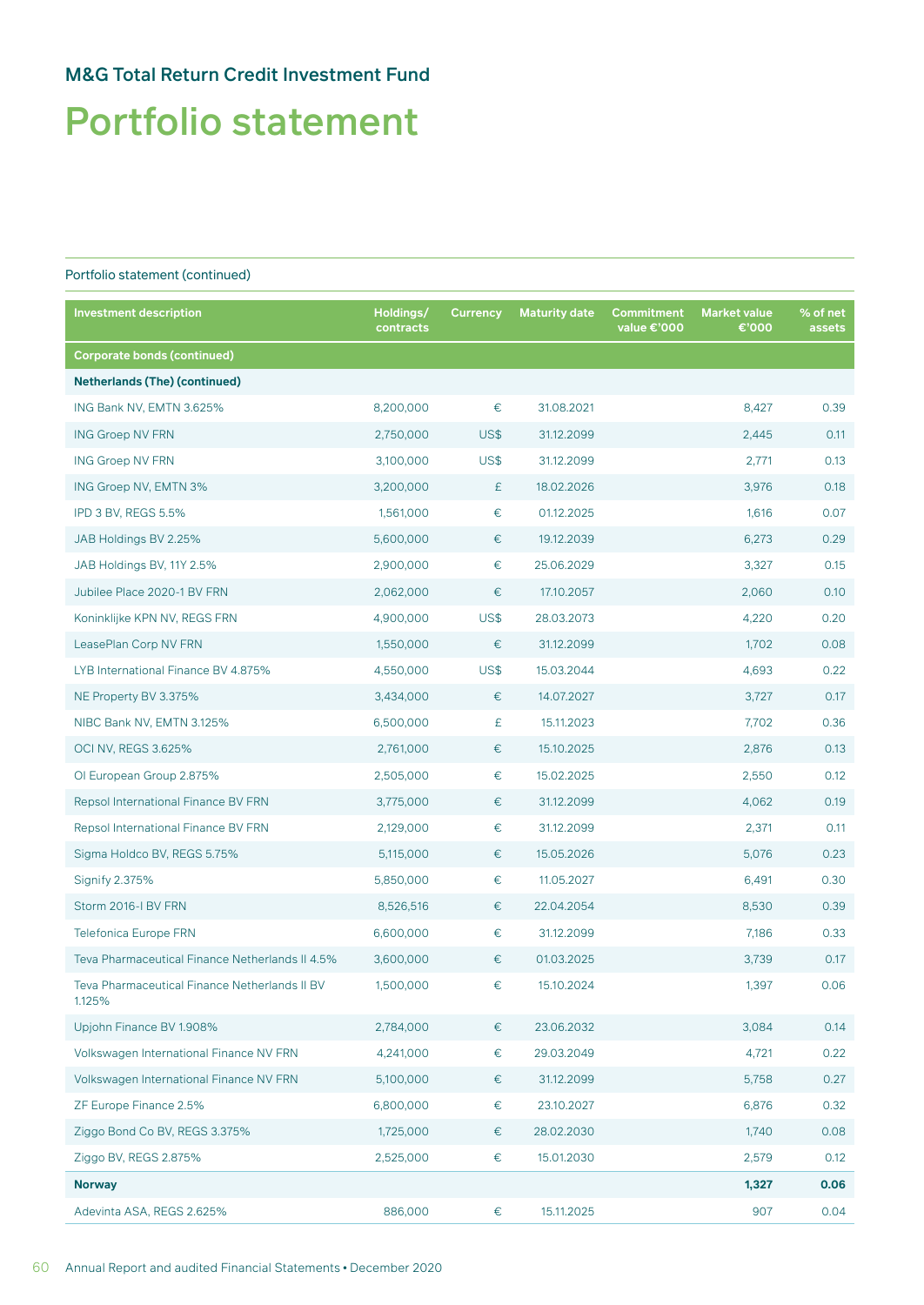# Portfolio statement

| <b>Investment description</b>                           | Holdings/<br>contracts | <b>Currency</b> | <b>Maturity date</b> | Commitment<br>value €'000 | <b>Market value</b><br>€'000 | % of net<br>assets |
|---------------------------------------------------------|------------------------|-----------------|----------------------|---------------------------|------------------------------|--------------------|
| <b>Corporate bonds (continued)</b>                      |                        |                 |                      |                           |                              |                    |
| <b>Netherlands (The) (continued)</b>                    |                        |                 |                      |                           |                              |                    |
| ING Bank NV, EMTN 3.625%                                | 8,200,000              | $\in$           | 31.08.2021           |                           | 8,427                        | 0.39               |
| <b>ING Groep NV FRN</b>                                 | 2,750,000              | US\$            | 31.12.2099           |                           | 2,445                        | 0.11               |
| <b>ING Groep NV FRN</b>                                 | 3,100,000              | US\$            | 31.12.2099           |                           | 2,771                        | 0.13               |
| ING Groep NV, EMTN 3%                                   | 3,200,000              | £               | 18.02.2026           |                           | 3,976                        | 0.18               |
| IPD 3 BV, REGS 5.5%                                     | 1,561,000              | €               | 01.12.2025           |                           | 1,616                        | 0.07               |
| JAB Holdings BV 2.25%                                   | 5,600,000              | €               | 19.12.2039           |                           | 6,273                        | 0.29               |
| JAB Holdings BV, 11Y 2.5%                               | 2,900,000              | $\in$           | 25.06.2029           |                           | 3,327                        | 0.15               |
| Jubilee Place 2020-1 BV FRN                             | 2,062,000              | $\in$           | 17.10.2057           |                           | 2,060                        | 0.10               |
| Koninklijke KPN NV, REGS FRN                            | 4,900,000              | US\$            | 28.03.2073           |                           | 4,220                        | 0.20               |
| LeasePlan Corp NV FRN                                   | 1,550,000              | €               | 31.12.2099           |                           | 1,702                        | 0.08               |
| LYB International Finance BV 4.875%                     | 4,550,000              | US\$            | 15.03.2044           |                           | 4,693                        | 0.22               |
| NE Property BV 3.375%                                   | 3,434,000              | €               | 14.07.2027           |                           | 3,727                        | 0.17               |
| NIBC Bank NV, EMTN 3.125%                               | 6,500,000              | £               | 15.11.2023           |                           | 7,702                        | 0.36               |
| <b>OCI NV, REGS 3.625%</b>                              | 2,761,000              | €               | 15.10.2025           |                           | 2,876                        | 0.13               |
| OI European Group 2.875%                                | 2,505,000              | $\in$           | 15.02.2025           |                           | 2,550                        | 0.12               |
| Repsol International Finance BV FRN                     | 3,775,000              | €               | 31.12.2099           |                           | 4,062                        | 0.19               |
| Repsol International Finance BV FRN                     | 2,129,000              | €               | 31.12.2099           |                           | 2,371                        | 0.11               |
| Sigma Holdco BV, REGS 5.75%                             | 5,115,000              | $\in$           | 15.05.2026           |                           | 5,076                        | 0.23               |
| Signify 2.375%                                          | 5,850,000              | €               | 11.05.2027           |                           | 6,491                        | 0.30               |
| Storm 2016-I BV FRN                                     | 8,526,516              | €               | 22.04.2054           |                           | 8,530                        | 0.39               |
| <b>Telefonica Europe FRN</b>                            | 6,600,000              | €               | 31.12.2099           |                           | 7,186                        | 0.33               |
| Teva Pharmaceutical Finance Netherlands II 4.5%         | 3,600,000              | €               | 01.03.2025           |                           | 3,739                        | 0.17               |
| Teva Pharmaceutical Finance Netherlands II BV<br>1.125% | 1,500,000              | €               | 15.10.2024           |                           | 1,397                        | 0.06               |
| Upjohn Finance BV 1.908%                                | 2,784,000              | €               | 23.06.2032           |                           | 3,084                        | 0.14               |
| Volkswagen International Finance NV FRN                 | 4,241,000              | €               | 29.03.2049           |                           | 4,721                        | 0.22               |
| Volkswagen International Finance NV FRN                 | 5,100,000              | €               | 31.12.2099           |                           | 5,758                        | 0.27               |
| ZF Europe Finance 2.5%                                  | 6,800,000              | €               | 23.10.2027           |                           | 6,876                        | 0.32               |
| Ziggo Bond Co BV, REGS 3.375%                           | 1,725,000              | €               | 28.02.2030           |                           | 1,740                        | 0.08               |
| Ziggo BV, REGS 2.875%                                   | 2,525,000              | €               | 15.01.2030           |                           | 2,579                        | 0.12               |
| <b>Norway</b>                                           |                        |                 |                      |                           | 1,327                        | 0.06               |
| Adevinta ASA, REGS 2.625%                               | 886,000                | $\in$           | 15.11.2025           |                           | 907                          | 0.04               |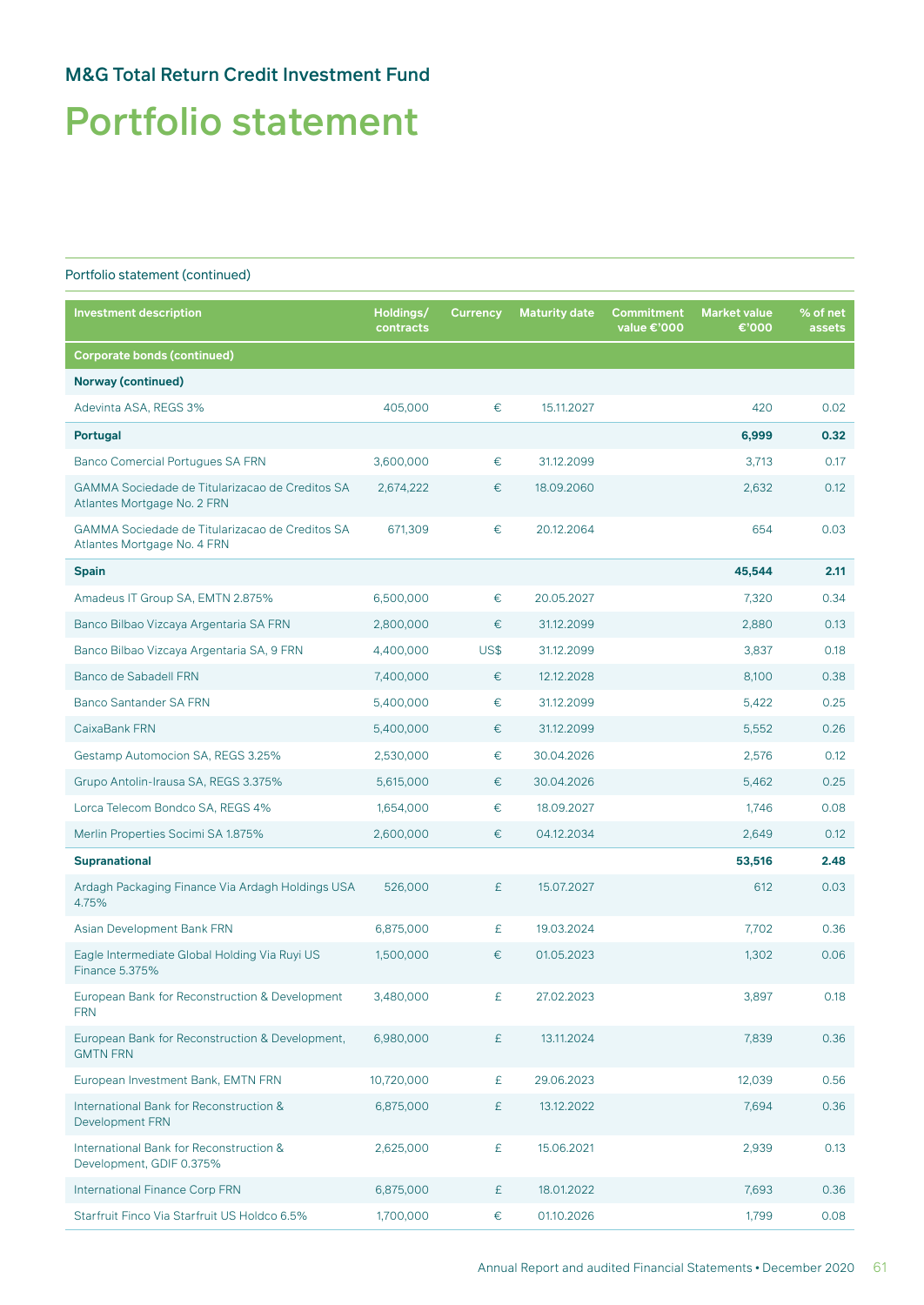# Portfolio statement

| <b>Investment description</b>                                                         | Holdings/<br>contracts | <b>Currency</b> | <b>Maturity date</b> | Commitment<br>value €'000 | <b>Market value</b><br>€'000 | % of net<br>assets |
|---------------------------------------------------------------------------------------|------------------------|-----------------|----------------------|---------------------------|------------------------------|--------------------|
| <b>Corporate bonds (continued)</b>                                                    |                        |                 |                      |                           |                              |                    |
| <b>Norway (continued)</b>                                                             |                        |                 |                      |                           |                              |                    |
| Adevinta ASA, REGS 3%                                                                 | 405,000                | €               | 15.11.2027           |                           | 420                          | 0.02               |
| <b>Portugal</b>                                                                       |                        |                 |                      |                           | 6,999                        | 0.32               |
| <b>Banco Comercial Portugues SA FRN</b>                                               | 3,600,000              | €               | 31.12.2099           |                           | 3,713                        | 0.17               |
| <b>GAMMA Sociedade de Titularizacao de Creditos SA</b><br>Atlantes Mortgage No. 2 FRN | 2,674,222              | €               | 18.09.2060           |                           | 2,632                        | 0.12               |
| <b>GAMMA Sociedade de Titularizacao de Creditos SA</b><br>Atlantes Mortgage No. 4 FRN | 671,309                | €               | 20.12.2064           |                           | 654                          | 0.03               |
| <b>Spain</b>                                                                          |                        |                 |                      |                           | 45,544                       | 2.11               |
| Amadeus IT Group SA, EMTN 2.875%                                                      | 6,500,000              | €               | 20.05.2027           |                           | 7,320                        | 0.34               |
| Banco Bilbao Vizcaya Argentaria SA FRN                                                | 2,800,000              | €               | 31.12.2099           |                           | 2,880                        | 0.13               |
| Banco Bilbao Vizcaya Argentaria SA, 9 FRN                                             | 4,400,000              | US\$            | 31.12.2099           |                           | 3,837                        | 0.18               |
| Banco de Sabadell FRN                                                                 | 7,400,000              | €               | 12.12.2028           |                           | 8,100                        | 0.38               |
| <b>Banco Santander SA FRN</b>                                                         | 5,400,000              | €               | 31.12.2099           |                           | 5,422                        | 0.25               |
| CaixaBank FRN                                                                         | 5,400,000              | €               | 31.12.2099           |                           | 5,552                        | 0.26               |
| Gestamp Automocion SA, REGS 3.25%                                                     | 2,530,000              | €               | 30.04.2026           |                           | 2,576                        | 0.12               |
| Grupo Antolin-Irausa SA, REGS 3.375%                                                  | 5,615,000              | €               | 30.04.2026           |                           | 5,462                        | 0.25               |
| Lorca Telecom Bondco SA, REGS 4%                                                      | 1,654,000              | €               | 18.09.2027           |                           | 1,746                        | 0.08               |
| Merlin Properties Socimi SA 1.875%                                                    | 2,600,000              | €               | 04.12.2034           |                           | 2,649                        | 0.12               |
| <b>Supranational</b>                                                                  |                        |                 |                      |                           | 53,516                       | 2.48               |
| Ardagh Packaging Finance Via Ardagh Holdings USA<br>4.75%                             | 526,000                | £               | 15.07.2027           |                           | 612                          | 0.03               |
| Asian Development Bank FRN                                                            | 6,875,000              | £               | 19.03.2024           |                           | 7,702                        | 0.36               |
| Eagle Intermediate Global Holding Via Ruyi US<br>Finance 5.375%                       | 1,500,000              | €               | 01.05.2023           |                           | 1,302                        | 0.06               |
| European Bank for Reconstruction & Development<br><b>FRN</b>                          | 3,480,000              | £               | 27.02.2023           |                           | 3,897                        | 0.18               |
| European Bank for Reconstruction & Development,<br><b>GMTN FRN</b>                    | 6,980,000              | £               | 13.11.2024           |                           | 7,839                        | 0.36               |
| European Investment Bank, EMTN FRN                                                    | 10,720,000             | £               | 29.06.2023           |                           | 12,039                       | 0.56               |
| International Bank for Reconstruction &<br>Development FRN                            | 6,875,000              | £               | 13.12.2022           |                           | 7,694                        | 0.36               |
| International Bank for Reconstruction &<br>Development, GDIF 0.375%                   | 2,625,000              | £               | 15.06.2021           |                           | 2,939                        | 0.13               |
| International Finance Corp FRN                                                        | 6,875,000              | £               | 18.01.2022           |                           | 7,693                        | 0.36               |
| Starfruit Finco Via Starfruit US Holdco 6.5%                                          | 1,700,000              | €               | 01.10.2026           |                           | 1,799                        | 0.08               |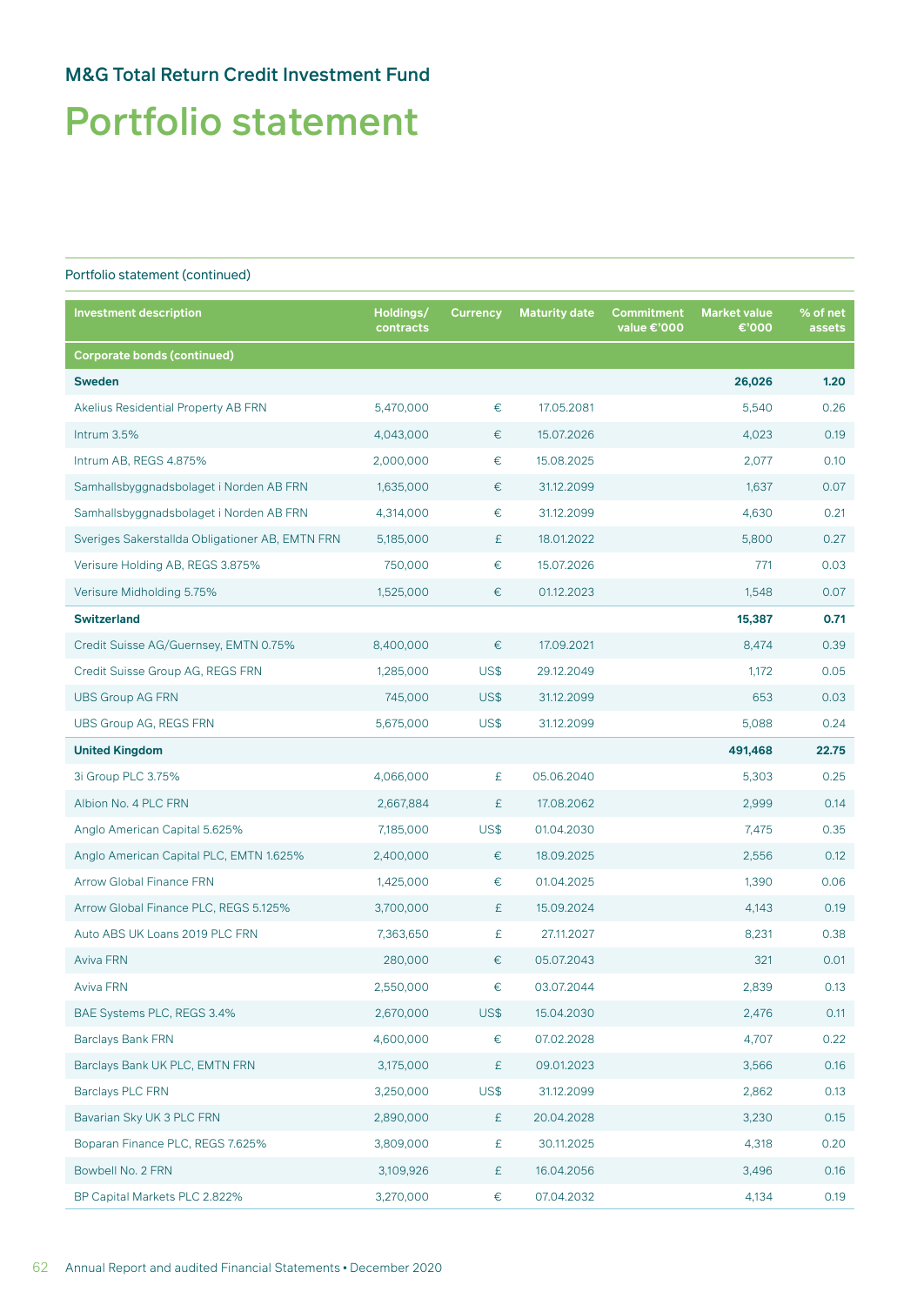# Portfolio statement

| <b>Investment description</b>                   | Holdings/<br>contracts | <b>Currency</b> | <b>Maturity date</b> | <b>Commitment</b><br>value €'000 | <b>Market value</b><br>€'000 | % of net<br>assets |
|-------------------------------------------------|------------------------|-----------------|----------------------|----------------------------------|------------------------------|--------------------|
| <b>Corporate bonds (continued)</b>              |                        |                 |                      |                                  |                              |                    |
| <b>Sweden</b>                                   |                        |                 |                      |                                  | 26,026                       | 1.20               |
| Akelius Residential Property AB FRN             | 5,470,000              | $\in$           | 17.05.2081           |                                  | 5,540                        | 0.26               |
| Intrum 3.5%                                     | 4,043,000              | €               | 15.07.2026           |                                  | 4,023                        | 0.19               |
| Intrum AB, REGS 4.875%                          | 2,000,000              | €               | 15.08.2025           |                                  | 2,077                        | 0.10               |
| Samhallsbyggnadsbolaget i Norden AB FRN         | 1,635,000              | €               | 31.12.2099           |                                  | 1,637                        | 0.07               |
| Samhallsbyggnadsbolaget i Norden AB FRN         | 4,314,000              | $\in$           | 31.12.2099           |                                  | 4,630                        | 0.21               |
| Sveriges Sakerstallda Obligationer AB, EMTN FRN | 5,185,000              | £               | 18.01.2022           |                                  | 5,800                        | 0.27               |
| Verisure Holding AB, REGS 3.875%                | 750,000                | €               | 15.07.2026           |                                  | 771                          | 0.03               |
| Verisure Midholding 5.75%                       | 1,525,000              | €               | 01.12.2023           |                                  | 1,548                        | 0.07               |
| <b>Switzerland</b>                              |                        |                 |                      |                                  | 15,387                       | 0.71               |
| Credit Suisse AG/Guernsey, EMTN 0.75%           | 8,400,000              | €               | 17.09.2021           |                                  | 8,474                        | 0.39               |
| Credit Suisse Group AG, REGS FRN                | 1,285,000              | US\$            | 29.12.2049           |                                  | 1,172                        | 0.05               |
| <b>UBS Group AG FRN</b>                         | 745,000                | US\$            | 31.12.2099           |                                  | 653                          | 0.03               |
| <b>UBS Group AG, REGS FRN</b>                   | 5,675,000              | US\$            | 31.12.2099           |                                  | 5,088                        | 0.24               |
| <b>United Kingdom</b>                           |                        |                 |                      |                                  | 491,468                      | 22.75              |
| 3i Group PLC 3.75%                              | 4,066,000              | £               | 05.06.2040           |                                  | 5,303                        | 0.25               |
| Albion No. 4 PLC FRN                            | 2,667,884              | £               | 17.08.2062           |                                  | 2,999                        | 0.14               |
| Anglo American Capital 5.625%                   | 7,185,000              | US\$            | 01.04.2030           |                                  | 7,475                        | 0.35               |
| Anglo American Capital PLC, EMTN 1.625%         | 2,400,000              | €               | 18.09.2025           |                                  | 2,556                        | 0.12               |
| <b>Arrow Global Finance FRN</b>                 | 1,425,000              | €               | 01.04.2025           |                                  | 1,390                        | 0.06               |
| Arrow Global Finance PLC, REGS 5.125%           | 3,700,000              | £               | 15.09.2024           |                                  | 4,143                        | 0.19               |
| Auto ABS UK Loans 2019 PLC FRN                  | 7,363,650              | £               | 27.11.2027           |                                  | 8,231                        | 0.38               |
| <b>Aviva FRN</b>                                | 280,000                | €               | 05.07.2043           |                                  | 321                          | 0.01               |
| Aviva FRN                                       | 2,550,000              | €               | 03.07.2044           |                                  | 2,839                        | 0.13               |
| BAE Systems PLC, REGS 3.4%                      | 2,670,000              | US\$            | 15.04.2030           |                                  | 2,476                        | 0.11               |
| <b>Barclays Bank FRN</b>                        | 4,600,000              | $\in$           | 07.02.2028           |                                  | 4,707                        | 0.22               |
| Barclays Bank UK PLC, EMTN FRN                  | 3,175,000              | £               | 09.01.2023           |                                  | 3,566                        | 0.16               |
| Barclays PLC FRN                                | 3,250,000              | US\$            | 31.12.2099           |                                  | 2,862                        | 0.13               |
| Bavarian Sky UK 3 PLC FRN                       | 2,890,000              | £               | 20.04.2028           |                                  | 3,230                        | 0.15               |
| Boparan Finance PLC, REGS 7.625%                | 3,809,000              | £               | 30.11.2025           |                                  | 4,318                        | 0.20               |
| Bowbell No. 2 FRN                               | 3,109,926              | £               | 16.04.2056           |                                  | 3,496                        | 0.16               |
| BP Capital Markets PLC 2.822%                   | 3,270,000              | €               | 07.04.2032           |                                  | 4,134                        | 0.19               |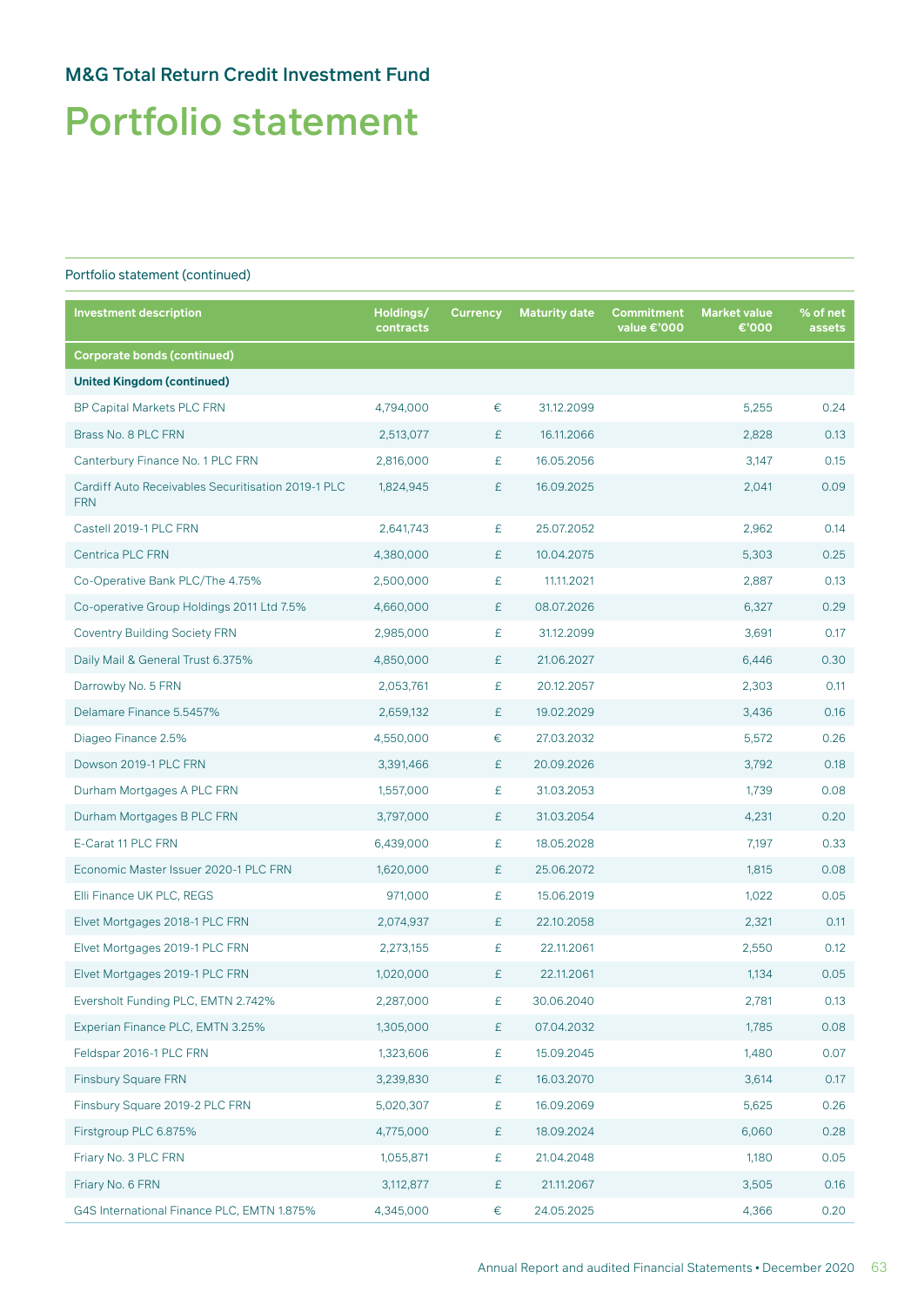# Portfolio statement

| <b>Investment description</b>                                    | Holdings/<br>contracts | <b>Currency</b> | <b>Maturity date</b> | Commitment<br>value €'000 | <b>Market value</b><br>€'000 | % of net<br>assets |
|------------------------------------------------------------------|------------------------|-----------------|----------------------|---------------------------|------------------------------|--------------------|
| <b>Corporate bonds (continued)</b>                               |                        |                 |                      |                           |                              |                    |
| <b>United Kingdom (continued)</b>                                |                        |                 |                      |                           |                              |                    |
| <b>BP Capital Markets PLC FRN</b>                                | 4,794,000              | €               | 31.12.2099           |                           | 5,255                        | 0.24               |
| Brass No. 8 PLC FRN                                              | 2,513,077              | £               | 16.11.2066           |                           | 2,828                        | 0.13               |
| Canterbury Finance No. 1 PLC FRN                                 | 2,816,000              | £               | 16.05.2056           |                           | 3,147                        | 0.15               |
| Cardiff Auto Receivables Securitisation 2019-1 PLC<br><b>FRN</b> | 1,824,945              | £               | 16.09.2025           |                           | 2,041                        | 0.09               |
| Castell 2019-1 PLC FRN                                           | 2,641,743              | £               | 25.07.2052           |                           | 2,962                        | 0.14               |
| Centrica PLC FRN                                                 | 4,380,000              | £               | 10.04.2075           |                           | 5,303                        | 0.25               |
| Co-Operative Bank PLC/The 4.75%                                  | 2,500,000              | £               | 11.11.2021           |                           | 2,887                        | 0.13               |
| Co-operative Group Holdings 2011 Ltd 7.5%                        | 4,660,000              | £               | 08.07.2026           |                           | 6,327                        | 0.29               |
| <b>Coventry Building Society FRN</b>                             | 2,985,000              | £               | 31.12.2099           |                           | 3,691                        | 0.17               |
| Daily Mail & General Trust 6.375%                                | 4,850,000              | £               | 21.06.2027           |                           | 6,446                        | 0.30               |
| Darrowby No. 5 FRN                                               | 2,053,761              | £               | 20.12.2057           |                           | 2,303                        | 0.11               |
| Delamare Finance 5.5457%                                         | 2,659,132              | £               | 19.02.2029           |                           | 3,436                        | 0.16               |
| Diageo Finance 2.5%                                              | 4,550,000              | €               | 27.03.2032           |                           | 5,572                        | 0.26               |
| Dowson 2019-1 PLC FRN                                            | 3,391,466              | £               | 20.09.2026           |                           | 3,792                        | 0.18               |
| Durham Mortgages A PLC FRN                                       | 1,557,000              | £               | 31.03.2053           |                           | 1,739                        | 0.08               |
| Durham Mortgages B PLC FRN                                       | 3,797,000              | £               | 31.03.2054           |                           | 4,231                        | 0.20               |
| E-Carat 11 PLC FRN                                               | 6,439,000              | £               | 18.05.2028           |                           | 7,197                        | 0.33               |
| Economic Master Issuer 2020-1 PLC FRN                            | 1,620,000              | £               | 25.06.2072           |                           | 1,815                        | 0.08               |
| Elli Finance UK PLC, REGS                                        | 971,000                | £               | 15.06.2019           |                           | 1,022                        | 0.05               |
| Elvet Mortgages 2018-1 PLC FRN                                   | 2,074,937              | £               | 22.10.2058           |                           | 2,321                        | 0.11               |
| Elvet Mortgages 2019-1 PLC FRN                                   | 2,273,155              | £               | 22.11.2061           |                           | 2,550                        | 0.12               |
| Elvet Mortgages 2019-1 PLC FRN                                   | 1,020,000              | £               | 22.11.2061           |                           | 1,134                        | 0.05               |
| Eversholt Funding PLC, EMTN 2.742%                               | 2,287,000              | £               | 30.06.2040           |                           | 2,781                        | 0.13               |
| Experian Finance PLC, EMTN 3.25%                                 | 1,305,000              | £               | 07.04.2032           |                           | 1,785                        | 0.08               |
| Feldspar 2016-1 PLC FRN                                          | 1,323,606              | £               | 15.09.2045           |                           | 1,480                        | 0.07               |
| <b>Finsbury Square FRN</b>                                       | 3,239,830              | £               | 16.03.2070           |                           | 3,614                        | 0.17               |
| Finsbury Square 2019-2 PLC FRN                                   | 5,020,307              | £               | 16.09.2069           |                           | 5,625                        | 0.26               |
| Firstgroup PLC 6.875%                                            | 4,775,000              | £               | 18.09.2024           |                           | 6,060                        | 0.28               |
| Friary No. 3 PLC FRN                                             | 1,055,871              | £               | 21.04.2048           |                           | 1,180                        | 0.05               |
| Friary No. 6 FRN                                                 | 3,112,877              | £               | 21.11.2067           |                           | 3,505                        | 0.16               |
| G4S International Finance PLC, EMTN 1.875%                       | 4,345,000              | €               | 24.05.2025           |                           | 4,366                        | 0.20               |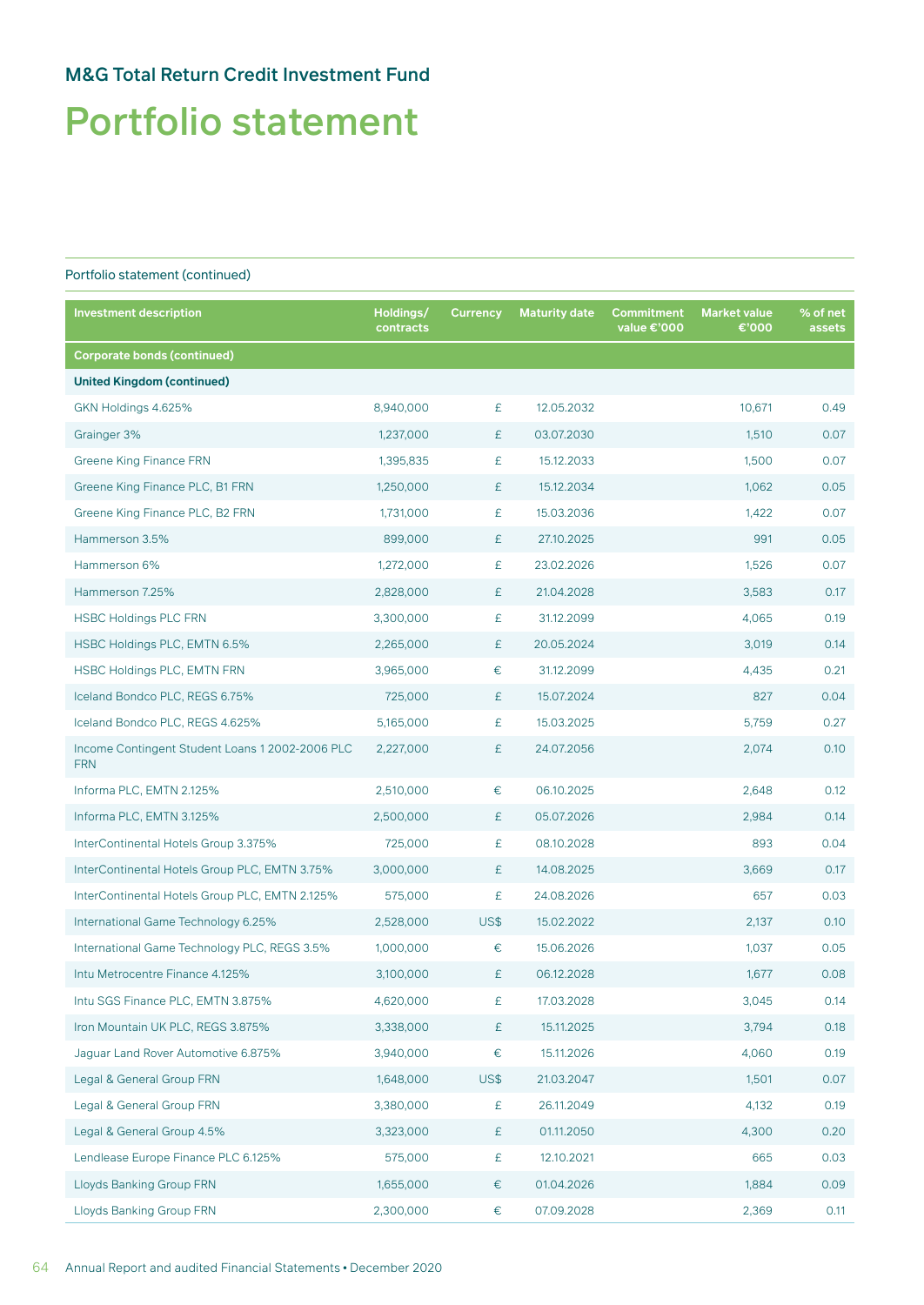# Portfolio statement

| <b>Investment description</b>                                 | Holdings/<br>contracts | <b>Currency</b> | <b>Maturity date</b> | Commitment<br>value €'000 | <b>Market value</b><br>€'000 | % of net<br>assets |
|---------------------------------------------------------------|------------------------|-----------------|----------------------|---------------------------|------------------------------|--------------------|
| <b>Corporate bonds (continued)</b>                            |                        |                 |                      |                           |                              |                    |
| <b>United Kingdom (continued)</b>                             |                        |                 |                      |                           |                              |                    |
| GKN Holdings 4.625%                                           | 8,940,000              | £               | 12.05.2032           |                           | 10,671                       | 0.49               |
| Grainger 3%                                                   | 1,237,000              | £               | 03.07.2030           |                           | 1,510                        | 0.07               |
| <b>Greene King Finance FRN</b>                                | 1,395,835              | £               | 15.12.2033           |                           | 1,500                        | 0.07               |
| Greene King Finance PLC, B1 FRN                               | 1,250,000              | £               | 15.12.2034           |                           | 1,062                        | 0.05               |
| Greene King Finance PLC, B2 FRN                               | 1,731,000              | £               | 15.03.2036           |                           | 1,422                        | 0.07               |
| Hammerson 3.5%                                                | 899,000                | £               | 27.10.2025           |                           | 991                          | 0.05               |
| Hammerson 6%                                                  | 1,272,000              | £               | 23.02.2026           |                           | 1,526                        | 0.07               |
| Hammerson 7.25%                                               | 2,828,000              | £               | 21.04.2028           |                           | 3,583                        | 0.17               |
| <b>HSBC Holdings PLC FRN</b>                                  | 3,300,000              | £               | 31.12.2099           |                           | 4,065                        | 0.19               |
| HSBC Holdings PLC, EMTN 6.5%                                  | 2,265,000              | £               | 20.05.2024           |                           | 3,019                        | 0.14               |
| <b>HSBC Holdings PLC, EMTN FRN</b>                            | 3,965,000              | €               | 31.12.2099           |                           | 4,435                        | 0.21               |
| Iceland Bondco PLC, REGS 6.75%                                | 725,000                | £               | 15.07.2024           |                           | 827                          | 0.04               |
| Iceland Bondco PLC, REGS 4.625%                               | 5,165,000              | £               | 15.03.2025           |                           | 5,759                        | 0.27               |
| Income Contingent Student Loans 1 2002-2006 PLC<br><b>FRN</b> | 2,227,000              | £               | 24.07.2056           |                           | 2,074                        | 0.10               |
| Informa PLC, EMTN 2.125%                                      | 2,510,000              | €               | 06.10.2025           |                           | 2,648                        | 0.12               |
| Informa PLC, EMTN 3.125%                                      | 2,500,000              | £               | 05.07.2026           |                           | 2,984                        | 0.14               |
| InterContinental Hotels Group 3.375%                          | 725,000                | £               | 08.10.2028           |                           | 893                          | 0.04               |
| InterContinental Hotels Group PLC, EMTN 3.75%                 | 3,000,000              | £               | 14.08.2025           |                           | 3,669                        | 0.17               |
| InterContinental Hotels Group PLC, EMTN 2.125%                | 575,000                | £               | 24.08.2026           |                           | 657                          | 0.03               |
| International Game Technology 6.25%                           | 2,528,000              | <b>US\$</b>     | 15.02.2022           |                           | 2,137                        | 0.10               |
| International Game Technology PLC, REGS 3.5%                  | 1,000,000              | €               | 15.06.2026           |                           | 1,037                        | 0.05               |
| Intu Metrocentre Finance 4.125%                               | 3,100,000              | £               | 06.12.2028           |                           | 1,677                        | 0.08               |
| Intu SGS Finance PLC, EMTN 3.875%                             | 4,620,000              | £               | 17.03.2028           |                           | 3,045                        | 0.14               |
| Iron Mountain UK PLC, REGS 3.875%                             | 3,338,000              | £               | 15.11.2025           |                           | 3,794                        | 0.18               |
| Jaguar Land Rover Automotive 6.875%                           | 3,940,000              | €               | 15.11.2026           |                           | 4,060                        | 0.19               |
| Legal & General Group FRN                                     | 1,648,000              | US\$            | 21.03.2047           |                           | 1,501                        | 0.07               |
| Legal & General Group FRN                                     | 3,380,000              | £               | 26.11.2049           |                           | 4,132                        | 0.19               |
| Legal & General Group 4.5%                                    | 3,323,000              | £               | 01.11.2050           |                           | 4,300                        | 0.20               |
| Lendlease Europe Finance PLC 6.125%                           | 575,000                | £               | 12.10.2021           |                           | 665                          | 0.03               |
| Lloyds Banking Group FRN                                      | 1,655,000              | €               | 01.04.2026           |                           | 1,884                        | 0.09               |
| Lloyds Banking Group FRN                                      | 2,300,000              | €               | 07.09.2028           |                           | 2,369                        | 0.11               |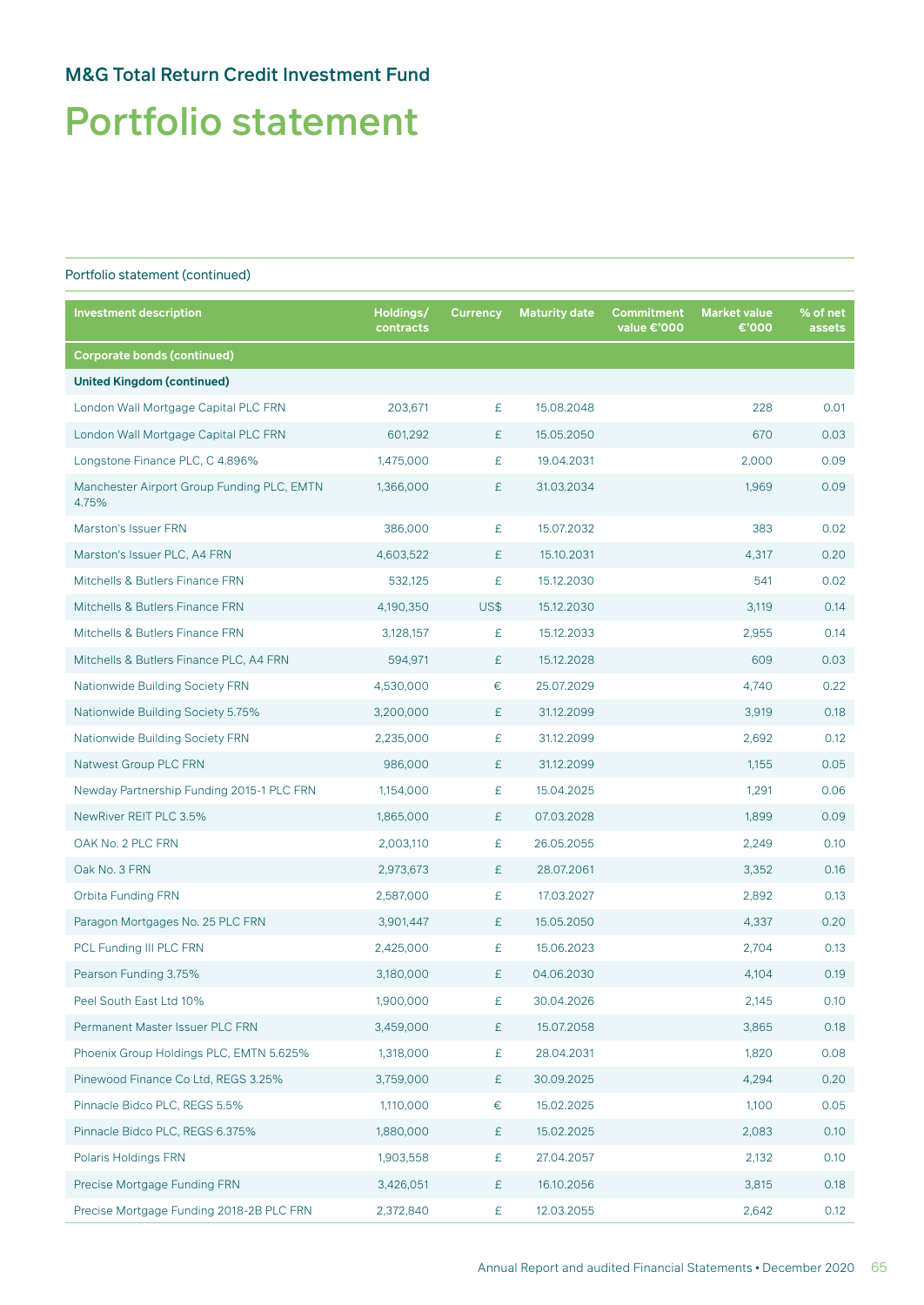# Portfolio statement

| <b>Investment description</b>                       | Holdings/<br>contracts | <b>Currency</b> | <b>Maturity date</b> | <b>Commitment</b><br>value €'000 | <b>Market value</b><br>€'000 | % of net<br>assets |
|-----------------------------------------------------|------------------------|-----------------|----------------------|----------------------------------|------------------------------|--------------------|
| <b>Corporate bonds (continued)</b>                  |                        |                 |                      |                                  |                              |                    |
| <b>United Kingdom (continued)</b>                   |                        |                 |                      |                                  |                              |                    |
| London Wall Mortgage Capital PLC FRN                | 203,671                | £               | 15.08.2048           |                                  | 228                          | 0.01               |
| London Wall Mortgage Capital PLC FRN                | 601,292                | £               | 15.05.2050           |                                  | 670                          | 0.03               |
| Longstone Finance PLC, C 4.896%                     | 1,475,000              | £               | 19.04.2031           |                                  | 2,000                        | 0.09               |
| Manchester Airport Group Funding PLC, EMTN<br>4.75% | 1,366,000              | £               | 31.03.2034           |                                  | 1,969                        | 0.09               |
| <b>Marston's Issuer FRN</b>                         | 386,000                | £               | 15.07.2032           |                                  | 383                          | 0.02               |
| Marston's Issuer PLC, A4 FRN                        | 4,603,522              | £               | 15.10.2031           |                                  | 4,317                        | 0.20               |
| Mitchells & Butlers Finance FRN                     | 532,125                | £               | 15.12.2030           |                                  | 541                          | 0.02               |
| Mitchells & Butlers Finance FRN                     | 4,190,350              | US\$            | 15.12.2030           |                                  | 3,119                        | 0.14               |
| Mitchells & Butlers Finance FRN                     | 3,128,157              | £               | 15.12.2033           |                                  | 2,955                        | 0.14               |
| Mitchells & Butlers Finance PLC, A4 FRN             | 594,971                | £               | 15.12.2028           |                                  | 609                          | 0.03               |
| <b>Nationwide Building Society FRN</b>              | 4,530,000              | €               | 25.07.2029           |                                  | 4,740                        | 0.22               |
| Nationwide Building Society 5.75%                   | 3,200,000              | £               | 31.12.2099           |                                  | 3,919                        | 0.18               |
| <b>Nationwide Building Society FRN</b>              | 2,235,000              | £               | 31.12.2099           |                                  | 2,692                        | 0.12               |
| <b>Natwest Group PLC FRN</b>                        | 986,000                | £               | 31.12.2099           |                                  | 1,155                        | 0.05               |
| Newday Partnership Funding 2015-1 PLC FRN           | 1,154,000              | £               | 15.04.2025           |                                  | 1,291                        | 0.06               |
| NewRiver REIT PLC 3.5%                              | 1,865,000              | £               | 07.03.2028           |                                  | 1,899                        | 0.09               |
| OAK No. 2 PLC FRN                                   | 2,003,110              | £               | 26.05.2055           |                                  | 2,249                        | 0.10               |
| Oak No. 3 FRN                                       | 2,973,673              | £               | 28.07.2061           |                                  | 3,352                        | 0.16               |
| <b>Orbita Funding FRN</b>                           | 2,587,000              | £               | 17.03.2027           |                                  | 2,892                        | 0.13               |
| Paragon Mortgages No. 25 PLC FRN                    | 3,901,447              | £               | 15.05.2050           |                                  | 4,337                        | 0.20               |
| PCL Funding III PLC FRN                             | 2,425,000              | £               | 15.06.2023           |                                  | 2,704                        | 0.13               |
| Pearson Funding 3.75%                               | 3,180,000              | £               | 04.06.2030           |                                  | 4,104                        | 0.19               |
| Peel South East Ltd 10%                             | 1,900,000              | £               | 30.04.2026           |                                  | 2,145                        | 0.10               |
| Permanent Master Issuer PLC FRN                     | 3,459,000              | £               | 15.07.2058           |                                  | 3,865                        | 0.18               |
| Phoenix Group Holdings PLC, EMTN 5.625%             | 1,318,000              | £               | 28.04.2031           |                                  | 1,820                        | 0.08               |
| Pinewood Finance Co Ltd, REGS 3.25%                 | 3,759,000              | £               | 30.09.2025           |                                  | 4,294                        | 0.20               |
| Pinnacle Bidco PLC, REGS 5.5%                       | 1,110,000              | €               | 15.02.2025           |                                  | 1,100                        | 0.05               |
| Pinnacle Bidco PLC, REGS 6.375%                     | 1,880,000              | £               | 15.02.2025           |                                  | 2,083                        | 0.10               |
| Polaris Holdings FRN                                | 1,903,558              | £               | 27.04.2057           |                                  | 2,132                        | 0.10               |
| Precise Mortgage Funding FRN                        | 3,426,051              | £               | 16.10.2056           |                                  | 3,815                        | 0.18               |
| Precise Mortgage Funding 2018-2B PLC FRN            | 2,372,840              | £               | 12.03.2055           |                                  | 2,642                        | 0.12               |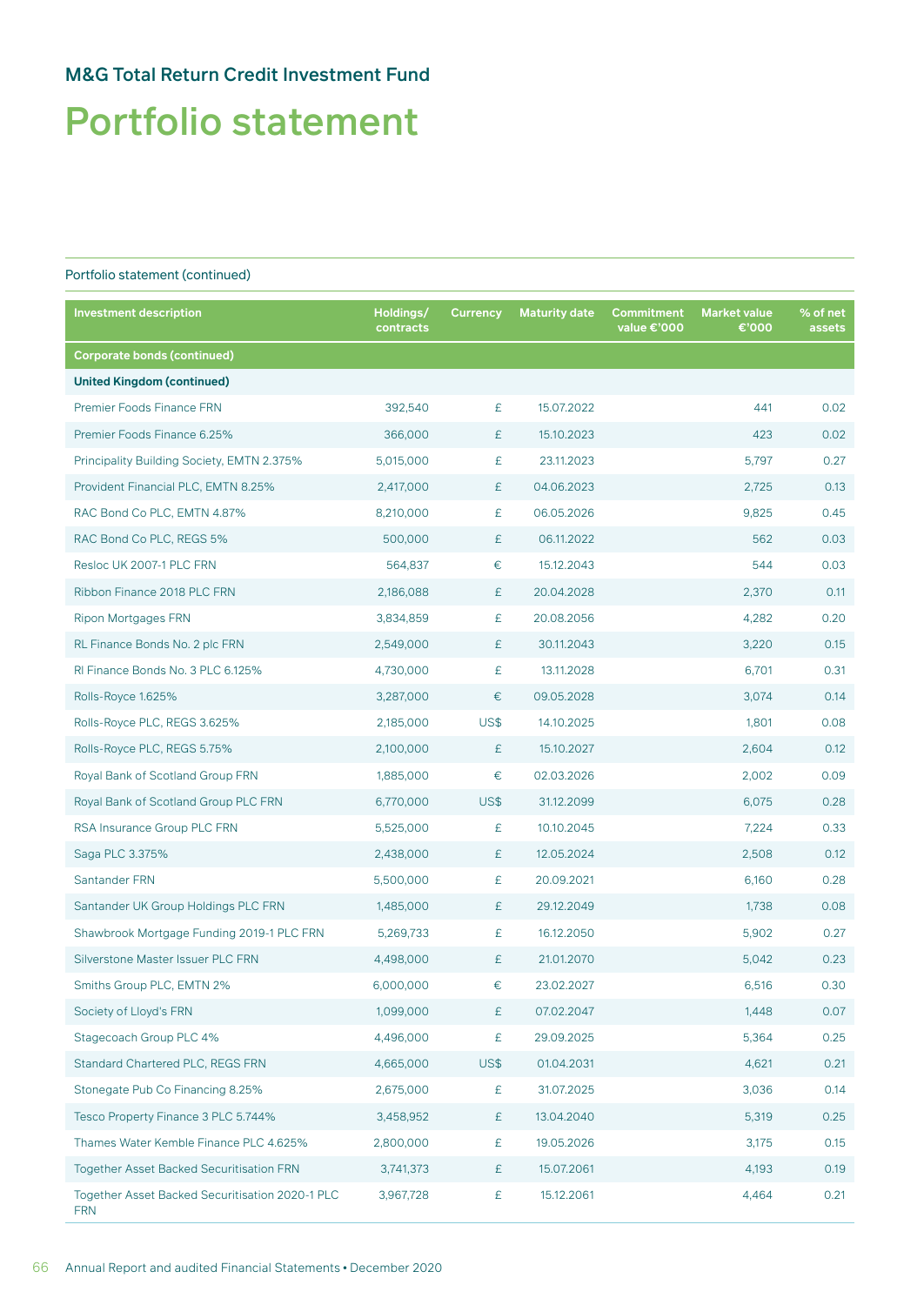# Portfolio statement

| <b>Investment description</b>                                 | Holdings/<br>contracts | <b>Currency</b> | <b>Maturity date</b> | Commitment<br>value €'000 | <b>Market value</b><br>€'000 | % of net<br>assets |
|---------------------------------------------------------------|------------------------|-----------------|----------------------|---------------------------|------------------------------|--------------------|
| <b>Corporate bonds (continued)</b>                            |                        |                 |                      |                           |                              |                    |
| <b>United Kingdom (continued)</b>                             |                        |                 |                      |                           |                              |                    |
| Premier Foods Finance FRN                                     | 392,540                | £               | 15.07.2022           |                           | 441                          | 0.02               |
| Premier Foods Finance 6.25%                                   | 366,000                | £               | 15.10.2023           |                           | 423                          | 0.02               |
| Principality Building Society, EMTN 2.375%                    | 5,015,000              | £               | 23.11.2023           |                           | 5,797                        | 0.27               |
| Provident Financial PLC, EMTN 8.25%                           | 2,417,000              | £               | 04.06.2023           |                           | 2,725                        | 0.13               |
| RAC Bond Co PLC, EMTN 4.87%                                   | 8,210,000              | £               | 06.05.2026           |                           | 9,825                        | 0.45               |
| RAC Bond Co PLC, REGS 5%                                      | 500,000                | £               | 06.11.2022           |                           | 562                          | 0.03               |
| Resloc UK 2007-1 PLC FRN                                      | 564,837                | €               | 15.12.2043           |                           | 544                          | 0.03               |
| Ribbon Finance 2018 PLC FRN                                   | 2,186,088              | £               | 20.04.2028           |                           | 2,370                        | 0.11               |
| <b>Ripon Mortgages FRN</b>                                    | 3,834,859              | £               | 20.08.2056           |                           | 4,282                        | 0.20               |
| RL Finance Bonds No. 2 plc FRN                                | 2,549,000              | £               | 30.11.2043           |                           | 3,220                        | 0.15               |
| RI Finance Bonds No. 3 PLC 6.125%                             | 4,730,000              | £               | 13.11.2028           |                           | 6,701                        | 0.31               |
| Rolls-Royce 1.625%                                            | 3,287,000              | €               | 09.05.2028           |                           | 3,074                        | 0.14               |
| Rolls-Royce PLC, REGS 3.625%                                  | 2,185,000              | US\$            | 14.10.2025           |                           | 1,801                        | 0.08               |
| Rolls-Royce PLC, REGS 5.75%                                   | 2,100,000              | £               | 15.10.2027           |                           | 2,604                        | 0.12               |
| Royal Bank of Scotland Group FRN                              | 1,885,000              | €               | 02.03.2026           |                           | 2,002                        | 0.09               |
| Royal Bank of Scotland Group PLC FRN                          | 6,770,000              | US\$            | 31.12.2099           |                           | 6,075                        | 0.28               |
| RSA Insurance Group PLC FRN                                   | 5,525,000              | £               | 10.10.2045           |                           | 7,224                        | 0.33               |
| Saga PLC 3.375%                                               | 2,438,000              | £               | 12.05.2024           |                           | 2,508                        | 0.12               |
| Santander FRN                                                 | 5,500,000              | £               | 20.09.2021           |                           | 6,160                        | 0.28               |
| Santander UK Group Holdings PLC FRN                           | 1,485,000              | £               | 29.12.2049           |                           | 1,738                        | 0.08               |
| Shawbrook Mortgage Funding 2019-1 PLC FRN                     | 5,269,733              | £               | 16.12.2050           |                           | 5,902                        | 0.27               |
| Silverstone Master Issuer PLC FRN                             | 4,498,000              | £               | 21.01.2070           |                           | 5,042                        | 0.23               |
| Smiths Group PLC, EMTN 2%                                     | 6,000,000              | €               | 23.02.2027           |                           | 6,516                        | 0.30               |
| Society of Lloyd's FRN                                        | 1,099,000              | £               | 07.02.2047           |                           | 1,448                        | 0.07               |
| Stagecoach Group PLC 4%                                       | 4,496,000              | £               | 29.09.2025           |                           | 5,364                        | 0.25               |
| Standard Chartered PLC, REGS FRN                              | 4,665,000              | US\$            | 01.04.2031           |                           | 4,621                        | 0.21               |
| Stonegate Pub Co Financing 8.25%                              | 2,675,000              | £               | 31.07.2025           |                           | 3,036                        | 0.14               |
| Tesco Property Finance 3 PLC 5.744%                           | 3,458,952              | £               | 13.04.2040           |                           | 5,319                        | 0.25               |
| Thames Water Kemble Finance PLC 4.625%                        | 2,800,000              | £               | 19.05.2026           |                           | 3,175                        | 0.15               |
| Together Asset Backed Securitisation FRN                      | 3,741,373              | £               | 15.07.2061           |                           | 4,193                        | 0.19               |
| Together Asset Backed Securitisation 2020-1 PLC<br><b>FRN</b> | 3,967,728              | £               | 15.12.2061           |                           | 4,464                        | 0.21               |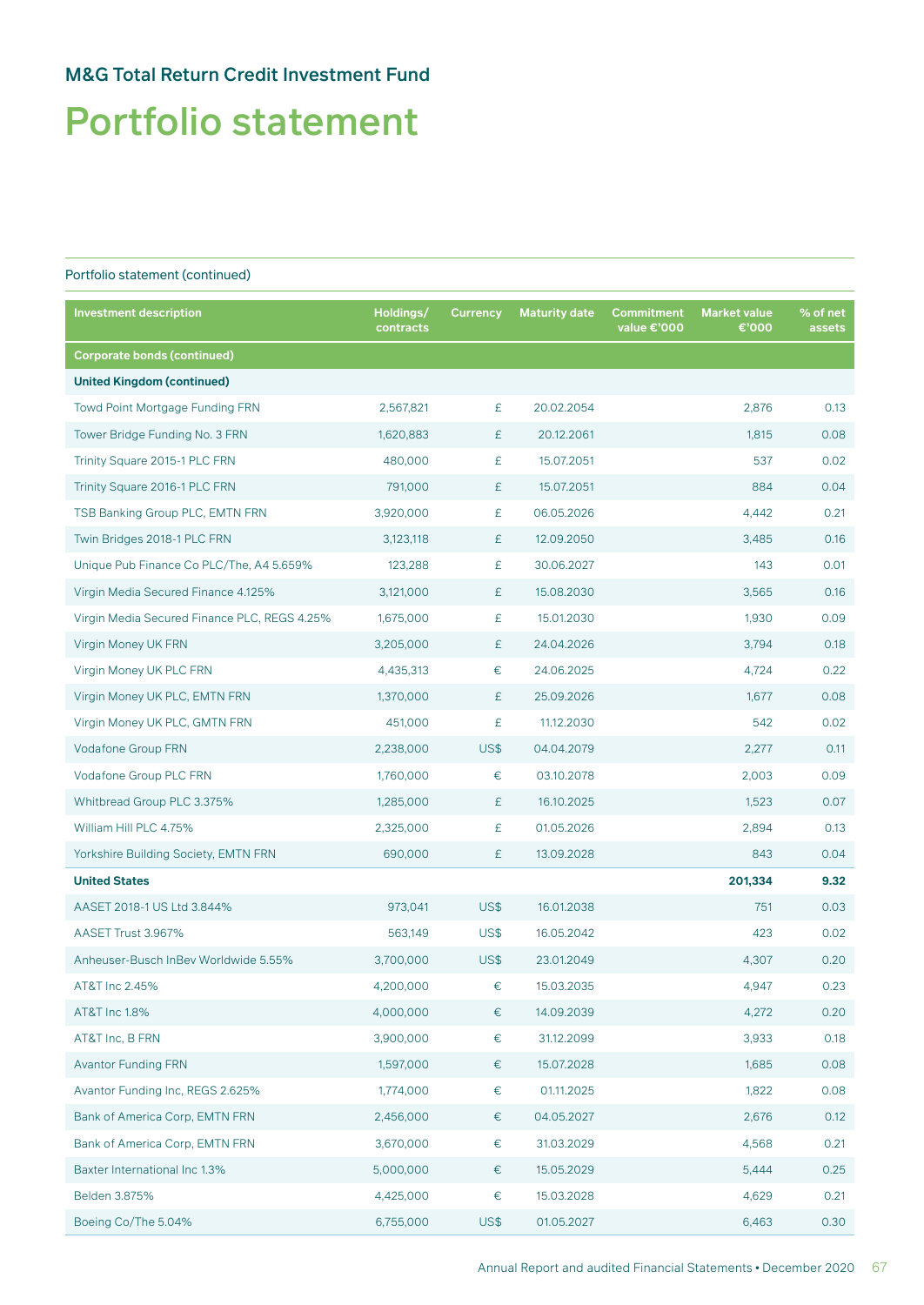# Portfolio statement

| <b>Investment description</b>                | Holdings/<br>contracts | <b>Currency</b> | <b>Maturity date</b> | Commitment<br>value €'000 | <b>Market value</b><br>€'000 | % of net<br>assets |
|----------------------------------------------|------------------------|-----------------|----------------------|---------------------------|------------------------------|--------------------|
| <b>Corporate bonds (continued)</b>           |                        |                 |                      |                           |                              |                    |
| <b>United Kingdom (continued)</b>            |                        |                 |                      |                           |                              |                    |
| <b>Towd Point Mortgage Funding FRN</b>       | 2,567,821              | £               | 20.02.2054           |                           | 2,876                        | 0.13               |
| Tower Bridge Funding No. 3 FRN               | 1,620,883              | £               | 20.12.2061           |                           | 1,815                        | 0.08               |
| Trinity Square 2015-1 PLC FRN                | 480,000                | £               | 15.07.2051           |                           | 537                          | 0.02               |
| Trinity Square 2016-1 PLC FRN                | 791,000                | £               | 15.07.2051           |                           | 884                          | 0.04               |
| TSB Banking Group PLC, EMTN FRN              | 3,920,000              | £               | 06.05.2026           |                           | 4,442                        | 0.21               |
| Twin Bridges 2018-1 PLC FRN                  | 3,123,118              | £               | 12.09.2050           |                           | 3,485                        | 0.16               |
| Unique Pub Finance Co PLC/The, A4 5.659%     | 123,288                | £               | 30.06.2027           |                           | 143                          | 0.01               |
| Virgin Media Secured Finance 4.125%          | 3,121,000              | £               | 15.08.2030           |                           | 3,565                        | 0.16               |
| Virgin Media Secured Finance PLC, REGS 4.25% | 1,675,000              | £               | 15.01.2030           |                           | 1,930                        | 0.09               |
| Virgin Money UK FRN                          | 3,205,000              | £               | 24.04.2026           |                           | 3,794                        | 0.18               |
| Virgin Money UK PLC FRN                      | 4,435,313              | €               | 24.06.2025           |                           | 4,724                        | 0.22               |
| Virgin Money UK PLC, EMTN FRN                | 1,370,000              | £               | 25.09.2026           |                           | 1,677                        | 0.08               |
| Virgin Money UK PLC, GMTN FRN                | 451,000                | £               | 11.12.2030           |                           | 542                          | 0.02               |
| <b>Vodafone Group FRN</b>                    | 2,238,000              | <b>US\$</b>     | 04.04.2079           |                           | 2,277                        | 0.11               |
| Vodafone Group PLC FRN                       | 1,760,000              | $\in$           | 03.10.2078           |                           | 2,003                        | 0.09               |
| Whitbread Group PLC 3.375%                   | 1,285,000              | £               | 16.10.2025           |                           | 1,523                        | 0.07               |
| William Hill PLC 4.75%                       | 2,325,000              | £               | 01.05.2026           |                           | 2,894                        | 0.13               |
| Yorkshire Building Society, EMTN FRN         | 690,000                | £               | 13.09.2028           |                           | 843                          | 0.04               |
| <b>United States</b>                         |                        |                 |                      |                           | 201,334                      | 9.32               |
| AASET 2018-1 US Ltd 3.844%                   | 973,041                | US\$            | 16.01.2038           |                           | 751                          | 0.03               |
| AASET Trust 3.967%                           | 563,149                | US\$            | 16.05.2042           |                           | 423                          | 0.02               |
| Anheuser-Busch InBev Worldwide 5.55%         | 3,700,000              | US\$            | 23.01.2049           |                           | 4,307                        | 0.20               |
| AT&T Inc 2.45%                               | 4,200,000              | €               | 15.03.2035           |                           | 4,947                        | 0.23               |
| AT&T Inc 1.8%                                | 4,000,000              | €               | 14.09.2039           |                           | 4,272                        | 0.20               |
| AT&T Inc, B FRN                              | 3,900,000              | €               | 31.12.2099           |                           | 3,933                        | 0.18               |
| <b>Avantor Funding FRN</b>                   | 1,597,000              | €               | 15.07.2028           |                           | 1,685                        | 0.08               |
| Avantor Funding Inc, REGS 2.625%             | 1,774,000              | €               | 01.11.2025           |                           | 1,822                        | 0.08               |
| Bank of America Corp, EMTN FRN               | 2,456,000              | €               | 04.05.2027           |                           | 2,676                        | 0.12               |
| Bank of America Corp, EMTN FRN               | 3,670,000              | €               | 31.03.2029           |                           | 4,568                        | 0.21               |
| Baxter International Inc 1.3%                | 5,000,000              | €               | 15.05.2029           |                           | 5,444                        | 0.25               |
| Belden 3.875%                                | 4,425,000              | €               | 15.03.2028           |                           | 4,629                        | 0.21               |
| Boeing Co/The 5.04%                          | 6,755,000              | US\$            | 01.05.2027           |                           | 6,463                        | 0.30               |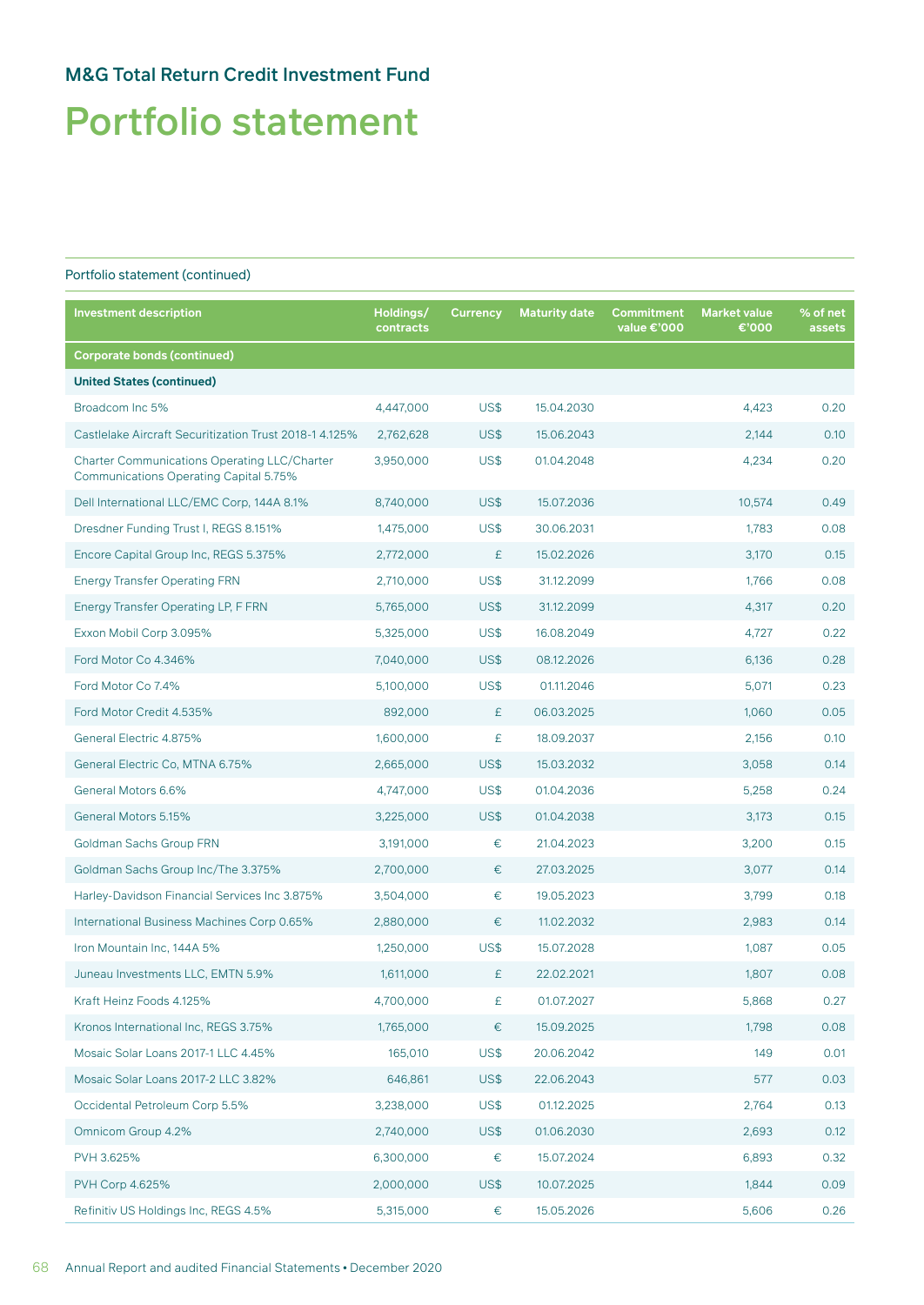# Portfolio statement

| <b>Investment description</b>                                                                        | Holdings/<br>contracts | <b>Currency</b> | <b>Maturity date</b> | Commitment<br>value €'000 | <b>Market value</b><br>€'000 | % of net<br>assets |
|------------------------------------------------------------------------------------------------------|------------------------|-----------------|----------------------|---------------------------|------------------------------|--------------------|
| <b>Corporate bonds (continued)</b>                                                                   |                        |                 |                      |                           |                              |                    |
| <b>United States (continued)</b>                                                                     |                        |                 |                      |                           |                              |                    |
| Broadcom Inc 5%                                                                                      | 4,447,000              | US\$            | 15.04.2030           |                           | 4,423                        | 0.20               |
| Castlelake Aircraft Securitization Trust 2018-1 4.125%                                               | 2,762,628              | US\$            | 15.06.2043           |                           | 2,144                        | 0.10               |
| <b>Charter Communications Operating LLC/Charter</b><br><b>Communications Operating Capital 5.75%</b> | 3,950,000              | US\$            | 01.04.2048           |                           | 4,234                        | 0.20               |
| Dell International LLC/EMC Corp, 144A 8.1%                                                           | 8,740,000              | US\$            | 15.07.2036           |                           | 10,574                       | 0.49               |
| Dresdner Funding Trust I, REGS 8.151%                                                                | 1,475,000              | US\$            | 30.06.2031           |                           | 1,783                        | 0.08               |
| Encore Capital Group Inc, REGS 5.375%                                                                | 2,772,000              | £               | 15.02.2026           |                           | 3,170                        | 0.15               |
| <b>Energy Transfer Operating FRN</b>                                                                 | 2,710,000              | US\$            | 31.12.2099           |                           | 1,766                        | 0.08               |
| Energy Transfer Operating LP, F FRN                                                                  | 5,765,000              | US\$            | 31.12.2099           |                           | 4,317                        | 0.20               |
| Exxon Mobil Corp 3.095%                                                                              | 5,325,000              | US\$            | 16.08.2049           |                           | 4,727                        | 0.22               |
| Ford Motor Co 4.346%                                                                                 | 7,040,000              | US\$            | 08.12.2026           |                           | 6,136                        | 0.28               |
| Ford Motor Co 7.4%                                                                                   | 5,100,000              | US\$            | 01.11.2046           |                           | 5,071                        | 0.23               |
| Ford Motor Credit 4.535%                                                                             | 892,000                | £               | 06.03.2025           |                           | 1,060                        | 0.05               |
| General Electric 4.875%                                                                              | 1,600,000              | £               | 18.09.2037           |                           | 2,156                        | 0.10               |
| General Electric Co, MTNA 6.75%                                                                      | 2,665,000              | US\$            | 15.03.2032           |                           | 3,058                        | 0.14               |
| General Motors 6.6%                                                                                  | 4,747,000              | US\$            | 01.04.2036           |                           | 5,258                        | 0.24               |
| General Motors 5.15%                                                                                 | 3,225,000              | US\$            | 01.04.2038           |                           | 3,173                        | 0.15               |
| <b>Goldman Sachs Group FRN</b>                                                                       | 3,191,000              | €               | 21.04.2023           |                           | 3,200                        | 0.15               |
| Goldman Sachs Group Inc/The 3.375%                                                                   | 2,700,000              | €               | 27.03.2025           |                           | 3,077                        | 0.14               |
| Harley-Davidson Financial Services Inc 3.875%                                                        | 3,504,000              | €               | 19.05.2023           |                           | 3,799                        | 0.18               |
| International Business Machines Corp 0.65%                                                           | 2,880,000              | €               | 11.02.2032           |                           | 2,983                        | 0.14               |
| Iron Mountain Inc, 144A 5%                                                                           | 1,250,000              | US\$            | 15.07.2028           |                           | 1,087                        | 0.05               |
| Juneau Investments LLC, EMTN 5.9%                                                                    | 1,611,000              | £               | 22.02.2021           |                           | 1,807                        | 0.08               |
| Kraft Heinz Foods 4.125%                                                                             | 4,700,000              | £               | 01.07.2027           |                           | 5,868                        | 0.27               |
| Kronos International Inc, REGS 3.75%                                                                 | 1,765,000              | €               | 15.09.2025           |                           | 1,798                        | 0.08               |
| Mosaic Solar Loans 2017-1 LLC 4.45%                                                                  | 165,010                | US\$            | 20.06.2042           |                           | 149                          | 0.01               |
| Mosaic Solar Loans 2017-2 LLC 3.82%                                                                  | 646,861                | US\$            | 22.06.2043           |                           | 577                          | 0.03               |
| Occidental Petroleum Corp 5.5%                                                                       | 3,238,000              | US\$            | 01.12.2025           |                           | 2,764                        | 0.13               |
| Omnicom Group 4.2%                                                                                   | 2,740,000              | US\$            | 01.06.2030           |                           | 2,693                        | 0.12               |
| PVH 3.625%                                                                                           | 6,300,000              | $\in$           | 15.07.2024           |                           | 6,893                        | 0.32               |
| PVH Corp 4.625%                                                                                      | 2,000,000              | US\$            | 10.07.2025           |                           | 1,844                        | 0.09               |
| Refinitiv US Holdings Inc, REGS 4.5%                                                                 | 5,315,000              | €               | 15.05.2026           |                           | 5,606                        | 0.26               |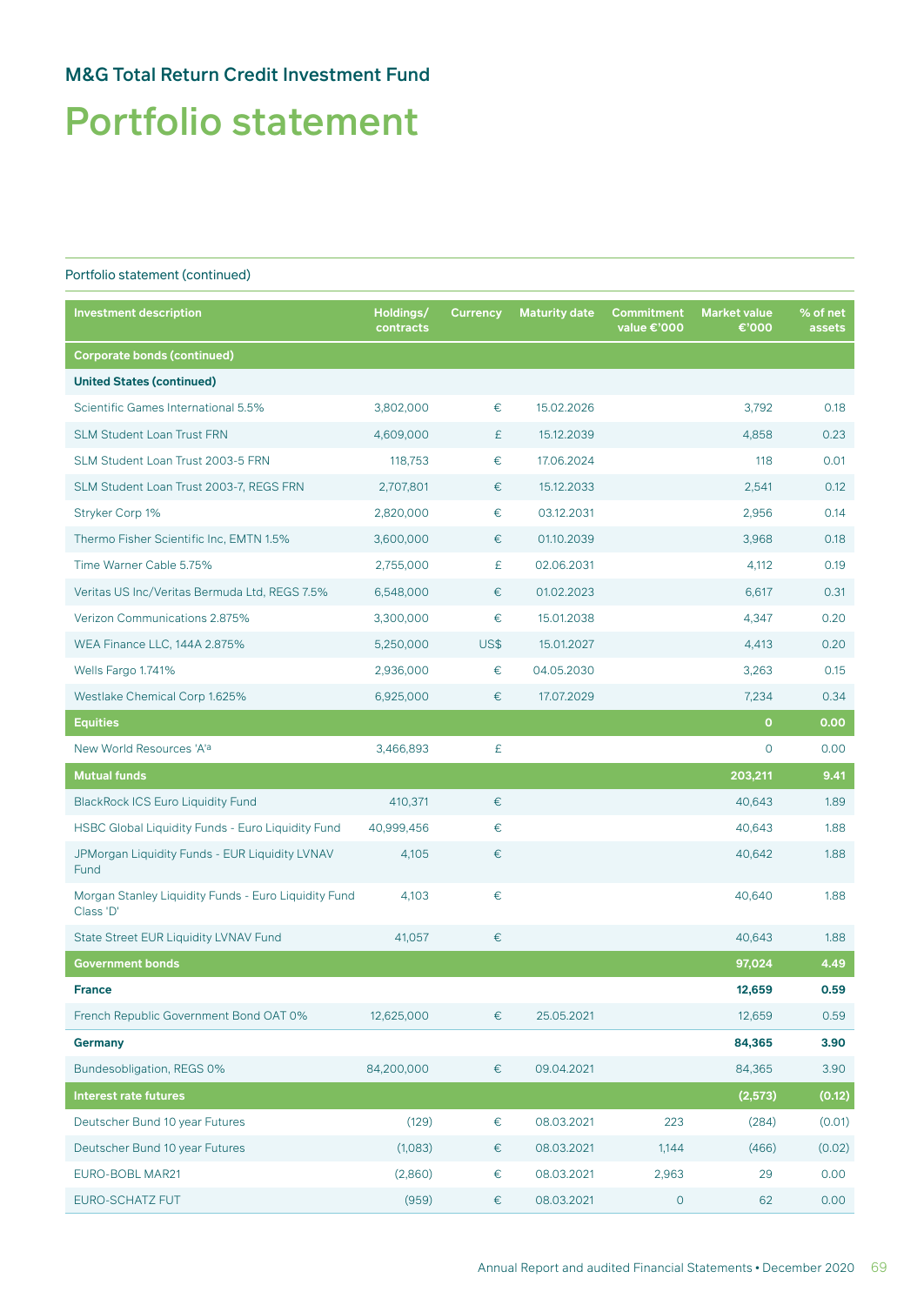# Portfolio statement

| <b>Investment description</b>                                     | Holdings/<br>contracts | <b>Currency</b> | <b>Maturity date</b> | <b>Commitment</b><br>value €'000 | <b>Market value</b><br>€'000 | % of net<br>assets |
|-------------------------------------------------------------------|------------------------|-----------------|----------------------|----------------------------------|------------------------------|--------------------|
| <b>Corporate bonds (continued)</b>                                |                        |                 |                      |                                  |                              |                    |
| <b>United States (continued)</b>                                  |                        |                 |                      |                                  |                              |                    |
| Scientific Games International 5.5%                               | 3,802,000              | €               | 15.02.2026           |                                  | 3,792                        | 0.18               |
| <b>SLM Student Loan Trust FRN</b>                                 | 4,609,000              | £               | 15.12.2039           |                                  | 4,858                        | 0.23               |
| SLM Student Loan Trust 2003-5 FRN                                 | 118,753                | €               | 17.06.2024           |                                  | 118                          | 0.01               |
| SLM Student Loan Trust 2003-7, REGS FRN                           | 2,707,801              | €               | 15.12.2033           |                                  | 2,541                        | 0.12               |
| Stryker Corp 1%                                                   | 2,820,000              | €               | 03.12.2031           |                                  | 2,956                        | 0.14               |
| Thermo Fisher Scientific Inc, EMTN 1.5%                           | 3,600,000              | €               | 01.10.2039           |                                  | 3,968                        | 0.18               |
| Time Warner Cable 5.75%                                           | 2,755,000              | £               | 02.06.2031           |                                  | 4,112                        | 0.19               |
| Veritas US Inc/Veritas Bermuda Ltd, REGS 7.5%                     | 6,548,000              | €               | 01.02.2023           |                                  | 6,617                        | 0.31               |
| Verizon Communications 2.875%                                     | 3,300,000              | €               | 15.01.2038           |                                  | 4,347                        | 0.20               |
| WEA Finance LLC, 144A 2.875%                                      | 5,250,000              | US\$            | 15.01.2027           |                                  | 4,413                        | 0.20               |
| Wells Fargo 1.741%                                                | 2,936,000              | €               | 04.05.2030           |                                  | 3,263                        | 0.15               |
| Westlake Chemical Corp 1.625%                                     | 6,925,000              | €               | 17.07.2029           |                                  | 7,234                        | 0.34               |
| <b>Equities</b>                                                   |                        |                 |                      |                                  | $\mathbf{O}$                 | 0.00               |
| New World Resources 'A'a                                          | 3,466,893              | £               |                      |                                  | $\circ$                      | 0.00               |
| <b>Mutual funds</b>                                               |                        |                 |                      |                                  | 203,211                      | 9.41               |
| <b>BlackRock ICS Euro Liquidity Fund</b>                          | 410,371                | €               |                      |                                  | 40,643                       | 1.89               |
| HSBC Global Liquidity Funds - Euro Liquidity Fund                 | 40,999,456             | €               |                      |                                  | 40,643                       | 1.88               |
| JPMorgan Liquidity Funds - EUR Liquidity LVNAV<br>Fund            | 4,105                  | €               |                      |                                  | 40,642                       | 1.88               |
| Morgan Stanley Liquidity Funds - Euro Liquidity Fund<br>Class 'D' | 4,103                  | €               |                      |                                  | 40,640                       | 1.88               |
| State Street EUR Liquidity LVNAV Fund                             | 41,057                 | €               |                      |                                  | 40,643                       | 1.88               |
| <b>Government bonds</b>                                           |                        |                 |                      |                                  | 97,024                       | 4.49               |
| <b>France</b>                                                     |                        |                 |                      |                                  | 12,659                       | 0.59               |
| French Republic Government Bond OAT 0%                            | 12,625,000             | €               | 25.05.2021           |                                  | 12,659                       | 0.59               |
| <b>Germany</b>                                                    |                        |                 |                      |                                  | 84,365                       | 3.90               |
| Bundesobligation, REGS 0%                                         | 84,200,000             | $\in$           | 09.04.2021           |                                  | 84,365                       | 3.90               |
| <b>Interest rate futures</b>                                      |                        |                 |                      |                                  | (2,573)                      | (0.12)             |
| Deutscher Bund 10 year Futures                                    | (129)                  | $\in$           | 08.03.2021           | 223                              | (284)                        | (0.01)             |
| Deutscher Bund 10 year Futures                                    | (1,083)                | €               | 08.03.2021           | 1,144                            | (466)                        | (0.02)             |
| EURO-BOBL MAR21                                                   | (2,860)                | $\in$           | 08.03.2021           | 2,963                            | 29                           | 0.00               |
| EURO-SCHATZ FUT                                                   | (959)                  | €               | 08.03.2021           | $\circ$                          | 62                           | 0.00               |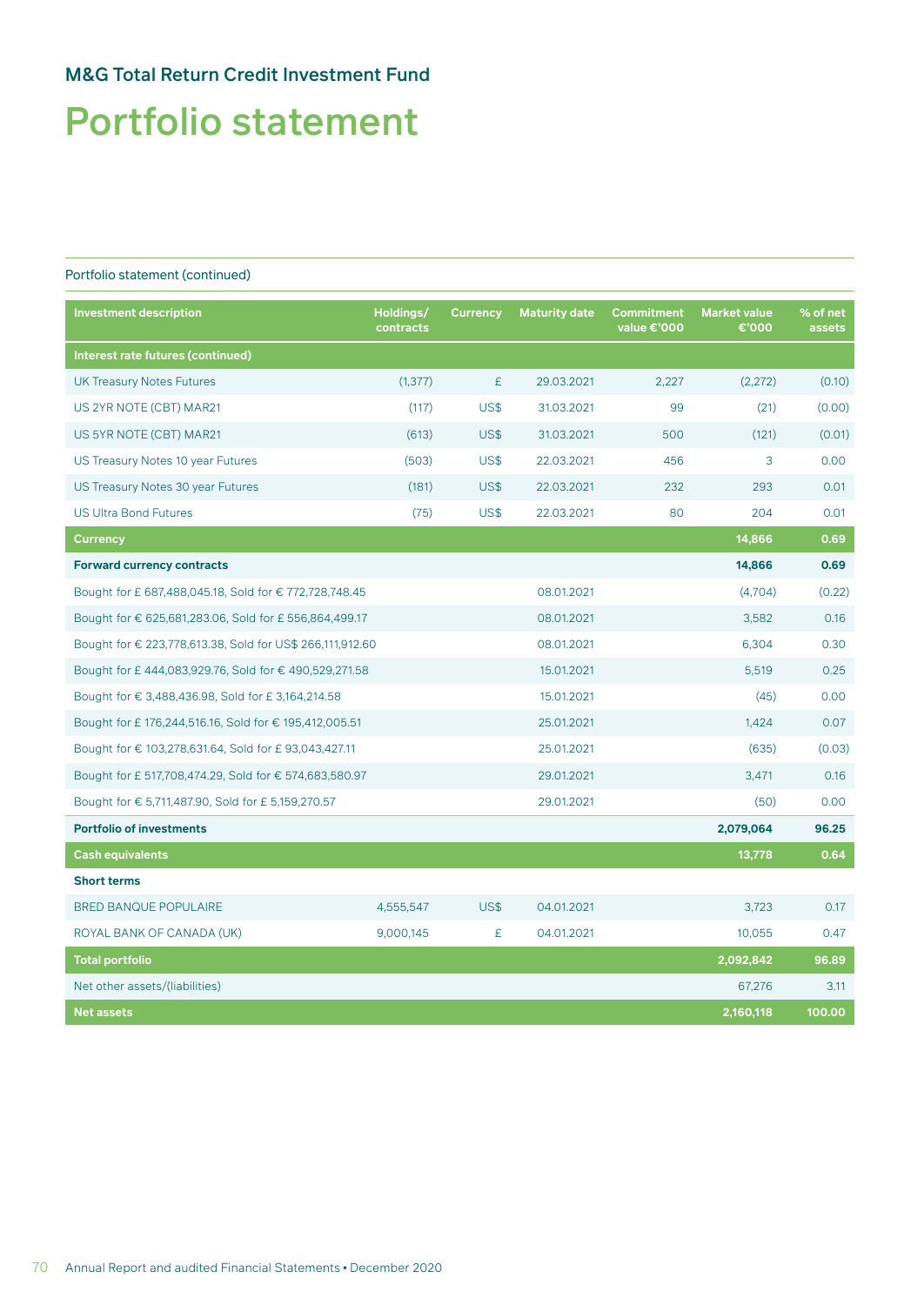# Portfolio statement

| <b>Investment description</b>                             | Holdings/<br>contracts | <b>Currency</b> | <b>Maturity date</b> | Commitment<br>value €'000 | <b>Market value</b><br>€'000 | % of net<br>assets |
|-----------------------------------------------------------|------------------------|-----------------|----------------------|---------------------------|------------------------------|--------------------|
| Interest rate futures (continued)                         |                        |                 |                      |                           |                              |                    |
| <b>UK Treasury Notes Futures</b>                          | (1, 377)               | £               | 29.03.2021           | 2,227                     | (2,272)                      | (0.10)             |
| US 2YR NOTE (CBT) MAR21                                   | (117)                  | <b>US\$</b>     | 31.03.2021           | 99                        | (21)                         | (0.00)             |
| US 5YR NOTE (CBT) MAR21                                   | (613)                  | US\$            | 31.03.2021           | 500                       | (121)                        | (0.01)             |
| US Treasury Notes 10 year Futures                         | (503)                  | US\$            | 22.03.2021           | 456                       | 3                            | 0.00               |
| US Treasury Notes 30 year Futures                         | (181)                  | US\$            | 22.03.2021           | 232                       | 293                          | 0.01               |
| <b>US Ultra Bond Futures</b>                              | (75)                   | US\$            | 22.03.2021           | 80                        | 204                          | 0.01               |
| <b>Currency</b>                                           |                        |                 |                      |                           | 14,866                       | 0.69               |
| <b>Forward currency contracts</b>                         |                        |                 |                      |                           | 14,866                       | 0.69               |
| Bought for £ 687,488,045.18, Sold for € 772,728,748.45    |                        |                 | 08.01.2021           |                           | (4,704)                      | (0.22)             |
| Bought for € 625,681,283.06, Sold for £ 556,864,499.17    |                        |                 | 08.01.2021           |                           | 3,582                        | 0.16               |
| Bought for € 223,778,613.38, Sold for US\$ 266,111,912.60 |                        |                 | 08.01.2021           |                           | 6,304                        | 0.30               |
| Bought for £444,083,929.76, Sold for €490,529,271.58      |                        |                 | 15.01.2021           |                           | 5,519                        | 0.25               |
| Bought for € 3,488,436.98, Sold for £ 3,164,214.58        |                        |                 | 15.01.2021           |                           | (45)                         | 0.00               |
| Bought for £176,244,516.16, Sold for €195,412,005.51      |                        |                 | 25.01.2021           |                           | 1,424                        | 0.07               |
| Bought for € 103,278,631.64, Sold for £93,043,427.11      |                        |                 | 25.01.2021           |                           | (635)                        | (0.03)             |
| Bought for £ 517,708,474.29, Sold for € 574,683,580.97    |                        |                 | 29.01.2021           |                           | 3,471                        | 0.16               |
| Bought for € 5,711,487.90, Sold for £ 5,159,270.57        |                        |                 | 29.01.2021           |                           | (50)                         | 0.00               |
| <b>Portfolio of investments</b>                           |                        |                 |                      |                           | 2,079,064                    | 96.25              |
| <b>Cash equivalents</b>                                   |                        |                 |                      |                           | 13,778                       | 0.64               |
| <b>Short terms</b>                                        |                        |                 |                      |                           |                              |                    |
| <b>BRED BANQUE POPULAIRE</b>                              | 4,555,547              | US\$            | 04.01.2021           |                           | 3,723                        | 0.17               |
| ROYAL BANK OF CANADA (UK)                                 | 9,000,145              | £               | 04.01.2021           |                           | 10,055                       | 0.47               |
| <b>Total portfolio</b>                                    |                        |                 |                      |                           | 2,092,842                    | 96.89              |
| Net other assets/(liabilities)                            |                        |                 |                      |                           | 67,276                       | 3.11               |
| <b>Net assets</b>                                         |                        |                 |                      |                           | 2,160,118                    | 100.00             |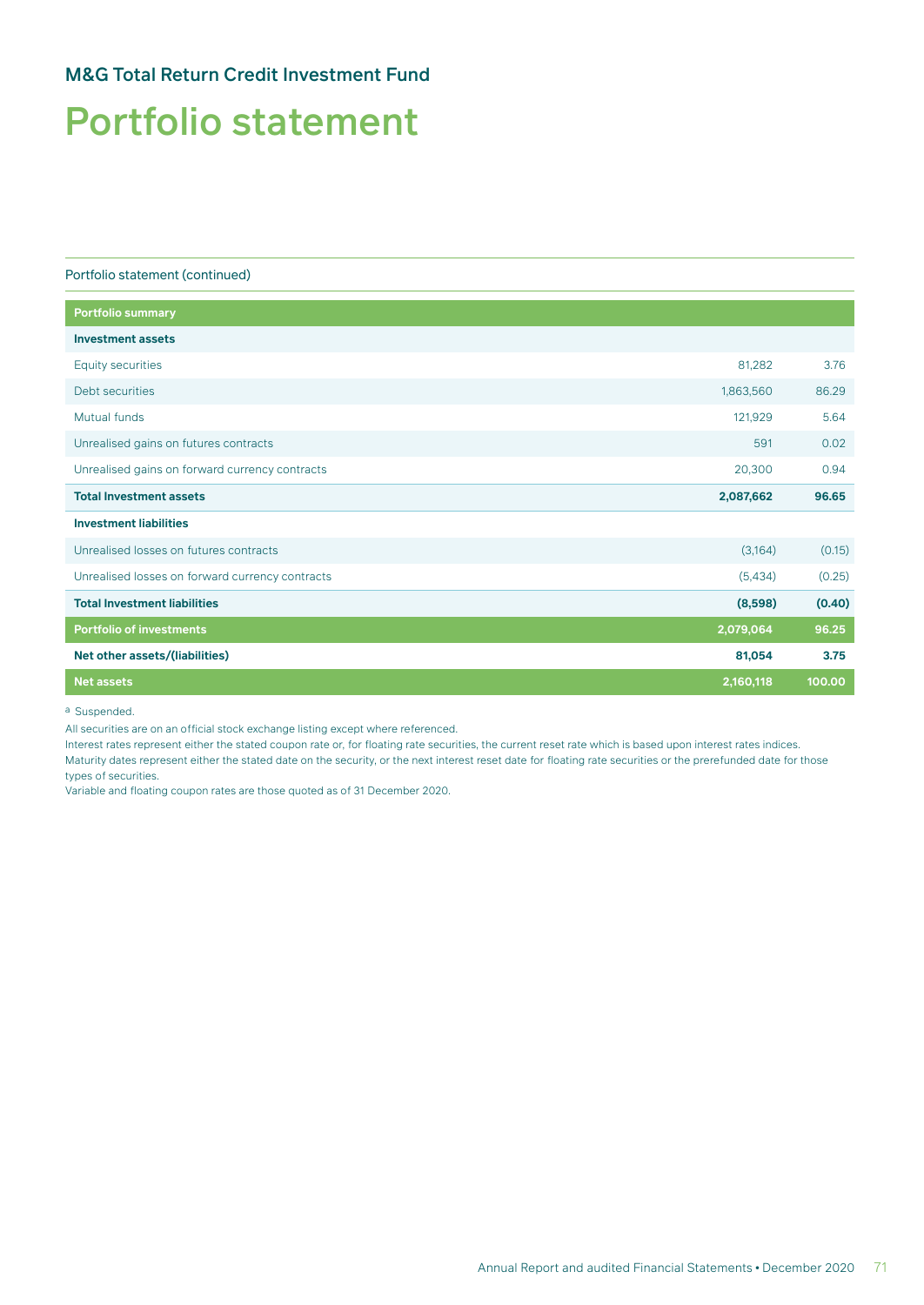### M&G Total Return Credit Investment Fund

### Portfolio statement

#### Portfolio statement (continued)

| 81.282    | 3.76   |
|-----------|--------|
| 1,863,560 | 86.29  |
| 121,929   | 5.64   |
| 591       | 0.02   |
| 20,300    | 0.94   |
| 2,087,662 | 96.65  |
|           |        |
| (3,164)   | (0.15) |
| (5,434)   | (0.25) |
| (8,598)   | (0.40) |
| 2,079,064 | 96.25  |
| 81,054    | 3.75   |
| 2,160,118 | 100.00 |
|           |        |

a Suspended.

All securities are on an official stock exchange listing except where referenced.

Interest rates represent either the stated coupon rate or, for floating rate securities, the current reset rate which is based upon interest rates indices. Maturity dates represent either the stated date on the security, or the next interest reset date for floating rate securities or the prerefunded date for those types of securities.

Variable and floating coupon rates are those quoted as of 31 December 2020.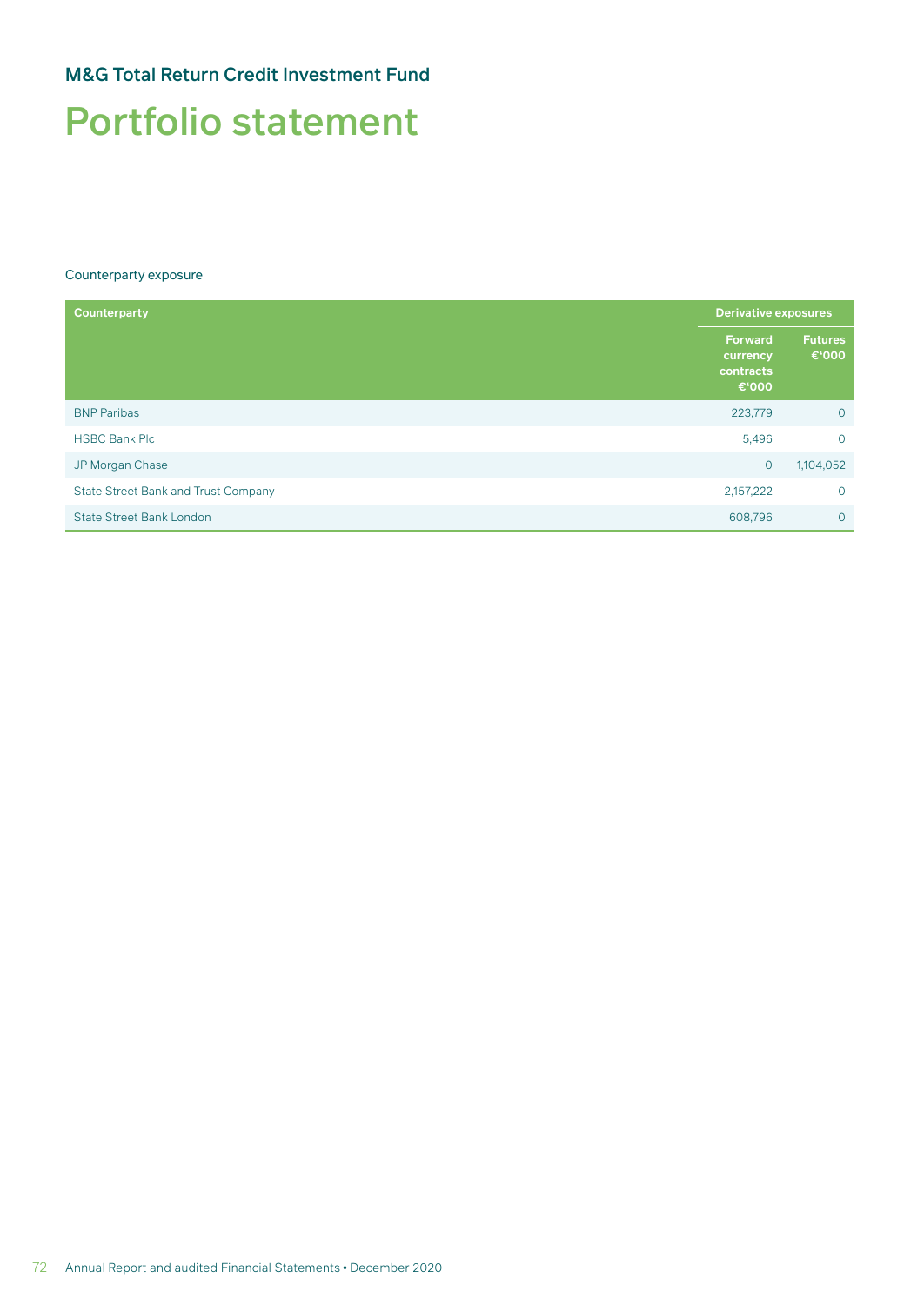### M&G Total Return Credit Investment Fund

### Portfolio statement

#### Counterparty exposure

| <b>Counterparty</b>                        | <b>Derivative exposures</b>                      |                         |
|--------------------------------------------|--------------------------------------------------|-------------------------|
|                                            | <b>Forward</b><br>currency<br>contracts<br>€'000 | <b>Futures</b><br>€'000 |
| <b>BNP Paribas</b>                         | 223,779                                          | $\circ$                 |
| <b>HSBC Bank Plc</b>                       | 5,496                                            | $\circ$                 |
| JP Morgan Chase                            | $\circ$                                          | 1,104,052               |
| <b>State Street Bank and Trust Company</b> | 2,157,222                                        | $\circ$                 |
| <b>State Street Bank London</b>            | 608,796                                          | $\circ$                 |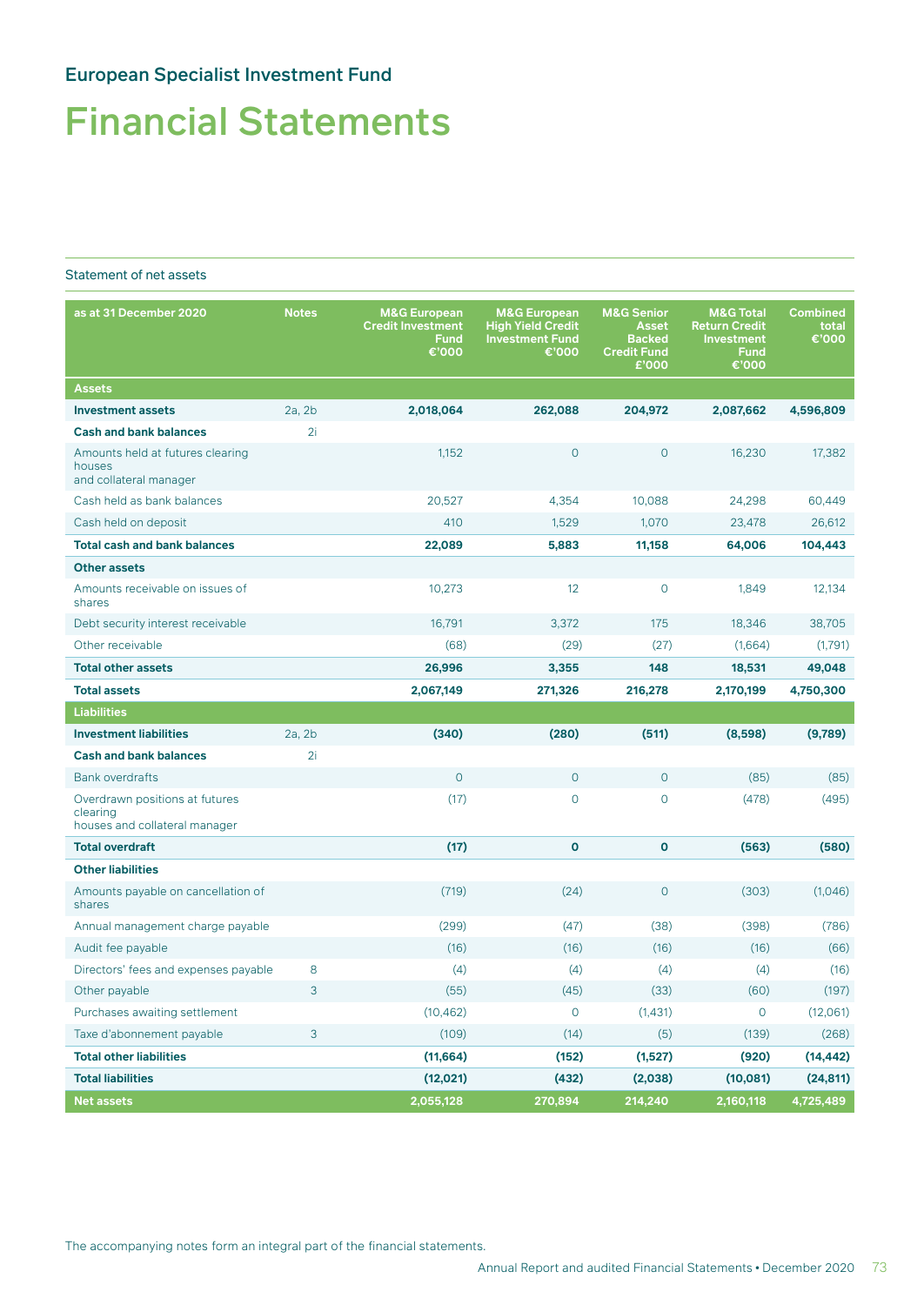## Financial Statements

#### Statement of net assets

| as at 31 December 2020                                                      | <b>Notes</b> | <b>M&amp;G European</b><br><b>Credit Investment</b><br>Fund<br>€'000 | <b>M&amp;G European</b><br><b>High Yield Credit</b><br><b>Investment Fund</b><br>€'000 | <b>M&amp;G Senior</b><br><b>Asset</b><br><b>Backed</b><br><b>Credit Fund</b><br>£'000 | <b>M&amp;G Total</b><br><b>Return Credit</b><br><b>Investment</b><br><b>Fund</b><br>€'000 | <b>Combined</b><br>total<br>€'000 |
|-----------------------------------------------------------------------------|--------------|----------------------------------------------------------------------|----------------------------------------------------------------------------------------|---------------------------------------------------------------------------------------|-------------------------------------------------------------------------------------------|-----------------------------------|
| <b>Assets</b>                                                               |              |                                                                      |                                                                                        |                                                                                       |                                                                                           |                                   |
| <b>Investment assets</b>                                                    | 2a, 2b       | 2,018,064                                                            | 262,088                                                                                | 204,972                                                                               | 2,087,662                                                                                 | 4,596,809                         |
| <b>Cash and bank balances</b>                                               | 2i           |                                                                      |                                                                                        |                                                                                       |                                                                                           |                                   |
| Amounts held at futures clearing<br>houses<br>and collateral manager        |              | 1,152                                                                | 0                                                                                      | $\circ$                                                                               | 16,230                                                                                    | 17,382                            |
| Cash held as bank balances                                                  |              | 20,527                                                               | 4,354                                                                                  | 10,088                                                                                | 24,298                                                                                    | 60,449                            |
| Cash held on deposit                                                        |              | 410                                                                  | 1,529                                                                                  | 1,070                                                                                 | 23,478                                                                                    | 26,612                            |
| <b>Total cash and bank balances</b>                                         |              | 22,089                                                               | 5,883                                                                                  | 11,158                                                                                | 64,006                                                                                    | 104,443                           |
| <b>Other assets</b>                                                         |              |                                                                      |                                                                                        |                                                                                       |                                                                                           |                                   |
| Amounts receivable on issues of<br>shares                                   |              | 10,273                                                               | 12                                                                                     | $\mathbf 0$                                                                           | 1,849                                                                                     | 12,134                            |
| Debt security interest receivable                                           |              | 16,791                                                               | 3,372                                                                                  | 175                                                                                   | 18,346                                                                                    | 38,705                            |
| Other receivable                                                            |              | (68)                                                                 | (29)                                                                                   | (27)                                                                                  | (1,664)                                                                                   | (1,791)                           |
| <b>Total other assets</b>                                                   |              | 26,996                                                               | 3,355                                                                                  | 148                                                                                   | 18,531                                                                                    | 49,048                            |
| <b>Total assets</b>                                                         |              | 2,067,149                                                            | 271,326                                                                                | 216,278                                                                               | 2,170,199                                                                                 | 4,750,300                         |
| <b>Liabilities</b>                                                          |              |                                                                      |                                                                                        |                                                                                       |                                                                                           |                                   |
| <b>Investment liabilities</b>                                               | 2a.2b        | (340)                                                                | (280)                                                                                  | (511)                                                                                 | (8,598)                                                                                   | (9,789)                           |
| <b>Cash and bank balances</b>                                               | 2i           |                                                                      |                                                                                        |                                                                                       |                                                                                           |                                   |
| <b>Bank overdrafts</b>                                                      |              | $\overline{0}$                                                       | 0                                                                                      | $\circ$                                                                               | (85)                                                                                      | (85)                              |
| Overdrawn positions at futures<br>clearing<br>houses and collateral manager |              | (17)                                                                 | $\overline{O}$                                                                         | $\overline{0}$                                                                        | (478)                                                                                     | (495)                             |
| <b>Total overdraft</b>                                                      |              | (17)                                                                 | 0                                                                                      | $\mathbf 0$                                                                           | (563)                                                                                     | (580)                             |
| <b>Other liabilities</b>                                                    |              |                                                                      |                                                                                        |                                                                                       |                                                                                           |                                   |
| Amounts payable on cancellation of<br>shares                                |              | (719)                                                                | (24)                                                                                   | $\overline{O}$                                                                        | (303)                                                                                     | (1,046)                           |
| Annual management charge payable                                            |              | (299)                                                                | (47)                                                                                   | (38)                                                                                  | (398)                                                                                     | (786)                             |
| Audit fee payable                                                           |              | (16)                                                                 | (16)                                                                                   | (16)                                                                                  | (16)                                                                                      | (66)                              |
| Directors' fees and expenses payable                                        | 8            | (4)                                                                  | (4)                                                                                    | (4)                                                                                   | (4)                                                                                       | (16)                              |
| Other payable                                                               | 3            | (55)                                                                 | (45)                                                                                   | (33)                                                                                  | (60)                                                                                      | (197)                             |
| Purchases awaiting settlement                                               |              | (10, 462)                                                            | 0                                                                                      | (1,431)                                                                               | 0                                                                                         | (12,061)                          |
| Taxe d'abonnement payable                                                   | 3            | (109)                                                                | (14)                                                                                   | (5)                                                                                   | (139)                                                                                     | (268)                             |
| <b>Total other liabilities</b>                                              |              | (11, 664)                                                            | (152)                                                                                  | (1,527)                                                                               | (920)                                                                                     | (14, 442)                         |
| <b>Total liabilities</b>                                                    |              | (12, 021)                                                            | (432)                                                                                  | (2,038)                                                                               | (10,081)                                                                                  | (24, 811)                         |
| <b>Net assets</b>                                                           |              | 2,055,128                                                            | 270,894                                                                                | 214,240                                                                               | 2,160,118                                                                                 | 4,725,489                         |

The accompanying notes form an integral part of the financial statements.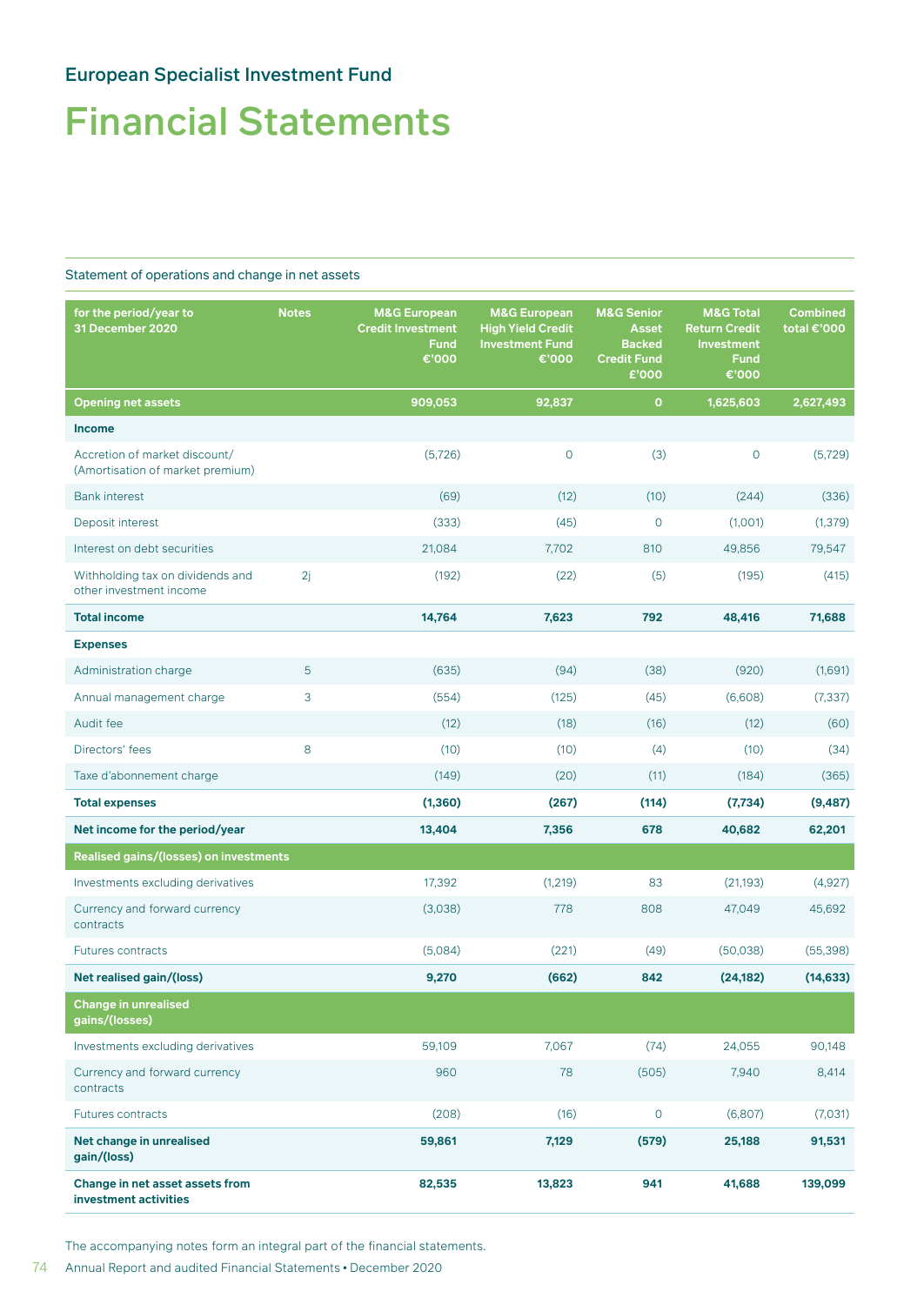### Financial Statements

#### Statement of operations and change in net assets

| for the period/year to<br><b>Notes</b><br>31 December 2020        |    | <b>M&amp;G European</b><br><b>Credit Investment</b><br><b>Fund</b><br>€'000 | <b>M&amp;G European</b><br><b>High Yield Credit</b><br><b>Investment Fund</b><br>€'000 | <b>M&amp;G Senior</b><br>Asset<br><b>Backed</b><br><b>Credit Fund</b><br>£'000 | <b>M&amp;G Total</b><br><b>Return Credit</b><br><b>Investment</b><br><b>Fund</b><br>€'000 | <b>Combined</b><br>total €'000 |
|-------------------------------------------------------------------|----|-----------------------------------------------------------------------------|----------------------------------------------------------------------------------------|--------------------------------------------------------------------------------|-------------------------------------------------------------------------------------------|--------------------------------|
| <b>Opening net assets</b>                                         |    | 909,053                                                                     | 92,837                                                                                 | $\mathbf{o}$                                                                   | 1,625,603                                                                                 | 2,627,493                      |
| <b>Income</b>                                                     |    |                                                                             |                                                                                        |                                                                                |                                                                                           |                                |
| Accretion of market discount/<br>(Amortisation of market premium) |    | (5,726)                                                                     | $\circ$                                                                                | (3)                                                                            | $\mathbf 0$                                                                               | (5, 729)                       |
| <b>Bank interest</b>                                              |    | (69)                                                                        | (12)                                                                                   | (10)                                                                           | (244)                                                                                     | (336)                          |
| Deposit interest                                                  |    | (333)                                                                       | (45)                                                                                   | $\overline{0}$                                                                 | (1,001)                                                                                   | (1, 379)                       |
| Interest on debt securities                                       |    | 21,084                                                                      | 7,702                                                                                  | 810                                                                            | 49,856                                                                                    | 79,547                         |
| Withholding tax on dividends and<br>other investment income       | 2j | (192)                                                                       | (22)                                                                                   | (5)                                                                            | (195)                                                                                     | (415)                          |
| <b>Total income</b>                                               |    | 14,764                                                                      | 7,623                                                                                  | 792                                                                            | 48,416                                                                                    | 71,688                         |
| <b>Expenses</b>                                                   |    |                                                                             |                                                                                        |                                                                                |                                                                                           |                                |
| Administration charge                                             | 5  | (635)                                                                       | (94)                                                                                   | (38)                                                                           | (920)                                                                                     | (1,691)                        |
| Annual management charge                                          | 3  | (554)                                                                       | (125)                                                                                  | (45)                                                                           | (6,608)                                                                                   | (7, 337)                       |
| Audit fee                                                         |    | (12)                                                                        | (18)                                                                                   | (16)                                                                           | (12)                                                                                      | (60)                           |
| Directors' fees                                                   | 8  | (10)                                                                        | (10)                                                                                   | (4)                                                                            | (10)                                                                                      | (34)                           |
| Taxe d'abonnement charge                                          |    | (149)                                                                       | (20)                                                                                   | (11)                                                                           | (184)                                                                                     | (365)                          |
| <b>Total expenses</b>                                             |    | (1, 360)                                                                    | (267)                                                                                  | (114)                                                                          | (7, 734)                                                                                  | (9, 487)                       |
| Net income for the period/year                                    |    | 13,404                                                                      | 7,356                                                                                  | 678                                                                            | 40,682                                                                                    | 62,201                         |
| Realised gains/(losses) on investments                            |    |                                                                             |                                                                                        |                                                                                |                                                                                           |                                |
| Investments excluding derivatives                                 |    | 17,392                                                                      | (1,219)                                                                                | 83                                                                             | (21, 193)                                                                                 | (4,927)                        |
| Currency and forward currency<br>contracts                        |    | (3,038)                                                                     | 778                                                                                    | 808                                                                            | 47,049                                                                                    | 45,692                         |
| <b>Futures contracts</b>                                          |    | (5,084)                                                                     | (221)                                                                                  | (49)                                                                           | (50,038)                                                                                  | (55, 398)                      |
| Net realised gain/(loss)                                          |    | 9,270                                                                       | (662)                                                                                  | 842                                                                            | (24, 182)                                                                                 | (14, 633)                      |
| <b>Change in unrealised</b><br>gains/(losses)                     |    |                                                                             |                                                                                        |                                                                                |                                                                                           |                                |
| Investments excluding derivatives                                 |    | 59,109                                                                      | 7,067                                                                                  | (74)                                                                           | 24,055                                                                                    | 90,148                         |
| Currency and forward currency<br>contracts                        |    | 960                                                                         | 78                                                                                     | (505)                                                                          | 7,940                                                                                     | 8,414                          |
| Futures contracts                                                 |    | (208)                                                                       | (16)                                                                                   | $\mathsf{O}\xspace$                                                            | (6,807)                                                                                   | (7,031)                        |
| Net change in unrealised<br>gain/(loss)                           |    | 59,861                                                                      | 7,129                                                                                  | (579)                                                                          | 25,188                                                                                    | 91,531                         |
| Change in net asset assets from<br>investment activities          |    | 82,535                                                                      | 13,823                                                                                 | 941                                                                            | 41,688                                                                                    | 139,099                        |

The accompanying notes form an integral part of the financial statements.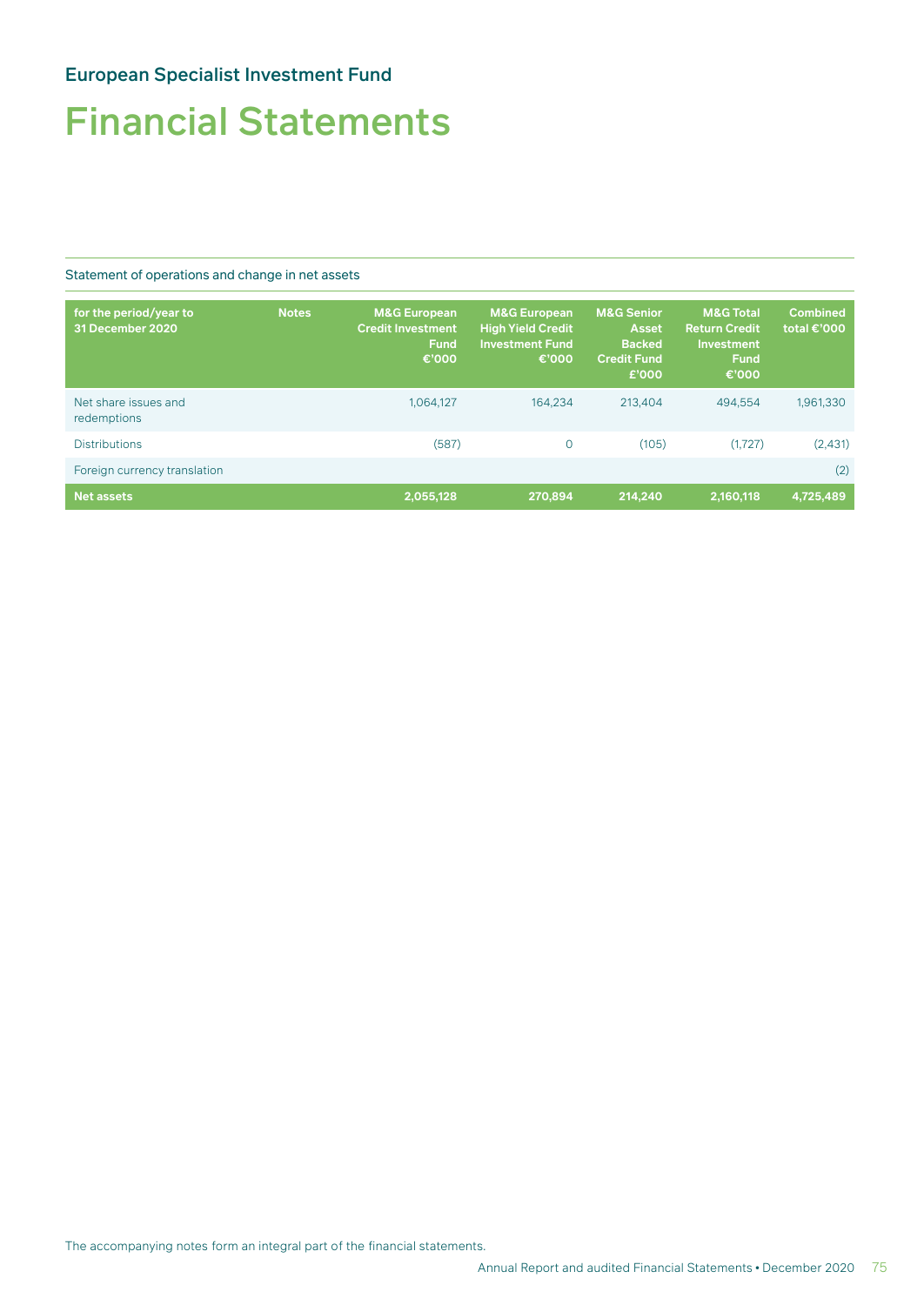## Financial Statements

Statement of operations and change in net assets

| for the period/year to<br>31 December 2020 | <b>Notes</b> | <b>M&amp;G European</b><br><b>Credit Investment</b><br><b>Fund</b><br>€'000 | <b>M&amp;G European</b><br><b>High Yield Credit</b><br><b>Investment Fund</b><br>€'000 | <b>M&amp;G Senior</b><br><b>Asset</b><br><b>Backed</b><br><b>Credit Fund</b><br>£'000 | <b>M&amp;G Total</b><br><b>Return Credit</b><br>Investment<br><b>Fund</b><br>€'000 | <b>Combined</b><br>total €'000 |
|--------------------------------------------|--------------|-----------------------------------------------------------------------------|----------------------------------------------------------------------------------------|---------------------------------------------------------------------------------------|------------------------------------------------------------------------------------|--------------------------------|
| Net share issues and<br>redemptions        |              | 1,064,127                                                                   | 164.234                                                                                | 213.404                                                                               | 494.554                                                                            | 1,961,330                      |
| <b>Distributions</b>                       |              | (587)                                                                       | $\circ$                                                                                | (105)                                                                                 | (1.727)                                                                            | (2,431)                        |
| Foreign currency translation               |              |                                                                             |                                                                                        |                                                                                       |                                                                                    | (2)                            |
| <b>Net assets</b>                          |              | 2,055,128                                                                   | 270.894                                                                                | 214.240                                                                               | 2.160.118                                                                          | 4,725,489                      |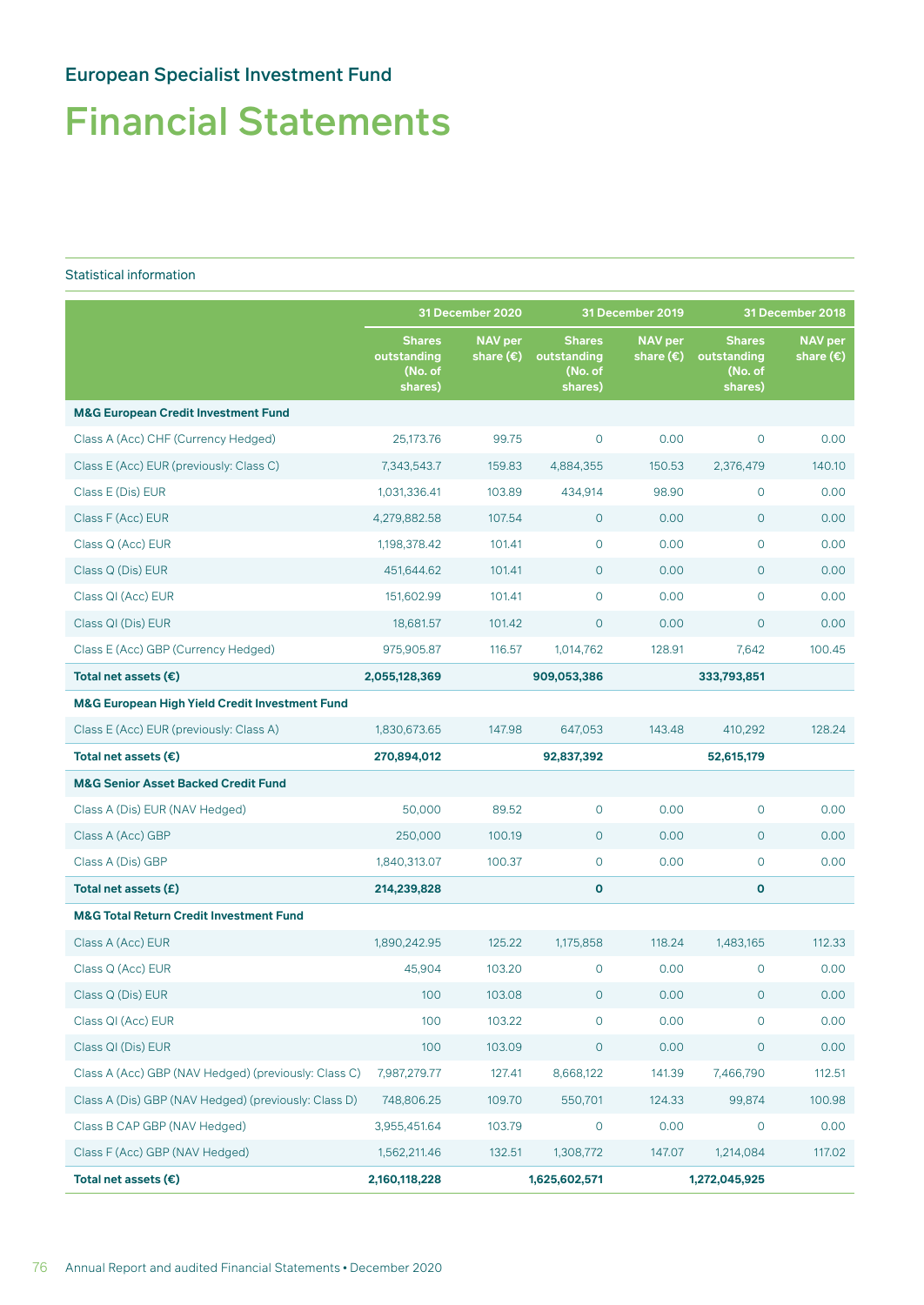## Financial Statements

#### Statistical information

|                                                           | 31 December 2020                                   |                                      | <b>31 December 2019</b>                            |                                      | 31 December 2018                                   |                                      |
|-----------------------------------------------------------|----------------------------------------------------|--------------------------------------|----------------------------------------------------|--------------------------------------|----------------------------------------------------|--------------------------------------|
|                                                           | <b>Shares</b><br>outstanding<br>(No. of<br>shares) | <b>NAV</b> per<br>share $(\epsilon)$ | <b>Shares</b><br>outstanding<br>(No. of<br>shares) | <b>NAV</b> per<br>share $(\epsilon)$ | <b>Shares</b><br>outstanding<br>(No. of<br>shares) | <b>NAV</b> per<br>share $(\epsilon)$ |
| <b>M&amp;G European Credit Investment Fund</b>            |                                                    |                                      |                                                    |                                      |                                                    |                                      |
| Class A (Acc) CHF (Currency Hedged)                       | 25,173.76                                          | 99.75                                | $\circ$                                            | 0.00                                 | $\mathsf{O}$                                       | 0.00                                 |
| Class E (Acc) EUR (previously: Class C)                   | 7,343,543.7                                        | 159.83                               | 4,884,355                                          | 150.53                               | 2,376,479                                          | 140.10                               |
| Class E (Dis) EUR                                         | 1,031,336.41                                       | 103.89                               | 434,914                                            | 98.90                                | $\circ$                                            | 0.00                                 |
| Class F (Acc) EUR                                         | 4,279,882.58                                       | 107.54                               | $\circ$                                            | 0.00                                 | $\circ$                                            | 0.00                                 |
| Class Q (Acc) EUR                                         | 1,198,378.42                                       | 101.41                               | $\circ$                                            | 0.00                                 | $\circ$                                            | 0.00                                 |
| Class Q (Dis) EUR                                         | 451,644.62                                         | 101.41                               | $\circ$                                            | 0.00                                 | $\circ$                                            | 0.00                                 |
| Class QI (Acc) EUR                                        | 151,602.99                                         | 101.41                               | $\circ$                                            | 0.00                                 | $\circ$                                            | 0.00                                 |
| Class QI (Dis) EUR                                        | 18,681.57                                          | 101.42                               | $\circ$                                            | 0.00                                 | $\circ$                                            | 0.00                                 |
| Class E (Acc) GBP (Currency Hedged)                       | 975,905.87                                         | 116.57                               | 1,014,762                                          | 128.91                               | 7,642                                              | 100.45                               |
| Total net assets $(\epsilon)$                             | 2,055,128,369                                      |                                      | 909,053,386                                        |                                      | 333,793,851                                        |                                      |
| <b>M&amp;G European High Yield Credit Investment Fund</b> |                                                    |                                      |                                                    |                                      |                                                    |                                      |
| Class E (Acc) EUR (previously: Class A)                   | 1,830,673.65                                       | 147.98                               | 647,053                                            | 143.48                               | 410,292                                            | 128.24                               |
| Total net assets $(\epsilon)$                             | 270,894,012                                        |                                      | 92,837,392                                         |                                      | 52,615,179                                         |                                      |
| <b>M&amp;G Senior Asset Backed Credit Fund</b>            |                                                    |                                      |                                                    |                                      |                                                    |                                      |
| Class A (Dis) EUR (NAV Hedged)                            | 50,000                                             | 89.52                                | $\mathbf 0$                                        | 0.00                                 | 0                                                  | 0.00                                 |
| Class A (Acc) GBP                                         | 250,000                                            | 100.19                               | $\circ$                                            | 0.00                                 | $\circ$                                            | 0.00                                 |
| Class A (Dis) GBP                                         | 1,840,313.07                                       | 100.37                               | $\circ$                                            | 0.00                                 | $\circ$                                            | 0.00                                 |
| Total net assets $(E)$                                    | 214,239,828                                        |                                      | $\mathbf 0$                                        |                                      | O                                                  |                                      |
| <b>M&amp;G Total Return Credit Investment Fund</b>        |                                                    |                                      |                                                    |                                      |                                                    |                                      |
| Class A (Acc) EUR                                         | 1,890,242.95                                       | 125.22                               | 1,175,858                                          | 118.24                               | 1,483,165                                          | 112.33                               |
| Class Q (Acc) EUR                                         | 45,904                                             | 103.20                               | $\mathbf 0$                                        | 0.00                                 | 0                                                  | 0.00                                 |
| Class Q (Dis) EUR                                         | 100                                                | 103.08                               | $\mathsf{O}\xspace$                                | 0.00                                 | $\mathsf{O}\xspace$                                | 0.00                                 |
| Class QI (Acc) EUR                                        | 100                                                | 103.22                               | $\mathbf 0$                                        | 0.00                                 | $\circ$                                            | 0.00                                 |
| Class QI (Dis) EUR                                        | 100                                                | 103.09                               | $\circ$                                            | 0.00                                 | $\circ$                                            | 0.00                                 |
| Class A (Acc) GBP (NAV Hedged) (previously: Class C)      | 7,987,279.77                                       | 127.41                               | 8,668,122                                          | 141.39                               | 7,466,790                                          | 112.51                               |
| Class A (Dis) GBP (NAV Hedged) (previously: Class D)      | 748,806.25                                         | 109.70                               | 550,701                                            | 124.33                               | 99,874                                             | 100.98                               |
| Class B CAP GBP (NAV Hedged)                              | 3,955,451.64                                       | 103.79                               | $\mathsf{O}\xspace$                                | 0.00                                 | $\circ$                                            | 0.00                                 |
| Class F (Acc) GBP (NAV Hedged)                            | 1,562,211.46                                       | 132.51                               | 1,308,772                                          | 147.07                               | 1,214,084                                          | 117.02                               |
| Total net assets $(\epsilon)$                             | 2,160,118,228                                      |                                      | 1,625,602,571                                      |                                      | 1,272,045,925                                      |                                      |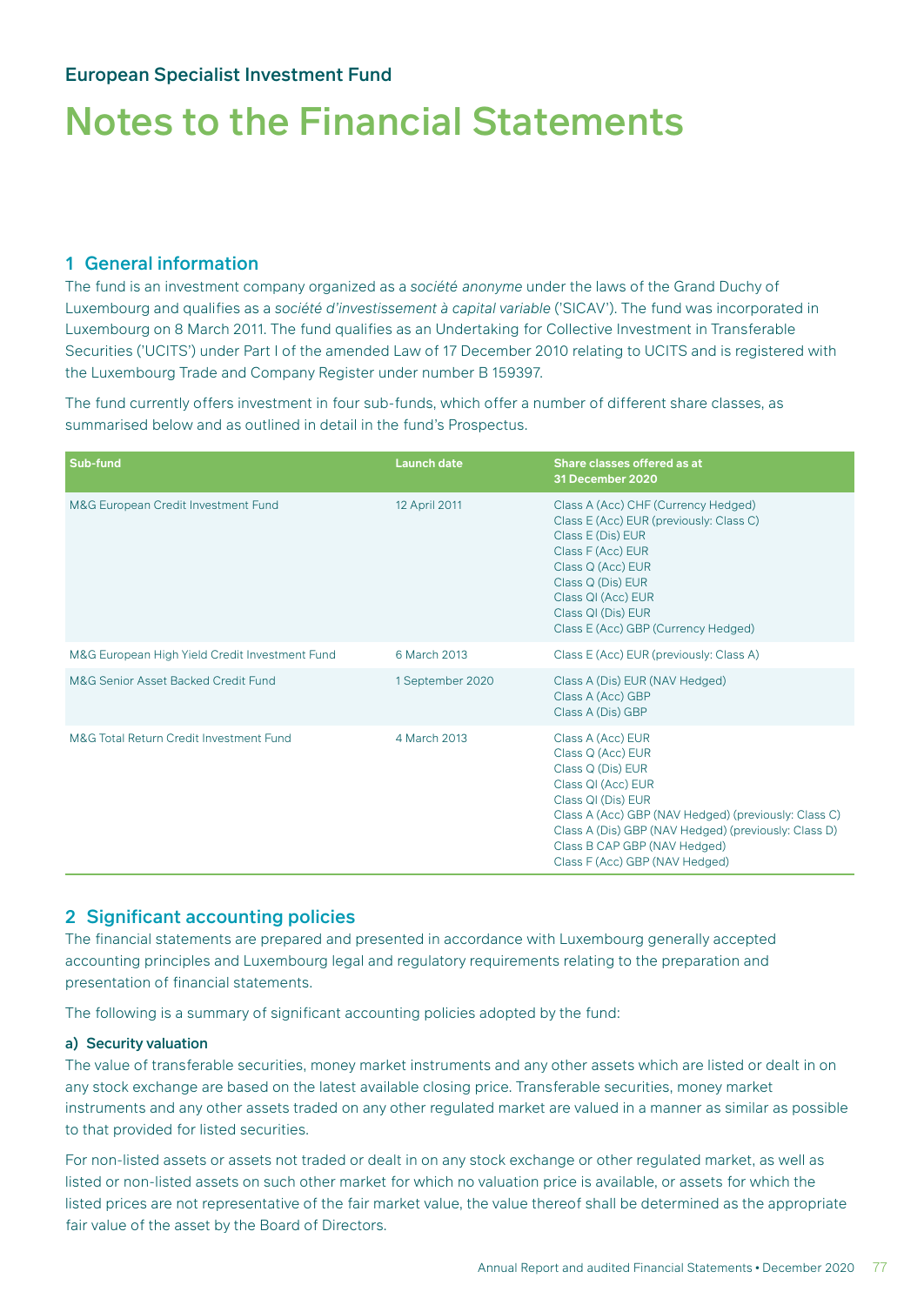#### 1 General information

The fund is an investment company organized as a *société anonyme* under the laws of the Grand Duchy of Luxembourg and qualifies as a *société d'investissement à capital variable* ('SICAV'). The fund was incorporated in Luxembourg on 8 March 2011. The fund qualifies as an Undertaking for Collective Investment in Transferable Securities ('UCITS') under Part I of the amended Law of 17 December 2010 relating to UCITS and is registered with the Luxembourg Trade and Company Register under number B 159397.

The fund currently offers investment in four sub-funds, which offer a number of different share classes, as summarised below and as outlined in detail in the fund's Prospectus.

| Sub-fund                                       | <b>Launch date</b> | Share classes offered as at<br>31 December 2020                                                                                                                                                                                                                                           |
|------------------------------------------------|--------------------|-------------------------------------------------------------------------------------------------------------------------------------------------------------------------------------------------------------------------------------------------------------------------------------------|
| M&G European Credit Investment Fund            | 12 April 2011      | Class A (Acc) CHF (Currency Hedged)<br>Class E (Acc) EUR (previously: Class C)<br>Class E (Dis) EUR<br>Class F (Acc) EUR<br>Class Q (Acc) EUR<br>Class Q (Dis) EUR<br>Class QI (Acc) EUR<br>Class QI (Dis) EUR<br>Class E (Acc) GBP (Currency Hedged)                                     |
| M&G European High Yield Credit Investment Fund | 6 March 2013       | Class E (Acc) EUR (previously: Class A)                                                                                                                                                                                                                                                   |
| M&G Senior Asset Backed Credit Fund            | 1 September 2020   | Class A (Dis) EUR (NAV Hedged)<br>Class A (Acc) GBP<br>Class A (Dis) GBP                                                                                                                                                                                                                  |
| M&G Total Return Credit Investment Fund        | 4 March 2013       | Class A (Acc) EUR<br>Class Q (Acc) EUR<br>Class Q (Dis) EUR<br>Class QI (Acc) EUR<br>Class QI (Dis) EUR<br>Class A (Acc) GBP (NAV Hedged) (previously: Class C)<br>Class A (Dis) GBP (NAV Hedged) (previously: Class D)<br>Class B CAP GBP (NAV Hedged)<br>Class F (Acc) GBP (NAV Hedged) |

#### 2 Significant accounting policies

The financial statements are prepared and presented in accordance with Luxembourg generally accepted accounting principles and Luxembourg legal and regulatory requirements relating to the preparation and presentation of financial statements.

The following is a summary of significant accounting policies adopted by the fund:

#### a) Security valuation

The value of transferable securities, money market instruments and any other assets which are listed or dealt in on any stock exchange are based on the latest available closing price. Transferable securities, money market instruments and any other assets traded on any other regulated market are valued in a manner as similar as possible to that provided for listed securities.

For non-listed assets or assets not traded or dealt in on any stock exchange or other regulated market, as well as listed or non-listed assets on such other market for which no valuation price is available, or assets for which the listed prices are not representative of the fair market value, the value thereof shall be determined as the appropriate fair value of the asset by the Board of Directors.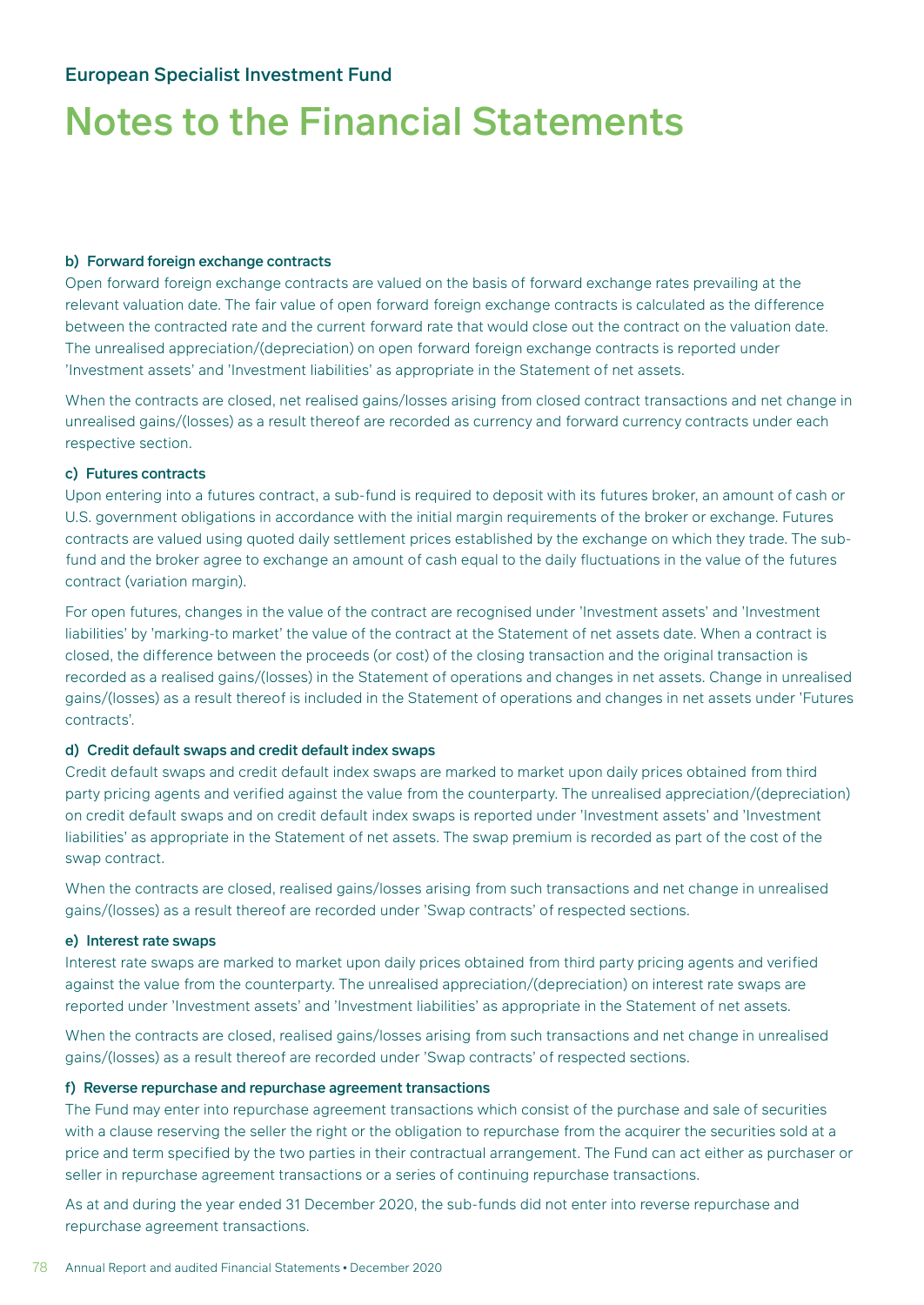#### b) Forward foreign exchange contracts

Open forward foreign exchange contracts are valued on the basis of forward exchange rates prevailing at the relevant valuation date. The fair value of open forward foreign exchange contracts is calculated as the difference between the contracted rate and the current forward rate that would close out the contract on the valuation date. The unrealised appreciation/(depreciation) on open forward foreign exchange contracts is reported under 'Investment assets' and 'Investment liabilities' as appropriate in the Statement of net assets.

When the contracts are closed, net realised gains/losses arising from closed contract transactions and net change in unrealised gains/(losses) as a result thereof are recorded as currency and forward currency contracts under each respective section.

#### c) Futures contracts

Upon entering into a futures contract, a sub-fund is required to deposit with its futures broker, an amount of cash or U.S. government obligations in accordance with the initial margin requirements of the broker or exchange. Futures contracts are valued using quoted daily settlement prices established by the exchange on which they trade. The subfund and the broker agree to exchange an amount of cash equal to the daily fluctuations in the value of the futures contract (variation margin).

For open futures, changes in the value of the contract are recognised under 'Investment assets' and 'Investment liabilities' by 'marking-to market' the value of the contract at the Statement of net assets date. When a contract is closed, the difference between the proceeds (or cost) of the closing transaction and the original transaction is recorded as a realised gains/(losses) in the Statement of operations and changes in net assets. Change in unrealised gains/(losses) as a result thereof is included in the Statement of operations and changes in net assets under 'Futures contracts'.

#### d) Credit default swaps and credit default index swaps

Credit default swaps and credit default index swaps are marked to market upon daily prices obtained from third party pricing agents and verified against the value from the counterparty. The unrealised appreciation/(depreciation) on credit default swaps and on credit default index swaps is reported under 'Investment assets' and 'Investment liabilities' as appropriate in the Statement of net assets. The swap premium is recorded as part of the cost of the swap contract.

When the contracts are closed, realised gains/losses arising from such transactions and net change in unrealised gains/(losses) as a result thereof are recorded under 'Swap contracts' of respected sections.

#### e) Interest rate swaps

Interest rate swaps are marked to market upon daily prices obtained from third party pricing agents and verified against the value from the counterparty. The unrealised appreciation/(depreciation) on interest rate swaps are reported under 'Investment assets' and 'Investment liabilities' as appropriate in the Statement of net assets.

When the contracts are closed, realised gains/losses arising from such transactions and net change in unrealised gains/(losses) as a result thereof are recorded under 'Swap contracts' of respected sections.

#### f) Reverse repurchase and repurchase agreement transactions

The Fund may enter into repurchase agreement transactions which consist of the purchase and sale of securities with a clause reserving the seller the right or the obligation to repurchase from the acquirer the securities sold at a price and term specified by the two parties in their contractual arrangement. The Fund can act either as purchaser or seller in repurchase agreement transactions or a series of continuing repurchase transactions.

As at and during the year ended 31 December 2020, the sub-funds did not enter into reverse repurchase and repurchase agreement transactions.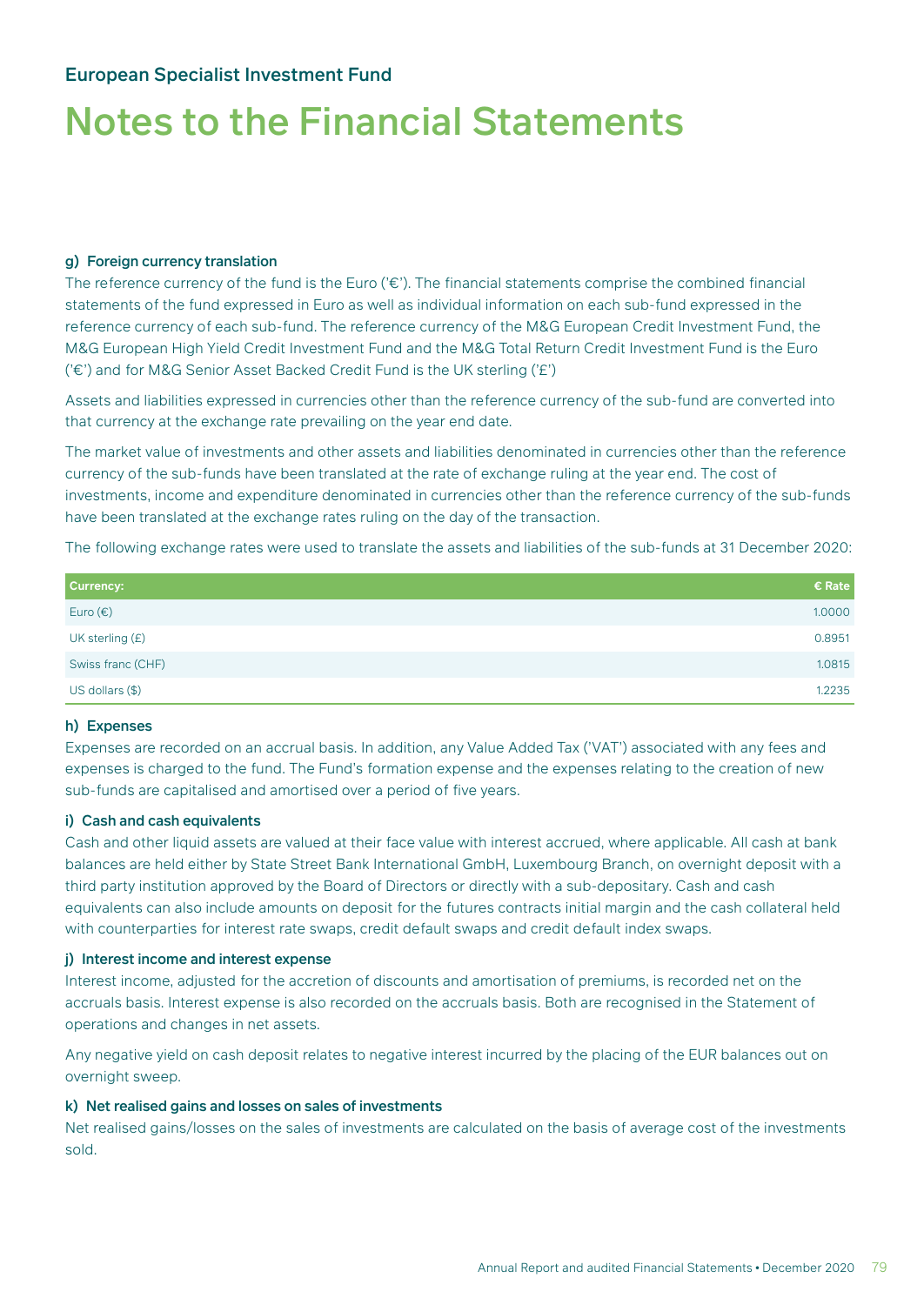#### g) Foreign currency translation

The reference currency of the fund is the Euro ('€'). The financial statements comprise the combined financial statements of the fund expressed in Euro as well as individual information on each sub-fund expressed in the reference currency of each sub-fund. The reference currency of the M&G European Credit Investment Fund, the M&G European High Yield Credit Investment Fund and the M&G Total Return Credit Investment Fund is the Euro ('€') and for M&G Senior Asset Backed Credit Fund is the UK sterling ('£')

Assets and liabilities expressed in currencies other than the reference currency of the sub-fund are converted into that currency at the exchange rate prevailing on the year end date.

The market value of investments and other assets and liabilities denominated in currencies other than the reference currency of the sub-funds have been translated at the rate of exchange ruling at the year end. The cost of investments, income and expenditure denominated in currencies other than the reference currency of the sub-funds have been translated at the exchange rates ruling on the day of the transaction.

The following exchange rates were used to translate the assets and liabilities of the sub-funds at 31 December 2020:

| <b>Currency:</b>  | € Rate |
|-------------------|--------|
| Euro $(\epsilon)$ | 1.0000 |
| UK sterling $(E)$ | 0.8951 |
| Swiss franc (CHF) | 1.0815 |
| US dollars (\$)   | 1.2235 |

#### h) Expenses

Expenses are recorded on an accrual basis. In addition, any Value Added Tax ('VAT') associated with any fees and expenses is charged to the fund. The Fund's formation expense and the expenses relating to the creation of new sub-funds are capitalised and amortised over a period of five years.

#### i) Cash and cash equivalents

Cash and other liquid assets are valued at their face value with interest accrued, where applicable. All cash at bank balances are held either by State Street Bank International GmbH, Luxembourg Branch, on overnight deposit with a third party institution approved by the Board of Directors or directly with a sub-depositary. Cash and cash equivalents can also include amounts on deposit for the futures contracts initial margin and the cash collateral held with counterparties for interest rate swaps, credit default swaps and credit default index swaps.

#### j) Interest income and interest expense

Interest income, adjusted for the accretion of discounts and amortisation of premiums, is recorded net on the accruals basis. Interest expense is also recorded on the accruals basis. Both are recognised in the Statement of operations and changes in net assets.

Any negative yield on cash deposit relates to negative interest incurred by the placing of the EUR balances out on overnight sweep.

#### k) Net realised gains and losses on sales of investments

Net realised gains/losses on the sales of investments are calculated on the basis of average cost of the investments sold.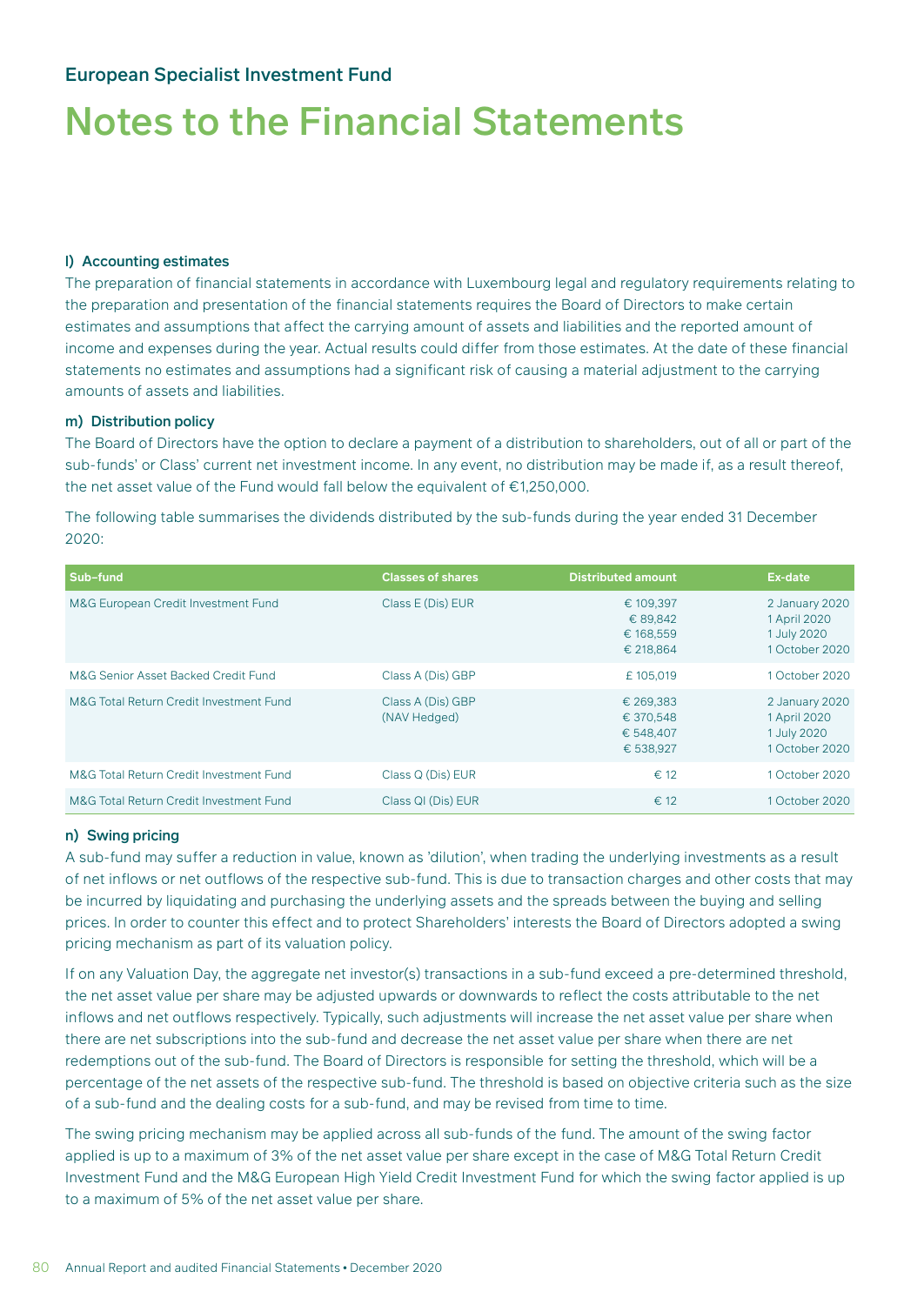#### l) Accounting estimates

The preparation of financial statements in accordance with Luxembourg legal and regulatory requirements relating to the preparation and presentation of the financial statements requires the Board of Directors to make certain estimates and assumptions that affect the carrying amount of assets and liabilities and the reported amount of income and expenses during the year. Actual results could differ from those estimates. At the date of these financial statements no estimates and assumptions had a significant risk of causing a material adjustment to the carrying amounts of assets and liabilities.

#### m) Distribution policy

The Board of Directors have the option to declare a payment of a distribution to shareholders, out of all or part of the sub-funds' or Class' current net investment income. In any event, no distribution may be made if, as a result thereof, the net asset value of the Fund would fall below the equivalent of €1,250,000.

The following table summarises the dividends distributed by the sub-funds during the year ended 31 December 2020:

| Sub-fund                                | <b>Classes of shares</b>          | <b>Distributed amount</b>                        | Ex-date                                                         |
|-----------------------------------------|-----------------------------------|--------------------------------------------------|-----------------------------------------------------------------|
| M&G European Credit Investment Fund     | Class E (Dis) EUR                 | € 109.397<br>€ 89,842<br>€ 168.559<br>€ 218,864  | 2 January 2020<br>1 April 2020<br>1 July 2020<br>1 October 2020 |
| M&G Senior Asset Backed Credit Fund     | Class A (Dis) GBP                 | £105.019                                         | 1 October 2020                                                  |
| M&G Total Return Credit Investment Fund | Class A (Dis) GBP<br>(NAV Hedged) | € 269,383<br>€ 370.548<br>€ 548.407<br>€ 538,927 | 2 January 2020<br>1 April 2020<br>1 July 2020<br>1 October 2020 |
| M&G Total Return Credit Investment Fund | Class Q (Dis) EUR                 | $\epsilon$ 12                                    | 1 October 2020                                                  |
| M&G Total Return Credit Investment Fund | Class QI (Dis) EUR                | $\epsilon$ 12                                    | 1 October 2020                                                  |

#### n) Swing pricing

A sub-fund may suffer a reduction in value, known as 'dilution', when trading the underlying investments as a result of net inflows or net outflows of the respective sub-fund. This is due to transaction charges and other costs that may be incurred by liquidating and purchasing the underlying assets and the spreads between the buying and selling prices. In order to counter this effect and to protect Shareholders' interests the Board of Directors adopted a swing pricing mechanism as part of its valuation policy.

If on any Valuation Day, the aggregate net investor(s) transactions in a sub-fund exceed a pre-determined threshold, the net asset value per share may be adjusted upwards or downwards to reflect the costs attributable to the net inflows and net outflows respectively. Typically, such adjustments will increase the net asset value per share when there are net subscriptions into the sub-fund and decrease the net asset value per share when there are net redemptions out of the sub-fund. The Board of Directors is responsible for setting the threshold, which will be a percentage of the net assets of the respective sub-fund. The threshold is based on objective criteria such as the size of a sub-fund and the dealing costs for a sub-fund, and may be revised from time to time.

The swing pricing mechanism may be applied across all sub-funds of the fund. The amount of the swing factor applied is up to a maximum of 3% of the net asset value per share except in the case of M&G Total Return Credit Investment Fund and the M&G European High Yield Credit Investment Fund for which the swing factor applied is up to a maximum of 5% of the net asset value per share.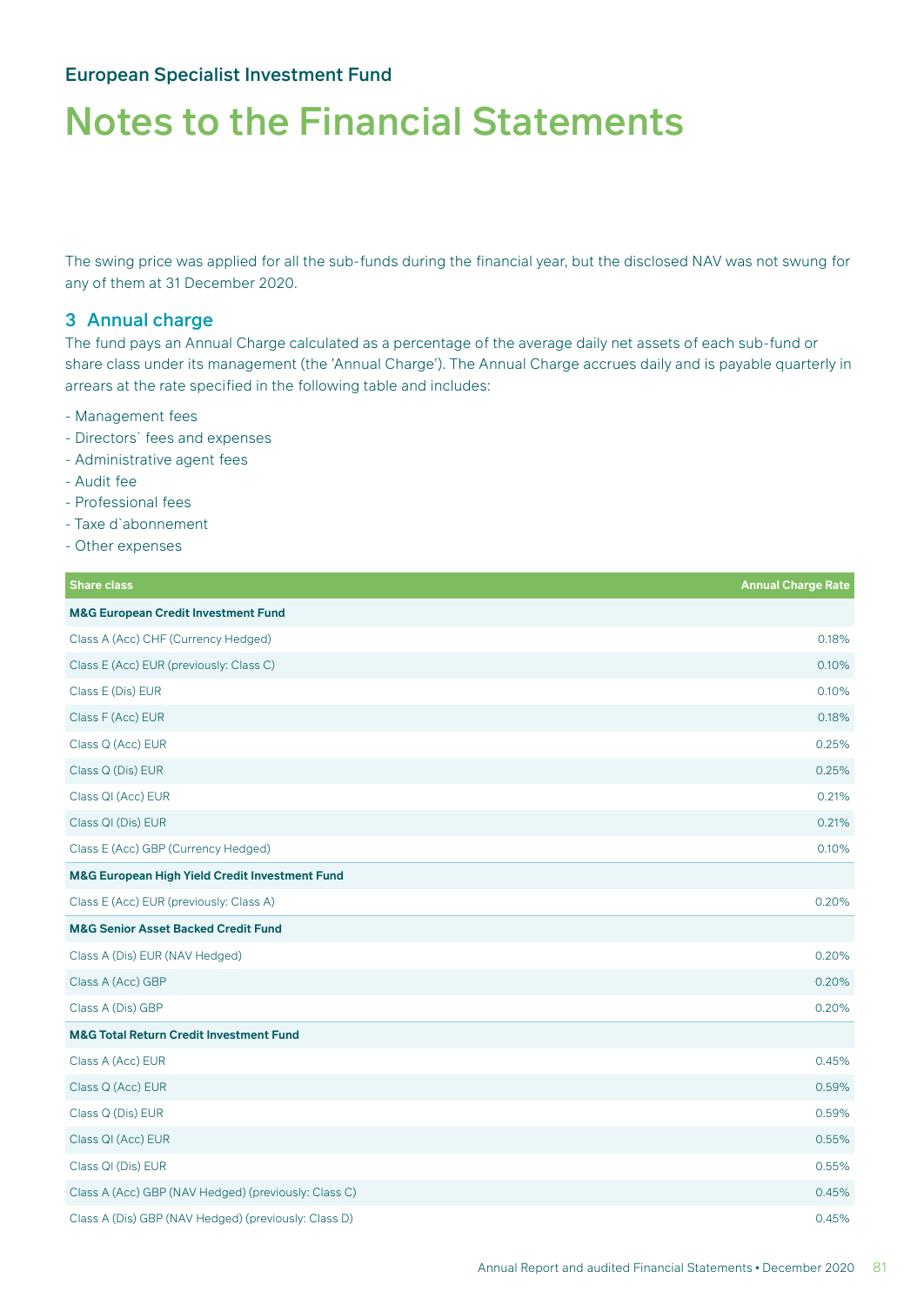The swing price was applied for all the sub-funds during the financial year, but the disclosed NAV was not swung for any of them at 31 December 2020.

#### 3 Annual charge

The fund pays an Annual Charge calculated as a percentage of the average daily net assets of each sub-fund or share class under its management (the 'Annual Charge'). The Annual Charge accrues daily and is payable quarterly in arrears at the rate specified in the following table and includes:

- Management fees
- Directors` fees and expenses
- Administrative agent fees
- Audit fee
- Professional fees
- Taxe d`abonnement
- Other expenses

| <b>Share class</b>                                        | <b>Annual Charge Rate</b> |
|-----------------------------------------------------------|---------------------------|
| <b>M&amp;G European Credit Investment Fund</b>            |                           |
| Class A (Acc) CHF (Currency Hedged)                       | 0.18%                     |
| Class E (Acc) EUR (previously: Class C)                   | 0.10%                     |
| Class E (Dis) EUR                                         | 0.10%                     |
| Class F (Acc) EUR                                         | 0.18%                     |
| Class Q (Acc) EUR                                         | 0.25%                     |
| Class Q (Dis) EUR                                         | 0.25%                     |
| Class QI (Acc) EUR                                        | 0.21%                     |
| Class QI (Dis) EUR                                        | 0.21%                     |
| Class E (Acc) GBP (Currency Hedged)                       | 0.10%                     |
| <b>M&amp;G European High Yield Credit Investment Fund</b> |                           |
| Class E (Acc) EUR (previously: Class A)                   | 0.20%                     |
| <b>M&amp;G Senior Asset Backed Credit Fund</b>            |                           |
| Class A (Dis) EUR (NAV Hedged)                            | 0.20%                     |
| Class A (Acc) GBP                                         | 0.20%                     |
| Class A (Dis) GBP                                         | 0.20%                     |
| <b>M&amp;G Total Return Credit Investment Fund</b>        |                           |
| Class A (Acc) EUR                                         | 0.45%                     |
| Class Q (Acc) EUR                                         | 0.59%                     |
| Class Q (Dis) EUR                                         | 0.59%                     |
| Class QI (Acc) EUR                                        | 0.55%                     |
| Class QI (Dis) EUR                                        | 0.55%                     |
| Class A (Acc) GBP (NAV Hedged) (previously: Class C)      | 0.45%                     |
| Class A (Dis) GBP (NAV Hedged) (previously: Class D)      | 0.45%                     |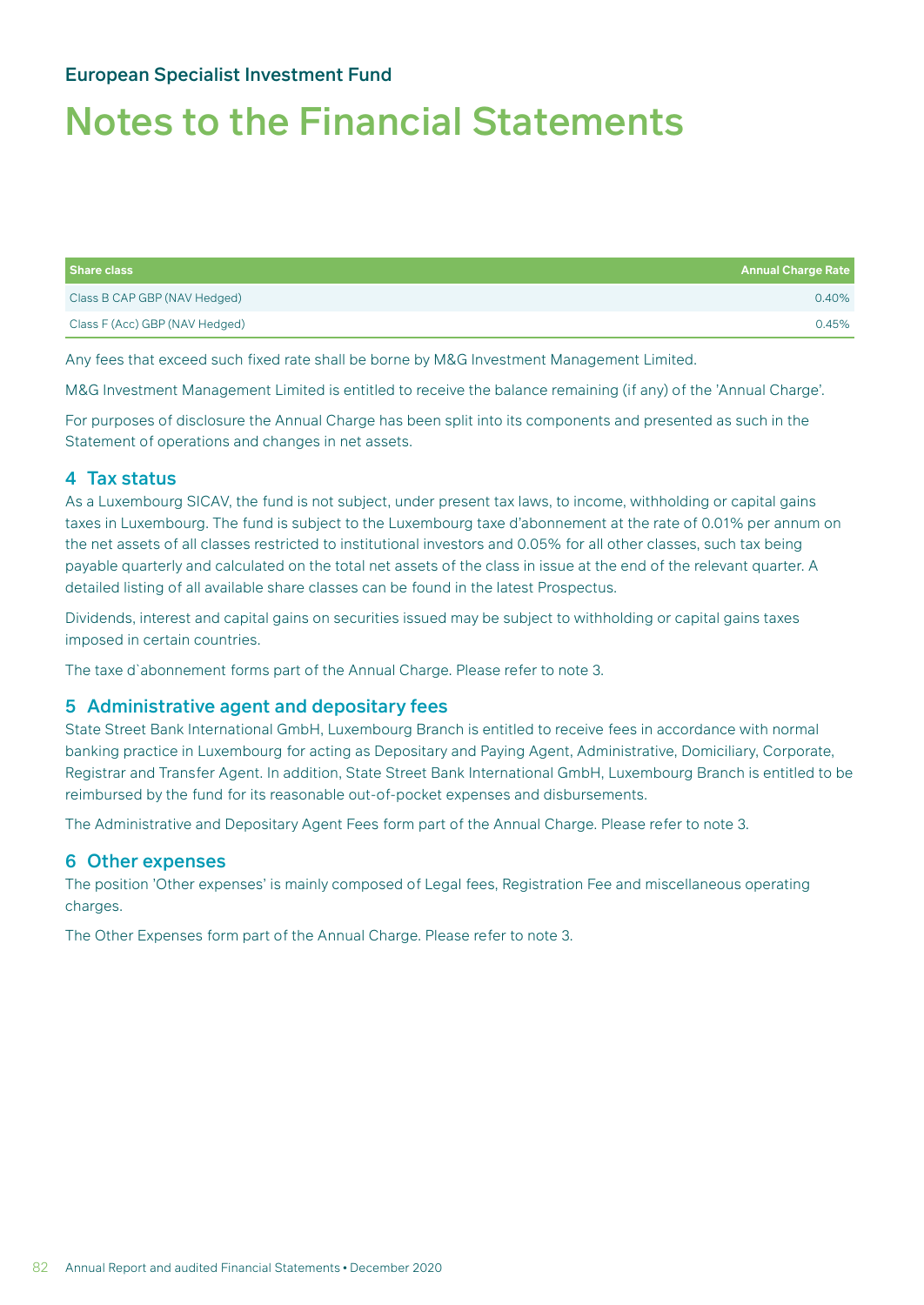## Notes to the Financial Statements

| Share class                    | <b>Annual Charge Rate</b> |
|--------------------------------|---------------------------|
| Class B CAP GBP (NAV Hedged)   | 0.40%                     |
| Class F (Acc) GBP (NAV Hedged) | 0.45%                     |

Any fees that exceed such fixed rate shall be borne by M&G Investment Management Limited.

M&G Investment Management Limited is entitled to receive the balance remaining (if any) of the 'Annual Charge'.

For purposes of disclosure the Annual Charge has been split into its components and presented as such in the Statement of operations and changes in net assets.

#### 4 Tax status

As a Luxembourg SICAV, the fund is not subject, under present tax laws, to income, withholding or capital gains taxes in Luxembourg. The fund is subject to the Luxembourg taxe d'abonnement at the rate of 0.01% per annum on the net assets of all classes restricted to institutional investors and 0.05% for all other classes, such tax being payable quarterly and calculated on the total net assets of the class in issue at the end of the relevant quarter. A detailed listing of all available share classes can be found in the latest Prospectus.

Dividends, interest and capital gains on securities issued may be subject to withholding or capital gains taxes imposed in certain countries.

The taxe d`abonnement forms part of the Annual Charge. Please refer to note 3.

#### 5 Administrative agent and depositary fees

State Street Bank International GmbH, Luxembourg Branch is entitled to receive fees in accordance with normal banking practice in Luxembourg for acting as Depositary and Paying Agent, Administrative, Domiciliary, Corporate, Registrar and Transfer Agent. In addition, State Street Bank International GmbH, Luxembourg Branch is entitled to be reimbursed by the fund for its reasonable out-of-pocket expenses and disbursements.

The Administrative and Depositary Agent Fees form part of the Annual Charge. Please refer to note 3.

#### 6 Other expenses

The position 'Other expenses' is mainly composed of Legal fees, Registration Fee and miscellaneous operating charges.

The Other Expenses form part of the Annual Charge. Please refer to note 3.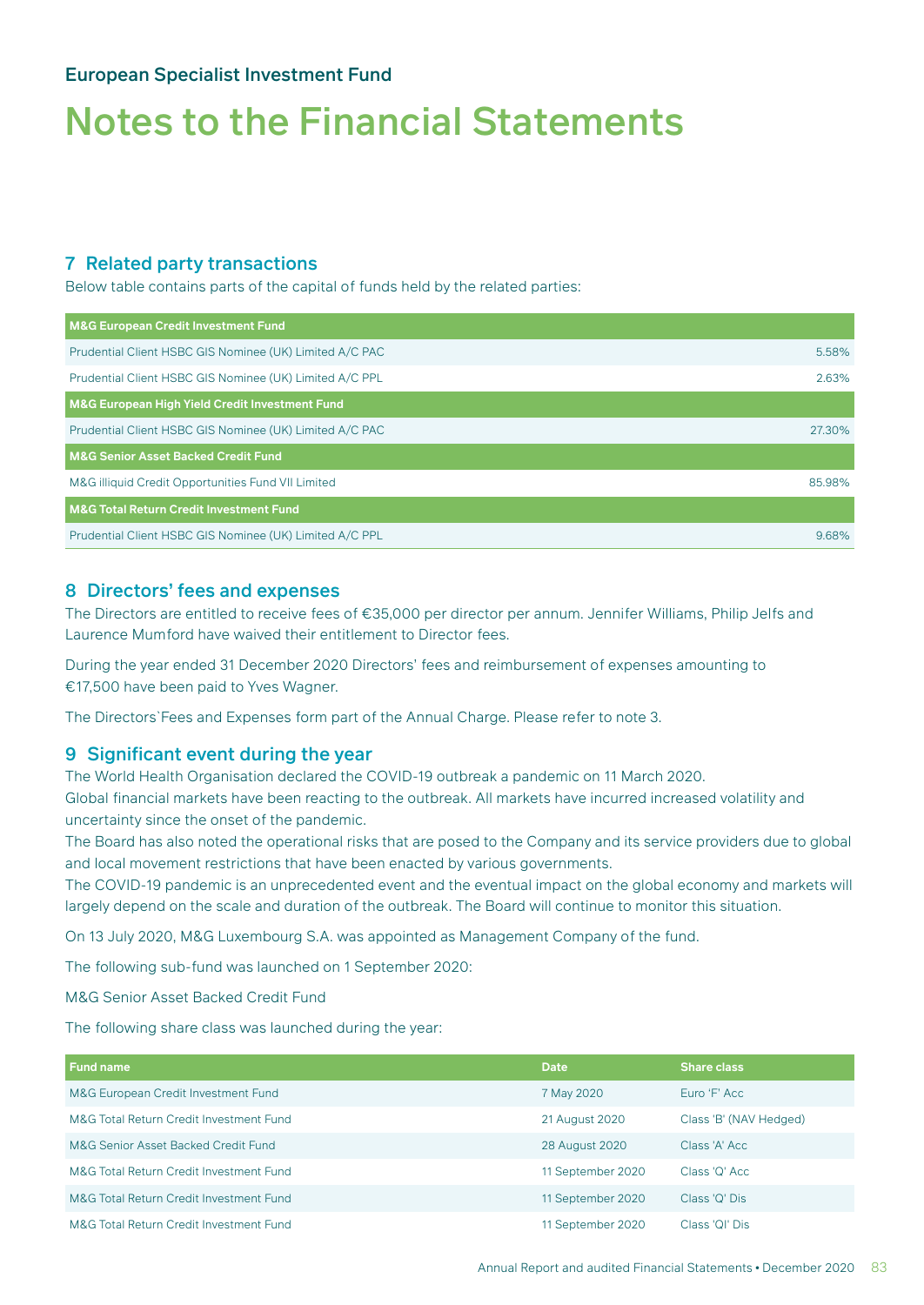## Notes to the Financial Statements

#### 7 Related party transactions

Below table contains parts of the capital of funds held by the related parties:

| <b>M&amp;G European Credit Investment Fund</b>          |        |
|---------------------------------------------------------|--------|
| Prudential Client HSBC GIS Nominee (UK) Limited A/C PAC | 5.58%  |
| Prudential Client HSBC GIS Nominee (UK) Limited A/C PPL | 2.63%  |
| M&G European High Yield Credit Investment Fund          |        |
| Prudential Client HSBC GIS Nominee (UK) Limited A/C PAC | 27.30% |
| <b>M&amp;G Senior Asset Backed Credit Fund</b>          |        |
| M&G illiquid Credit Opportunities Fund VII Limited      | 85.98% |
| <b>M&amp;G Total Return Credit Investment Fund</b>      |        |
| Prudential Client HSBC GIS Nominee (UK) Limited A/C PPL | 9.68%  |

#### 8 Directors' fees and expenses

The Directors are entitled to receive fees of €35,000 per director per annum. Jennifer Williams, Philip Jelfs and Laurence Mumford have waived their entitlement to Director fees.

During the year ended 31 December 2020 Directors' fees and reimbursement of expenses amounting to €17,500 have been paid to Yves Wagner.

The Directors`Fees and Expenses form part of the Annual Charge. Please refer to note 3.

#### 9 Significant event during the year

The World Health Organisation declared the COVID-19 outbreak a pandemic on 11 March 2020. Global financial markets have been reacting to the outbreak. All markets have incurred increased volatility and uncertainty since the onset of the pandemic.

The Board has also noted the operational risks that are posed to the Company and its service providers due to global and local movement restrictions that have been enacted by various governments.

The COVID-19 pandemic is an unprecedented event and the eventual impact on the global economy and markets will largely depend on the scale and duration of the outbreak. The Board will continue to monitor this situation.

On 13 July 2020, M&G Luxembourg S.A. was appointed as Management Company of the fund.

The following sub-fund was launched on 1 September 2020:

M&G Senior Asset Backed Credit Fund

The following share class was launched during the year:

| <b>Fund name</b>                        | <b>Date</b>       | <b>Share class</b>     |
|-----------------------------------------|-------------------|------------------------|
| M&G European Credit Investment Fund     | 7 May 2020        | Euro 'F' Acc           |
| M&G Total Return Credit Investment Fund | 21 August 2020    | Class 'B' (NAV Hedged) |
| M&G Senior Asset Backed Credit Fund     | 28 August 2020    | Class 'A' Acc.         |
| M&G Total Return Credit Investment Fund | 11 September 2020 | Class 'Q' Acc          |
| M&G Total Return Credit Investment Fund | 11 September 2020 | Class 'Q' Dis          |
| M&G Total Return Credit Investment Fund | 11 September 2020 | Class 'QI' Dis         |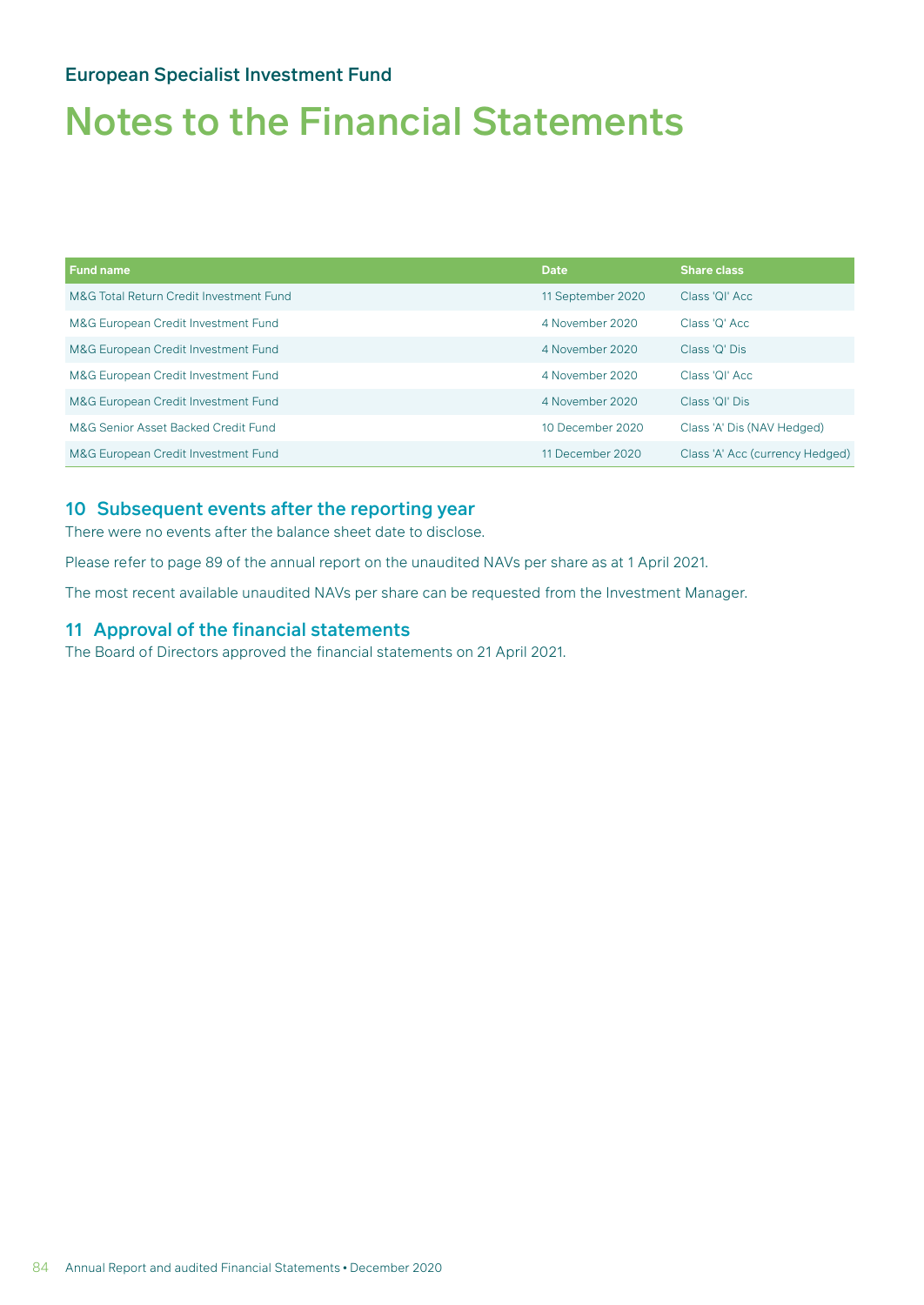## Notes to the Financial Statements

| <b>Fund name</b>                        | <b>Date</b>       | <b>Share class</b>              |
|-----------------------------------------|-------------------|---------------------------------|
| M&G Total Return Credit Investment Fund | 11 September 2020 | Class 'OI' Acc.                 |
| M&G European Credit Investment Fund     | 4 November 2020   | Class 'O' Acc.                  |
| M&G European Credit Investment Fund     | 4 November 2020   | Class 'Q' Dis                   |
| M&G European Credit Investment Fund     | 4 November 2020   | Class 'OI' Acc                  |
| M&G European Credit Investment Fund     | 4 November 2020   | Class 'OI' Dis                  |
| M&G Senior Asset Backed Credit Fund     | 10 December 2020  | Class 'A' Dis (NAV Hedged)      |
| M&G European Credit Investment Fund     | 11 December 2020  | Class 'A' Acc (currency Hedged) |

#### 10 Subsequent events after the reporting year

There were no events after the balance sheet date to disclose.

Please refer to page 89 of the annual report on the unaudited NAVs per share as at 1 April 2021.

The most recent available unaudited NAVs per share can be requested from the Investment Manager.

#### 11 Approval of the financial statements

The Board of Directors approved the financial statements on 21 April 2021.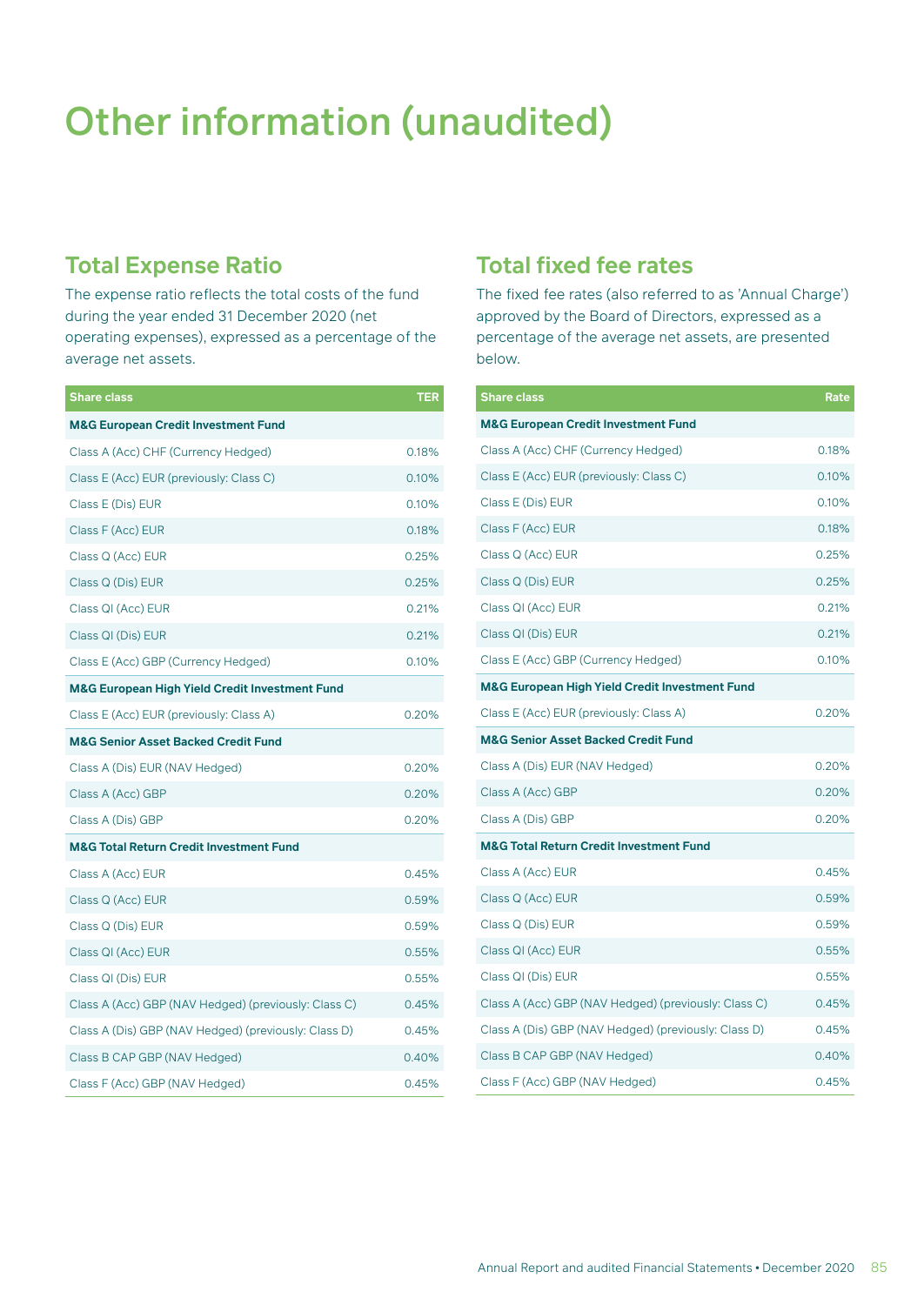## Other information (unaudited)

### **Total Expense Ratio**

The expense ratio reflects the total costs of the fund during the year ended 31 December 2020 (net operating expenses), expressed as a percentage of the average net assets.

| <b>Share class</b>                                        | TER   |
|-----------------------------------------------------------|-------|
| <b>M&amp;G European Credit Investment Fund</b>            |       |
| Class A (Acc) CHF (Currency Hedged)                       | 0.18% |
| Class E (Acc) EUR (previously: Class C)                   | 0.10% |
| Class E (Dis) EUR                                         | 0.10% |
| Class F (Acc) EUR                                         | 0.18% |
| Class Q (Acc) EUR                                         | 0.25% |
| Class Q (Dis) EUR                                         | 0.25% |
| Class QI (Acc) EUR                                        | 0.21% |
| Class QI (Dis) EUR                                        | 0.21% |
| Class E (Acc) GBP (Currency Hedged)                       | 0.10% |
| <b>M&amp;G European High Yield Credit Investment Fund</b> |       |
| Class E (Acc) EUR (previously: Class A)                   | 0.20% |
| <b>M&amp;G Senior Asset Backed Credit Fund</b>            |       |
| Class A (Dis) EUR (NAV Hedged)                            | 0.20% |
| Class A (Acc) GBP                                         | 0.20% |
| Class A (Dis) GBP                                         | 0.20% |
| <b>M&amp;G Total Return Credit Investment Fund</b>        |       |
| Class A (Acc) EUR                                         | 0.45% |
| Class Q (Acc) EUR                                         | 0.59% |
| Class Q (Dis) EUR                                         | 0.59% |
| Class QI (Acc) EUR                                        | 0.55% |
| Class QI (Dis) EUR                                        | 0.55% |
| Class A (Acc) GBP (NAV Hedged) (previously: Class C)      | 0.45% |
| Class A (Dis) GBP (NAV Hedged) (previously: Class D)      | 0.45% |
| Class B CAP GBP (NAV Hedged)                              | 0.40% |
| Class F (Acc) GBP (NAV Hedged)                            | 0.45% |

### **Total fixed fee rates**

The fixed fee rates (also referred to as 'Annual Charge') approved by the Board of Directors, expressed as a percentage of the average net assets, are presented below.

| <b>Share class</b>                                        | Rate  |
|-----------------------------------------------------------|-------|
| <b>M&amp;G European Credit Investment Fund</b>            |       |
| Class A (Acc) CHF (Currency Hedged)                       | 0.18% |
| Class E (Acc) EUR (previously: Class C)                   | 0.10% |
| Class E (Dis) EUR                                         | 0.10% |
| Class F (Acc) EUR                                         | 0.18% |
| Class Q (Acc) EUR                                         | 0.25% |
| Class Q (Dis) EUR                                         | 0.25% |
| Class QI (Acc) EUR                                        | 0.21% |
| Class QI (Dis) EUR                                        | 0.21% |
| Class E (Acc) GBP (Currency Hedged)                       | 0.10% |
| <b>M&amp;G European High Yield Credit Investment Fund</b> |       |
| Class E (Acc) EUR (previously: Class A)                   | 0.20% |
| <b>M&amp;G Senior Asset Backed Credit Fund</b>            |       |
| Class A (Dis) EUR (NAV Hedged)                            | 0.20% |
| Class A (Acc) GBP                                         | 0.20% |
| Class A (Dis) GBP                                         | 0.20% |
| <b>M&amp;G Total Return Credit Investment Fund</b>        |       |
| Class A (Acc) EUR                                         | 0.45% |
| Class Q (Acc) EUR                                         | 0.59% |
| Class Q (Dis) EUR                                         | 0.59% |
| Class QI (Acc) EUR                                        | 0.55% |
| Class QI (Dis) EUR                                        | 0.55% |
| Class A (Acc) GBP (NAV Hedged) (previously: Class C)      | 0.45% |
| Class A (Dis) GBP (NAV Hedged) (previously: Class D)      | 0.45% |
| Class B CAP GBP (NAV Hedged)                              | 0.40% |
| Class F (Acc) GBP (NAV Hedged)                            | 0.45% |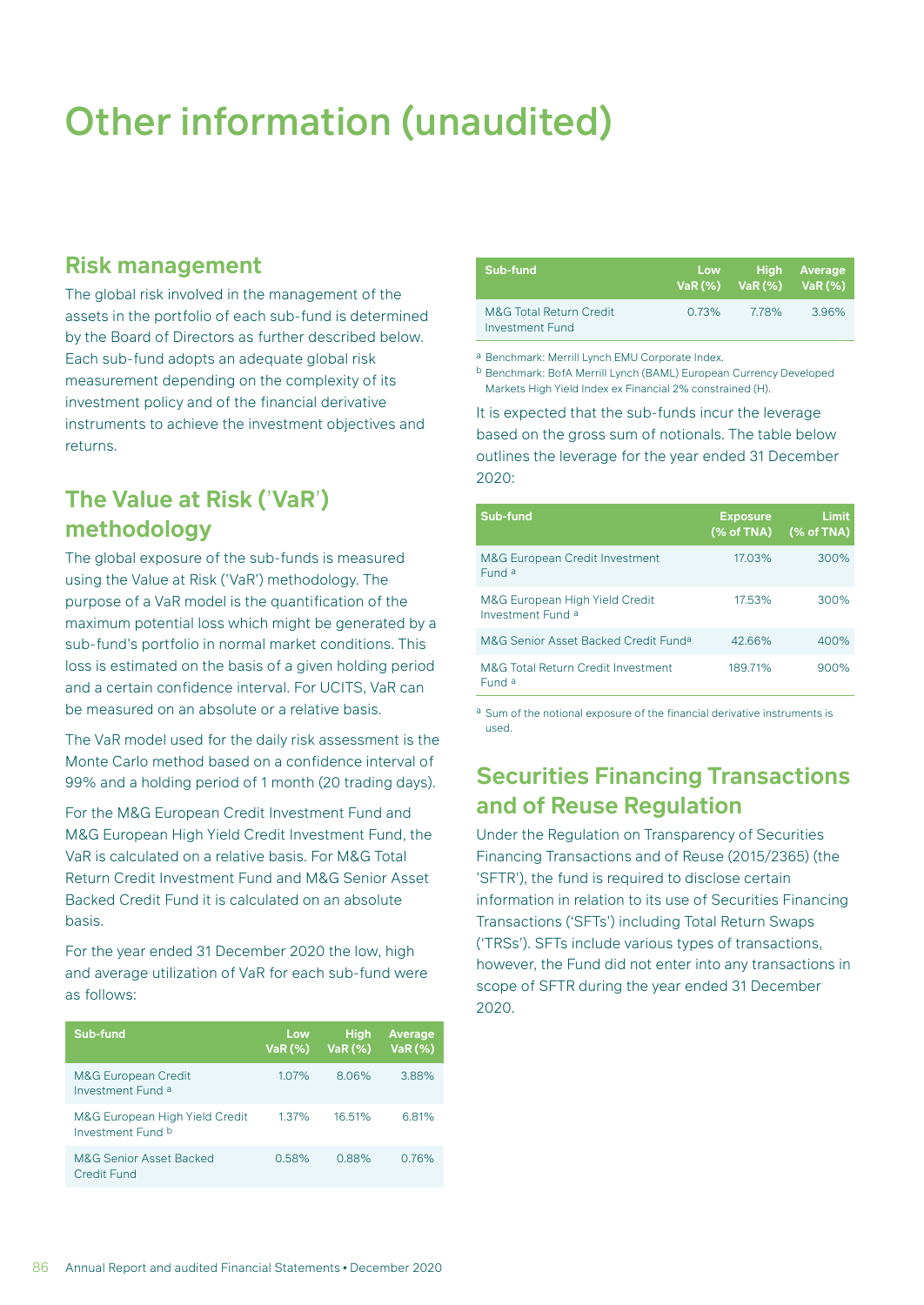## Other information (unaudited)

### **Risk management**

The global risk involved in the management of the assets in the portfolio of each sub-fund is determined by the Board of Directors as further described below. Each sub-fund adopts an adequate global risk measurement depending on the complexity of its investment policy and of the financial derivative instruments to achieve the investment objectives and returns.

### **The Value at Risk (**'**VaR**'**) methodology**

The global exposure of the sub-funds is measured using the Value at Risk ('VaR') methodology. The purpose of a VaR model is the quantification of the maximum potential loss which might be generated by a sub-fund's portfolio in normal market conditions. This loss is estimated on the basis of a given holding period and a certain confidence interval. For UCITS, VaR can be measured on an absolute or a relative basis.

The VaR model used for the daily risk assessment is the Monte Carlo method based on a confidence interval of 99% and a holding period of 1 month (20 trading days).

For the M&G European Credit Investment Fund and M&G European High Yield Credit Investment Fund, the VaR is calculated on a relative basis. For M&G Total Return Credit Investment Fund and M&G Senior Asset Backed Credit Fund it is calculated on an absolute basis.

For the year ended 31 December 2020 the low, high and average utilization of VaR for each sub-fund were as follows:

| Sub-fund                                            | <b>Low</b><br><b>VaR (%)</b> | <b>High</b><br>VaR (%) | Average<br>VaR (%) |
|-----------------------------------------------------|------------------------------|------------------------|--------------------|
| <b>M&amp;G European Credit</b><br>Investment Fund a | 107%                         | 8.06%                  | 388%               |
| M&G European High Yield Credit<br>Investment Fund b | 1.37%                        | 16.51%                 | 681%               |
| <b>M&amp;G Senior Asset Backed</b><br>Credit Fund   | 0.58%                        | 0.88%                  | 0.76%              |

| Sub-fund                                              | Low <b>Communist Strutt</b> | $VaR (\%)$ Va $R (\%)$ Va $R (\%)$ | High Average |
|-------------------------------------------------------|-----------------------------|------------------------------------|--------------|
| <b>M&amp;G Total Return Credit</b><br>Investment Fund | 0.73%                       | 778%                               | 3.96%        |

a Benchmark: Merrill Lynch EMU Corporate Index.

b Benchmark: BofA Merrill Lynch (BAML) European Currency Developed Markets High Yield Index ex Financial 2% constrained (H).

It is expected that the sub-funds incur the leverage based on the gross sum of notionals. The table below outlines the leverage for the year ended 31 December 2020:

| Sub-fund                                            | <b>Exposure</b><br>(% of TNA) | Limit<br>$(%$ $(%$ $\mathbf{A})$ of TNA) |
|-----------------------------------------------------|-------------------------------|------------------------------------------|
| <b>M&amp;G European Credit Investment</b><br>Fund a | 17.03%                        | 300%                                     |
| M&G European High Yield Credit<br>Investment Fund a | 17.53%                        | 300%                                     |
| M&G Senior Asset Backed Credit Funda                | 42.66%                        | 400%                                     |
| M&G Total Return Credit Investment<br>Fund a        | 189.71%                       | 900%                                     |

a Sum of the notional exposure of the financial derivative instruments is used.

### **Securities Financing Transactions and of Reuse Regulation**

Under the Regulation on Transparency of Securities Financing Transactions and of Reuse (2015/2365) (the 'SFTR'), the fund is required to disclose certain information in relation to its use of Securities Financing Transactions ('SFTs') including Total Return Swaps ('TRSs'). SFTs include various types of transactions, however, the Fund did not enter into any transactions in scope of SFTR during the year ended 31 December 2020.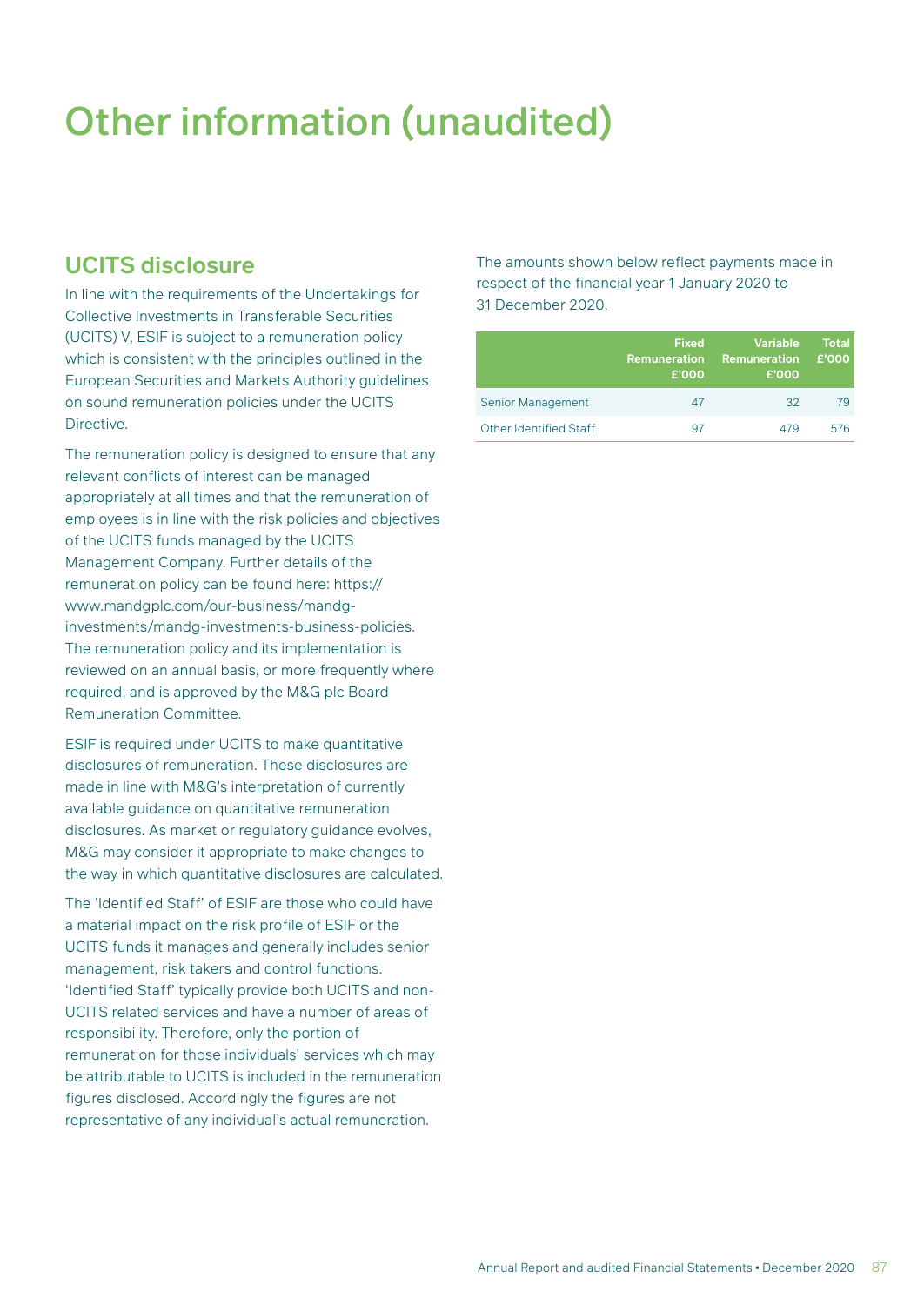## Other information (unaudited)

### **UCITS disclosure**

In line with the requirements of the Undertakings for Collective Investments in Transferable Securities (UCITS) V, ESIF is subject to a remuneration policy which is consistent with the principles outlined in the European Securities and Markets Authority guidelines on sound remuneration policies under the UCITS Directive.

The remuneration policy is designed to ensure that any relevant conflicts of interest can be managed appropriately at all times and that the remuneration of employees is in line with the risk policies and objectives of the UCITS funds managed by the UCITS Management Company. Further details of the remuneration policy can be found here: https:// www.mandgplc.com/our-business/mandginvestments/mandg-investments-business-policies. The remuneration policy and its implementation is reviewed on an annual basis, or more frequently where required, and is approved by the M&G plc Board Remuneration Committee.

ESIF is required under UCITS to make quantitative disclosures of remuneration. These disclosures are made in line with M&G's interpretation of currently available guidance on quantitative remuneration disclosures. As market or regulatory guidance evolves, M&G may consider it appropriate to make changes to the way in which quantitative disclosures are calculated.

The 'Identified Staff' of ESIF are those who could have a material impact on the risk profile of ESIF or the UCITS funds it manages and generally includes senior management, risk takers and control functions. 'Identified Staff' typically provide both UCITS and non-UCITS related services and have a number of areas of responsibility. Therefore, only the portion of remuneration for those individuals' services which may be attributable to UCITS is included in the remuneration figures disclosed. Accordingly the figures are not representative of any individual's actual remuneration.

The amounts shown below reflect payments made in respect of the financial year 1 January 2020 to 31 December 2020.

|                        | <b>Fixed</b><br><b>Remuneration</b><br>£'000 | <b>Variable</b><br><b>Remuneration</b><br>£'000 | <b>Total</b><br>£'000 |
|------------------------|----------------------------------------------|-------------------------------------------------|-----------------------|
| Senior Management      | 47                                           | 32                                              | 79                    |
| Other Identified Staff | 97                                           | 4/9                                             | 576                   |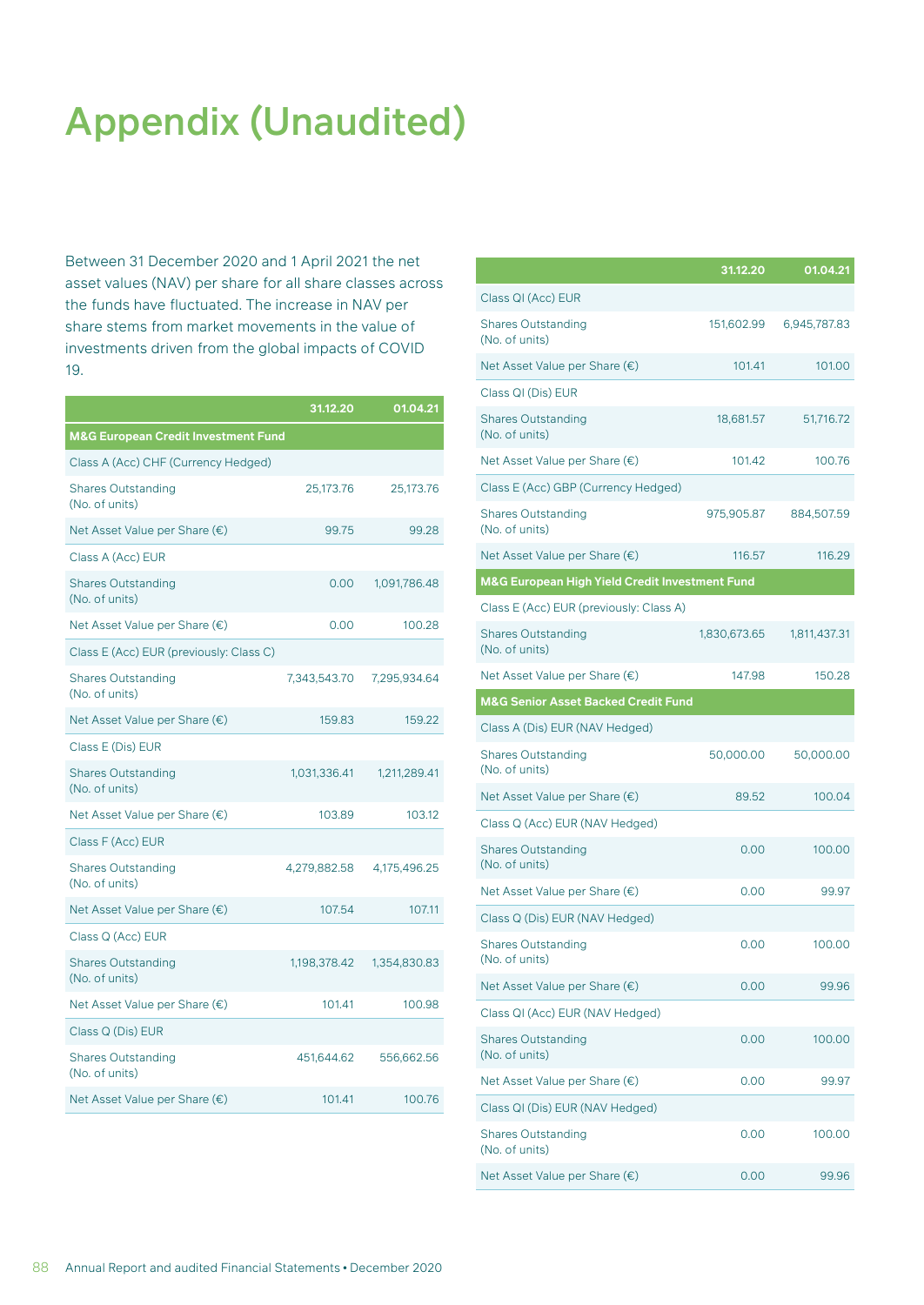## Appendix (Unaudited)

Between 31 December 2020 and 1 April 2021 the net asset values (NAV) per share for all share classes across the funds have fluctuated. The increase in NAV per share stems from market movements in the value of investments driven from the global impacts of COVID 19.

|                                                | 31.12.20     | 01.04.21     |
|------------------------------------------------|--------------|--------------|
| <b>M&amp;G European Credit Investment Fund</b> |              |              |
| Class A (Acc) CHF (Currency Hedged)            |              |              |
| <b>Shares Outstanding</b><br>(No. of units)    | 25,173.76    | 25,173.76    |
| Net Asset Value per Share (€)                  | 99.75        | 99.28        |
| Class A (Acc) EUR                              |              |              |
| <b>Shares Outstanding</b><br>(No. of units)    | 0.00         | 1,091,786.48 |
| Net Asset Value per Share (€)                  | 0.00         | 100.28       |
| Class E (Acc) EUR (previously: Class C)        |              |              |
| <b>Shares Outstanding</b><br>(No. of units)    | 7,343,543.70 | 7,295,934.64 |
| Net Asset Value per Share (€)                  | 159.83       | 159.22       |
| Class E (Dis) EUR                              |              |              |
| <b>Shares Outstanding</b><br>(No. of units)    | 1,031,336.41 | 1,211,289.41 |
| Net Asset Value per Share (€)                  | 103.89       | 103.12       |
| Class F (Acc) EUR                              |              |              |
| <b>Shares Outstanding</b><br>(No. of units)    | 4,279,882.58 | 4,175,496.25 |
| Net Asset Value per Share (€)                  | 107.54       | 107.11       |
| Class Q (Acc) EUR                              |              |              |
| <b>Shares Outstanding</b><br>(No. of units)    | 1,198,378.42 | 1,354,830.83 |
| Net Asset Value per Share (€)                  | 101.41       | 100.98       |
| Class Q (Dis) EUR                              |              |              |
| <b>Shares Outstanding</b><br>(No. of units)    | 451,644.62   | 556,662.56   |
| Net Asset Value per Share (€)                  | 101.41       | 100.76       |

|                                                | 31.12.20     | 01.04.21     |
|------------------------------------------------|--------------|--------------|
| Class QI (Acc) EUR                             |              |              |
| <b>Shares Outstanding</b><br>(No. of units)    | 151,602.99   | 6,945,787.83 |
| Net Asset Value per Share (€)                  | 101.41       | 101.00       |
| Class QI (Dis) EUR                             |              |              |
| <b>Shares Outstanding</b><br>(No. of units)    | 18,681.57    | 51,716.72    |
| Net Asset Value per Share (€)                  | 101.42       | 100.76       |
| Class E (Acc) GBP (Currency Hedged)            |              |              |
| <b>Shares Outstanding</b><br>(No. of units)    | 975,905.87   | 884,507.59   |
| Net Asset Value per Share (€)                  | 116.57       | 116.29       |
| M&G European High Yield Credit Investment Fund |              |              |
| Class E (Acc) EUR (previously: Class A)        |              |              |
| <b>Shares Outstanding</b><br>(No. of units)    | 1,830,673.65 | 1,811,437.31 |
| Net Asset Value per Share (€)                  | 147.98       | 150.28       |
| <b>M&amp;G Senior Asset Backed Credit Fund</b> |              |              |
| Class A (Dis) EUR (NAV Hedged)                 |              |              |
| <b>Shares Outstanding</b><br>(No. of units)    | 50,000.00    | 50,000.00    |
| Net Asset Value per Share (€)                  | 89.52        | 100.04       |
| Class Q (Acc) EUR (NAV Hedged)                 |              |              |
| <b>Shares Outstanding</b><br>(No. of units)    | 0.00         | 100.00       |
| Net Asset Value per Share (€)                  | 0.00         | 99.97        |
| Class Q (Dis) EUR (NAV Hedged)                 |              |              |
| <b>Shares Outstanding</b><br>(No. of units)    | 0.00         | 100.00       |
| Net Asset Value per Share (€)                  | 0.00         | 99.96        |
| Class QI (Acc) EUR (NAV Hedged)                |              |              |
| <b>Shares Outstanding</b><br>(No. of units)    | 0.00         | 100.00       |
| Net Asset Value per Share (€)                  | 0.00         | 99.97        |
| Class QI (Dis) EUR (NAV Hedged)                |              |              |
| <b>Shares Outstanding</b><br>(No. of units)    | 0.00         | 100.00       |
| Net Asset Value per Share (€)                  | 0.00         | 99.96        |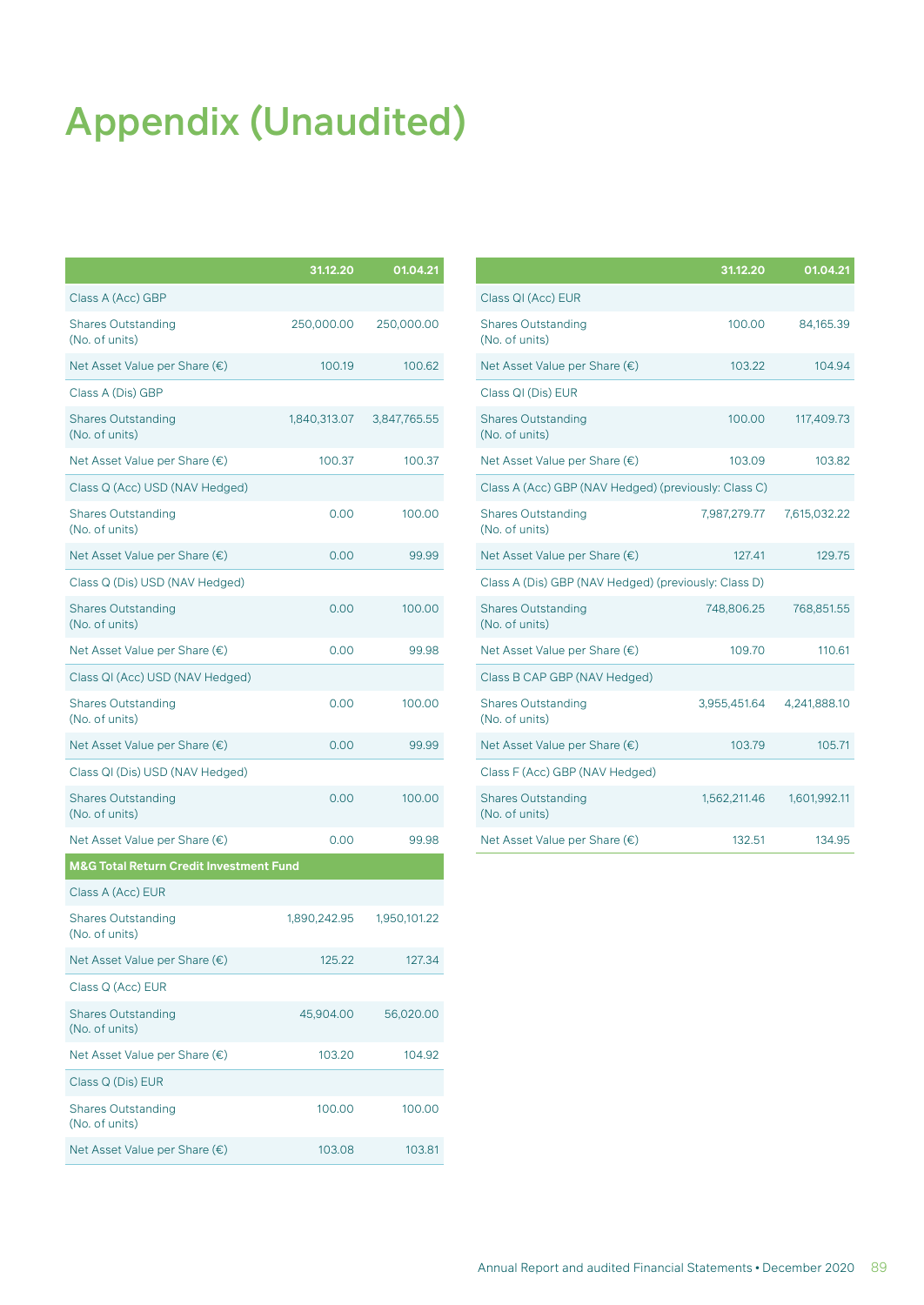# Appendix (Unaudited)

|                                                    | 31.12.20     | 01.04.21     |
|----------------------------------------------------|--------------|--------------|
| Class A (Acc) GBP                                  |              |              |
| <b>Shares Outstanding</b><br>(No. of units)        | 250,000.00   | 250,000.00   |
| Net Asset Value per Share (€)                      | 100.19       | 100.62       |
| Class A (Dis) GBP                                  |              |              |
| <b>Shares Outstanding</b><br>(No. of units)        | 1,840,313.07 | 3,847,765.55 |
| Net Asset Value per Share (€)                      | 100.37       | 100.37       |
| Class Q (Acc) USD (NAV Hedged)                     |              |              |
| <b>Shares Outstanding</b><br>(No. of units)        | 0.00         | 100.00       |
| Net Asset Value per Share (€)                      | 0.00         | 99.99        |
| Class Q (Dis) USD (NAV Hedged)                     |              |              |
| <b>Shares Outstanding</b><br>(No. of units)        | 0.00         | 100.00       |
| Net Asset Value per Share (€)                      | 0.00         | 99.98        |
| Class QI (Acc) USD (NAV Hedged)                    |              |              |
| <b>Shares Outstanding</b><br>(No. of units)        | 0.00         | 100.00       |
| Net Asset Value per Share (€)                      | 0.00         | 99.99        |
| Class QI (Dis) USD (NAV Hedged)                    |              |              |
| <b>Shares Outstanding</b><br>(No. of units)        | 0.00         | 100.00       |
| Net Asset Value per Share (€)                      | 0.00         | 99.98        |
| <b>M&amp;G Total Return Credit Investment Fund</b> |              |              |
| Class A (Acc) EUR                                  |              |              |
| <b>Shares Outstanding</b><br>(No. of units)        | 1,890,242.95 | 1,950,101.22 |
| Net Asset Value per Share $(\epsilon)$             | 125.22       | 127.34       |
| Class Q (Acc) EUR                                  |              |              |
| <b>Shares Outstanding</b><br>(No. of units)        | 45,904.00    | 56,020.00    |
| Net Asset Value per Share (€)                      | 103.20       | 104.92       |
| Class Q (Dis) EUR                                  |              |              |
| <b>Shares Outstanding</b><br>(No. of units)        | 100.00       | 100.00       |
| Net Asset Value per Share (€)                      | 103.08       | 103.81       |

|                                                      | 31.12.20     | 01.04.21     |
|------------------------------------------------------|--------------|--------------|
| Class QI (Acc) EUR                                   |              |              |
| <b>Shares Outstanding</b><br>(No. of units)          | 100.00       | 84,165.39    |
| Net Asset Value per Share (€)                        | 103.22       | 104.94       |
| Class QI (Dis) EUR                                   |              |              |
| <b>Shares Outstanding</b><br>(No. of units)          | 100.00       | 117,409.73   |
| Net Asset Value per Share (€)                        | 103.09       | 103.82       |
| Class A (Acc) GBP (NAV Hedged) (previously: Class C) |              |              |
| <b>Shares Outstanding</b><br>(No. of units)          | 7,987,279.77 | 7,615,032.22 |
| Net Asset Value per Share (€)                        | 127.41       | 129.75       |
| Class A (Dis) GBP (NAV Hedged) (previously: Class D) |              |              |
| <b>Shares Outstanding</b><br>(No. of units)          | 748,806.25   | 768,851.55   |
| Net Asset Value per Share (€)                        | 109.70       | 110.61       |
| Class B CAP GBP (NAV Hedged)                         |              |              |
| <b>Shares Outstanding</b><br>(No. of units)          | 3,955,451.64 | 4,241,888.10 |
| Net Asset Value per Share (€)                        | 103.79       | 105.71       |
| Class F (Acc) GBP (NAV Hedged)                       |              |              |
| <b>Shares Outstanding</b><br>(No. of units)          | 1,562,211.46 | 1,601,992.11 |
| Net Asset Value per Share (€)                        | 132.51       | 134.95       |